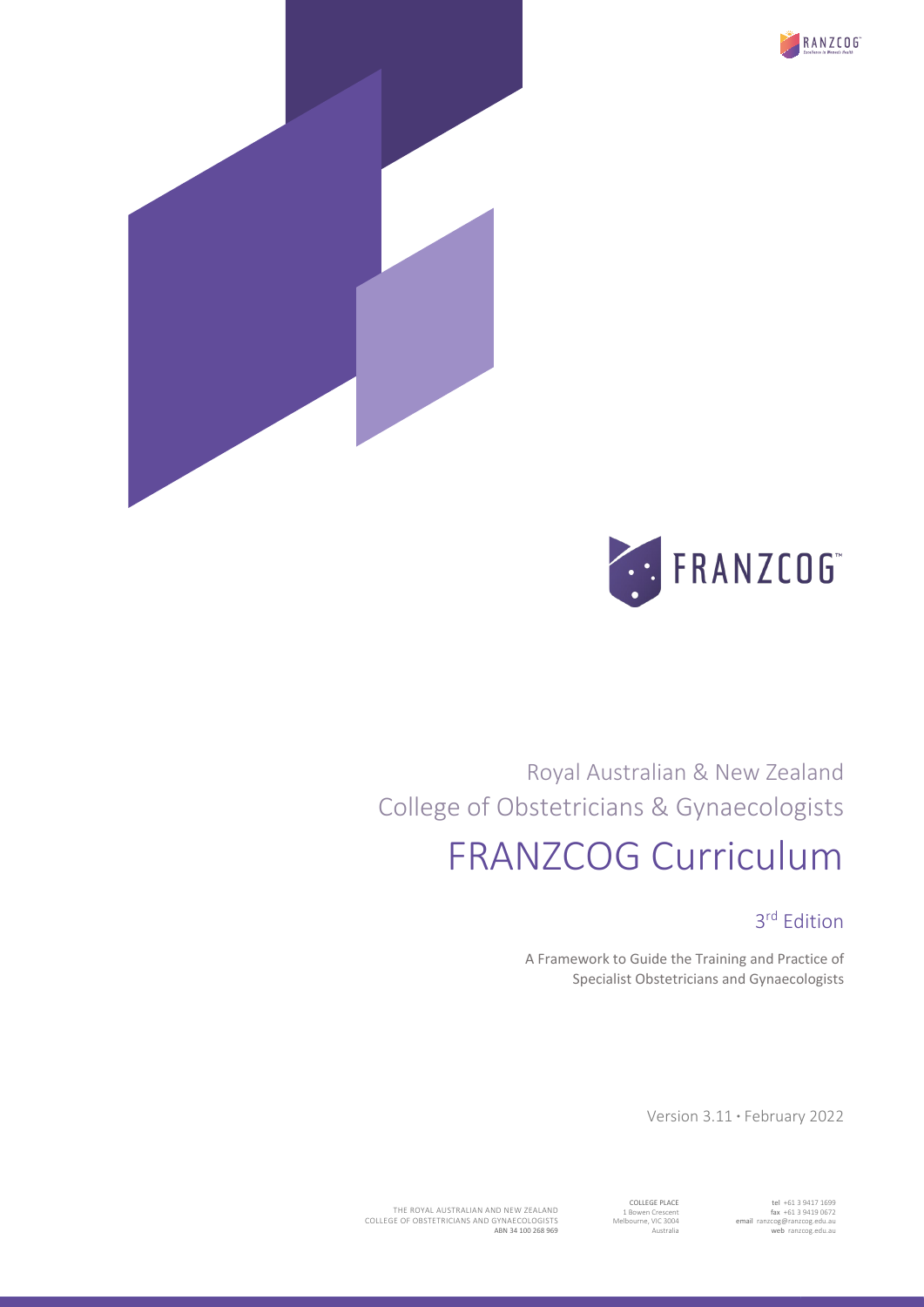





# Royal Australian & New Zealand College of Obstetricians & Gynaecologists FRANZCOG Curriculum

3rd Edition

A Framework to Guide the Training and Practice of Specialist Obstetricians and Gynaecologists

> COLLEGE PLACE 1 Bowen Crescent Melbourne, VIC 3004 Australia

Version 3.11 · February 2022

tel +61 3 9417 1699 fax +61 3 9419 0672 email [ranzcog@ranzcog.edu.au](mailto:ranzcog@ranzcog.edu.au) web [ranzcog.edu.au](http://www.ranzcog.edu.au/)

THE ROYAL AUSTRALIAN AND NEW ZEALAND COLLEGE OF OBSTETRICIANS AND GYNAECOLOGISTS ABN 34 100 268 969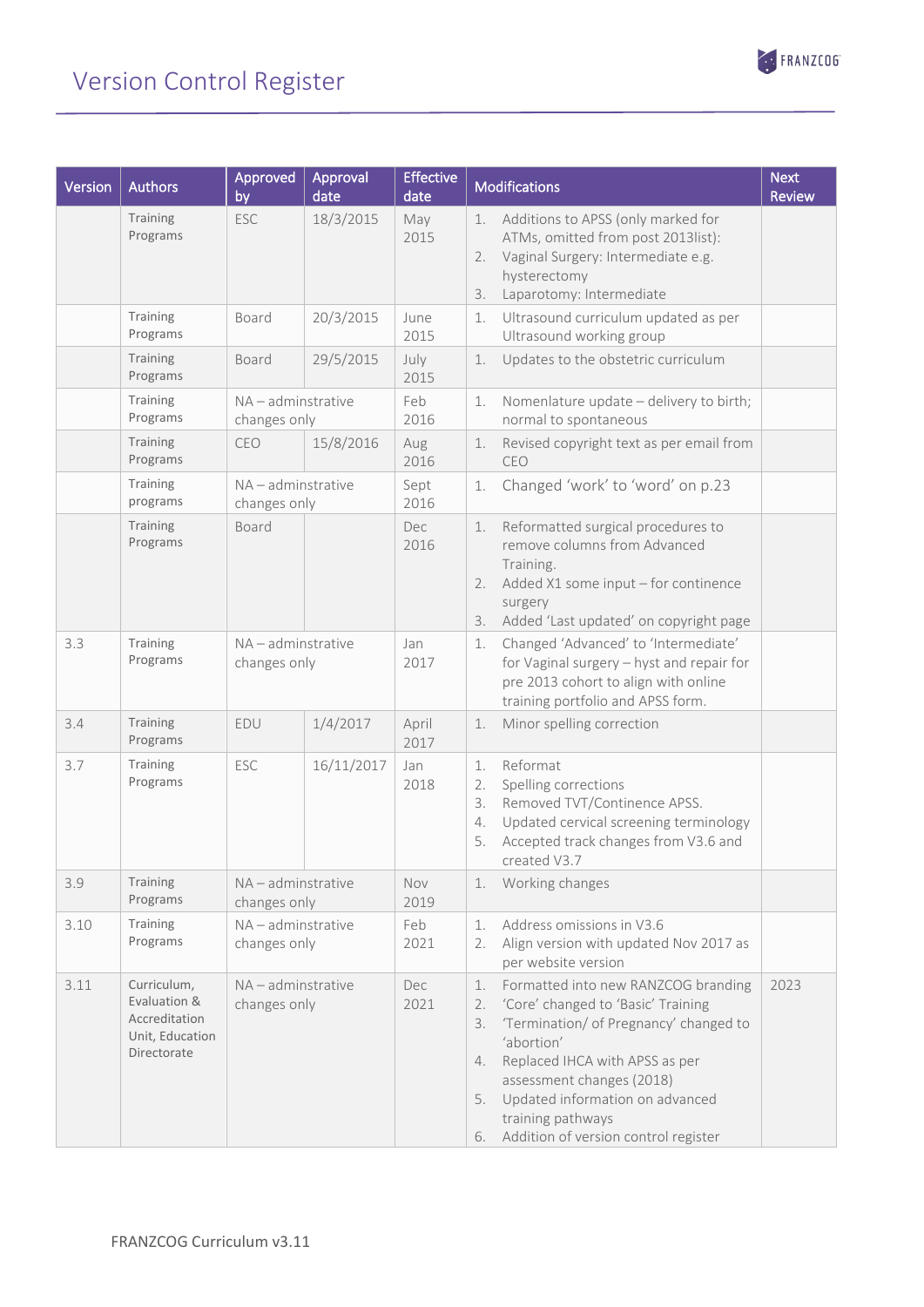

| Version | <b>Authors</b>                                                                 | Approved<br>by                     | Approval<br>date | <b>Effective</b><br>date | Modifications                                                                                                                                                                                                                                                                                                                        | <b>Next</b><br><b>Review</b> |
|---------|--------------------------------------------------------------------------------|------------------------------------|------------------|--------------------------|--------------------------------------------------------------------------------------------------------------------------------------------------------------------------------------------------------------------------------------------------------------------------------------------------------------------------------------|------------------------------|
|         | Training<br>Programs                                                           | ESC                                | 18/3/2015        | May<br>2015              | Additions to APSS (only marked for<br>1.<br>ATMs, omitted from post 2013list):<br>Vaginal Surgery: Intermediate e.g.<br>2.<br>hysterectomy<br>Laparotomy: Intermediate<br>3.                                                                                                                                                         |                              |
|         | Training<br>Programs                                                           | Board                              | 20/3/2015        | June<br>2015             | Ultrasound curriculum updated as per<br>1.<br>Ultrasound working group                                                                                                                                                                                                                                                               |                              |
|         | Training<br>Programs                                                           | Board                              | 29/5/2015        | July<br>2015             | Updates to the obstetric curriculum<br>1.                                                                                                                                                                                                                                                                                            |                              |
|         | Training<br>Programs                                                           | NA - adminstrative<br>changes only |                  | Feb<br>2016              | Nomenlature update - delivery to birth;<br>1.<br>normal to spontaneous                                                                                                                                                                                                                                                               |                              |
|         | Training<br>Programs                                                           | CEO                                | 15/8/2016        | Aug<br>2016              | Revised copyright text as per email from<br>1.<br>CEO                                                                                                                                                                                                                                                                                |                              |
|         | Training<br>programs                                                           | NA - adminstrative<br>changes only |                  | Sept<br>2016             | Changed 'work' to 'word' on p.23<br>1.                                                                                                                                                                                                                                                                                               |                              |
|         | Training<br>Programs                                                           | Board                              |                  | <b>Dec</b><br>2016       | Reformatted surgical procedures to<br>1.<br>remove columns from Advanced<br>Training.<br>Added X1 some input - for continence<br>2.<br>surgery<br>Added 'Last updated' on copyright page<br>3.                                                                                                                                       |                              |
| 3.3     | Training<br>Programs                                                           | NA - adminstrative<br>changes only |                  | Jan<br>2017              | Changed 'Advanced' to 'Intermediate'<br>1.<br>for Vaginal surgery - hyst and repair for<br>pre 2013 cohort to align with online<br>training portfolio and APSS form.                                                                                                                                                                 |                              |
| 3.4     | Training<br>Programs                                                           | EDU                                | 1/4/2017         | April<br>2017            | Minor spelling correction<br>1.                                                                                                                                                                                                                                                                                                      |                              |
| 3.7     | Training<br>Programs                                                           | ESC                                | 16/11/2017       | Jan<br>2018              | Reformat<br>1.<br>Spelling corrections<br>2.<br>Removed TVT/Continence APSS.<br>3.<br>Updated cervical screening terminology<br>4.<br>5.<br>Accepted track changes from V3.6 and<br>created V3.7                                                                                                                                     |                              |
| 3.9     | Training<br>Programs                                                           | NA - adminstrative<br>changes only |                  | Nov<br>2019              | Working changes<br>1.                                                                                                                                                                                                                                                                                                                |                              |
| 3.10    | Training<br>Programs                                                           | NA - adminstrative<br>changes only |                  | Feb<br>2021              | Address omissions in V3.6<br>1.<br>2.<br>Align version with updated Nov 2017 as<br>per website version                                                                                                                                                                                                                               |                              |
| 3.11    | Curriculum,<br>Evaluation &<br>Accreditation<br>Unit, Education<br>Directorate | NA - adminstrative<br>changes only |                  | Dec<br>2021              | Formatted into new RANZCOG branding<br>1.<br>'Core' changed to 'Basic' Training<br>2.<br>'Termination/ of Pregnancy' changed to<br>3.<br>'abortion'<br>Replaced IHCA with APSS as per<br>4.<br>assessment changes (2018)<br>Updated information on advanced<br>5.<br>training pathways<br>Addition of version control register<br>6. | 2023                         |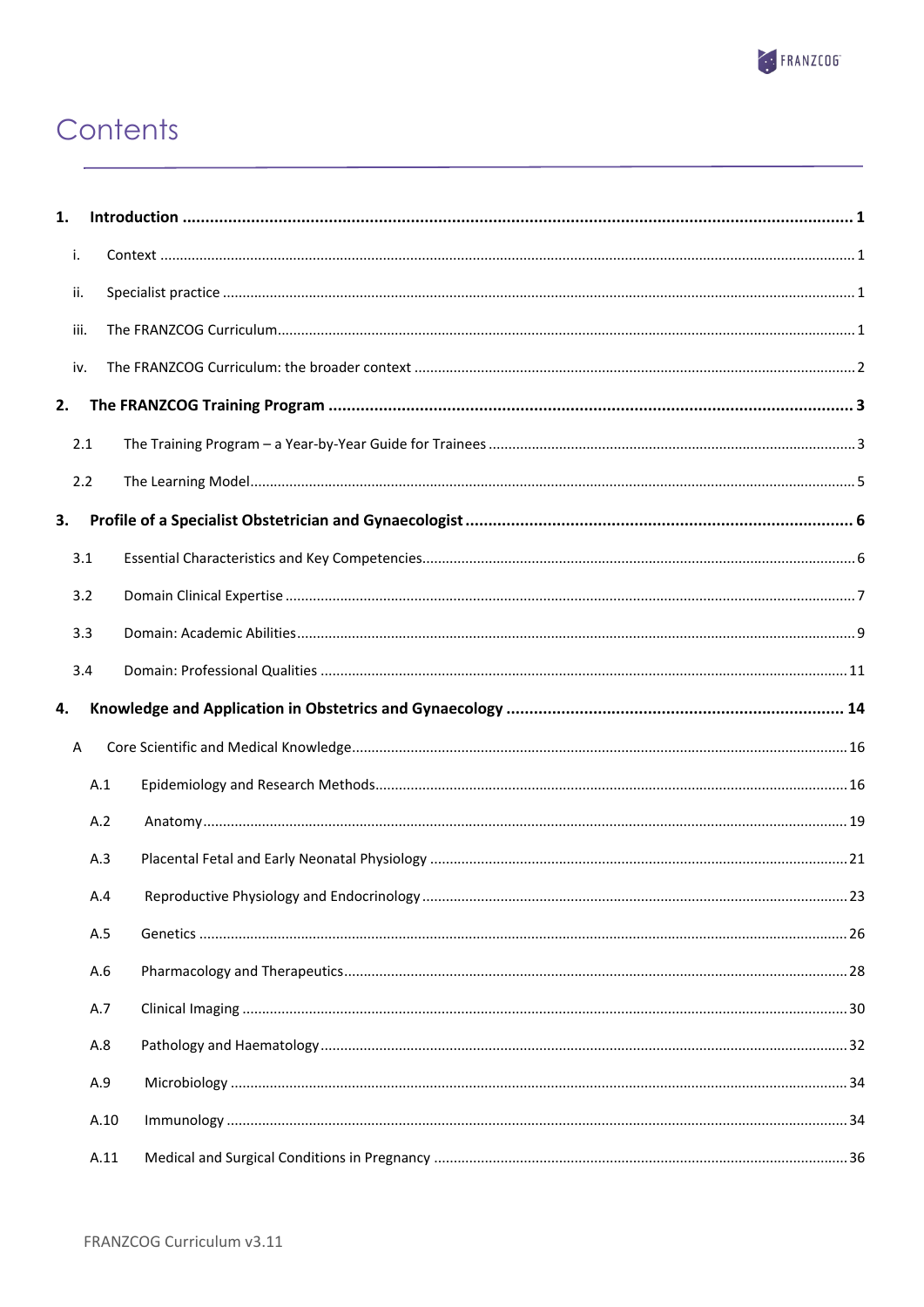

# Contents

| 1. |      |      |  |
|----|------|------|--|
|    | i.   |      |  |
|    | ii.  |      |  |
|    | iii. |      |  |
|    | iv.  |      |  |
| 2. |      |      |  |
|    | 2.1  |      |  |
|    | 2.2  |      |  |
| 3. |      |      |  |
|    | 3.1  |      |  |
|    | 3.2  |      |  |
|    | 3.3  |      |  |
|    | 3.4  |      |  |
|    |      |      |  |
| 4. |      |      |  |
|    | A    |      |  |
|    |      | A.1  |  |
|    |      | A.2  |  |
|    |      | A.3  |  |
|    |      | A.4  |  |
|    |      | A.5  |  |
|    |      | A.6  |  |
|    |      | A.7  |  |
|    |      | A.8  |  |
|    |      | A.9  |  |
|    |      | A.10 |  |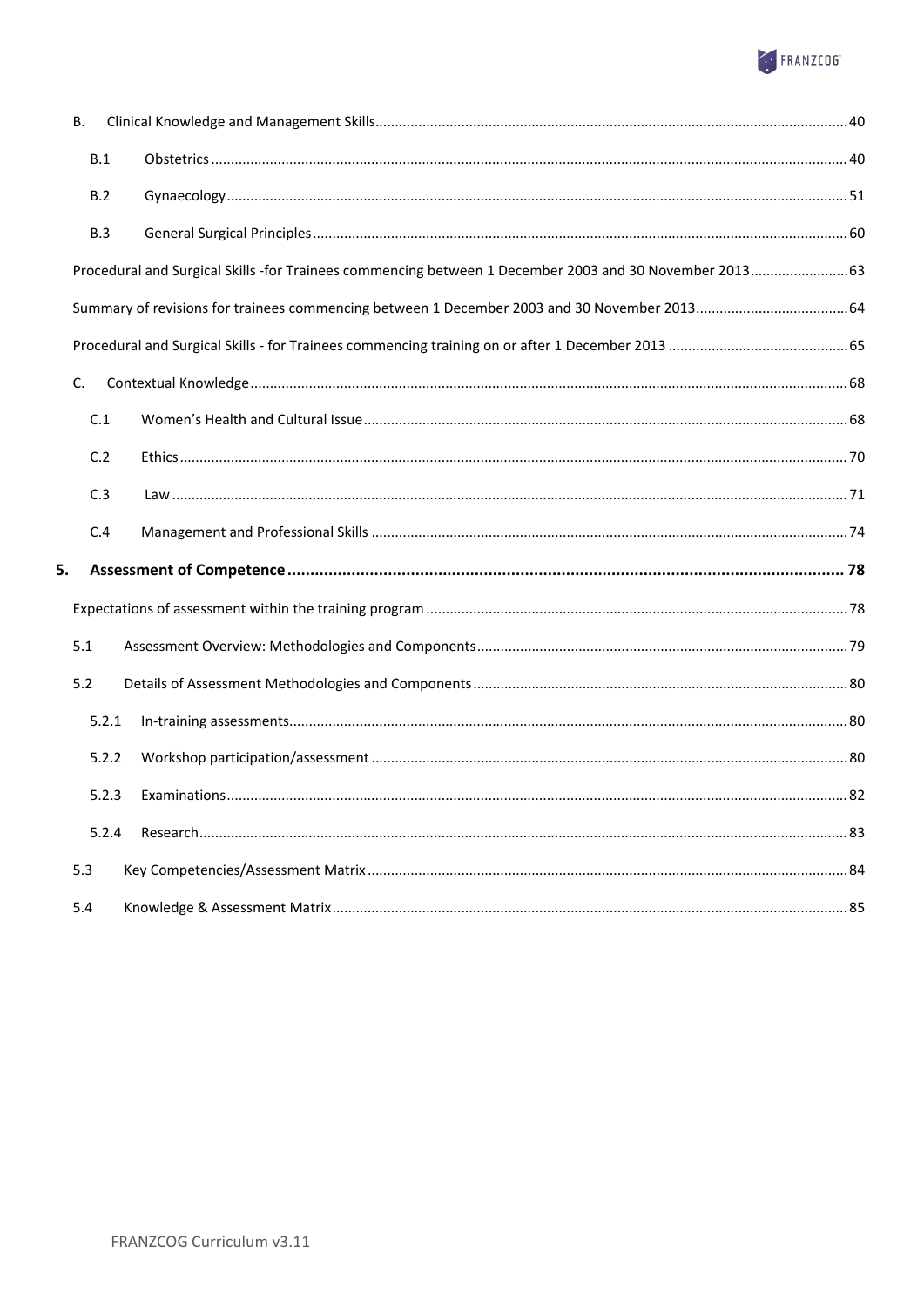

| <b>B.</b>   |                                                                                                         |  |
|-------------|---------------------------------------------------------------------------------------------------------|--|
| B.1         |                                                                                                         |  |
| B.2         |                                                                                                         |  |
| B.3         |                                                                                                         |  |
|             | Procedural and Surgical Skills -for Trainees commencing between 1 December 2003 and 30 November 2013 63 |  |
|             |                                                                                                         |  |
|             |                                                                                                         |  |
| $C_{\cdot}$ |                                                                                                         |  |
| C.1         |                                                                                                         |  |
| C.2         |                                                                                                         |  |
| C.3         |                                                                                                         |  |
| C.4         |                                                                                                         |  |
| 5.          |                                                                                                         |  |
|             |                                                                                                         |  |
| 5.1         |                                                                                                         |  |
| 5.2         |                                                                                                         |  |
| 5.2.1       |                                                                                                         |  |
| 5.2.2       |                                                                                                         |  |
| 5.2.3       |                                                                                                         |  |
| 5.2.4       |                                                                                                         |  |
| 5.3         |                                                                                                         |  |
| 5.4         |                                                                                                         |  |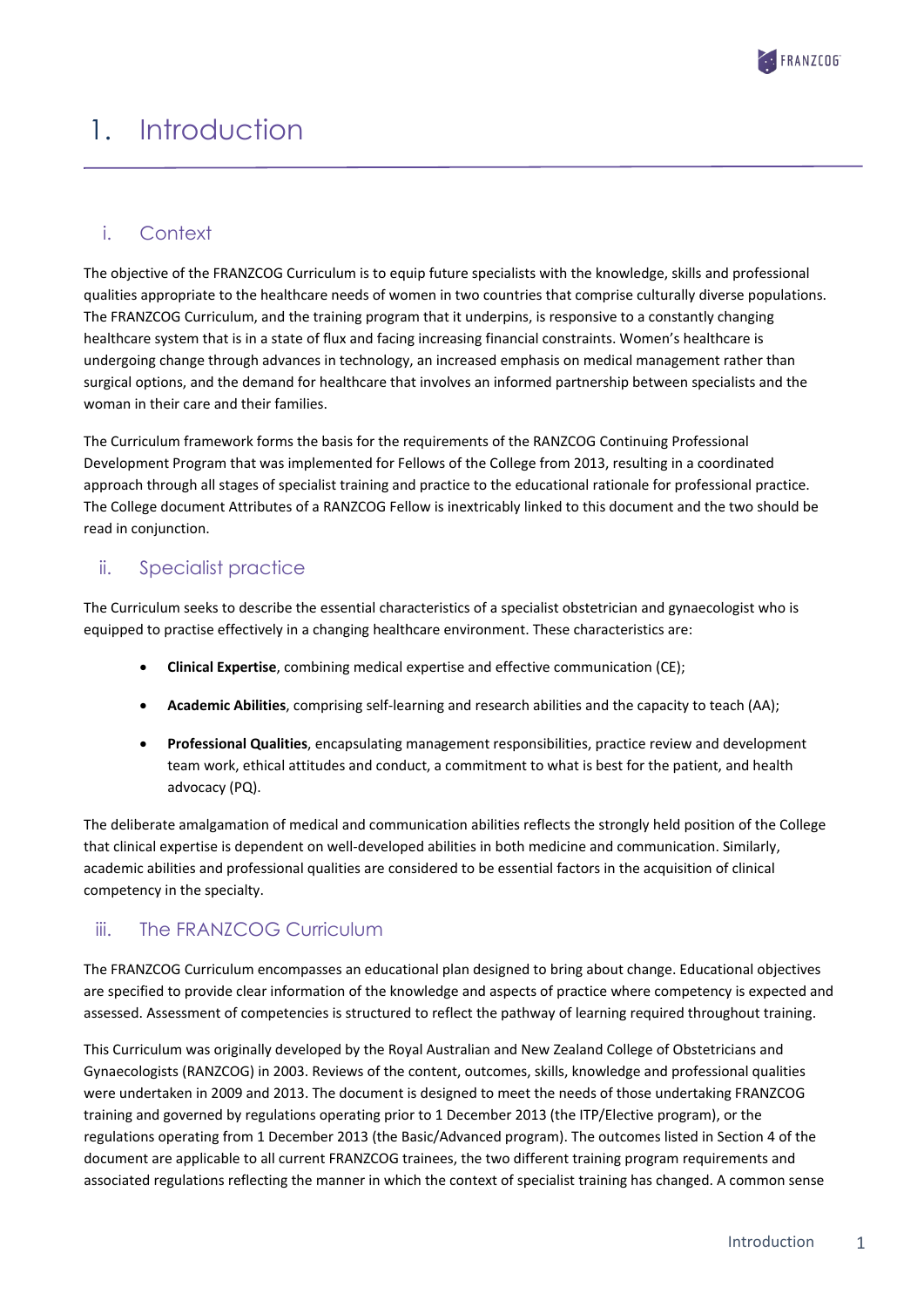

# <span id="page-4-0"></span>1. Introduction

## <span id="page-4-1"></span>i. Context

The objective of the FRANZCOG Curriculum is to equip future specialists with the knowledge, skills and professional qualities appropriate to the healthcare needs of women in two countries that comprise culturally diverse populations. The FRANZCOG Curriculum, and the training program that it underpins, is responsive to a constantly changing healthcare system that is in a state of flux and facing increasing financial constraints. Women's healthcare is undergoing change through advances in technology, an increased emphasis on medical management rather than surgical options, and the demand for healthcare that involves an informed partnership between specialists and the woman in their care and their families.

The Curriculum framework forms the basis for the requirements of the RANZCOG Continuing Professional Development Program that was implemented for Fellows of the College from 2013, resulting in a coordinated approach through all stages of specialist training and practice to the educational rationale for professional practice. The College document Attributes of a RANZCOG Fellow is inextricably linked to this document and the two should be read in conjunction.

### <span id="page-4-2"></span>ii. Specialist practice

The Curriculum seeks to describe the essential characteristics of a specialist obstetrician and gynaecologist who is equipped to practise effectively in a changing healthcare environment. These characteristics are:

- **Clinical Expertise**, combining medical expertise and effective communication (CE);
- **Academic Abilities**, comprising self-learning and research abilities and the capacity to teach (AA);
- **Professional Qualities**, encapsulating management responsibilities, practice review and development team work, ethical attitudes and conduct, a commitment to what is best for the patient, and health advocacy (PQ).

The deliberate amalgamation of medical and communication abilities reflects the strongly held position of the College that clinical expertise is dependent on well-developed abilities in both medicine and communication. Similarly, academic abilities and professional qualities are considered to be essential factors in the acquisition of clinical competency in the specialty.

### <span id="page-4-3"></span>iii. The FRANZCOG Curriculum

The FRANZCOG Curriculum encompasses an educational plan designed to bring about change. Educational objectives are specified to provide clear information of the knowledge and aspects of practice where competency is expected and assessed. Assessment of competencies is structured to reflect the pathway of learning required throughout training.

This Curriculum was originally developed by the Royal Australian and New Zealand College of Obstetricians and Gynaecologists (RANZCOG) in 2003. Reviews of the content, outcomes, skills, knowledge and professional qualities were undertaken in 2009 and 2013. The document is designed to meet the needs of those undertaking FRANZCOG training and governed by regulations operating prior to 1 December 2013 (the ITP/Elective program), or the regulations operating from 1 December 2013 (the Basic/Advanced program). The outcomes listed in Section 4 of the document are applicable to all current FRANZCOG trainees, the two different training program requirements and associated regulations reflecting the manner in which the context of specialist training has changed. A common sense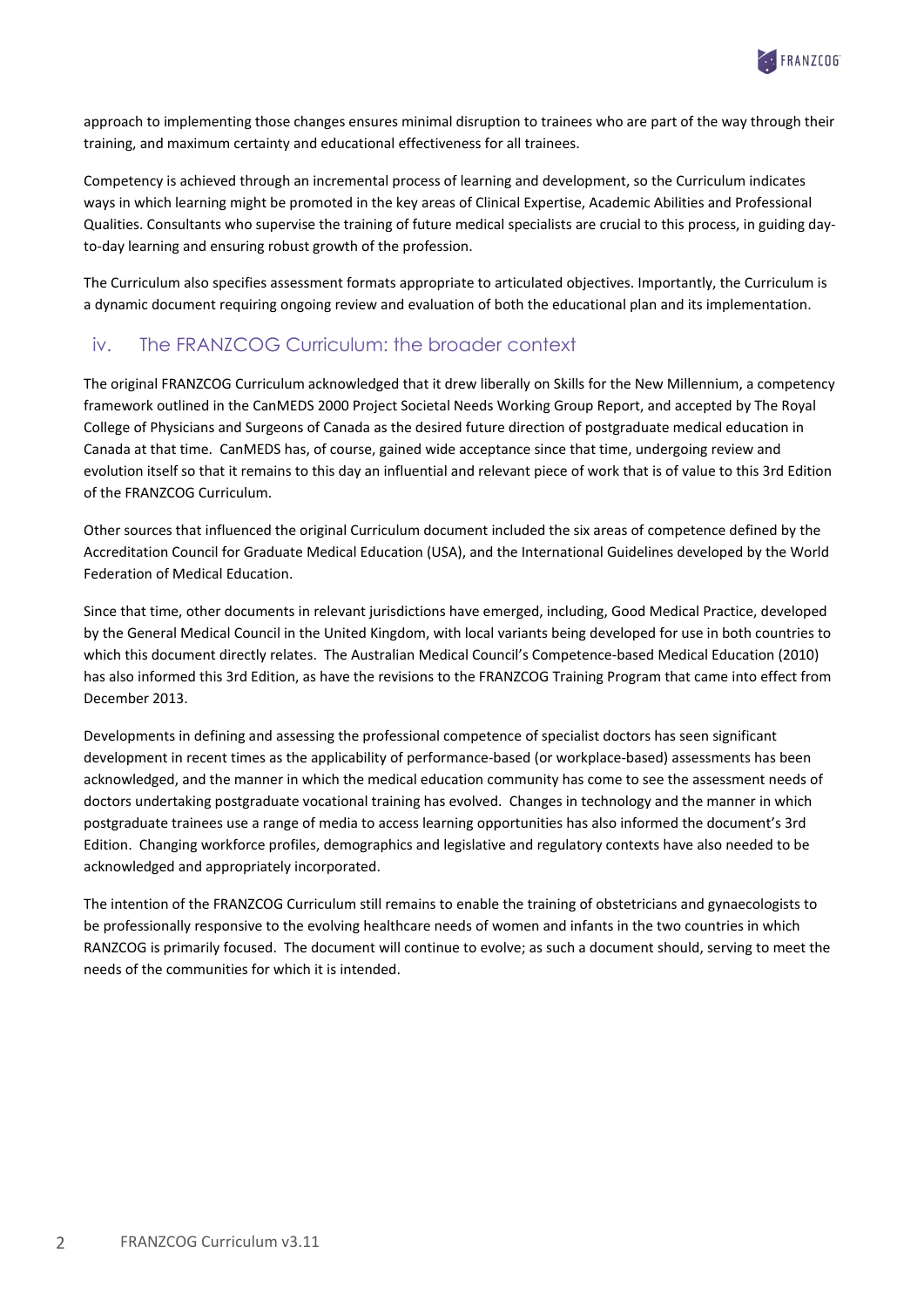

approach to implementing those changes ensures minimal disruption to trainees who are part of the way through their training, and maximum certainty and educational effectiveness for all trainees.

Competency is achieved through an incremental process of learning and development, so the Curriculum indicates ways in which learning might be promoted in the key areas of Clinical Expertise, Academic Abilities and Professional Qualities. Consultants who supervise the training of future medical specialists are crucial to this process, in guiding dayto-day learning and ensuring robust growth of the profession.

The Curriculum also specifies assessment formats appropriate to articulated objectives. Importantly, the Curriculum is a dynamic document requiring ongoing review and evaluation of both the educational plan and its implementation.

### <span id="page-5-0"></span>iv. The FRANZCOG Curriculum: the broader context

The original FRANZCOG Curriculum acknowledged that it drew liberally on Skills for the New Millennium, a competency framework outlined in the CanMEDS 2000 Project Societal Needs Working Group Report, and accepted by The Royal College of Physicians and Surgeons of Canada as the desired future direction of postgraduate medical education in Canada at that time. CanMEDS has, of course, gained wide acceptance since that time, undergoing review and evolution itself so that it remains to this day an influential and relevant piece of work that is of value to this 3rd Edition of the FRANZCOG Curriculum.

Other sources that influenced the original Curriculum document included the six areas of competence defined by the Accreditation Council for Graduate Medical Education (USA), and the International Guidelines developed by the World Federation of Medical Education.

Since that time, other documents in relevant jurisdictions have emerged, including, Good Medical Practice, developed by the General Medical Council in the United Kingdom, with local variants being developed for use in both countries to which this document directly relates. The Australian Medical Council's Competence-based Medical Education (2010) has also informed this 3rd Edition, as have the revisions to the FRANZCOG Training Program that came into effect from December 2013.

Developments in defining and assessing the professional competence of specialist doctors has seen significant development in recent times as the applicability of performance-based (or workplace-based) assessments has been acknowledged, and the manner in which the medical education community has come to see the assessment needs of doctors undertaking postgraduate vocational training has evolved. Changes in technology and the manner in which postgraduate trainees use a range of media to access learning opportunities has also informed the document's 3rd Edition. Changing workforce profiles, demographics and legislative and regulatory contexts have also needed to be acknowledged and appropriately incorporated.

The intention of the FRANZCOG Curriculum still remains to enable the training of obstetricians and gynaecologists to be professionally responsive to the evolving healthcare needs of women and infants in the two countries in which RANZCOG is primarily focused. The document will continue to evolve; as such a document should, serving to meet the needs of the communities for which it is intended.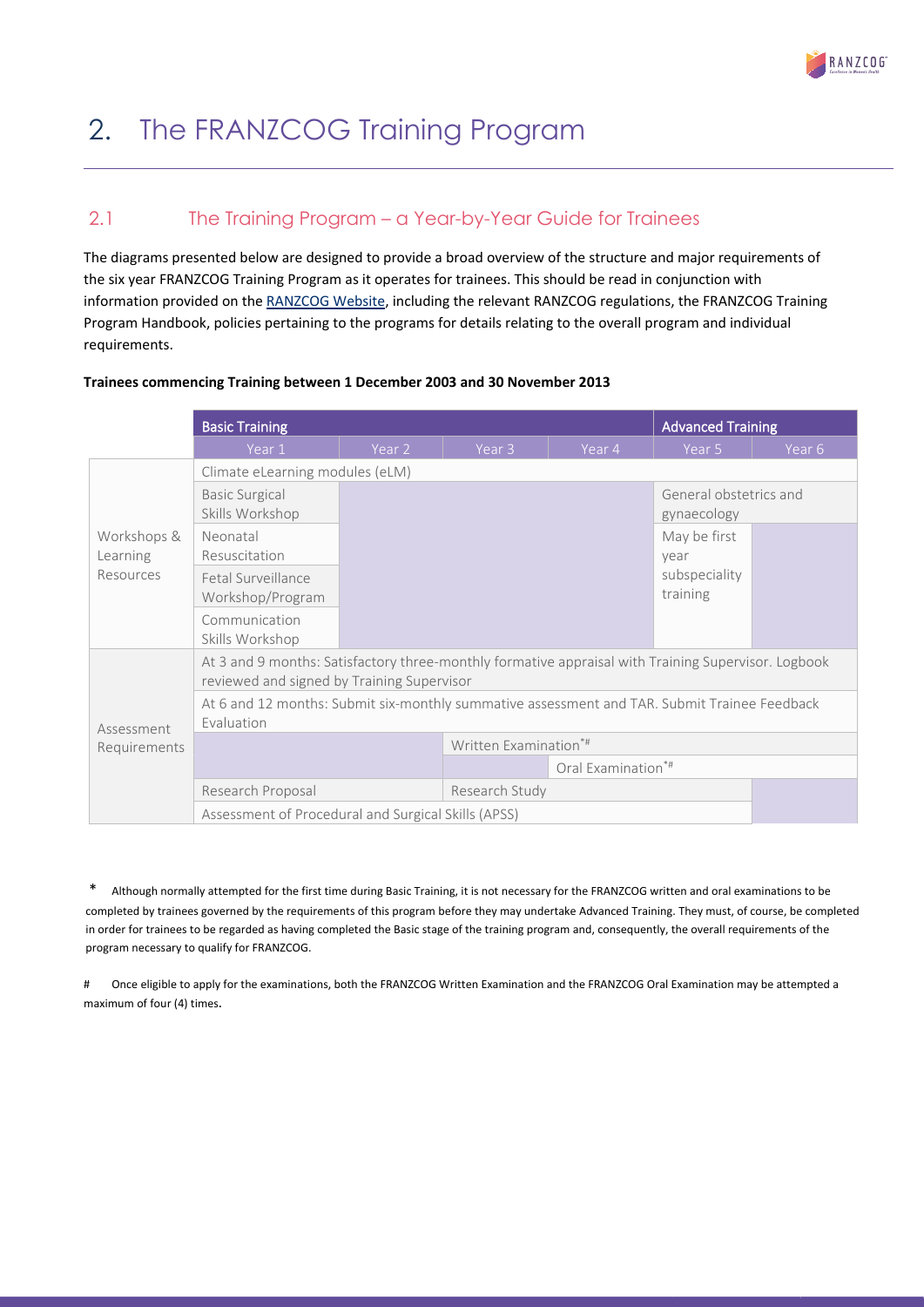

# <span id="page-6-0"></span>2. The FRANZCOG Training Program

## <span id="page-6-1"></span>2.1 The Training Program – a Year-by-Year Guide for Trainees

The diagrams presented below are designed to provide a broad overview of the structure and major requirements of the six year FRANZCOG Training Program as it operates for trainees. This should be read in conjunction with information provided on the [RANZCOG Website,](https://ranzcog.edu.au/) including the relevant RANZCOG regulations, the FRANZCOG Training Program Handbook, policies pertaining to the programs for details relating to the overall program and individual requirements.

#### **Trainees commencing Training between 1 December 2003 and 30 November 2013**

|                         | <b>Basic Training</b>                                                                                                                             |                                                                                              | <b>Advanced Training</b>       |        |                                       |        |
|-------------------------|---------------------------------------------------------------------------------------------------------------------------------------------------|----------------------------------------------------------------------------------------------|--------------------------------|--------|---------------------------------------|--------|
|                         | Year 1                                                                                                                                            | Year 2                                                                                       | Year <sub>3</sub>              | Year 4 | Year 5                                | Year 6 |
|                         | Climate eLearning modules (eLM)                                                                                                                   |                                                                                              |                                |        |                                       |        |
|                         | <b>Basic Surgical</b><br>Skills Workshop                                                                                                          |                                                                                              |                                |        | General obstetrics and<br>gynaecology |        |
| Workshops &<br>Learning | Neonatal<br>Resuscitation                                                                                                                         |                                                                                              |                                |        | May be first<br>year                  |        |
| Resources               | Fetal Surveillance<br>Workshop/Program                                                                                                            |                                                                                              |                                |        | subspeciality<br>training             |        |
|                         | Communication<br>Skills Workshop                                                                                                                  |                                                                                              |                                |        |                                       |        |
|                         | At 3 and 9 months: Satisfactory three-monthly formative appraisal with Training Supervisor. Logbook<br>reviewed and signed by Training Supervisor |                                                                                              |                                |        |                                       |        |
| Assessment              | Evaluation                                                                                                                                        | At 6 and 12 months: Submit six-monthly summative assessment and TAR. Submit Trainee Feedback |                                |        |                                       |        |
| Requirements            |                                                                                                                                                   |                                                                                              | Written Examination*#          |        |                                       |        |
|                         |                                                                                                                                                   |                                                                                              | Oral Examination <sup>*#</sup> |        |                                       |        |
|                         | Research Study<br>Research Proposal                                                                                                               |                                                                                              |                                |        |                                       |        |
|                         | Assessment of Procedural and Surgical Skills (APSS)                                                                                               |                                                                                              |                                |        |                                       |        |

\* Although normally attempted for the first time during Basic Training, it is not necessary for the FRANZCOG written and oral examinations to be completed by trainees governed by the requirements of this program before they may undertake Advanced Training. They must, of course, be completed in order for trainees to be regarded as having completed the Basic stage of the training program and, consequently, the overall requirements of the program necessary to qualify for FRANZCOG.

# Once eligible to apply for the examinations, both the FRANZCOG Written Examination and the FRANZCOG Oral Examination may be attempted a maximum of four (4) times.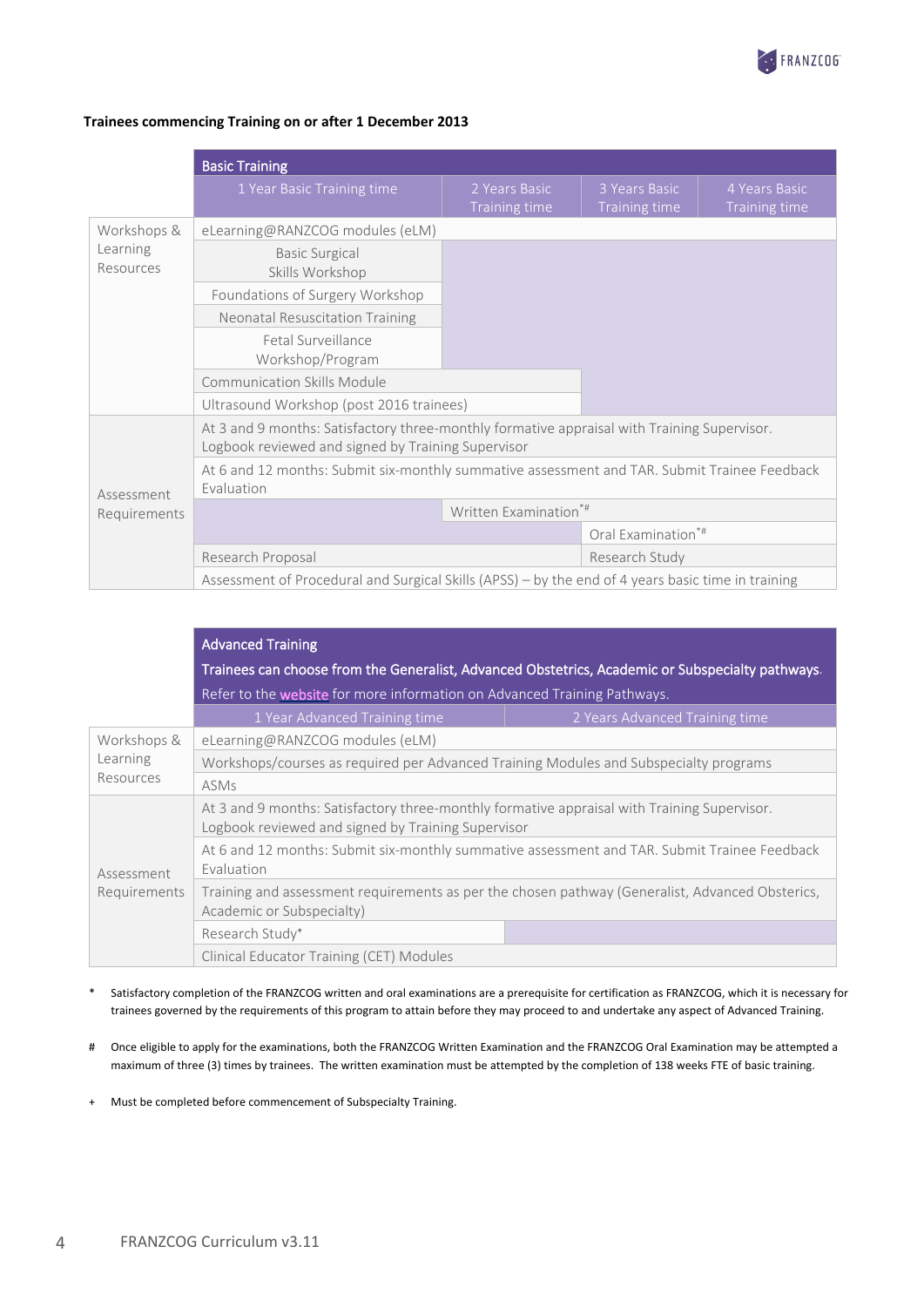

#### **Trainees commencing Training on or after 1 December 2013**

|                       | <b>Basic Training</b>                                                                                                                             |                                |                                |                                |  |
|-----------------------|---------------------------------------------------------------------------------------------------------------------------------------------------|--------------------------------|--------------------------------|--------------------------------|--|
|                       | 1 Year Basic Training time                                                                                                                        | 2 Years Basic<br>Training time | 3 Years Basic<br>Training time | 4 Years Basic<br>Training time |  |
| Workshops &           | eLearning@RANZCOG modules (eLM)                                                                                                                   |                                |                                |                                |  |
| Learning<br>Resources | <b>Basic Surgical</b><br>Skills Workshop                                                                                                          |                                |                                |                                |  |
|                       | Foundations of Surgery Workshop                                                                                                                   |                                |                                |                                |  |
|                       | Neonatal Resuscitation Training                                                                                                                   |                                |                                |                                |  |
|                       | Fetal Surveillance<br>Workshop/Program                                                                                                            |                                |                                |                                |  |
|                       | <b>Communication Skills Module</b>                                                                                                                |                                |                                |                                |  |
|                       | Ultrasound Workshop (post 2016 trainees)                                                                                                          |                                |                                |                                |  |
|                       | At 3 and 9 months: Satisfactory three-monthly formative appraisal with Training Supervisor.<br>Logbook reviewed and signed by Training Supervisor |                                |                                |                                |  |
| Assessment            | At 6 and 12 months: Submit six-monthly summative assessment and TAR. Submit Trainee Feedback<br>Evaluation                                        |                                |                                |                                |  |
| Requirements          | Written Examination*#                                                                                                                             |                                |                                |                                |  |
|                       |                                                                                                                                                   |                                | Oral Examination <sup>*#</sup> |                                |  |
|                       | Research Proposal                                                                                                                                 |                                | Research Study                 |                                |  |
|                       | Assessment of Procedural and Surgical Skills (APSS) - by the end of 4 years basic time in training                                                |                                |                                |                                |  |

|              | <b>Advanced Training</b>                                                                                                                          |                                |  |  |  |
|--------------|---------------------------------------------------------------------------------------------------------------------------------------------------|--------------------------------|--|--|--|
|              | Trainees can choose from the Generalist, Advanced Obstetrics, Academic or Subspecialty pathways.                                                  |                                |  |  |  |
|              | Refer to the website for more information on Advanced Training Pathways.                                                                          |                                |  |  |  |
|              | 1 Year Advanced Training time                                                                                                                     | 2 Years Advanced Training time |  |  |  |
| Workshops &  | eLearning@RANZCOG modules (eLM)                                                                                                                   |                                |  |  |  |
| Learning     | Workshops/courses as required per Advanced Training Modules and Subspecialty programs                                                             |                                |  |  |  |
| Resources    | ASMs                                                                                                                                              |                                |  |  |  |
|              | At 3 and 9 months: Satisfactory three-monthly formative appraisal with Training Supervisor.<br>Logbook reviewed and signed by Training Supervisor |                                |  |  |  |
| Assessment   | At 6 and 12 months: Submit six-monthly summative assessment and TAR. Submit Trainee Feedback<br>Evaluation                                        |                                |  |  |  |
| Requirements | Training and assessment requirements as per the chosen pathway (Generalist, Advanced Obsterics,<br>Academic or Subspecialty)                      |                                |  |  |  |
|              | Research Study <sup>+</sup>                                                                                                                       |                                |  |  |  |
|              | Clinical Educator Training (CET) Modules                                                                                                          |                                |  |  |  |

- \* Satisfactory completion of the FRANZCOG written and oral examinations are a prerequisite for certification as FRANZCOG, which it is necessary for trainees governed by the requirements of this program to attain before they may proceed to and undertake any aspect of Advanced Training.
- # Once eligible to apply for the examinations, both the FRANZCOG Written Examination and the FRANZCOG Oral Examination may be attempted a maximum of three (3) times by trainees. The written examination must be attempted by the completion of 138 weeks FTE of basic training.
- + Must be completed before commencement of Subspecialty Training.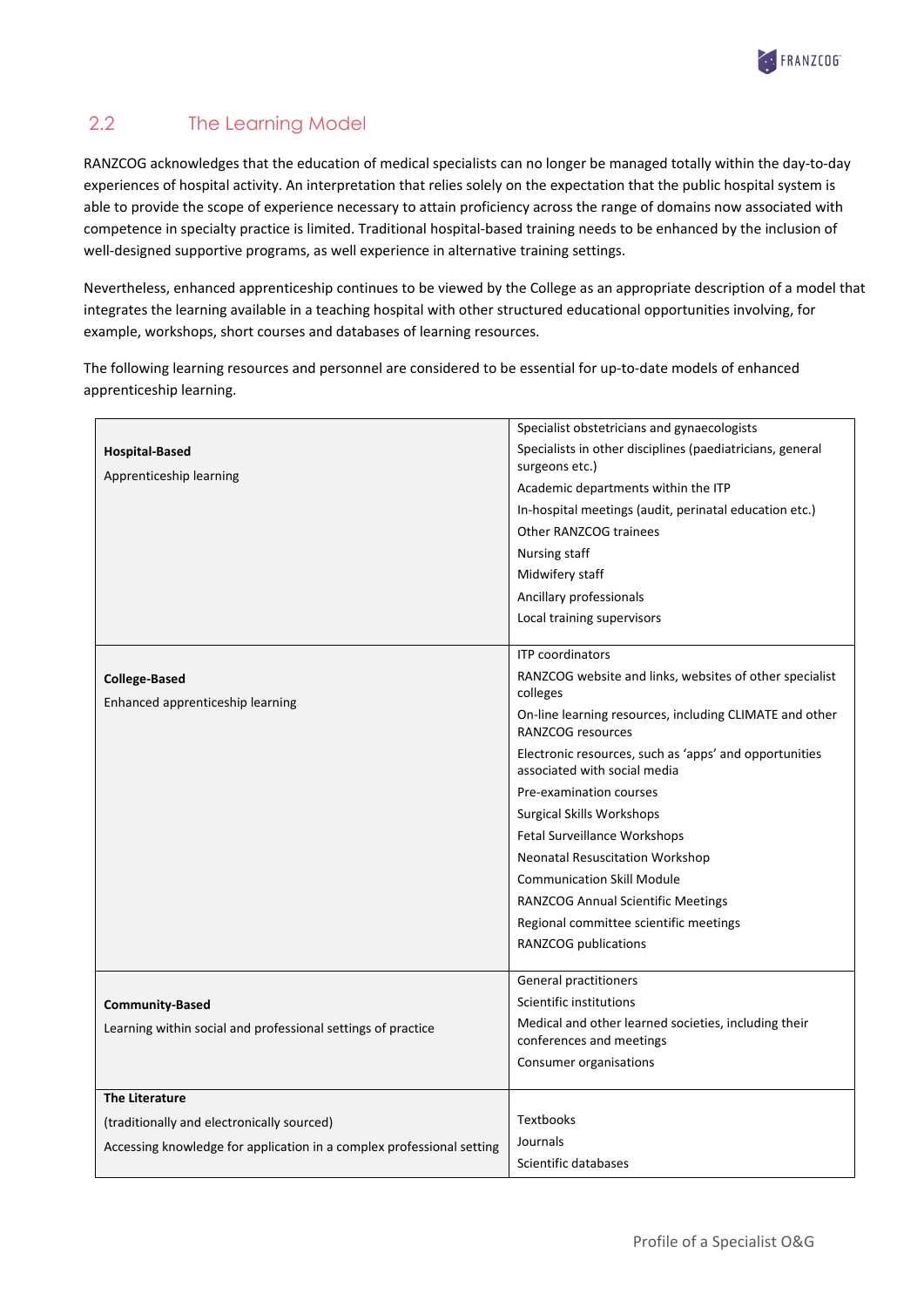

# <span id="page-8-0"></span>2.2 The Learning Model

RANZCOG acknowledges that the education of medical specialists can no longer be managed totally within the day-to-day experiences of hospital activity. An interpretation that relies solely on the expectation that the public hospital system is able to provide the scope of experience necessary to attain proficiency across the range of domains now associated with competence in specialty practice is limited. Traditional hospital-based training needs to be enhanced by the inclusion of well-designed supportive programs, as well experience in alternative training settings.

Nevertheless, enhanced apprenticeship continues to be viewed by the College as an appropriate description of a model that integrates the learning available in a teaching hospital with other structured educational opportunities involving, for example, workshops, short courses and databases of learning resources.

The following learning resources and personnel are considered to be essential for up-to-date models of enhanced apprenticeship learning.

|                                                                       | Specialist obstetricians and gynaecologists                                            |
|-----------------------------------------------------------------------|----------------------------------------------------------------------------------------|
| <b>Hospital-Based</b><br>Apprenticeship learning                      | Specialists in other disciplines (paediatricians, general<br>surgeons etc.)            |
|                                                                       | Academic departments within the ITP                                                    |
|                                                                       | In-hospital meetings (audit, perinatal education etc.)                                 |
|                                                                       | Other RANZCOG trainees                                                                 |
|                                                                       | Nursing staff                                                                          |
|                                                                       | Midwifery staff                                                                        |
|                                                                       | Ancillary professionals                                                                |
|                                                                       | Local training supervisors                                                             |
|                                                                       | <b>ITP</b> coordinators                                                                |
| <b>College-Based</b><br>Enhanced apprenticeship learning              | RANZCOG website and links, websites of other specialist<br>colleges                    |
|                                                                       | On-line learning resources, including CLIMATE and other<br>RANZCOG resources           |
|                                                                       | Electronic resources, such as 'apps' and opportunities<br>associated with social media |
|                                                                       | Pre-examination courses                                                                |
|                                                                       | Surgical Skills Workshops                                                              |
|                                                                       | Fetal Surveillance Workshops                                                           |
|                                                                       | <b>Neonatal Resuscitation Workshop</b>                                                 |
|                                                                       | <b>Communication Skill Module</b>                                                      |
|                                                                       | RANZCOG Annual Scientific Meetings                                                     |
|                                                                       | Regional committee scientific meetings                                                 |
|                                                                       | RANZCOG publications                                                                   |
|                                                                       | <b>General practitioners</b>                                                           |
| <b>Community-Based</b>                                                | Scientific institutions                                                                |
| Learning within social and professional settings of practice          | Medical and other learned societies, including their<br>conferences and meetings       |
|                                                                       | Consumer organisations                                                                 |
| <b>The Literature</b>                                                 |                                                                                        |
| (traditionally and electronically sourced)                            | <b>Textbooks</b>                                                                       |
| Accessing knowledge for application in a complex professional setting | Journals                                                                               |
|                                                                       | Scientific databases                                                                   |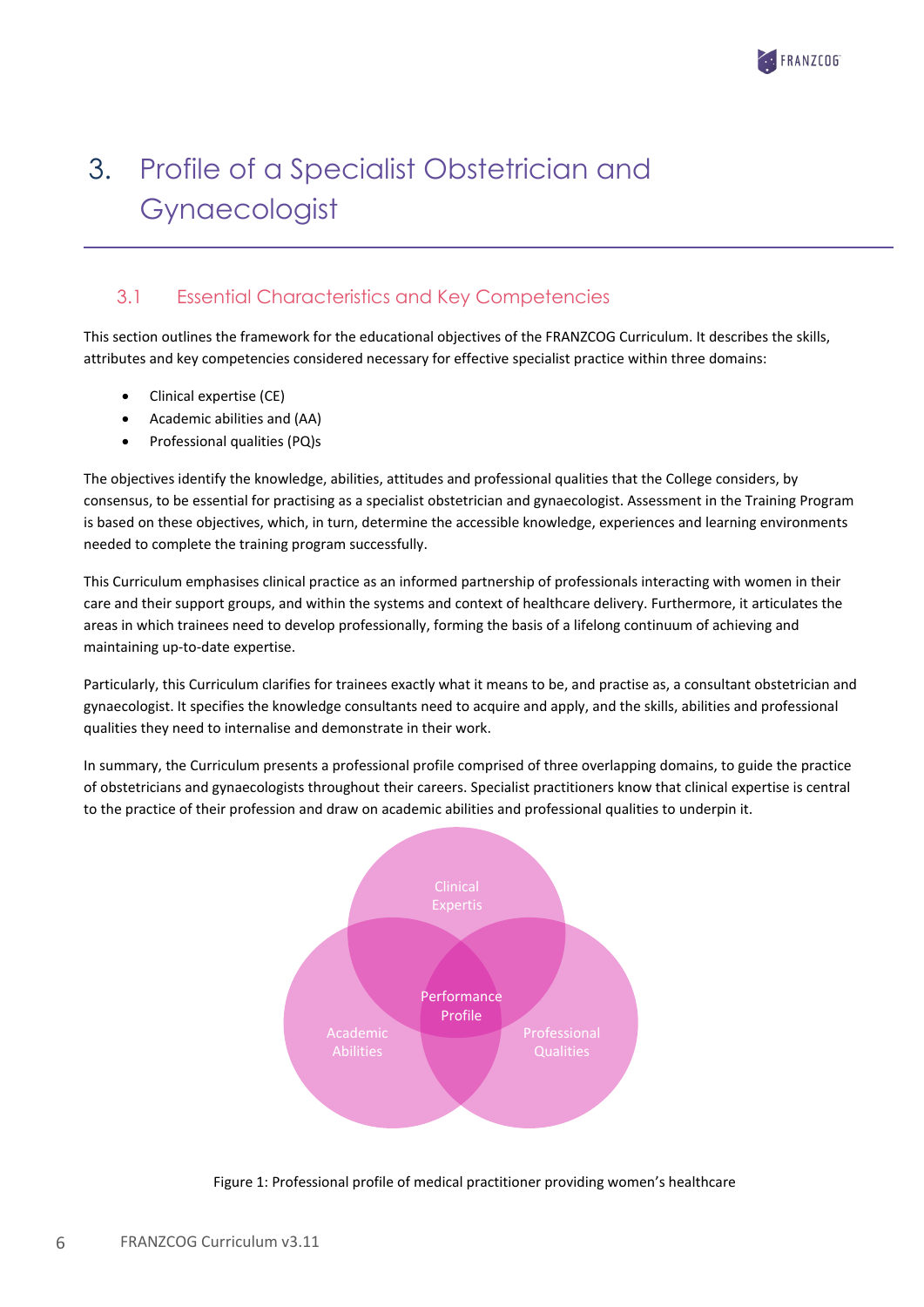

# <span id="page-9-0"></span>3. Profile of a Specialist Obstetrician and **Gynaecologist**

## 3.1 Essential Characteristics and Key Competencies

<span id="page-9-1"></span>This section outlines the framework for the educational objectives of the FRANZCOG Curriculum. It describes the skills, attributes and key competencies considered necessary for effective specialist practice within three domains:

- Clinical expertise (CE)
- Academic abilities and (AA)
- Professional qualities (PQ)s

The objectives identify the knowledge, abilities, attitudes and professional qualities that the College considers, by consensus, to be essential for practising as a specialist obstetrician and gynaecologist. Assessment in the Training Program is based on these objectives, which, in turn, determine the accessible knowledge, experiences and learning environments needed to complete the training program successfully.

This Curriculum emphasises clinical practice as an informed partnership of professionals interacting with women in their care and their support groups, and within the systems and context of healthcare delivery. Furthermore, it articulates the areas in which trainees need to develop professionally, forming the basis of a lifelong continuum of achieving and maintaining up-to-date expertise.

Particularly, this Curriculum clarifies for trainees exactly what it means to be, and practise as, a consultant obstetrician and gynaecologist. It specifies the knowledge consultants need to acquire and apply, and the skills, abilities and professional qualities they need to internalise and demonstrate in their work.

In summary, the Curriculum presents a professional profile comprised of three overlapping domains, to guide the practice of obstetricians and gynaecologists throughout their careers. Specialist practitioners know that clinical expertise is central to the practice of their profession and draw on academic abilities and professional qualities to underpin it.



Figure 1: Professional profile of medical practitioner providing women's healthcare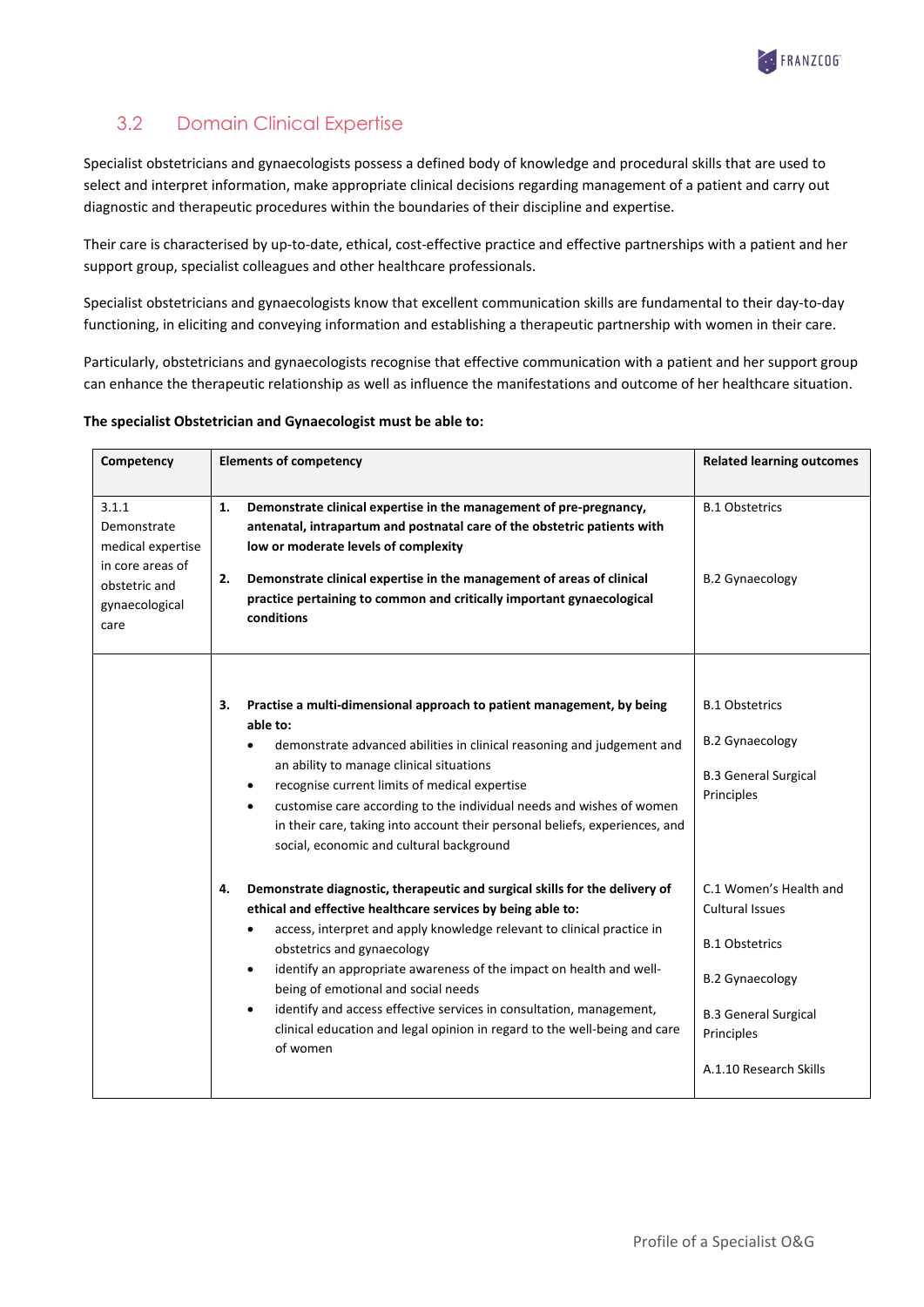

# 3.2 Domain Clinical Expertise

<span id="page-10-0"></span>Specialist obstetricians and gynaecologists possess a defined body of knowledge and procedural skills that are used to select and interpret information, make appropriate clinical decisions regarding management of a patient and carry out diagnostic and therapeutic procedures within the boundaries of their discipline and expertise.

Their care is characterised by up-to-date, ethical, cost-effective practice and effective partnerships with a patient and her support group, specialist colleagues and other healthcare professionals.

Specialist obstetricians and gynaecologists know that excellent communication skills are fundamental to their day-to-day functioning, in eliciting and conveying information and establishing a therapeutic partnership with women in their care.

Particularly, obstetricians and gynaecologists recognise that effective communication with a patient and her support group can enhance the therapeutic relationship as well as influence the manifestations and outcome of her healthcare situation.

#### **The specialist Obstetrician and Gynaecologist must be able to:**

| Competency                                                                                               | <b>Elements of competency</b>                                                                                                                                                                                                                                                                                                                                                                                                                                                                                                                                    | <b>Related learning outcomes</b>                                                                                                                                    |
|----------------------------------------------------------------------------------------------------------|------------------------------------------------------------------------------------------------------------------------------------------------------------------------------------------------------------------------------------------------------------------------------------------------------------------------------------------------------------------------------------------------------------------------------------------------------------------------------------------------------------------------------------------------------------------|---------------------------------------------------------------------------------------------------------------------------------------------------------------------|
| 3.1.1<br>Demonstrate<br>medical expertise<br>in core areas of<br>obstetric and<br>gynaecological<br>care | 1.<br>Demonstrate clinical expertise in the management of pre-pregnancy,<br>antenatal, intrapartum and postnatal care of the obstetric patients with<br>low or moderate levels of complexity<br>2.<br>Demonstrate clinical expertise in the management of areas of clinical<br>practice pertaining to common and critically important gynaecological<br>conditions                                                                                                                                                                                               | <b>B.1 Obstetrics</b><br><b>B.2 Gynaecology</b>                                                                                                                     |
|                                                                                                          | Practise a multi-dimensional approach to patient management, by being<br>3.<br>able to:<br>demonstrate advanced abilities in clinical reasoning and judgement and<br>an ability to manage clinical situations<br>recognise current limits of medical expertise<br>$\bullet$<br>customise care according to the individual needs and wishes of women<br>$\bullet$<br>in their care, taking into account their personal beliefs, experiences, and<br>social, economic and cultural background                                                                      | <b>B.1 Obstetrics</b><br><b>B.2 Gynaecology</b><br><b>B.3 General Surgical</b><br>Principles                                                                        |
|                                                                                                          | Demonstrate diagnostic, therapeutic and surgical skills for the delivery of<br>4.<br>ethical and effective healthcare services by being able to:<br>access, interpret and apply knowledge relevant to clinical practice in<br>obstetrics and gynaecology<br>identify an appropriate awareness of the impact on health and well-<br>$\bullet$<br>being of emotional and social needs<br>identify and access effective services in consultation, management,<br>$\bullet$<br>clinical education and legal opinion in regard to the well-being and care<br>of women | C.1 Women's Health and<br>Cultural Issues<br><b>B.1 Obstetrics</b><br><b>B.2 Gynaecology</b><br><b>B.3 General Surgical</b><br>Principles<br>A.1.10 Research Skills |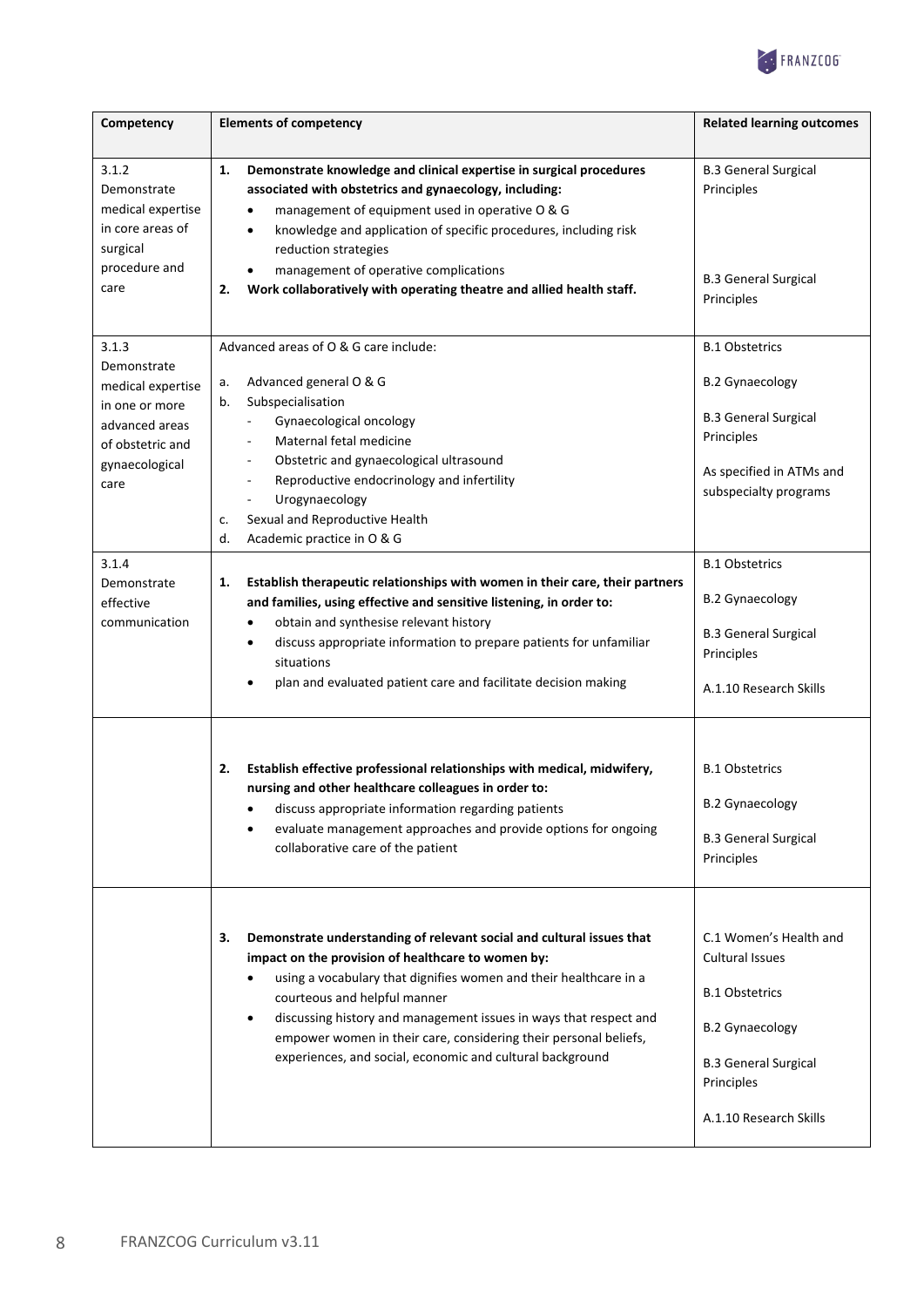

| Competency                                                                                         | <b>Elements of competency</b>                                                                                                                                                                                                                                                                                                                                                                                                                     | <b>Related learning outcomes</b>                                                                                                                                           |
|----------------------------------------------------------------------------------------------------|---------------------------------------------------------------------------------------------------------------------------------------------------------------------------------------------------------------------------------------------------------------------------------------------------------------------------------------------------------------------------------------------------------------------------------------------------|----------------------------------------------------------------------------------------------------------------------------------------------------------------------------|
| 3.1.2<br>Demonstrate<br>medical expertise<br>in core areas of<br>surgical<br>procedure and<br>care | Demonstrate knowledge and clinical expertise in surgical procedures<br>1.<br>associated with obstetrics and gynaecology, including:<br>management of equipment used in operative O & G<br>٠<br>knowledge and application of specific procedures, including risk<br>$\bullet$<br>reduction strategies<br>management of operative complications<br>$\bullet$<br>Work collaboratively with operating theatre and allied health staff.<br>2.          | <b>B.3 General Surgical</b><br>Principles<br><b>B.3 General Surgical</b><br>Principles                                                                                     |
| 3.1.3<br>Demonstrate<br>medical expertise<br>in one or more                                        | Advanced areas of O & G care include:<br>Advanced general O & G<br>a.<br>Subspecialisation<br>b.                                                                                                                                                                                                                                                                                                                                                  | <b>B.1 Obstetrics</b><br><b>B.2 Gynaecology</b><br><b>B.3 General Surgical</b>                                                                                             |
| advanced areas<br>of obstetric and<br>gynaecological<br>care                                       | Gynaecological oncology<br>Maternal fetal medicine<br>Obstetric and gynaecological ultrasound<br>$\overline{\phantom{a}}$<br>Reproductive endocrinology and infertility<br>$\overline{\phantom{a}}$<br>Urogynaecology<br>$\overline{\phantom{a}}$<br>Sexual and Reproductive Health<br>c.<br>Academic practice in O & G<br>d.                                                                                                                     | Principles<br>As specified in ATMs and<br>subspecialty programs                                                                                                            |
| 3.1.4<br>Demonstrate<br>effective<br>communication                                                 | Establish therapeutic relationships with women in their care, their partners<br>1.<br>and families, using effective and sensitive listening, in order to:<br>obtain and synthesise relevant history<br>٠<br>discuss appropriate information to prepare patients for unfamiliar<br>$\bullet$<br>situations<br>plan and evaluated patient care and facilitate decision making                                                                       | <b>B.1 Obstetrics</b><br><b>B.2 Gynaecology</b><br><b>B.3 General Surgical</b><br>Principles<br>A.1.10 Research Skills                                                     |
|                                                                                                    | Establish effective professional relationships with medical, midwifery,<br>2.<br>nursing and other healthcare colleagues in order to:<br>discuss appropriate information regarding patients<br>evaluate management approaches and provide options for ongoing<br>collaborative care of the patient                                                                                                                                                | <b>B.1 Obstetrics</b><br><b>B.2 Gynaecology</b><br><b>B.3 General Surgical</b><br>Principles                                                                               |
|                                                                                                    | Demonstrate understanding of relevant social and cultural issues that<br>З.<br>impact on the provision of healthcare to women by:<br>using a vocabulary that dignifies women and their healthcare in a<br>courteous and helpful manner<br>discussing history and management issues in ways that respect and<br>٠<br>empower women in their care, considering their personal beliefs,<br>experiences, and social, economic and cultural background | C.1 Women's Health and<br><b>Cultural Issues</b><br><b>B.1 Obstetrics</b><br><b>B.2 Gynaecology</b><br><b>B.3 General Surgical</b><br>Principles<br>A.1.10 Research Skills |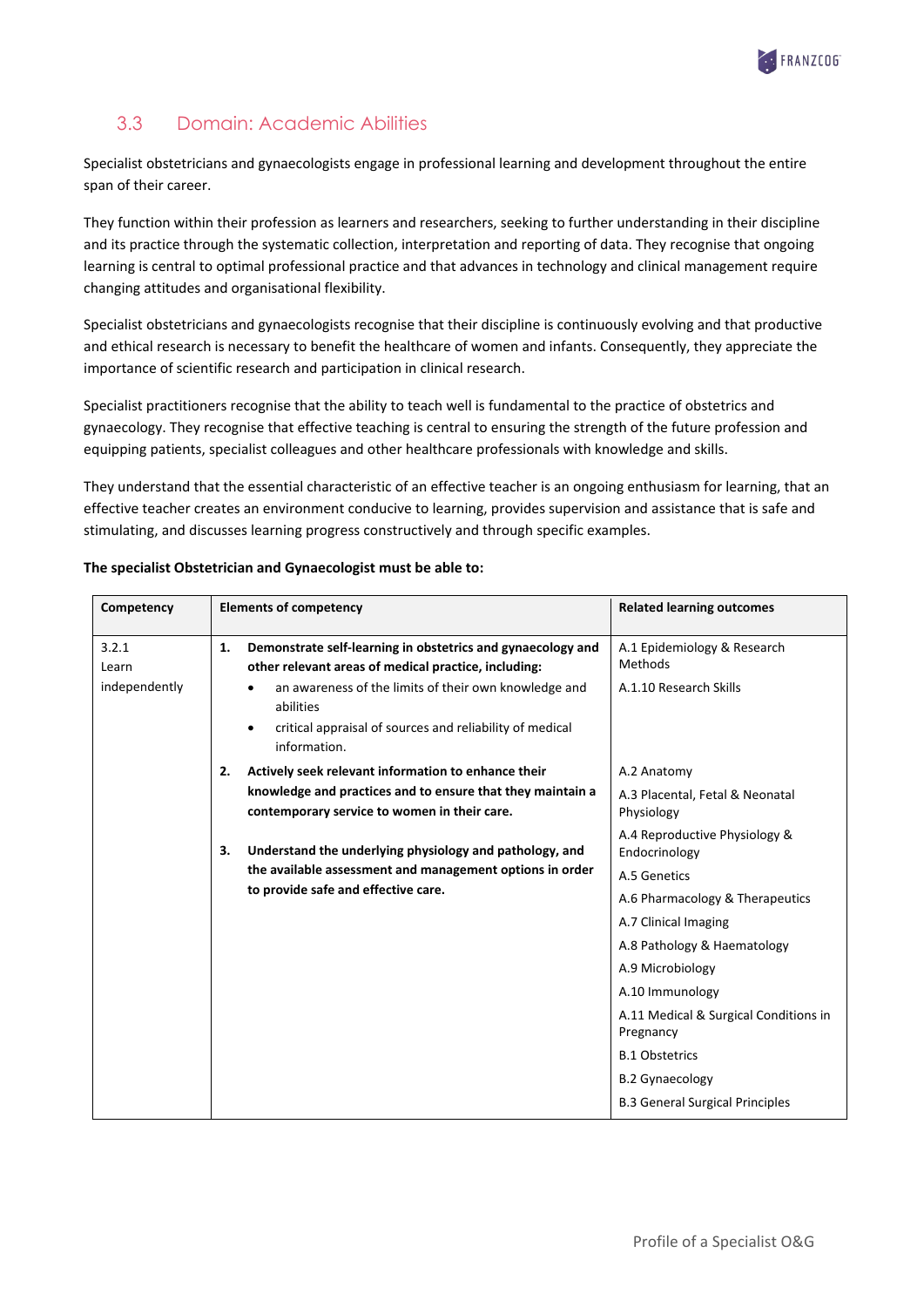

# 3.3 Domain: Academic Abilities

<span id="page-12-0"></span>Specialist obstetricians and gynaecologists engage in professional learning and development throughout the entire span of their career.

They function within their profession as learners and researchers, seeking to further understanding in their discipline and its practice through the systematic collection, interpretation and reporting of data. They recognise that ongoing learning is central to optimal professional practice and that advances in technology and clinical management require changing attitudes and organisational flexibility.

Specialist obstetricians and gynaecologists recognise that their discipline is continuously evolving and that productive and ethical research is necessary to benefit the healthcare of women and infants. Consequently, they appreciate the importance of scientific research and participation in clinical research.

Specialist practitioners recognise that the ability to teach well is fundamental to the practice of obstetrics and gynaecology. They recognise that effective teaching is central to ensuring the strength of the future profession and equipping patients, specialist colleagues and other healthcare professionals with knowledge and skills.

They understand that the essential characteristic of an effective teacher is an ongoing enthusiasm for learning, that an effective teacher creates an environment conducive to learning, provides supervision and assistance that is safe and stimulating, and discusses learning progress constructively and through specific examples.

| Competency     | <b>Elements of competency</b>                                                                                                  | <b>Related learning outcomes</b>                   |
|----------------|--------------------------------------------------------------------------------------------------------------------------------|----------------------------------------------------|
| 3.2.1<br>Learn | Demonstrate self-learning in obstetrics and gynaecology and<br>1.<br>other relevant areas of medical practice, including:      | A.1 Epidemiology & Research<br>Methods             |
| independently  | an awareness of the limits of their own knowledge and<br>abilities<br>critical appraisal of sources and reliability of medical | A.1.10 Research Skills                             |
|                | information.<br>Actively seek relevant information to enhance their<br>2.                                                      | A.2 Anatomy                                        |
|                | knowledge and practices and to ensure that they maintain a<br>contemporary service to women in their care.                     | A.3 Placental, Fetal & Neonatal<br>Physiology      |
|                | Understand the underlying physiology and pathology, and<br>з.                                                                  | A.4 Reproductive Physiology &<br>Endocrinology     |
|                | the available assessment and management options in order                                                                       | A.5 Genetics                                       |
|                | to provide safe and effective care.                                                                                            | A.6 Pharmacology & Therapeutics                    |
|                |                                                                                                                                | A.7 Clinical Imaging                               |
|                |                                                                                                                                | A.8 Pathology & Haematology                        |
|                |                                                                                                                                | A.9 Microbiology                                   |
|                |                                                                                                                                | A.10 Immunology                                    |
|                |                                                                                                                                | A.11 Medical & Surgical Conditions in<br>Pregnancy |
|                |                                                                                                                                | <b>B.1 Obstetrics</b>                              |
|                |                                                                                                                                | <b>B.2 Gynaecology</b>                             |
|                |                                                                                                                                | <b>B.3 General Surgical Principles</b>             |

#### **The specialist Obstetrician and Gynaecologist must be able to:**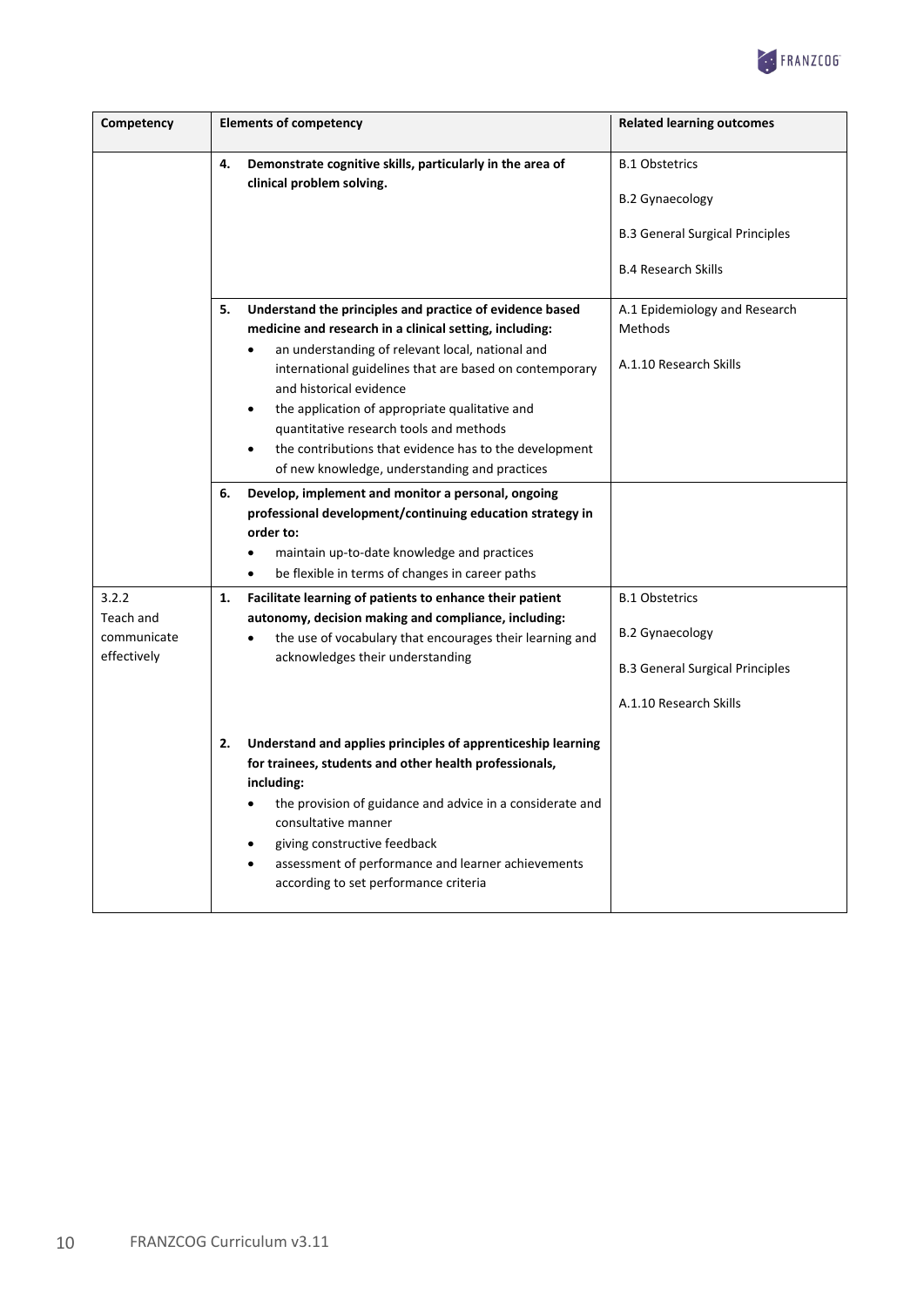

| Competency                                       | <b>Elements of competency</b>                                                                                                                                                                                                                                                                                                                                                                                                                                               | <b>Related learning outcomes</b>                                                                                        |
|--------------------------------------------------|-----------------------------------------------------------------------------------------------------------------------------------------------------------------------------------------------------------------------------------------------------------------------------------------------------------------------------------------------------------------------------------------------------------------------------------------------------------------------------|-------------------------------------------------------------------------------------------------------------------------|
|                                                  | 4.<br>Demonstrate cognitive skills, particularly in the area of<br>clinical problem solving.                                                                                                                                                                                                                                                                                                                                                                                | <b>B.1 Obstetrics</b><br><b>B.2 Gynaecology</b><br><b>B.3 General Surgical Principles</b><br><b>B.4 Research Skills</b> |
|                                                  | Understand the principles and practice of evidence based<br>5.<br>medicine and research in a clinical setting, including:<br>an understanding of relevant local, national and<br>international guidelines that are based on contemporary<br>and historical evidence<br>the application of appropriate qualitative and<br>quantitative research tools and methods<br>the contributions that evidence has to the development<br>of new knowledge, understanding and practices | A.1 Epidemiology and Research<br>Methods<br>A.1.10 Research Skills                                                      |
|                                                  | Develop, implement and monitor a personal, ongoing<br>6.<br>professional development/continuing education strategy in<br>order to:<br>maintain up-to-date knowledge and practices<br>be flexible in terms of changes in career paths                                                                                                                                                                                                                                        |                                                                                                                         |
| 3.2.2<br>Teach and<br>communicate<br>effectively | Facilitate learning of patients to enhance their patient<br>1.<br>autonomy, decision making and compliance, including:<br>the use of vocabulary that encourages their learning and<br>acknowledges their understanding                                                                                                                                                                                                                                                      | <b>B.1 Obstetrics</b><br><b>B.2 Gynaecology</b><br><b>B.3 General Surgical Principles</b><br>A.1.10 Research Skills     |
|                                                  | Understand and applies principles of apprenticeship learning<br>2.<br>for trainees, students and other health professionals,<br>including:<br>the provision of guidance and advice in a considerate and<br>consultative manner<br>giving constructive feedback<br>assessment of performance and learner achievements<br>according to set performance criteria                                                                                                               |                                                                                                                         |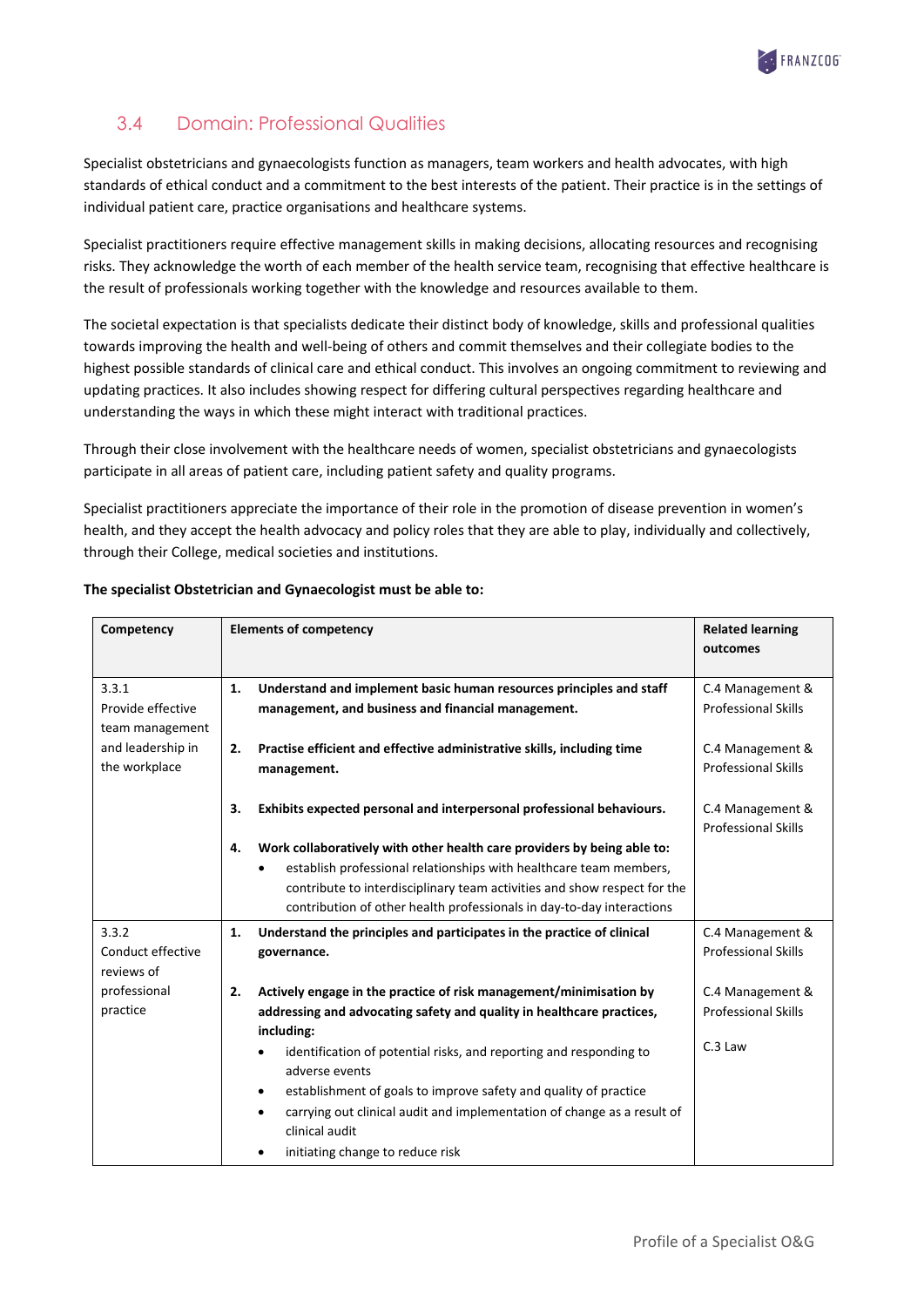

# 3.4 Domain: Professional Qualities

<span id="page-14-0"></span>Specialist obstetricians and gynaecologists function as managers, team workers and health advocates, with high standards of ethical conduct and a commitment to the best interests of the patient. Their practice is in the settings of individual patient care, practice organisations and healthcare systems.

Specialist practitioners require effective management skills in making decisions, allocating resources and recognising risks. They acknowledge the worth of each member of the health service team, recognising that effective healthcare is the result of professionals working together with the knowledge and resources available to them.

The societal expectation is that specialists dedicate their distinct body of knowledge, skills and professional qualities towards improving the health and well-being of others and commit themselves and their collegiate bodies to the highest possible standards of clinical care and ethical conduct. This involves an ongoing commitment to reviewing and updating practices. It also includes showing respect for differing cultural perspectives regarding healthcare and understanding the ways in which these might interact with traditional practices.

Through their close involvement with the healthcare needs of women, specialist obstetricians and gynaecologists participate in all areas of patient care, including patient safety and quality programs.

Specialist practitioners appreciate the importance of their role in the promotion of disease prevention in women's health, and they accept the health advocacy and policy roles that they are able to play, individually and collectively, through their College, medical societies and institutions.

| Competency                           | <b>Elements of competency</b>                                                                                                                     | <b>Related learning</b><br>outcomes |
|--------------------------------------|---------------------------------------------------------------------------------------------------------------------------------------------------|-------------------------------------|
| 3.3.1                                | Understand and implement basic human resources principles and staff<br>1.                                                                         | C.4 Management &                    |
| Provide effective<br>team management | management, and business and financial management.                                                                                                | <b>Professional Skills</b>          |
| and leadership in                    | Practise efficient and effective administrative skills, including time<br>2.                                                                      | C.4 Management &                    |
| the workplace                        | management.                                                                                                                                       | <b>Professional Skills</b>          |
|                                      | Exhibits expected personal and interpersonal professional behaviours.<br>3.                                                                       | C.4 Management &                    |
|                                      |                                                                                                                                                   | <b>Professional Skills</b>          |
|                                      | Work collaboratively with other health care providers by being able to:<br>4.                                                                     |                                     |
|                                      | establish professional relationships with healthcare team members,                                                                                |                                     |
|                                      | contribute to interdisciplinary team activities and show respect for the<br>contribution of other health professionals in day-to-day interactions |                                     |
|                                      |                                                                                                                                                   |                                     |
| 3.3.2                                | Understand the principles and participates in the practice of clinical<br>1.                                                                      | C.4 Management &                    |
| Conduct effective<br>reviews of      | governance.                                                                                                                                       | <b>Professional Skills</b>          |
| professional                         | 2.<br>Actively engage in the practice of risk management/minimisation by                                                                          | C.4 Management &                    |
| practice                             | addressing and advocating safety and quality in healthcare practices,                                                                             | <b>Professional Skills</b>          |
|                                      | including:                                                                                                                                        |                                     |
|                                      | identification of potential risks, and reporting and responding to<br>adverse events                                                              | C.3 Law                             |
|                                      | establishment of goals to improve safety and quality of practice<br>$\bullet$                                                                     |                                     |
|                                      | carrying out clinical audit and implementation of change as a result of<br>$\bullet$<br>clinical audit                                            |                                     |
|                                      | initiating change to reduce risk                                                                                                                  |                                     |

#### **The specialist Obstetrician and Gynaecologist must be able to:**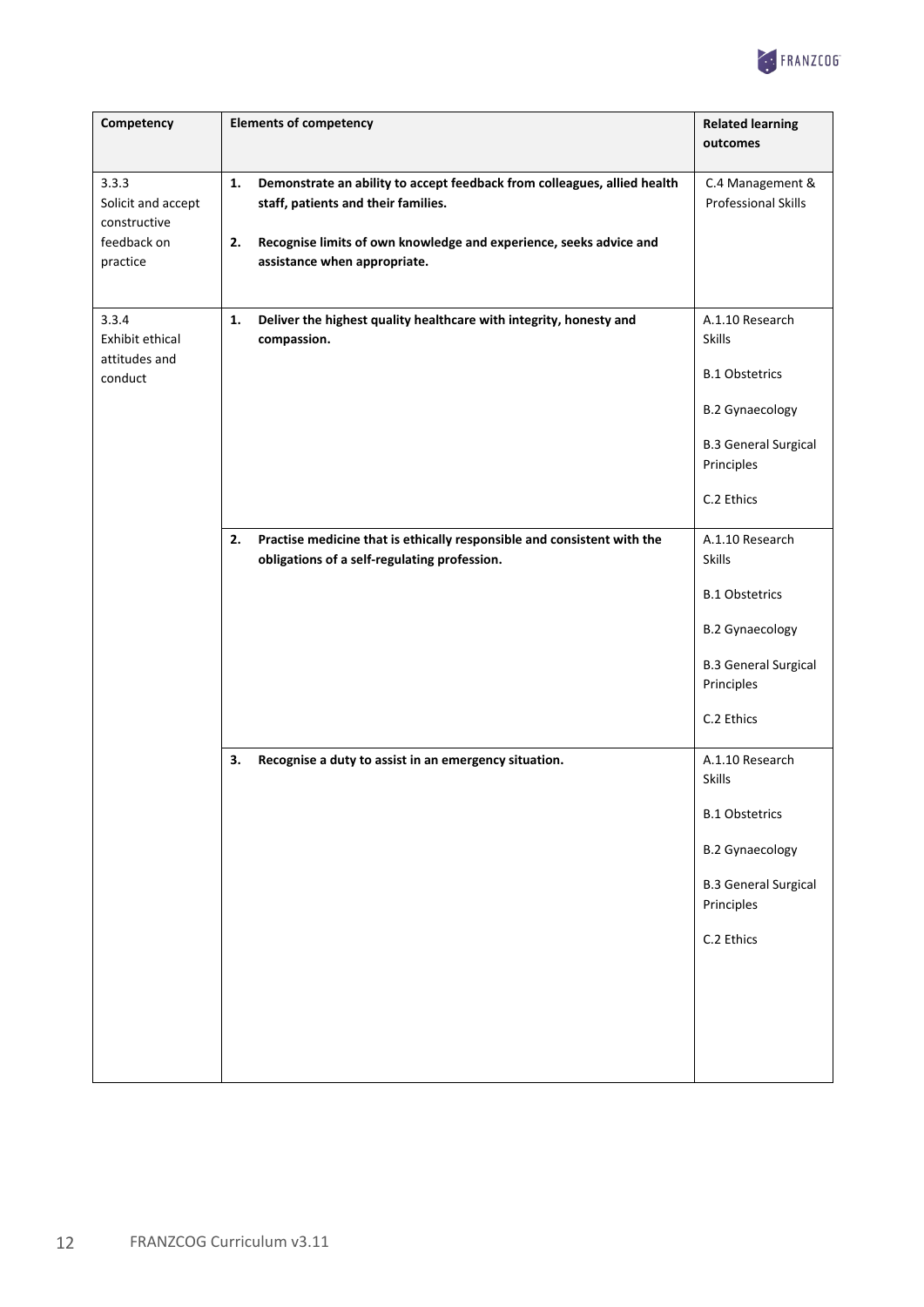

| Competency                                                             | <b>Elements of competency</b>                                                                                                                                                                                                     | <b>Related learning</b><br>outcomes                                                                                                            |
|------------------------------------------------------------------------|-----------------------------------------------------------------------------------------------------------------------------------------------------------------------------------------------------------------------------------|------------------------------------------------------------------------------------------------------------------------------------------------|
| 3.3.3<br>Solicit and accept<br>constructive<br>feedback on<br>practice | 1.<br>Demonstrate an ability to accept feedback from colleagues, allied health<br>staff, patients and their families.<br>2.<br>Recognise limits of own knowledge and experience, seeks advice and<br>assistance when appropriate. | C.4 Management &<br><b>Professional Skills</b>                                                                                                 |
| 3.3.4<br>Exhibit ethical<br>attitudes and<br>conduct                   | 1.<br>Deliver the highest quality healthcare with integrity, honesty and<br>compassion.                                                                                                                                           | A.1.10 Research<br><b>Skills</b><br><b>B.1 Obstetrics</b><br><b>B.2 Gynaecology</b><br><b>B.3 General Surgical</b><br>Principles<br>C.2 Ethics |
|                                                                        | 2.<br>Practise medicine that is ethically responsible and consistent with the<br>obligations of a self-regulating profession.                                                                                                     | A.1.10 Research<br><b>Skills</b><br><b>B.1 Obstetrics</b><br><b>B.2 Gynaecology</b><br><b>B.3 General Surgical</b><br>Principles<br>C.2 Ethics |
|                                                                        | 3.<br>Recognise a duty to assist in an emergency situation.                                                                                                                                                                       | A.1.10 Research<br><b>Skills</b><br><b>B.1 Obstetrics</b><br><b>B.2 Gynaecology</b><br><b>B.3 General Surgical</b><br>Principles<br>C.2 Ethics |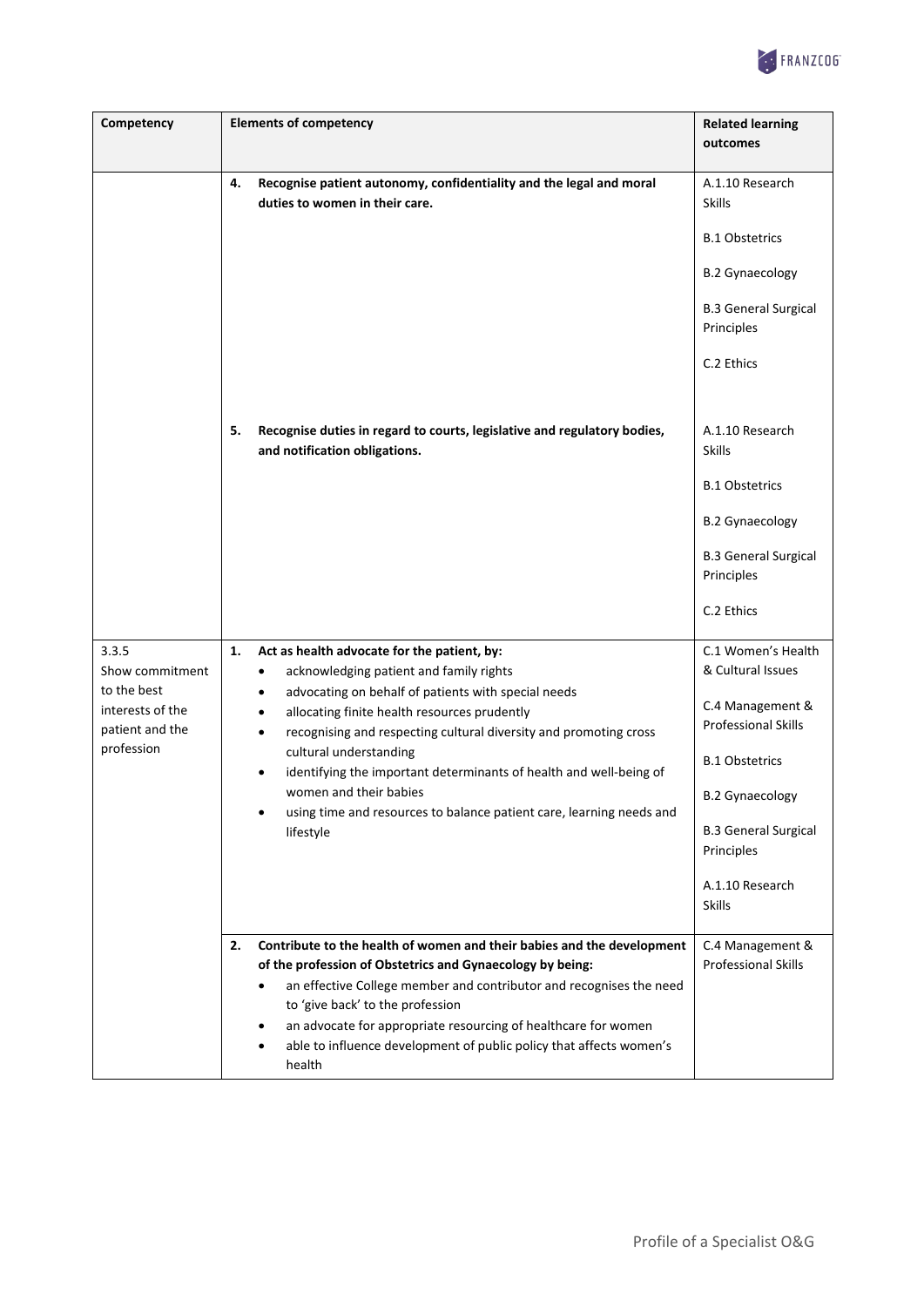

| Competency                                                                                   | <b>Elements of competency</b>                                                                                                                                                                                                                                                                                                                                                                                                                                                                                                                                                                                                                                                    | <b>Related learning</b><br>outcomes                                                                                                                                                                                                                                                                  |
|----------------------------------------------------------------------------------------------|----------------------------------------------------------------------------------------------------------------------------------------------------------------------------------------------------------------------------------------------------------------------------------------------------------------------------------------------------------------------------------------------------------------------------------------------------------------------------------------------------------------------------------------------------------------------------------------------------------------------------------------------------------------------------------|------------------------------------------------------------------------------------------------------------------------------------------------------------------------------------------------------------------------------------------------------------------------------------------------------|
|                                                                                              | Recognise patient autonomy, confidentiality and the legal and moral<br>4.<br>duties to women in their care.<br>5.<br>Recognise duties in regard to courts, legislative and regulatory bodies,<br>and notification obligations.                                                                                                                                                                                                                                                                                                                                                                                                                                                   | A.1.10 Research<br><b>Skills</b><br><b>B.1 Obstetrics</b><br><b>B.2 Gynaecology</b><br><b>B.3 General Surgical</b><br>Principles<br>C.2 Ethics<br>A.1.10 Research<br><b>Skills</b><br><b>B.1 Obstetrics</b><br><b>B.2 Gynaecology</b><br><b>B.3 General Surgical</b>                                 |
| 3.3.5<br>Show commitment<br>to the best<br>interests of the<br>patient and the<br>profession | Act as health advocate for the patient, by:<br>1.<br>acknowledging patient and family rights<br>$\bullet$<br>advocating on behalf of patients with special needs<br>٠<br>allocating finite health resources prudently<br>$\bullet$<br>recognising and respecting cultural diversity and promoting cross<br>$\bullet$<br>cultural understanding<br>identifying the important determinants of health and well-being of<br>women and their babies<br>using time and resources to balance patient care, learning needs and<br>lifestyle<br>2.<br>Contribute to the health of women and their babies and the development<br>of the profession of Obstetrics and Gynaecology by being: | Principles<br>C.2 Ethics<br>C.1 Women's Health<br>& Cultural Issues<br>C.4 Management &<br>Professional Skills<br><b>B.1 Obstetrics</b><br><b>B.2 Gynaecology</b><br><b>B.3 General Surgical</b><br>Principles<br>A.1.10 Research<br><b>Skills</b><br>C.4 Management &<br><b>Professional Skills</b> |
|                                                                                              | an effective College member and contributor and recognises the need<br>٠<br>to 'give back' to the profession<br>an advocate for appropriate resourcing of healthcare for women<br>$\bullet$<br>able to influence development of public policy that affects women's<br>$\bullet$<br>health                                                                                                                                                                                                                                                                                                                                                                                        |                                                                                                                                                                                                                                                                                                      |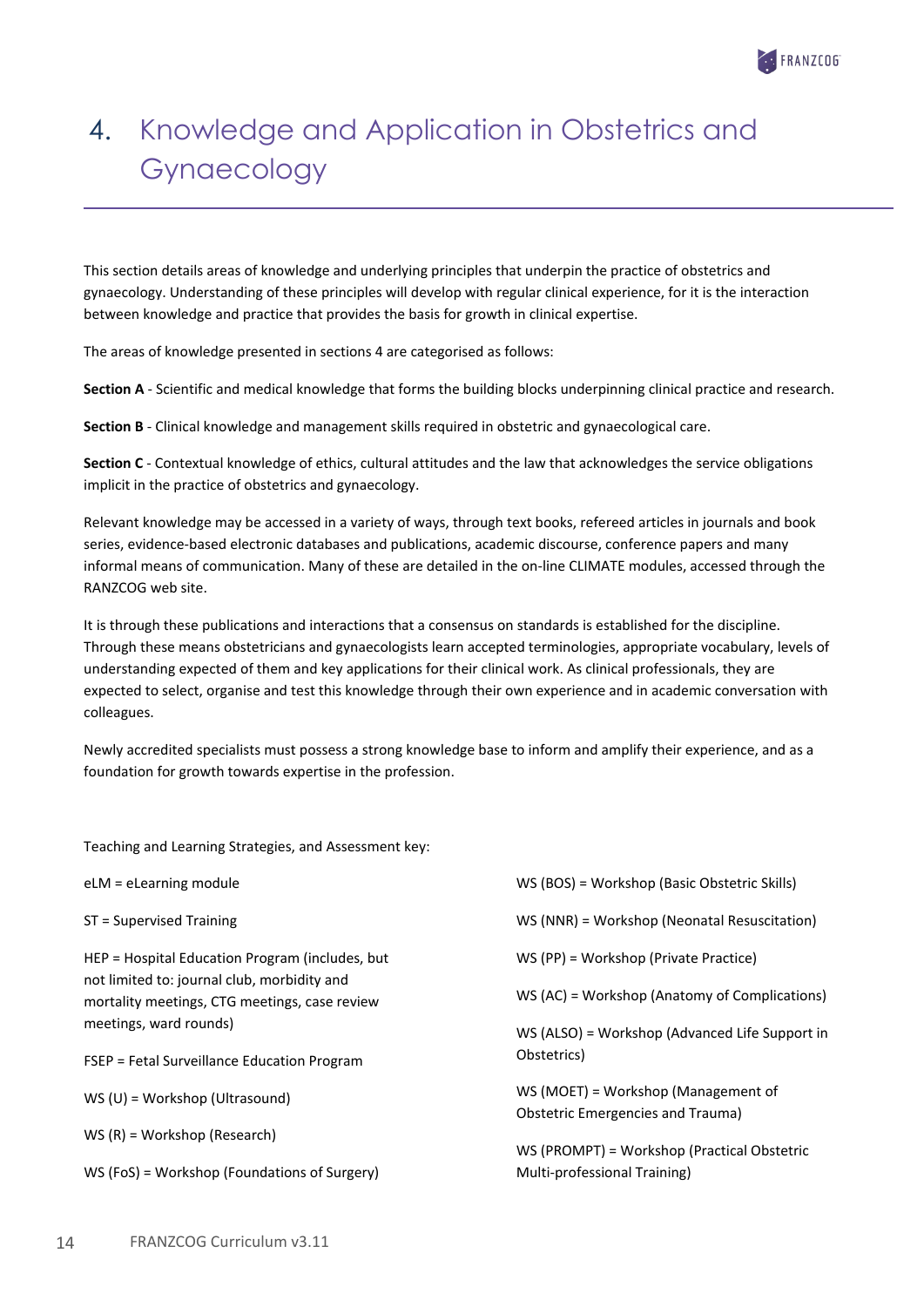

# <span id="page-17-0"></span>4. Knowledge and Application in Obstetrics and Gynaecology

This section details areas of knowledge and underlying principles that underpin the practice of obstetrics and gynaecology. Understanding of these principles will develop with regular clinical experience, for it is the interaction between knowledge and practice that provides the basis for growth in clinical expertise.

The areas of knowledge presented in sections 4 are categorised as follows:

**Section A** - Scientific and medical knowledge that forms the building blocks underpinning clinical practice and research.

**Section B** - Clinical knowledge and management skills required in obstetric and gynaecological care.

**Section C** - Contextual knowledge of ethics, cultural attitudes and the law that acknowledges the service obligations implicit in the practice of obstetrics and gynaecology.

Relevant knowledge may be accessed in a variety of ways, through text books, refereed articles in journals and book series, evidence-based electronic databases and publications, academic discourse, conference papers and many informal means of communication. Many of these are detailed in the on-line CLIMATE modules, accessed through the RANZCOG web site.

It is through these publications and interactions that a consensus on standards is established for the discipline. Through these means obstetricians and gynaecologists learn accepted terminologies, appropriate vocabulary, levels of understanding expected of them and key applications for their clinical work. As clinical professionals, they are expected to select, organise and test this knowledge through their own experience and in academic conversation with colleagues.

Newly accredited specialists must possess a strong knowledge base to inform and amplify their experience, and as a foundation for growth towards expertise in the profession.

Teaching and Learning Strategies, and Assessment key:

| eLM = eLearning module                                                                       | WS (BOS) = Workshop (Basic Obstetric Skills)   |
|----------------------------------------------------------------------------------------------|------------------------------------------------|
| ST = Supervised Training                                                                     | WS (NNR) = Workshop (Neonatal Resuscitation)   |
| HEP = Hospital Education Program (includes, but                                              | WS (PP) = Workshop (Private Practice)          |
| not limited to: journal club, morbidity and<br>mortality meetings, CTG meetings, case review | WS (AC) = Workshop (Anatomy of Complications)  |
| meetings, ward rounds)                                                                       | WS (ALSO) = Workshop (Advanced Life Support in |
| FSEP = Fetal Surveillance Education Program                                                  | Obstetrics)                                    |
| $WS(U) = Workshop (Ultrasound)$                                                              | WS (MOET) = Workshop (Management of            |
| $WS(R) = Workshop (Research)$                                                                | <b>Obstetric Emergencies and Trauma)</b>       |
|                                                                                              | WS (PROMPT) = Workshop (Practical Obstetric    |
| WS (FoS) = Workshop (Foundations of Surgery)                                                 | Multi-professional Training)                   |
|                                                                                              |                                                |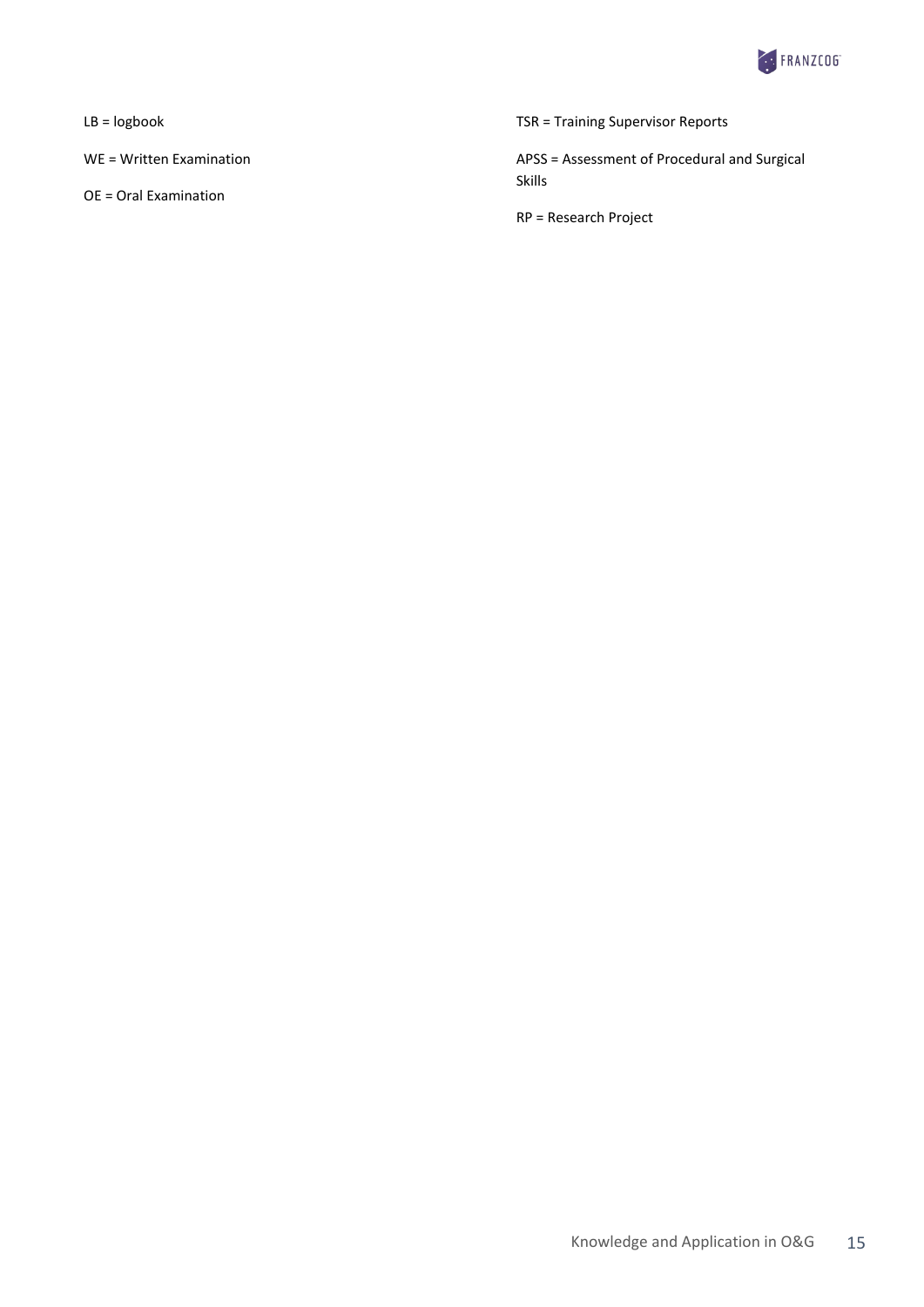

LB = logbook

WE = Written Examination

<span id="page-18-0"></span>OE = Oral Examination

TSR = Training Supervisor Reports

APSS = Assessment of Procedural and Surgical Skills

RP = Research Project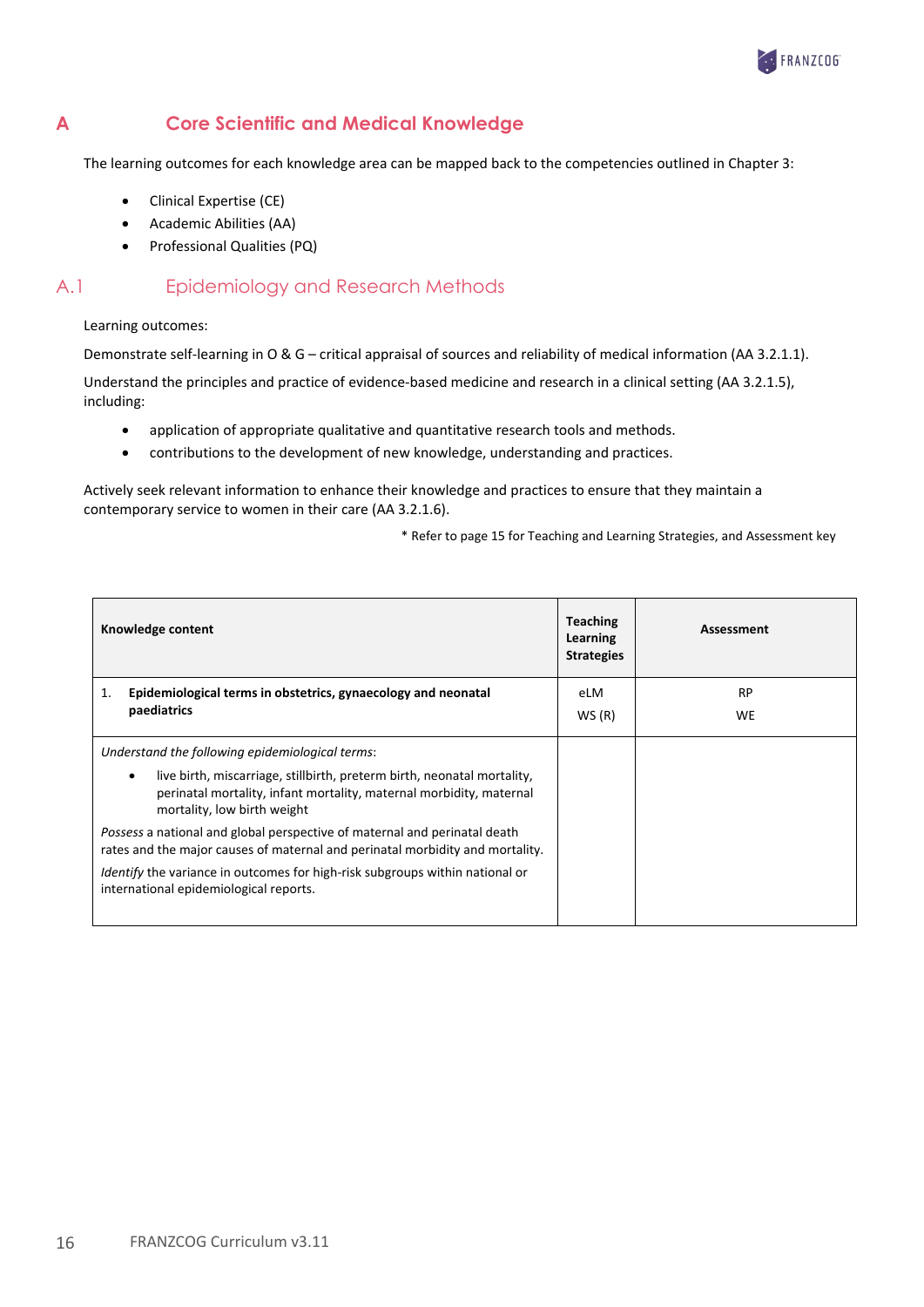

## **A Core Scientific and Medical Knowledge**

The learning outcomes for each knowledge area can be mapped back to the competencies outlined in Chapter 3:

- Clinical Expertise (CE)
- Academic Abilities (AA)
- Professional Qualities (PQ)

### <span id="page-19-0"></span>A.1 Epidemiology and Research Methods

Learning outcomes:

Demonstrate self-learning in O & G – critical appraisal of sources and reliability of medical information (AA 3.2.1.1).

Understand the principles and practice of evidence-based medicine and research in a clinical setting (AA 3.2.1.5), including:

- application of appropriate qualitative and quantitative research tools and methods.
- contributions to the development of new knowledge, understanding and practices.

Actively seek relevant information to enhance their knowledge and practices to ensure that they maintain a contemporary service to women in their care (AA 3.2.1.6).

| Knowledge content                                                                                                                                                                                                                                                                                                                                                                                                                                                                                                                                   |              | Assessment      |
|-----------------------------------------------------------------------------------------------------------------------------------------------------------------------------------------------------------------------------------------------------------------------------------------------------------------------------------------------------------------------------------------------------------------------------------------------------------------------------------------------------------------------------------------------------|--------------|-----------------|
| Epidemiological terms in obstetrics, gynaecology and neonatal<br>1.<br>paediatrics                                                                                                                                                                                                                                                                                                                                                                                                                                                                  | eLM<br>WS(R) | <b>RP</b><br>WE |
| Understand the following epidemiological terms:<br>live birth, miscarriage, stillbirth, preterm birth, neonatal mortality,<br>$\bullet$<br>perinatal mortality, infant mortality, maternal morbidity, maternal<br>mortality, low birth weight<br><i>Possess</i> a national and global perspective of maternal and perinatal death<br>rates and the major causes of maternal and perinatal morbidity and mortality.<br><i>Identify</i> the variance in outcomes for high-risk subgroups within national or<br>international epidemiological reports. |              |                 |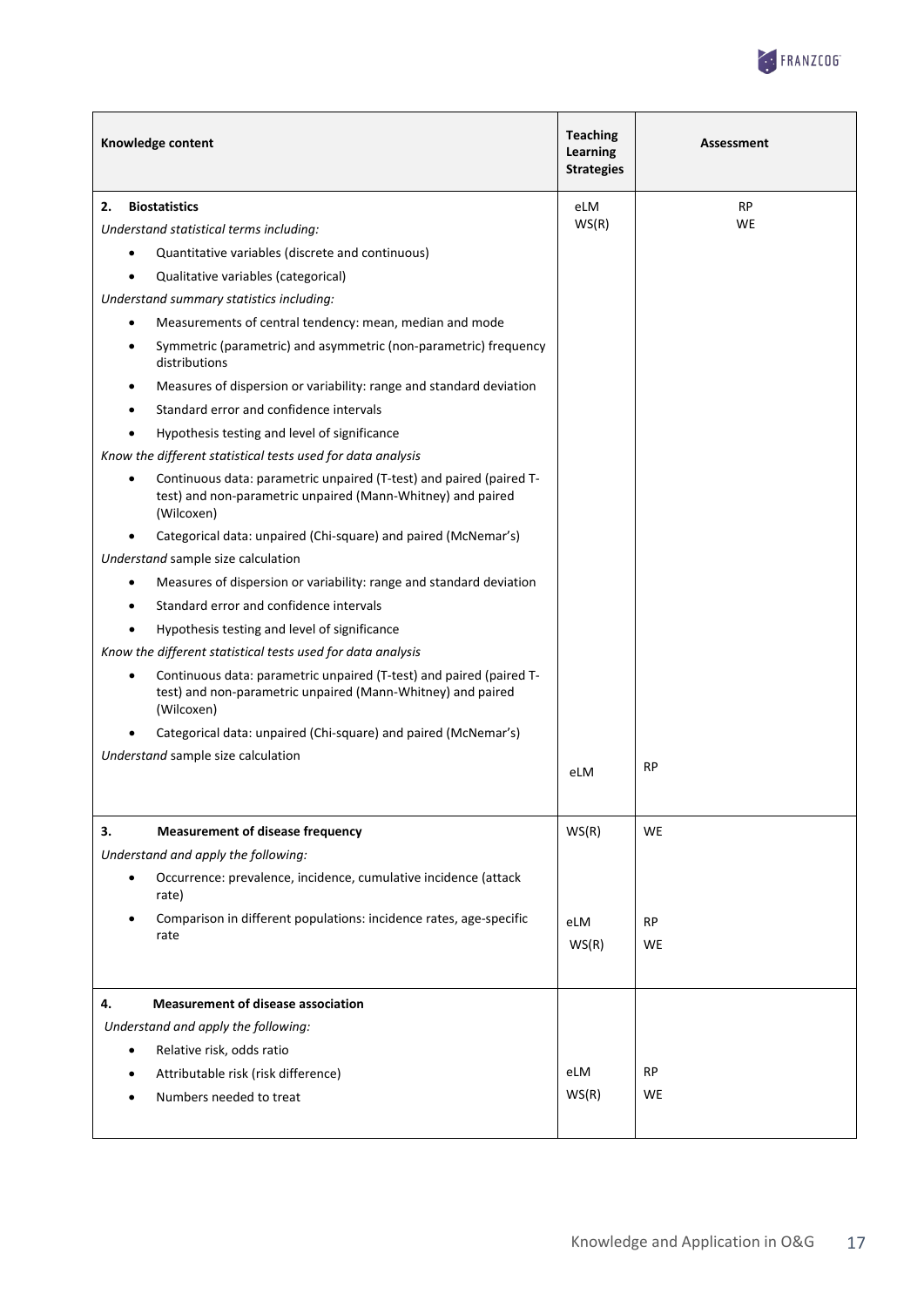

| Knowledge content |                                                                                                                                                  | <b>Teaching</b><br>Learning<br><b>Strategies</b> | Assessment |
|-------------------|--------------------------------------------------------------------------------------------------------------------------------------------------|--------------------------------------------------|------------|
| 2.                | <b>Biostatistics</b>                                                                                                                             | eLM                                              | <b>RP</b>  |
|                   | Understand statistical terms including:                                                                                                          | WS(R)                                            | WE         |
|                   | Quantitative variables (discrete and continuous)<br>$\bullet$                                                                                    |                                                  |            |
|                   | Qualitative variables (categorical)                                                                                                              |                                                  |            |
|                   | Understand summary statistics including:                                                                                                         |                                                  |            |
|                   | Measurements of central tendency: mean, median and mode<br>$\bullet$                                                                             |                                                  |            |
|                   | Symmetric (parametric) and asymmetric (non-parametric) frequency<br>distributions                                                                |                                                  |            |
|                   | Measures of dispersion or variability: range and standard deviation                                                                              |                                                  |            |
|                   | Standard error and confidence intervals                                                                                                          |                                                  |            |
|                   | Hypothesis testing and level of significance                                                                                                     |                                                  |            |
|                   | Know the different statistical tests used for data analysis                                                                                      |                                                  |            |
|                   | Continuous data: parametric unpaired (T-test) and paired (paired T-<br>test) and non-parametric unpaired (Mann-Whitney) and paired<br>(Wilcoxen) |                                                  |            |
|                   | Categorical data: unpaired (Chi-square) and paired (McNemar's)                                                                                   |                                                  |            |
|                   | Understand sample size calculation                                                                                                               |                                                  |            |
|                   | Measures of dispersion or variability: range and standard deviation<br>$\bullet$                                                                 |                                                  |            |
|                   | Standard error and confidence intervals<br>$\bullet$                                                                                             |                                                  |            |
|                   | Hypothesis testing and level of significance                                                                                                     |                                                  |            |
|                   | Know the different statistical tests used for data analysis                                                                                      |                                                  |            |
|                   | Continuous data: parametric unpaired (T-test) and paired (paired T-<br>test) and non-parametric unpaired (Mann-Whitney) and paired<br>(Wilcoxen) |                                                  |            |
|                   | Categorical data: unpaired (Chi-square) and paired (McNemar's)                                                                                   |                                                  |            |
|                   | Understand sample size calculation                                                                                                               | eLM                                              | <b>RP</b>  |
| 3.                | <b>Measurement of disease frequency</b>                                                                                                          | WS(R)                                            | WE         |
|                   | Understand and apply the following:                                                                                                              |                                                  |            |
|                   | Occurrence: prevalence, incidence, cumulative incidence (attack<br>rate)                                                                         |                                                  |            |
|                   | Comparison in different populations: incidence rates, age-specific                                                                               | eLM                                              | <b>RP</b>  |
|                   | rate                                                                                                                                             | WS(R)                                            | <b>WE</b>  |
|                   |                                                                                                                                                  |                                                  |            |
| 4.                | <b>Measurement of disease association</b>                                                                                                        |                                                  |            |
|                   | Understand and apply the following:                                                                                                              |                                                  |            |
|                   | Relative risk, odds ratio                                                                                                                        |                                                  |            |
|                   | Attributable risk (risk difference)                                                                                                              | eLM                                              | RP         |
|                   | Numbers needed to treat                                                                                                                          | WS(R)                                            | <b>WE</b>  |
|                   |                                                                                                                                                  |                                                  |            |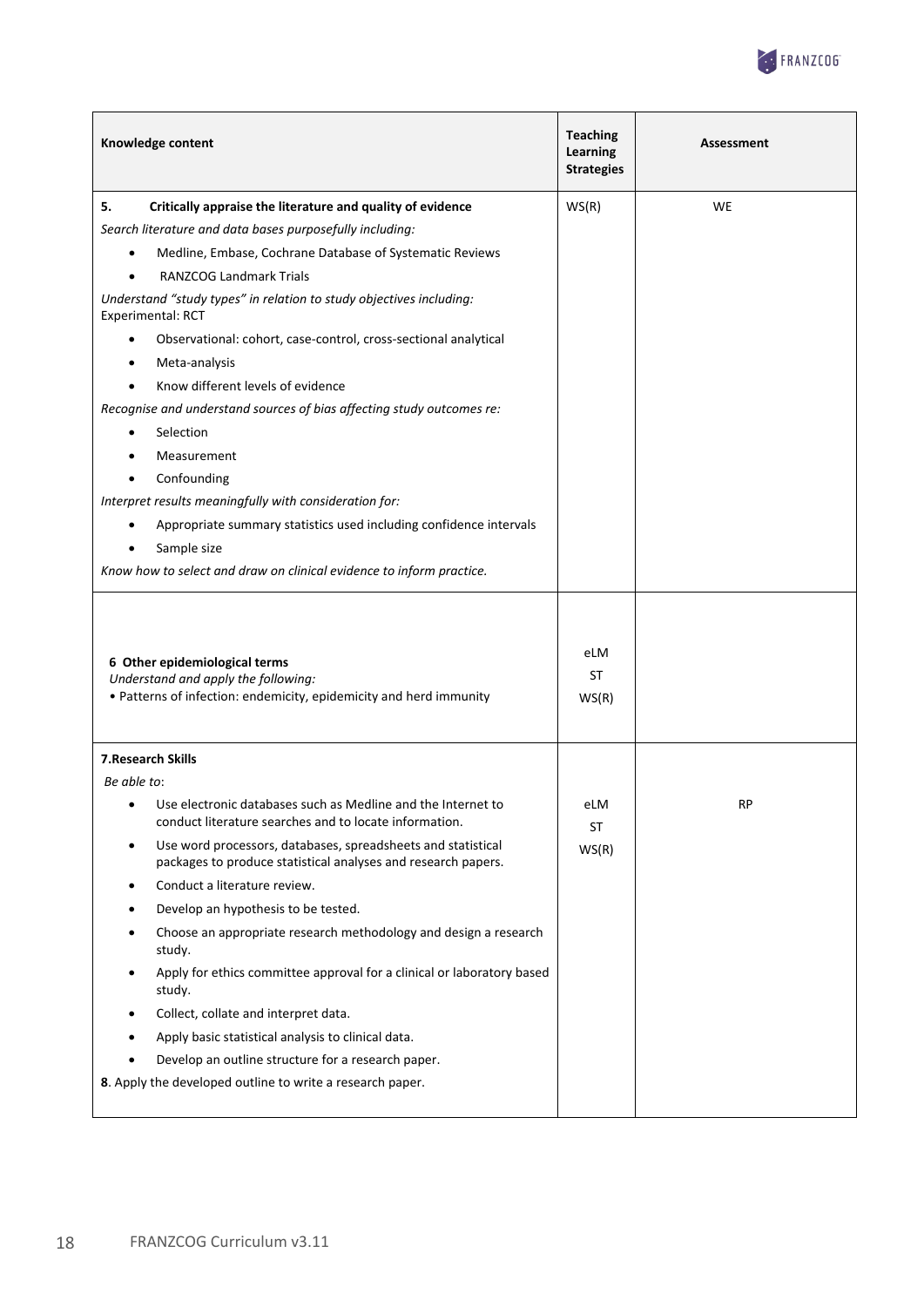

<span id="page-21-0"></span>

| Knowledge content                                                                                                                          |                           | <b>Assessment</b> |
|--------------------------------------------------------------------------------------------------------------------------------------------|---------------------------|-------------------|
| 5.<br>Critically appraise the literature and quality of evidence                                                                           | WS(R)                     | <b>WE</b>         |
| Search literature and data bases purposefully including:                                                                                   |                           |                   |
| Medline, Embase, Cochrane Database of Systematic Reviews<br>$\bullet$                                                                      |                           |                   |
| <b>RANZCOG Landmark Trials</b>                                                                                                             |                           |                   |
| Understand "study types" in relation to study objectives including:<br><b>Experimental: RCT</b>                                            |                           |                   |
| Observational: cohort, case-control, cross-sectional analytical<br>$\bullet$                                                               |                           |                   |
| Meta-analysis<br>٠                                                                                                                         |                           |                   |
| Know different levels of evidence                                                                                                          |                           |                   |
| Recognise and understand sources of bias affecting study outcomes re:                                                                      |                           |                   |
| Selection                                                                                                                                  |                           |                   |
| Measurement                                                                                                                                |                           |                   |
| Confounding                                                                                                                                |                           |                   |
| Interpret results meaningfully with consideration for:                                                                                     |                           |                   |
| Appropriate summary statistics used including confidence intervals                                                                         |                           |                   |
| Sample size                                                                                                                                |                           |                   |
| Know how to select and draw on clinical evidence to inform practice.                                                                       |                           |                   |
| 6 Other epidemiological terms<br>Understand and apply the following:<br>• Patterns of infection: endemicity, epidemicity and herd immunity | eLM<br><b>ST</b><br>WS(R) |                   |
| <b>7. Research Skills</b>                                                                                                                  |                           |                   |
| Be able to:                                                                                                                                |                           | <b>RP</b>         |
| Use electronic databases such as Medline and the Internet to<br>٠<br>conduct literature searches and to locate information.                | eLM<br><b>ST</b>          |                   |
| Use word processors, databases, spreadsheets and statistical<br>packages to produce statistical analyses and research papers.              | WS(R)                     |                   |
| Conduct a literature review.                                                                                                               |                           |                   |
| Develop an hypothesis to be tested.                                                                                                        |                           |                   |
| Choose an appropriate research methodology and design a research<br>study.                                                                 |                           |                   |
| Apply for ethics committee approval for a clinical or laboratory based<br>study.                                                           |                           |                   |
| Collect, collate and interpret data.                                                                                                       |                           |                   |
| Apply basic statistical analysis to clinical data.                                                                                         |                           |                   |
| Develop an outline structure for a research paper.                                                                                         |                           |                   |
| 8. Apply the developed outline to write a research paper.                                                                                  |                           |                   |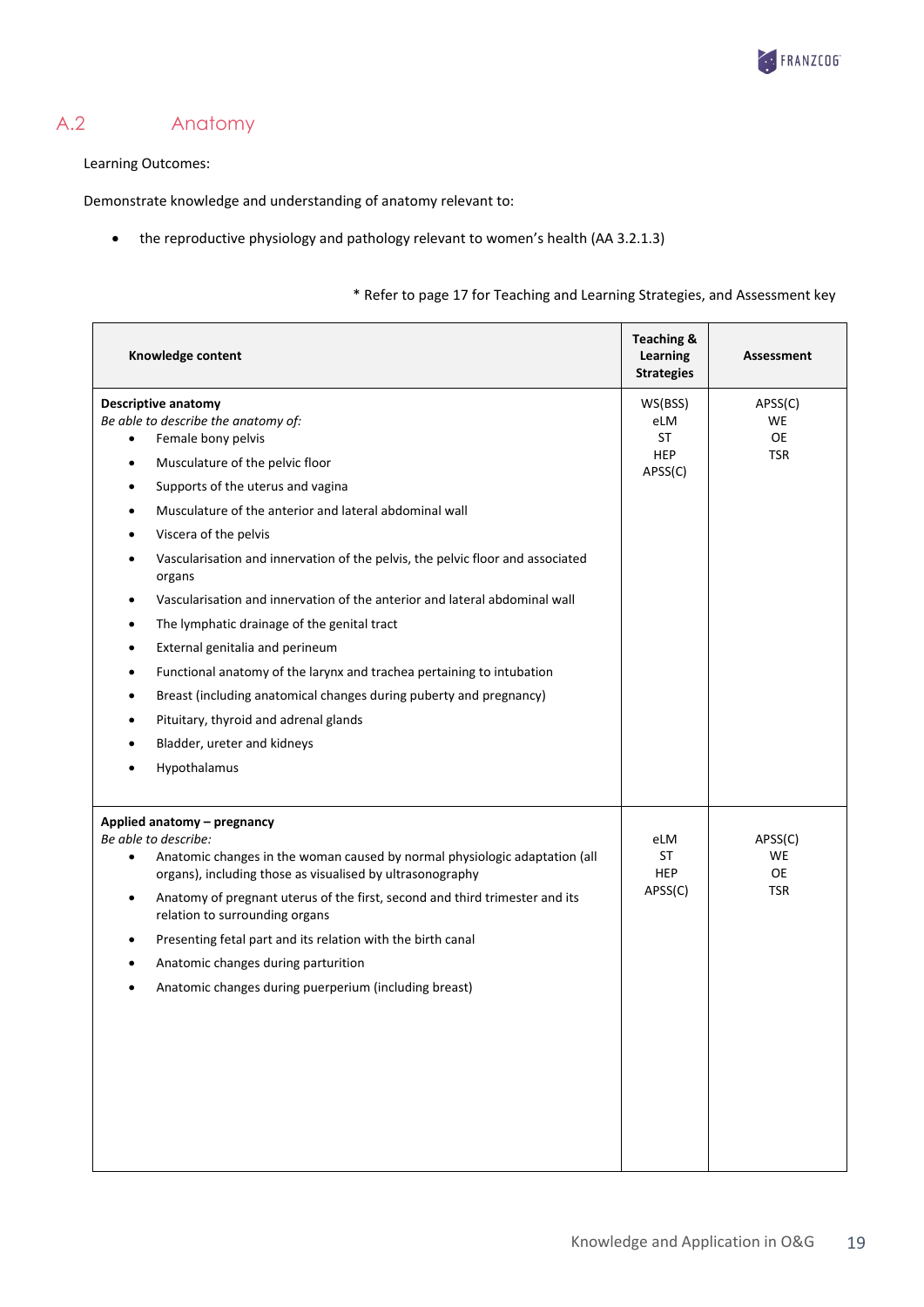

### A.2 Anatomy

Learning Outcomes:

Demonstrate knowledge and understanding of anatomy relevant to:

• the reproductive physiology and pathology relevant to women's health (AA 3.2.1.3)

| Knowledge content                                                                                                                                                                                                                                                                                                                                                                                                                                                                                                                                                                                                                                                                                                                                                                       | <b>Teaching &amp;</b><br>Learning<br><b>Strategies</b> | Assessment                               |
|-----------------------------------------------------------------------------------------------------------------------------------------------------------------------------------------------------------------------------------------------------------------------------------------------------------------------------------------------------------------------------------------------------------------------------------------------------------------------------------------------------------------------------------------------------------------------------------------------------------------------------------------------------------------------------------------------------------------------------------------------------------------------------------------|--------------------------------------------------------|------------------------------------------|
| Descriptive anatomy<br>Be able to describe the anatomy of:<br>Female bony pelvis<br>$\bullet$<br>Musculature of the pelvic floor<br>٠<br>Supports of the uterus and vagina<br>$\bullet$<br>Musculature of the anterior and lateral abdominal wall<br>Viscera of the pelvis<br>Vascularisation and innervation of the pelvis, the pelvic floor and associated<br>organs<br>Vascularisation and innervation of the anterior and lateral abdominal wall<br>٠<br>The lymphatic drainage of the genital tract<br>٠<br>External genitalia and perineum<br>Functional anatomy of the larynx and trachea pertaining to intubation<br>Breast (including anatomical changes during puberty and pregnancy)<br>Pituitary, thyroid and adrenal glands<br>Bladder, ureter and kidneys<br>Hypothalamus | WS(BSS)<br>eLM<br><b>ST</b><br><b>HEP</b><br>APSS(C)   | APSS(C)<br>WE<br>OE<br><b>TSR</b>        |
| Applied anatomy - pregnancy<br>Be able to describe:<br>Anatomic changes in the woman caused by normal physiologic adaptation (all<br>$\bullet$<br>organs), including those as visualised by ultrasonography<br>Anatomy of pregnant uterus of the first, second and third trimester and its<br>$\bullet$<br>relation to surrounding organs<br>Presenting fetal part and its relation with the birth canal<br>Anatomic changes during parturition<br>Anatomic changes during puerperium (including breast)                                                                                                                                                                                                                                                                                | eLM<br><b>ST</b><br><b>HEP</b><br>APSS(C)              | APSS(C)<br>WE<br><b>OE</b><br><b>TSR</b> |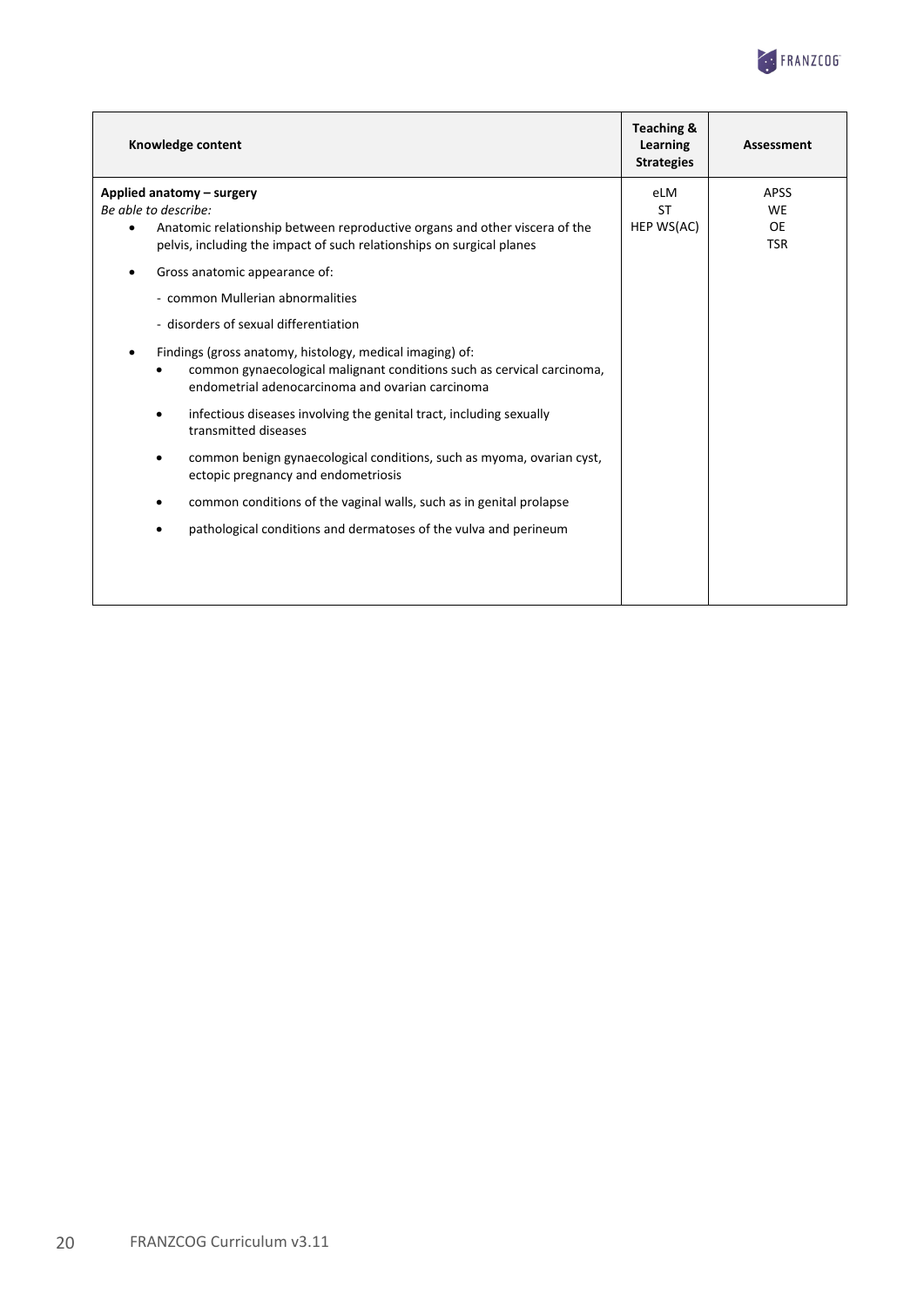

| Knowledge content                                                                                                                                                                                                                                                                                                                                                                                                                                                                                                                                                                                                                                                                                                                                                                                                                                                                       | <b>Teaching &amp;</b><br>Learning<br><b>Strategies</b> | Assessment                                          |
|-----------------------------------------------------------------------------------------------------------------------------------------------------------------------------------------------------------------------------------------------------------------------------------------------------------------------------------------------------------------------------------------------------------------------------------------------------------------------------------------------------------------------------------------------------------------------------------------------------------------------------------------------------------------------------------------------------------------------------------------------------------------------------------------------------------------------------------------------------------------------------------------|--------------------------------------------------------|-----------------------------------------------------|
| Applied anatomy - surgery<br>Be able to describe:<br>Anatomic relationship between reproductive organs and other viscera of the<br>pelvis, including the impact of such relationships on surgical planes<br>Gross anatomic appearance of:<br>- common Mullerian abnormalities<br>- disorders of sexual differentiation<br>Findings (gross anatomy, histology, medical imaging) of:<br>common gynaecological malignant conditions such as cervical carcinoma,<br>endometrial adenocarcinoma and ovarian carcinoma<br>infectious diseases involving the genital tract, including sexually<br>$\bullet$<br>transmitted diseases<br>common benign gynaecological conditions, such as myoma, ovarian cyst,<br>ectopic pregnancy and endometriosis<br>common conditions of the vaginal walls, such as in genital prolapse<br>pathological conditions and dermatoses of the vulva and perineum | eLM<br><b>ST</b><br>HEP WS(AC)                         | <b>APSS</b><br><b>WE</b><br><b>OE</b><br><b>TSR</b> |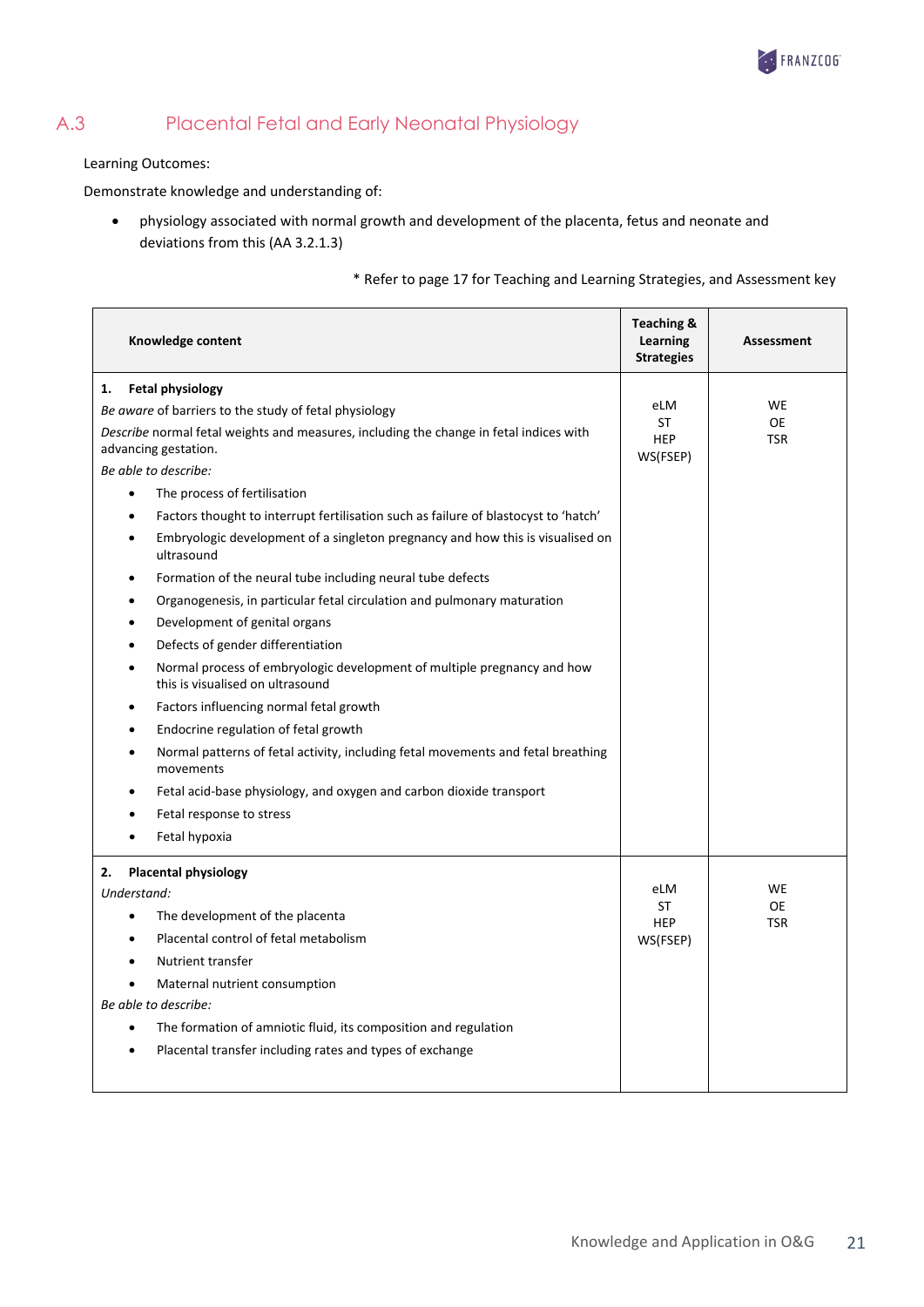

# <span id="page-24-0"></span>A.3 Placental Fetal and Early Neonatal Physiology

#### Learning Outcomes:

Demonstrate knowledge and understanding of:

• physiology associated with normal growth and development of the placenta, fetus and neonate and deviations from this (AA 3.2.1.3)

| Knowledge content                                                                                                        | <b>Teaching &amp;</b><br>Learning<br><b>Strategies</b> | Assessment              |
|--------------------------------------------------------------------------------------------------------------------------|--------------------------------------------------------|-------------------------|
| <b>Fetal physiology</b><br>1.                                                                                            |                                                        |                         |
| Be aware of barriers to the study of fetal physiology                                                                    | eLM                                                    | <b>WE</b>               |
| Describe normal fetal weights and measures, including the change in fetal indices with<br>advancing gestation.           | <b>ST</b><br><b>HEP</b><br>WS(FSEP)                    | 0E<br><b>TSR</b>        |
| Be able to describe:                                                                                                     |                                                        |                         |
| The process of fertilisation<br>$\bullet$                                                                                |                                                        |                         |
| Factors thought to interrupt fertilisation such as failure of blastocyst to 'hatch'                                      |                                                        |                         |
| Embryologic development of a singleton pregnancy and how this is visualised on<br>$\bullet$<br>ultrasound                |                                                        |                         |
| Formation of the neural tube including neural tube defects<br>$\bullet$                                                  |                                                        |                         |
| Organogenesis, in particular fetal circulation and pulmonary maturation                                                  |                                                        |                         |
| Development of genital organs<br>$\bullet$                                                                               |                                                        |                         |
| Defects of gender differentiation                                                                                        |                                                        |                         |
| Normal process of embryologic development of multiple pregnancy and how<br>$\bullet$<br>this is visualised on ultrasound |                                                        |                         |
| Factors influencing normal fetal growth<br>$\bullet$                                                                     |                                                        |                         |
| Endocrine regulation of fetal growth<br>$\bullet$                                                                        |                                                        |                         |
| Normal patterns of fetal activity, including fetal movements and fetal breathing<br>٠<br>movements                       |                                                        |                         |
| Fetal acid-base physiology, and oxygen and carbon dioxide transport                                                      |                                                        |                         |
| Fetal response to stress                                                                                                 |                                                        |                         |
| Fetal hypoxia                                                                                                            |                                                        |                         |
| <b>Placental physiology</b><br>2.                                                                                        |                                                        |                         |
| Understand:                                                                                                              | eLM                                                    | <b>WE</b>               |
| The development of the placenta<br>$\bullet$                                                                             | ST<br><b>HEP</b>                                       | <b>OE</b><br><b>TSR</b> |
| Placental control of fetal metabolism                                                                                    | WS(FSEP)                                               |                         |
| Nutrient transfer                                                                                                        |                                                        |                         |
| Maternal nutrient consumption                                                                                            |                                                        |                         |
| Be able to describe:                                                                                                     |                                                        |                         |
| The formation of amniotic fluid, its composition and regulation                                                          |                                                        |                         |
| Placental transfer including rates and types of exchange                                                                 |                                                        |                         |
|                                                                                                                          |                                                        |                         |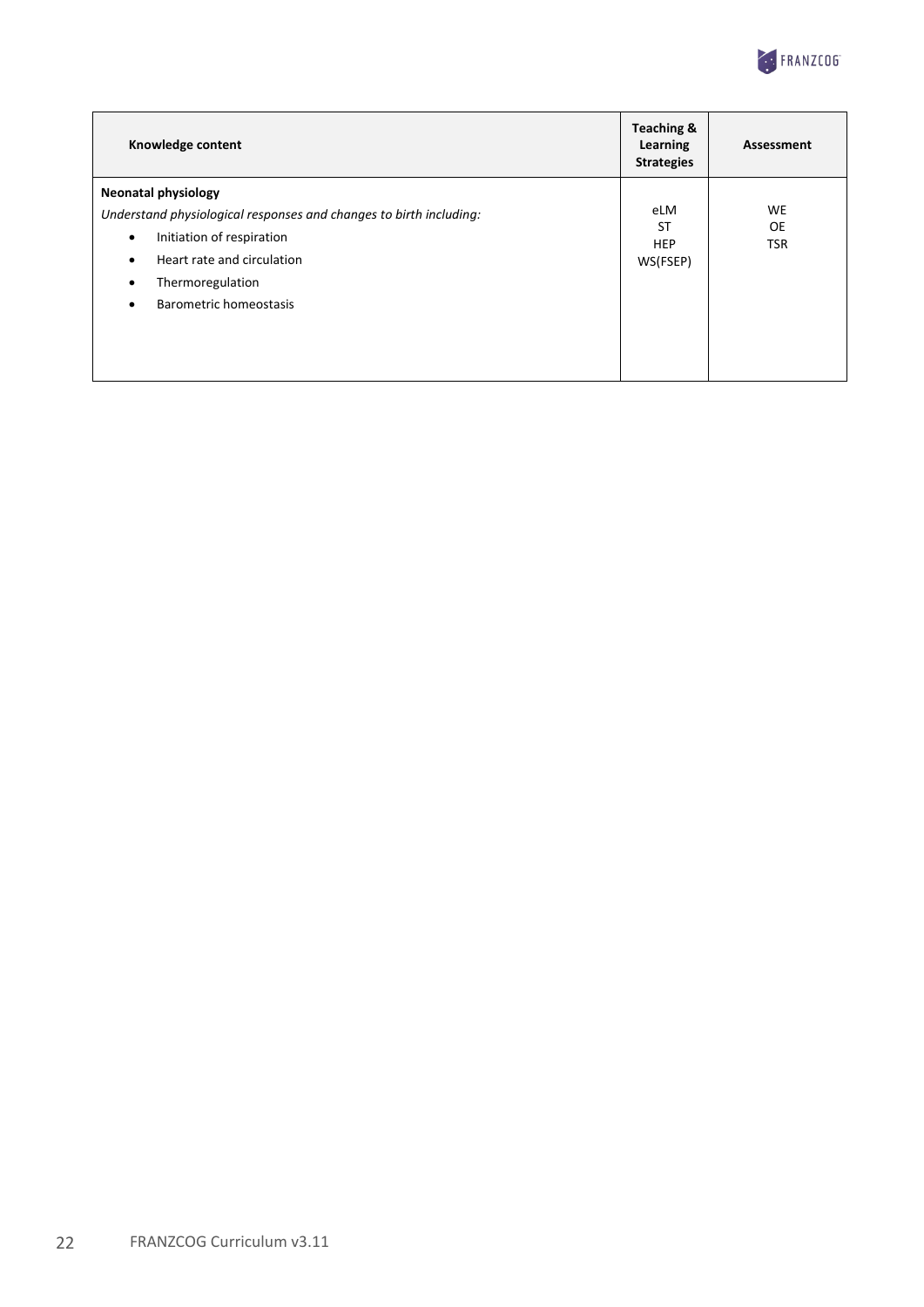

<span id="page-25-0"></span>

| Knowledge content                                                                                                                                                                                                                             |                                            | Assessment                           |
|-----------------------------------------------------------------------------------------------------------------------------------------------------------------------------------------------------------------------------------------------|--------------------------------------------|--------------------------------------|
| <b>Neonatal physiology</b><br>Understand physiological responses and changes to birth including:<br>Initiation of respiration<br>$\bullet$<br>Heart rate and circulation<br>٠<br>Thermoregulation<br>$\bullet$<br>Barometric homeostasis<br>٠ | eLM<br><b>ST</b><br><b>HEP</b><br>WS(FSEP) | <b>WE</b><br><b>OE</b><br><b>TSR</b> |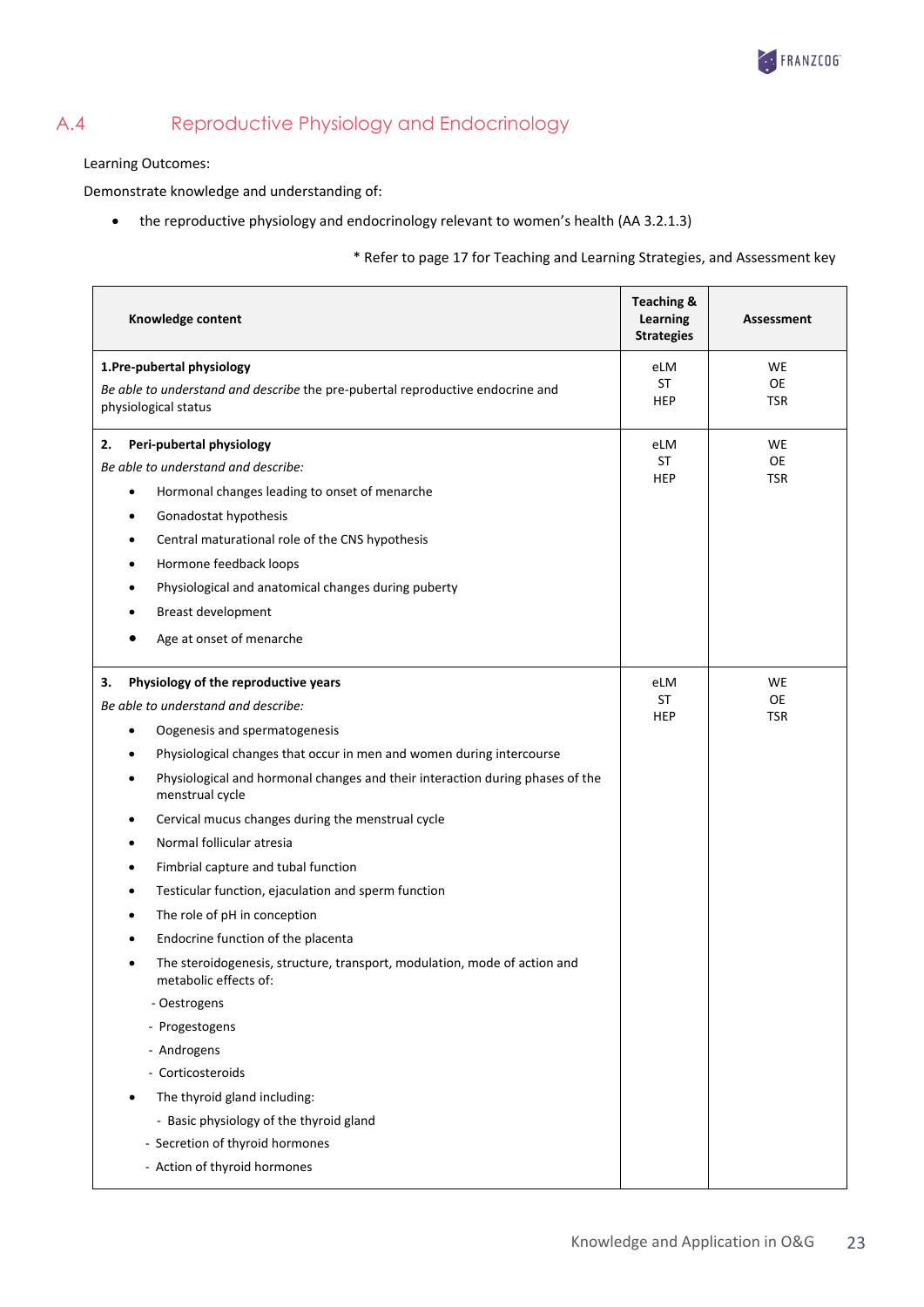

## A.4 Reproductive Physiology and Endocrinology

Learning Outcomes:

Demonstrate knowledge and understanding of:

• the reproductive physiology and endocrinology relevant to women's health (AA 3.2.1.3)

| Knowledge content                                                                                      | <b>Teaching &amp;</b><br>Learning<br><b>Strategies</b> | <b>Assessment</b>       |
|--------------------------------------------------------------------------------------------------------|--------------------------------------------------------|-------------------------|
| 1.Pre-pubertal physiology                                                                              |                                                        | WE<br><b>OE</b>         |
| Be able to understand and describe the pre-pubertal reproductive endocrine and<br>physiological status |                                                        | <b>TSR</b>              |
| 2.<br>Peri-pubertal physiology                                                                         | eLM                                                    | WE                      |
| Be able to understand and describe:                                                                    | ST<br><b>HEP</b>                                       | 0E<br><b>TSR</b>        |
| Hormonal changes leading to onset of menarche                                                          |                                                        |                         |
| Gonadostat hypothesis<br>$\bullet$                                                                     |                                                        |                         |
| Central maturational role of the CNS hypothesis                                                        |                                                        |                         |
| Hormone feedback loops                                                                                 |                                                        |                         |
| Physiological and anatomical changes during puberty                                                    |                                                        |                         |
| Breast development                                                                                     |                                                        |                         |
| Age at onset of menarche                                                                               |                                                        |                         |
| Physiology of the reproductive years<br>3.                                                             | eLM                                                    | <b>WE</b>               |
| Be able to understand and describe:                                                                    | ST<br><b>HEP</b>                                       | <b>OE</b><br><b>TSR</b> |
| Oogenesis and spermatogenesis<br>$\bullet$                                                             |                                                        |                         |
| Physiological changes that occur in men and women during intercourse                                   |                                                        |                         |
| Physiological and hormonal changes and their interaction during phases of the<br>menstrual cycle       |                                                        |                         |
| Cervical mucus changes during the menstrual cycle                                                      |                                                        |                         |
| Normal follicular atresia                                                                              |                                                        |                         |
| Fimbrial capture and tubal function                                                                    |                                                        |                         |
| Testicular function, ejaculation and sperm function<br>٠                                               |                                                        |                         |
| The role of pH in conception                                                                           |                                                        |                         |
| Endocrine function of the placenta                                                                     |                                                        |                         |
| The steroidogenesis, structure, transport, modulation, mode of action and<br>metabolic effects of:     |                                                        |                         |
| - Oestrogens                                                                                           |                                                        |                         |
| - Progestogens                                                                                         |                                                        |                         |
| - Androgens                                                                                            |                                                        |                         |
| - Corticosteroids                                                                                      |                                                        |                         |
| The thyroid gland including:                                                                           |                                                        |                         |
| - Basic physiology of the thyroid gland                                                                |                                                        |                         |
| - Secretion of thyroid hormones                                                                        |                                                        |                         |
| - Action of thyroid hormones                                                                           |                                                        |                         |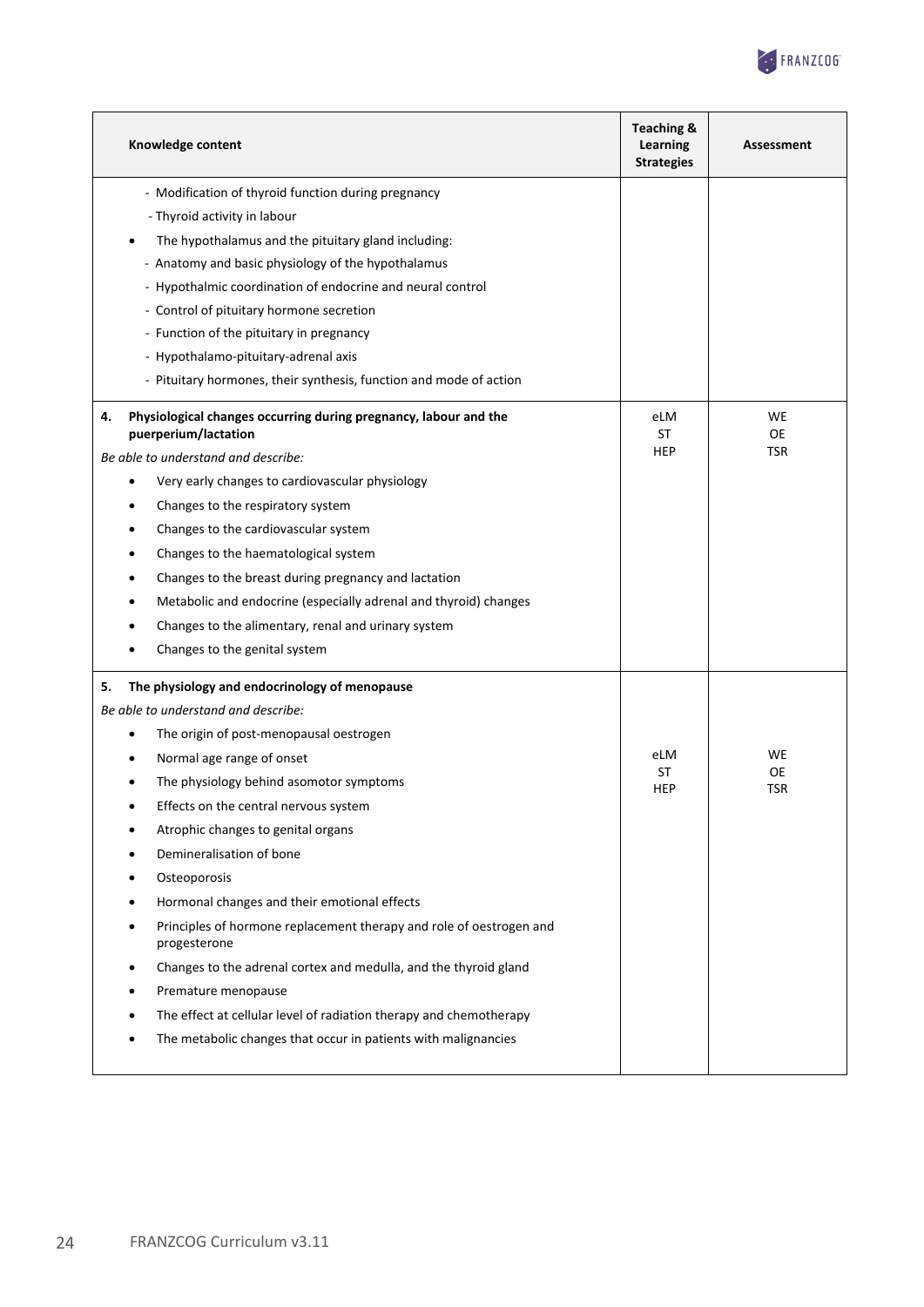

| Knowledge content                                                                   | <b>Teaching &amp;</b><br>Learning<br><b>Strategies</b> | Assessment       |
|-------------------------------------------------------------------------------------|--------------------------------------------------------|------------------|
| - Modification of thyroid function during pregnancy                                 |                                                        |                  |
| - Thyroid activity in labour                                                        |                                                        |                  |
| The hypothalamus and the pituitary gland including:                                 |                                                        |                  |
| - Anatomy and basic physiology of the hypothalamus                                  |                                                        |                  |
| - Hypothalmic coordination of endocrine and neural control                          |                                                        |                  |
| - Control of pituitary hormone secretion                                            |                                                        |                  |
| - Function of the pituitary in pregnancy                                            |                                                        |                  |
| - Hypothalamo-pituitary-adrenal axis                                                |                                                        |                  |
| - Pituitary hormones, their synthesis, function and mode of action                  |                                                        |                  |
| Physiological changes occurring during pregnancy, labour and the<br>4.              | eLM                                                    | WE               |
| puerperium/lactation                                                                | <b>ST</b><br><b>HEP</b>                                | OE<br><b>TSR</b> |
| Be able to understand and describe:                                                 |                                                        |                  |
| Very early changes to cardiovascular physiology                                     |                                                        |                  |
| Changes to the respiratory system                                                   |                                                        |                  |
| Changes to the cardiovascular system                                                |                                                        |                  |
| Changes to the haematological system                                                |                                                        |                  |
| Changes to the breast during pregnancy and lactation                                |                                                        |                  |
| Metabolic and endocrine (especially adrenal and thyroid) changes                    |                                                        |                  |
| Changes to the alimentary, renal and urinary system                                 |                                                        |                  |
| Changes to the genital system                                                       |                                                        |                  |
| The physiology and endocrinology of menopause<br>5.                                 |                                                        |                  |
| Be able to understand and describe:                                                 |                                                        |                  |
| The origin of post-menopausal oestrogen<br>$\bullet$                                |                                                        |                  |
| Normal age range of onset                                                           | eLM<br>ST                                              | WE<br>OE         |
| The physiology behind asomotor symptoms                                             | <b>HEP</b>                                             | <b>TSR</b>       |
| Effects on the central nervous system                                               |                                                        |                  |
| Atrophic changes to genital organs                                                  |                                                        |                  |
| Demineralisation of bone                                                            |                                                        |                  |
| Osteoporosis                                                                        |                                                        |                  |
| Hormonal changes and their emotional effects                                        |                                                        |                  |
| Principles of hormone replacement therapy and role of oestrogen and<br>progesterone |                                                        |                  |
| Changes to the adrenal cortex and medulla, and the thyroid gland                    |                                                        |                  |
| Premature menopause                                                                 |                                                        |                  |
| The effect at cellular level of radiation therapy and chemotherapy                  |                                                        |                  |
| The metabolic changes that occur in patients with malignancies                      |                                                        |                  |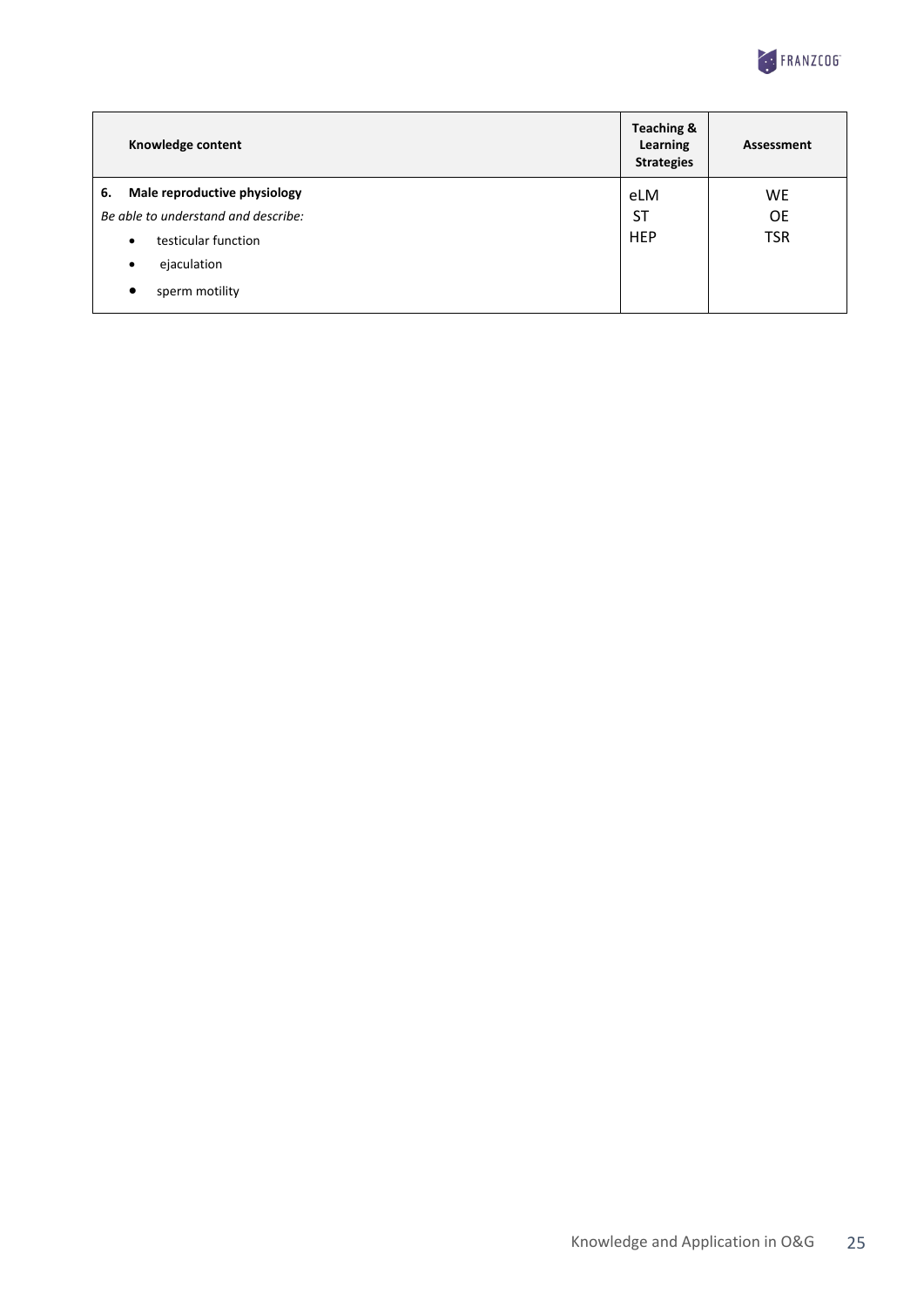

<span id="page-28-0"></span>

| Knowledge content                   | <b>Teaching &amp;</b><br>Learning<br><b>Strategies</b> | Assessment |
|-------------------------------------|--------------------------------------------------------|------------|
| Male reproductive physiology<br>6.  | eLM                                                    | <b>WE</b>  |
| Be able to understand and describe: | <b>ST</b>                                              | <b>OE</b>  |
| testicular function<br>$\bullet$    | <b>HEP</b>                                             | <b>TSR</b> |
| ejaculation<br>$\bullet$            |                                                        |            |
| sperm motility<br>٠                 |                                                        |            |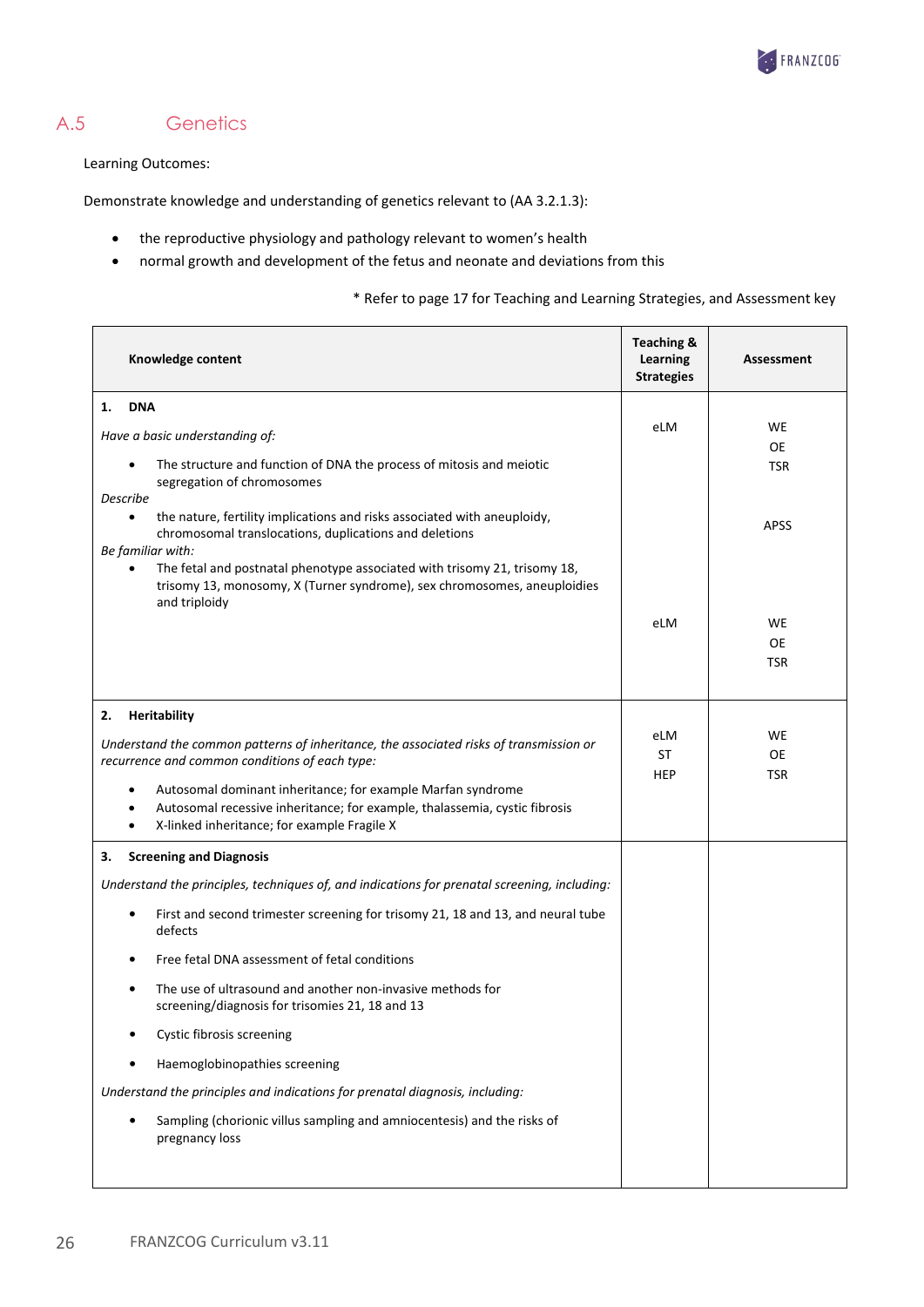

### A.5 Genetics

Learning Outcomes:

Demonstrate knowledge and understanding of genetics relevant to (AA 3.2.1.3):

- the reproductive physiology and pathology relevant to women's health
- normal growth and development of the fetus and neonate and deviations from this

| Knowledge content                                                                                                                                                                                                                                                                                                                              | <b>Teaching &amp;</b><br>Learning<br><b>Strategies</b> | Assessment                    |  |
|------------------------------------------------------------------------------------------------------------------------------------------------------------------------------------------------------------------------------------------------------------------------------------------------------------------------------------------------|--------------------------------------------------------|-------------------------------|--|
| <b>DNA</b><br>1.                                                                                                                                                                                                                                                                                                                               |                                                        |                               |  |
| Have a basic understanding of:                                                                                                                                                                                                                                                                                                                 | eLM                                                    | WE                            |  |
| The structure and function of DNA the process of mitosis and meiotic<br>segregation of chromosomes<br>Describe                                                                                                                                                                                                                                 |                                                        | OE<br><b>TSR</b>              |  |
| the nature, fertility implications and risks associated with aneuploidy,<br>$\bullet$<br>chromosomal translocations, duplications and deletions<br>Be familiar with:<br>The fetal and postnatal phenotype associated with trisomy 21, trisomy 18,<br>trisomy 13, monosomy, X (Turner syndrome), sex chromosomes, aneuploidies<br>and triploidy |                                                        | <b>APSS</b>                   |  |
|                                                                                                                                                                                                                                                                                                                                                | eLM                                                    | WE<br><b>OE</b><br><b>TSR</b> |  |
| Heritability<br>2.                                                                                                                                                                                                                                                                                                                             |                                                        |                               |  |
| Understand the common patterns of inheritance, the associated risks of transmission or<br>recurrence and common conditions of each type:                                                                                                                                                                                                       |                                                        | WE<br><b>OE</b>               |  |
| Autosomal dominant inheritance; for example Marfan syndrome<br>$\bullet$<br>Autosomal recessive inheritance; for example, thalassemia, cystic fibrosis<br>X-linked inheritance; for example Fragile X                                                                                                                                          | HEP                                                    | <b>TSR</b>                    |  |
| <b>Screening and Diagnosis</b><br>3.                                                                                                                                                                                                                                                                                                           |                                                        |                               |  |
| Understand the principles, techniques of, and indications for prenatal screening, including:                                                                                                                                                                                                                                                   |                                                        |                               |  |
| First and second trimester screening for trisomy 21, 18 and 13, and neural tube<br>٠<br>defects                                                                                                                                                                                                                                                |                                                        |                               |  |
| Free fetal DNA assessment of fetal conditions                                                                                                                                                                                                                                                                                                  |                                                        |                               |  |
| The use of ultrasound and another non-invasive methods for<br>screening/diagnosis for trisomies 21, 18 and 13                                                                                                                                                                                                                                  |                                                        |                               |  |
| Cystic fibrosis screening                                                                                                                                                                                                                                                                                                                      |                                                        |                               |  |
| Haemoglobinopathies screening                                                                                                                                                                                                                                                                                                                  |                                                        |                               |  |
| Understand the principles and indications for prenatal diagnosis, including:                                                                                                                                                                                                                                                                   |                                                        |                               |  |
| Sampling (chorionic villus sampling and amniocentesis) and the risks of<br>pregnancy loss                                                                                                                                                                                                                                                      |                                                        |                               |  |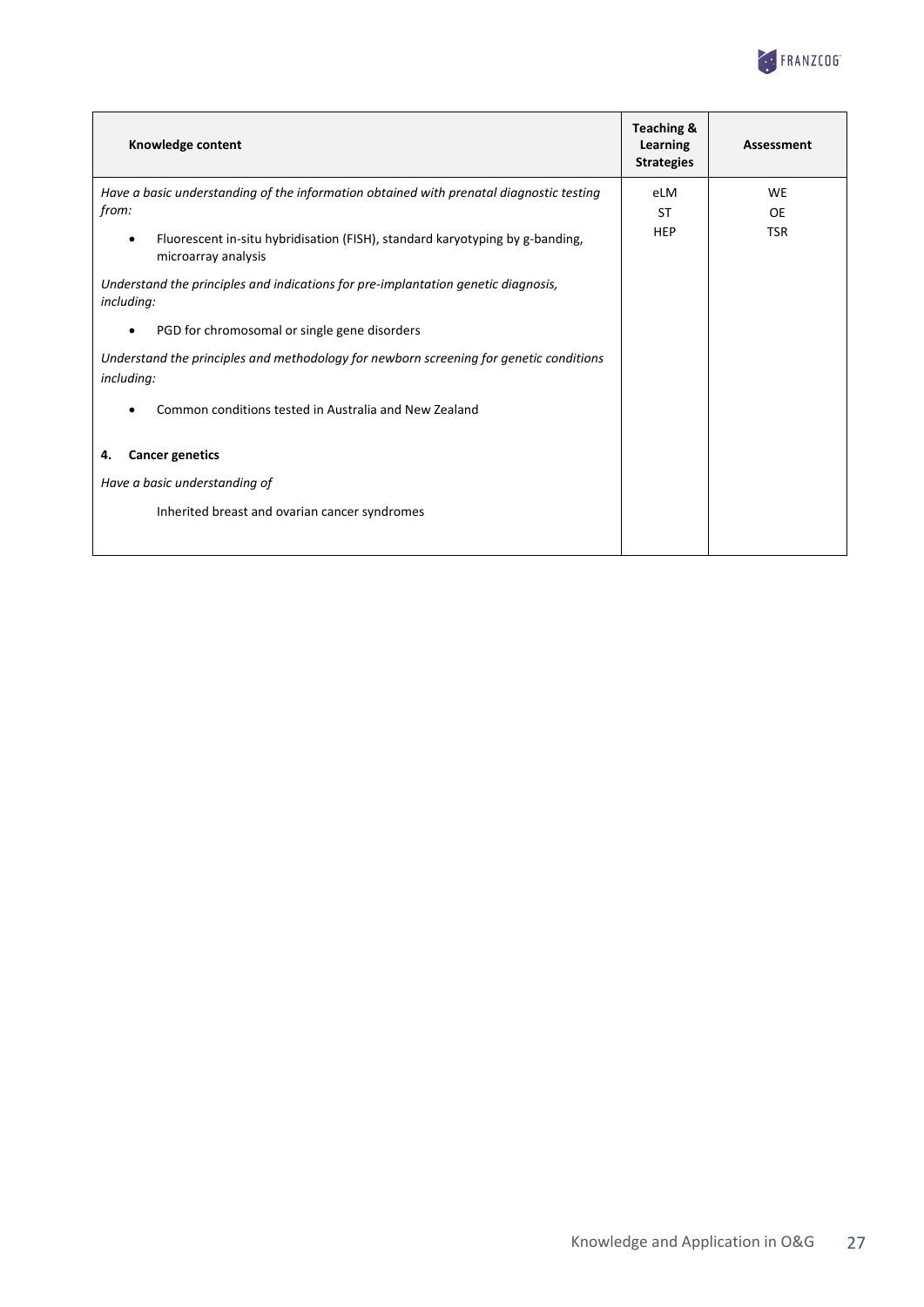

<span id="page-30-0"></span>

| Knowledge content                                                                                    | <b>Teaching &amp;</b><br>Learning<br><b>Strategies</b> | Assessment      |
|------------------------------------------------------------------------------------------------------|--------------------------------------------------------|-----------------|
| Have a basic understanding of the information obtained with prenatal diagnostic testing<br>from:     | eLM<br><b>ST</b>                                       | WE<br><b>OE</b> |
| Fluorescent in-situ hybridisation (FISH), standard karyotyping by g-banding,<br>microarray analysis  | <b>HEP</b>                                             | <b>TSR</b>      |
| Understand the principles and indications for pre-implantation genetic diagnosis,<br>including:      |                                                        |                 |
| PGD for chromosomal or single gene disorders                                                         |                                                        |                 |
| Understand the principles and methodology for newborn screening for genetic conditions<br>including: |                                                        |                 |
| Common conditions tested in Australia and New Zealand                                                |                                                        |                 |
| <b>Cancer genetics</b><br>4.                                                                         |                                                        |                 |
| Have a basic understanding of                                                                        |                                                        |                 |
| Inherited breast and ovarian cancer syndromes                                                        |                                                        |                 |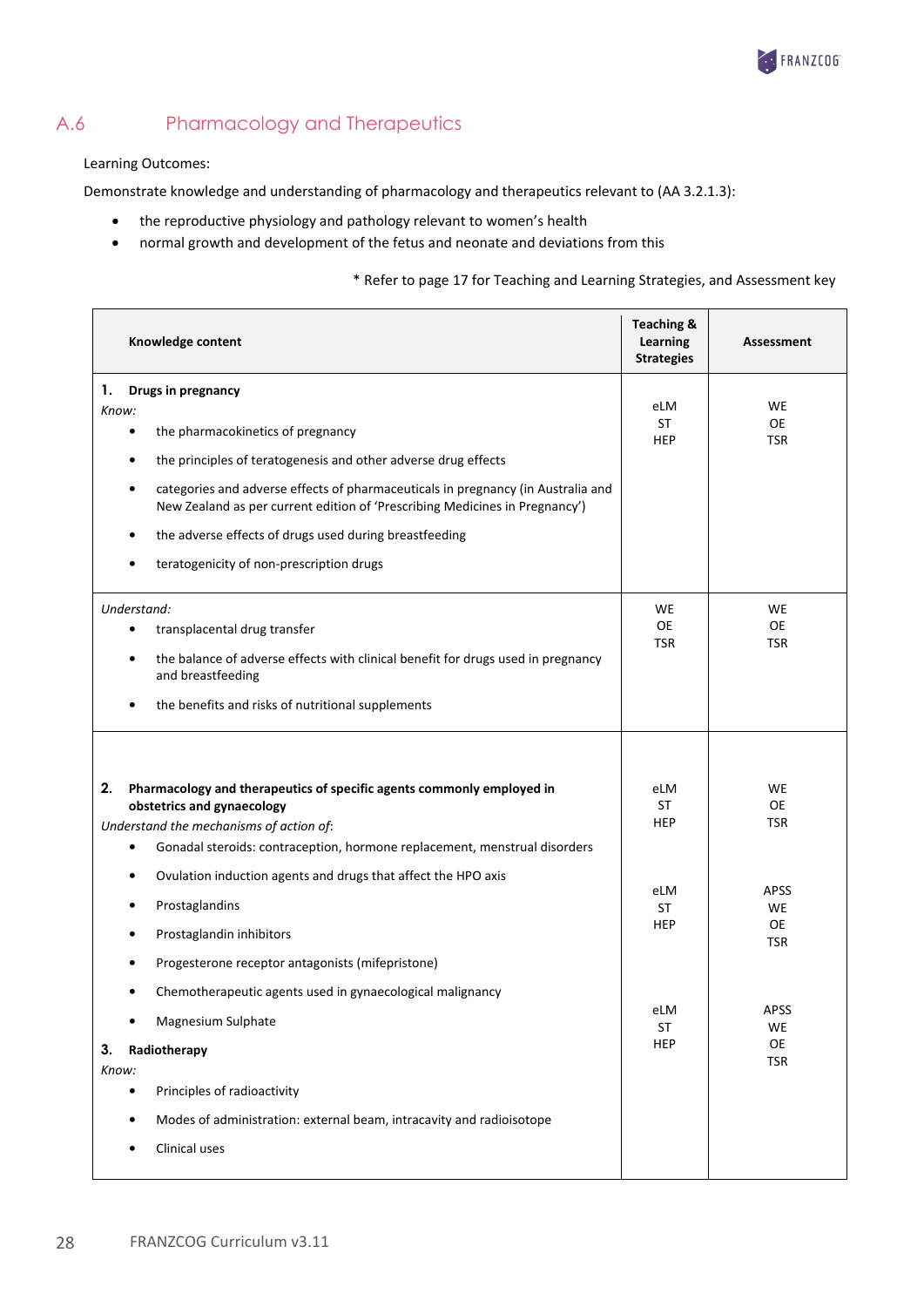

# A.6 Pharmacology and Therapeutics

#### Learning Outcomes:

Demonstrate knowledge and understanding of pharmacology and therapeutics relevant to (AA 3.2.1.3):

- the reproductive physiology and pathology relevant to women's health
- normal growth and development of the fetus and neonate and deviations from this

| Knowledge content                                                                                                                                                                                                                                                                                                                                                                                                              | <b>Teaching &amp;</b><br>Learning<br><b>Strategies</b>    | <b>Assessment</b>                                                      |
|--------------------------------------------------------------------------------------------------------------------------------------------------------------------------------------------------------------------------------------------------------------------------------------------------------------------------------------------------------------------------------------------------------------------------------|-----------------------------------------------------------|------------------------------------------------------------------------|
| 1.<br>Drugs in pregnancy<br>Know:<br>the pharmacokinetics of pregnancy<br>$\bullet$<br>the principles of teratogenesis and other adverse drug effects<br>categories and adverse effects of pharmaceuticals in pregnancy (in Australia and<br>New Zealand as per current edition of 'Prescribing Medicines in Pregnancy')<br>the adverse effects of drugs used during breastfeeding<br>teratogenicity of non-prescription drugs | eLM<br><b>ST</b><br><b>HEP</b>                            | WE<br>0E<br><b>TSR</b>                                                 |
| Understand:<br>transplacental drug transfer<br>$\bullet$<br>the balance of adverse effects with clinical benefit for drugs used in pregnancy<br>and breastfeeding<br>the benefits and risks of nutritional supplements                                                                                                                                                                                                         | WE<br>OE<br><b>TSR</b>                                    | WE<br><b>OE</b><br><b>TSR</b>                                          |
| 2.<br>Pharmacology and therapeutics of specific agents commonly employed in<br>obstetrics and gynaecology<br>Understand the mechanisms of action of:<br>Gonadal steroids: contraception, hormone replacement, menstrual disorders<br>٠<br>Ovulation induction agents and drugs that affect the HPO axis<br>٠<br>Prostaglandins<br>Prostaglandin inhibitors<br>Progesterone receptor antagonists (mifepristone)                 | eLM<br>ST<br><b>HEP</b><br>eLM<br><b>ST</b><br><b>HEP</b> | <b>WE</b><br><b>OE</b><br><b>TSR</b><br>APSS<br>WE<br>OE<br><b>TSR</b> |
| Chemotherapeutic agents used in gynaecological malignancy<br>Magnesium Sulphate<br>3.<br>Radiotherapy<br>Know:<br>Principles of radioactivity<br>$\bullet$<br>Modes of administration: external beam, intracavity and radioisotope<br>Clinical uses                                                                                                                                                                            | eLM<br><b>ST</b><br><b>HEP</b>                            | <b>APSS</b><br>WE<br><b>OE</b><br><b>TSR</b>                           |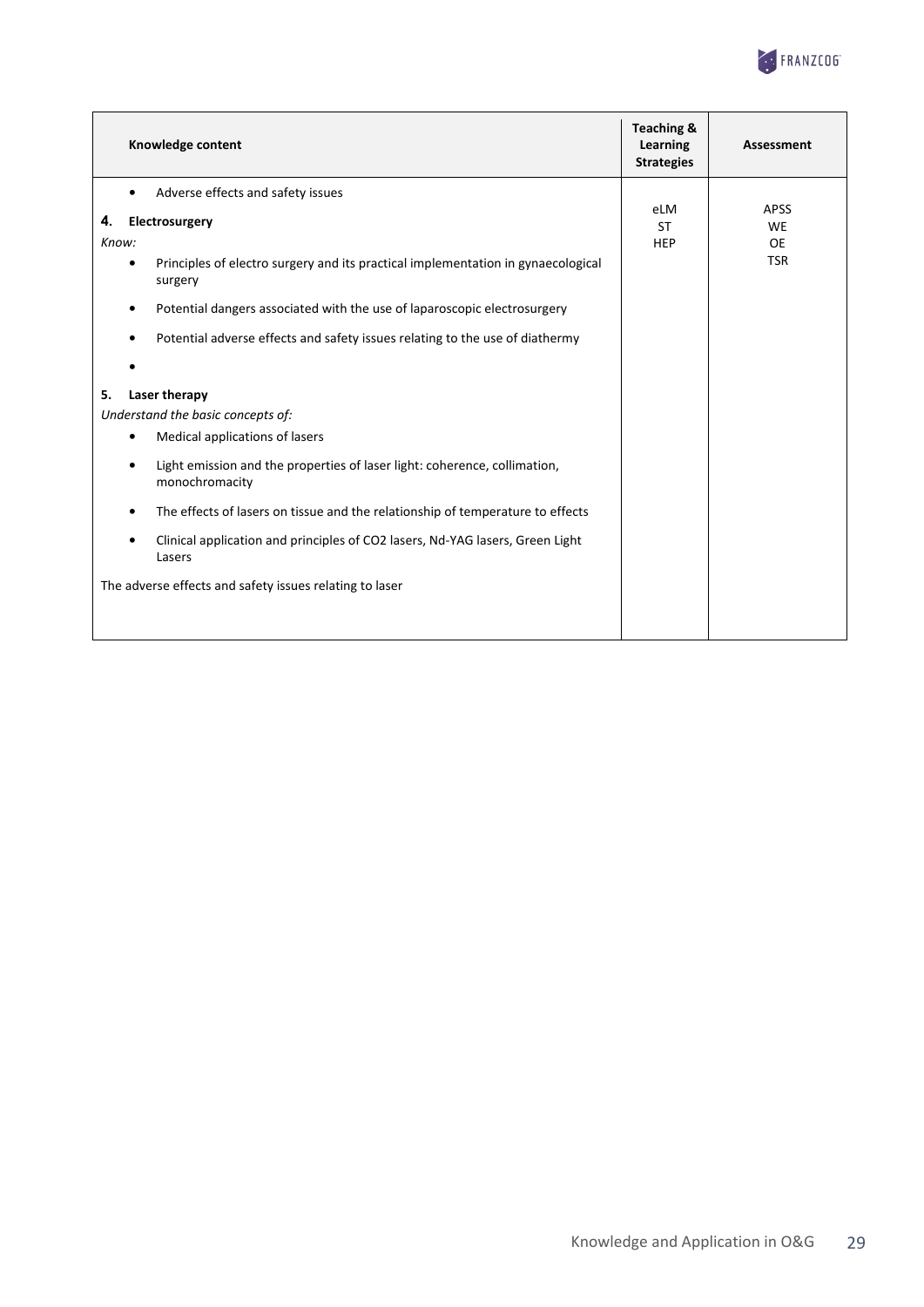

<span id="page-32-0"></span>

| Knowledge content                                        |                                                                                  | Teaching &<br>Learning<br><b>Strategies</b> | Assessment                                   |
|----------------------------------------------------------|----------------------------------------------------------------------------------|---------------------------------------------|----------------------------------------------|
| Adverse effects and safety issues                        |                                                                                  |                                             |                                              |
| Electrosurgery<br>4.<br>Know:<br>$\bullet$               | Principles of electro surgery and its practical implementation in gynaecological | eLM<br><b>ST</b><br><b>HEP</b>              | APSS<br><b>WE</b><br><b>OE</b><br><b>TSR</b> |
| surgery<br>٠                                             | Potential dangers associated with the use of laparoscopic electrosurgery         |                                             |                                              |
|                                                          | Potential adverse effects and safety issues relating to the use of diathermy     |                                             |                                              |
| Laser therapy<br>5.<br>Understand the basic concepts of: |                                                                                  |                                             |                                              |
| Medical applications of lasers<br>٠                      |                                                                                  |                                             |                                              |
| monochromacity                                           | Light emission and the properties of laser light: coherence, collimation,        |                                             |                                              |
| ٠                                                        | The effects of lasers on tissue and the relationship of temperature to effects   |                                             |                                              |
| Lasers                                                   | Clinical application and principles of CO2 lasers, Nd-YAG lasers, Green Light    |                                             |                                              |
| The adverse effects and safety issues relating to laser  |                                                                                  |                                             |                                              |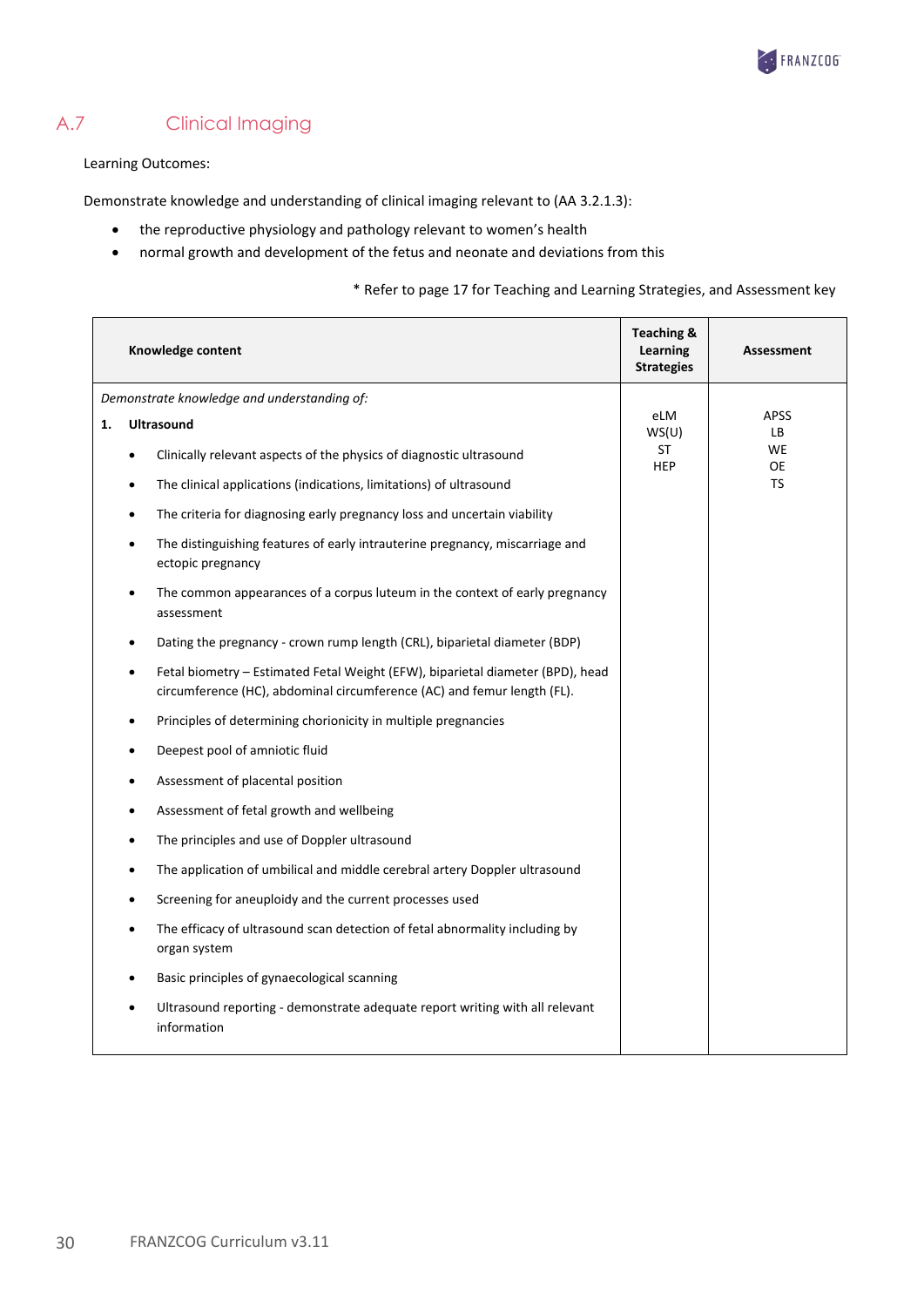

## A.7 Clinical Imaging

#### Learning Outcomes:

Demonstrate knowledge and understanding of clinical imaging relevant to (AA 3.2.1.3):

- the reproductive physiology and pathology relevant to women's health
- normal growth and development of the fetus and neonate and deviations from this

|    | Knowledge content                                                                                                                                              | <b>Teaching &amp;</b><br>Learning<br><b>Strategies</b> | <b>Assessment</b>  |
|----|----------------------------------------------------------------------------------------------------------------------------------------------------------------|--------------------------------------------------------|--------------------|
|    | Demonstrate knowledge and understanding of:                                                                                                                    |                                                        |                    |
| 1. | <b>Ultrasound</b>                                                                                                                                              | eLM<br>WS(U)                                           | <b>APSS</b><br>LB. |
|    | Clinically relevant aspects of the physics of diagnostic ultrasound                                                                                            | ST<br><b>HEP</b>                                       | WE<br>OE           |
|    | The clinical applications (indications, limitations) of ultrasound<br>٠                                                                                        |                                                        | <b>TS</b>          |
|    | The criteria for diagnosing early pregnancy loss and uncertain viability                                                                                       |                                                        |                    |
|    | The distinguishing features of early intrauterine pregnancy, miscarriage and<br>$\bullet$<br>ectopic pregnancy                                                 |                                                        |                    |
|    | The common appearances of a corpus luteum in the context of early pregnancy<br>$\bullet$<br>assessment                                                         |                                                        |                    |
|    | Dating the pregnancy - crown rump length (CRL), biparietal diameter (BDP)<br>$\bullet$                                                                         |                                                        |                    |
|    | Fetal biometry - Estimated Fetal Weight (EFW), biparietal diameter (BPD), head<br>٠<br>circumference (HC), abdominal circumference (AC) and femur length (FL). |                                                        |                    |
|    | Principles of determining chorionicity in multiple pregnancies<br>٠                                                                                            |                                                        |                    |
|    | Deepest pool of amniotic fluid                                                                                                                                 |                                                        |                    |
|    | Assessment of placental position                                                                                                                               |                                                        |                    |
|    | Assessment of fetal growth and wellbeing                                                                                                                       |                                                        |                    |
|    | The principles and use of Doppler ultrasound                                                                                                                   |                                                        |                    |
|    | The application of umbilical and middle cerebral artery Doppler ultrasound                                                                                     |                                                        |                    |
|    | Screening for aneuploidy and the current processes used<br>$\bullet$                                                                                           |                                                        |                    |
|    | The efficacy of ultrasound scan detection of fetal abnormality including by<br>$\bullet$<br>organ system                                                       |                                                        |                    |
|    | Basic principles of gynaecological scanning                                                                                                                    |                                                        |                    |
|    | Ultrasound reporting - demonstrate adequate report writing with all relevant<br>$\bullet$<br>information                                                       |                                                        |                    |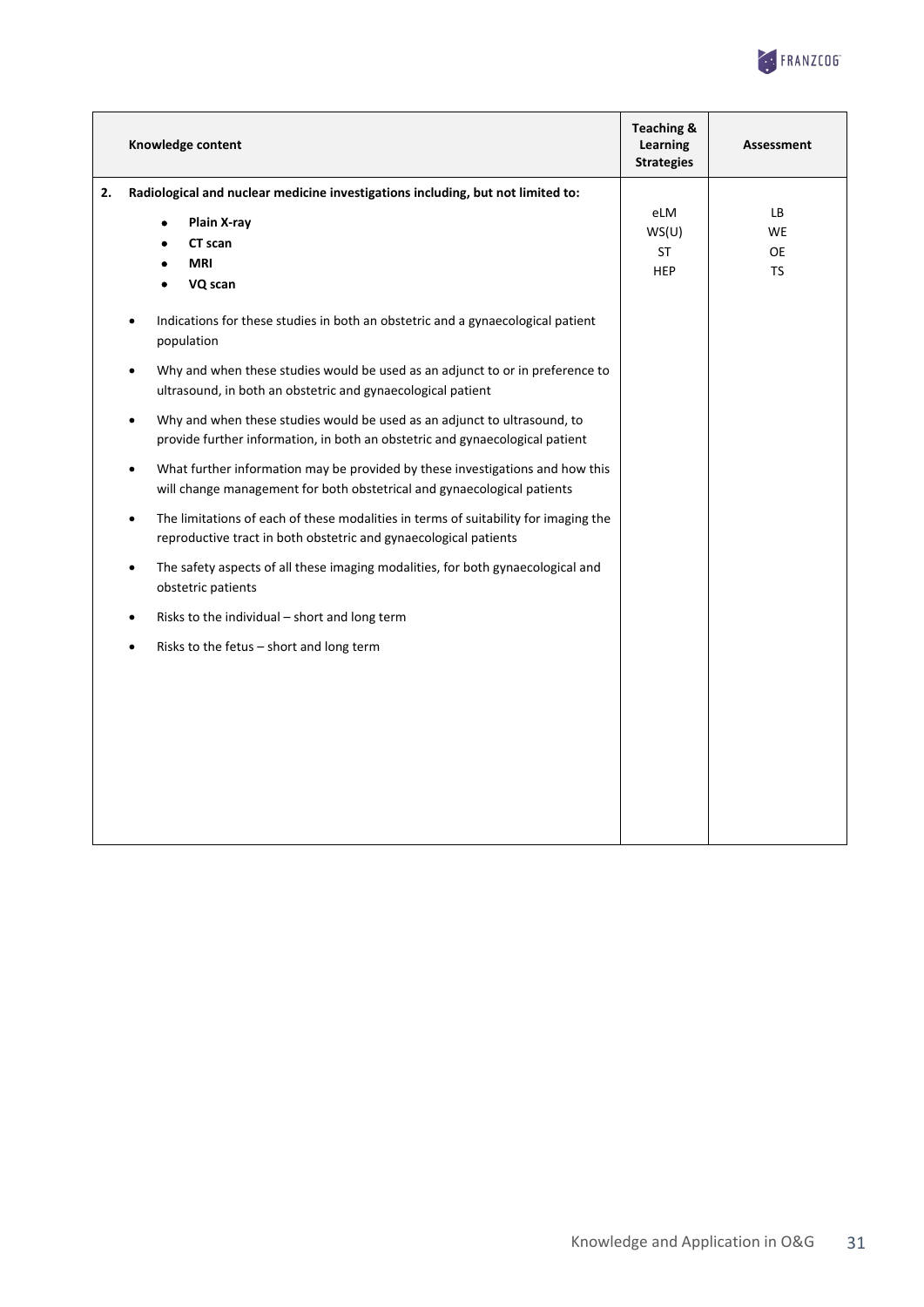

|    | Knowledge content                                                                                                                                                     | <b>Teaching &amp;</b><br>Learning<br><b>Strategies</b> | Assessment                  |
|----|-----------------------------------------------------------------------------------------------------------------------------------------------------------------------|--------------------------------------------------------|-----------------------------|
| 2. | Radiological and nuclear medicine investigations including, but not limited to:<br>Plain X-ray<br>٠<br>CT scan<br><b>MRI</b><br>VQ scan                               | eLM<br>WS(U)<br>ST<br><b>HEP</b>                       | LВ<br>WE<br><b>OE</b><br>TS |
|    | Indications for these studies in both an obstetric and a gynaecological patient<br>population                                                                         |                                                        |                             |
|    | Why and when these studies would be used as an adjunct to or in preference to<br>ultrasound, in both an obstetric and gynaecological patient                          |                                                        |                             |
|    | Why and when these studies would be used as an adjunct to ultrasound, to<br>provide further information, in both an obstetric and gynaecological patient              |                                                        |                             |
|    | What further information may be provided by these investigations and how this<br>$\bullet$<br>will change management for both obstetrical and gynaecological patients |                                                        |                             |
|    | The limitations of each of these modalities in terms of suitability for imaging the<br>$\bullet$<br>reproductive tract in both obstetric and gynaecological patients  |                                                        |                             |
|    | The safety aspects of all these imaging modalities, for both gynaecological and<br>$\bullet$<br>obstetric patients                                                    |                                                        |                             |
|    | Risks to the individual - short and long term<br>$\bullet$                                                                                                            |                                                        |                             |
|    | Risks to the fetus - short and long term                                                                                                                              |                                                        |                             |
|    |                                                                                                                                                                       |                                                        |                             |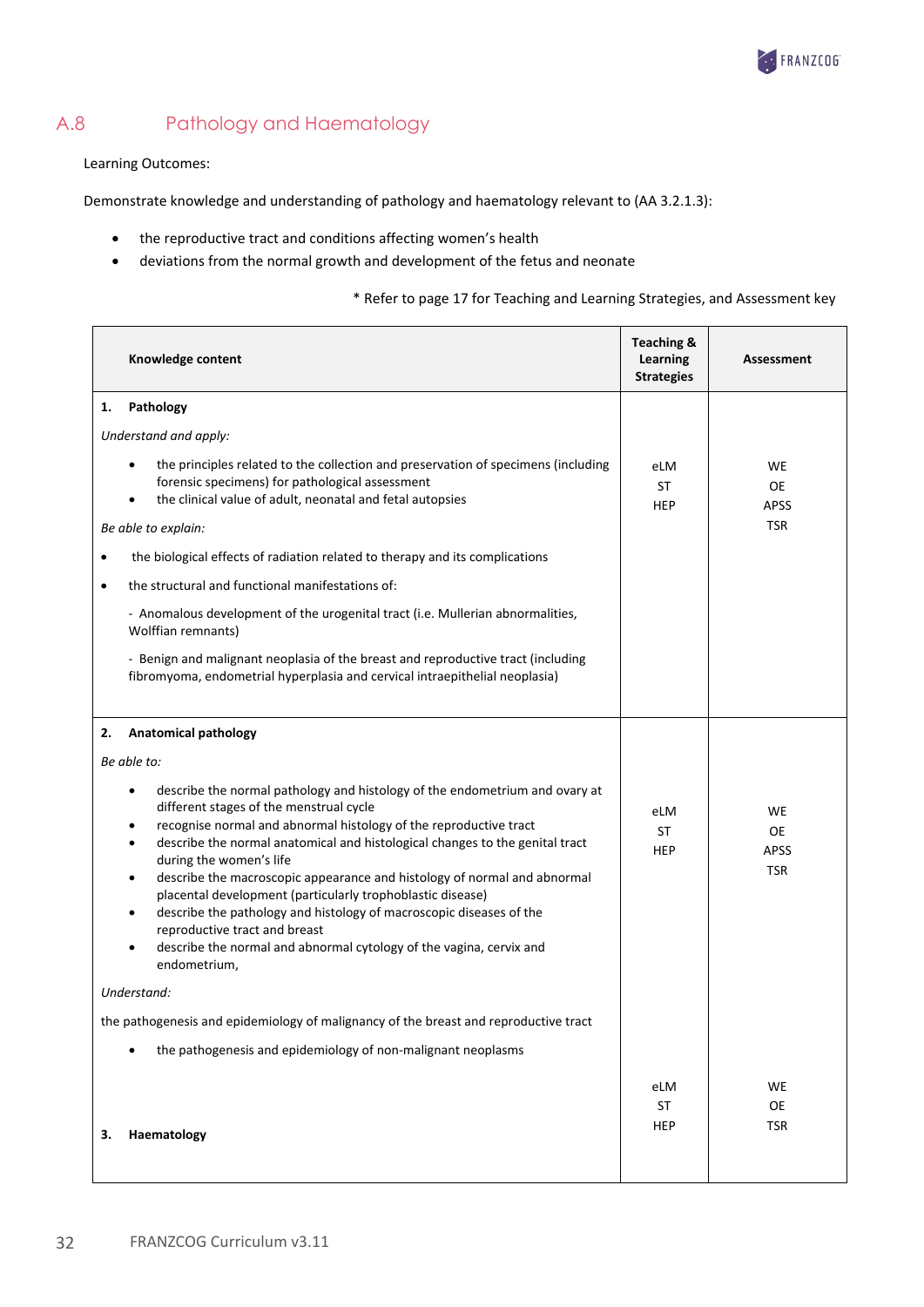

## <span id="page-35-0"></span>A.8 Pathology and Haematology

#### Learning Outcomes:

Demonstrate knowledge and understanding of pathology and haematology relevant to (AA 3.2.1.3):

- the reproductive tract and conditions affecting women's health
- deviations from the normal growth and development of the fetus and neonate

| Knowledge content                                                                                                                                                                                                                                                                                                                                                                                                                                                                                                                                                                                                                                                                                   | <b>Teaching &amp;</b><br>Learning<br><b>Strategies</b> | Assessment                                   |  |  |
|-----------------------------------------------------------------------------------------------------------------------------------------------------------------------------------------------------------------------------------------------------------------------------------------------------------------------------------------------------------------------------------------------------------------------------------------------------------------------------------------------------------------------------------------------------------------------------------------------------------------------------------------------------------------------------------------------------|--------------------------------------------------------|----------------------------------------------|--|--|
| Pathology<br>1.                                                                                                                                                                                                                                                                                                                                                                                                                                                                                                                                                                                                                                                                                     |                                                        |                                              |  |  |
| Understand and apply:                                                                                                                                                                                                                                                                                                                                                                                                                                                                                                                                                                                                                                                                               |                                                        |                                              |  |  |
| the principles related to the collection and preservation of specimens (including<br>forensic specimens) for pathological assessment<br>the clinical value of adult, neonatal and fetal autopsies<br>$\bullet$                                                                                                                                                                                                                                                                                                                                                                                                                                                                                      | eLM<br>ST<br><b>HEP</b>                                | WE<br><b>OE</b><br><b>APSS</b>               |  |  |
| Be able to explain:                                                                                                                                                                                                                                                                                                                                                                                                                                                                                                                                                                                                                                                                                 |                                                        | <b>TSR</b>                                   |  |  |
| the biological effects of radiation related to therapy and its complications                                                                                                                                                                                                                                                                                                                                                                                                                                                                                                                                                                                                                        |                                                        |                                              |  |  |
| the structural and functional manifestations of:                                                                                                                                                                                                                                                                                                                                                                                                                                                                                                                                                                                                                                                    |                                                        |                                              |  |  |
| - Anomalous development of the urogenital tract (i.e. Mullerian abnormalities,<br>Wolffian remnants)                                                                                                                                                                                                                                                                                                                                                                                                                                                                                                                                                                                                |                                                        |                                              |  |  |
| - Benign and malignant neoplasia of the breast and reproductive tract (including<br>fibromyoma, endometrial hyperplasia and cervical intraepithelial neoplasia)                                                                                                                                                                                                                                                                                                                                                                                                                                                                                                                                     |                                                        |                                              |  |  |
| 2.<br><b>Anatomical pathology</b>                                                                                                                                                                                                                                                                                                                                                                                                                                                                                                                                                                                                                                                                   |                                                        |                                              |  |  |
| Be able to:                                                                                                                                                                                                                                                                                                                                                                                                                                                                                                                                                                                                                                                                                         |                                                        |                                              |  |  |
| describe the normal pathology and histology of the endometrium and ovary at<br>different stages of the menstrual cycle<br>recognise normal and abnormal histology of the reproductive tract<br>$\bullet$<br>describe the normal anatomical and histological changes to the genital tract<br>$\bullet$<br>during the women's life<br>describe the macroscopic appearance and histology of normal and abnormal<br>$\bullet$<br>placental development (particularly trophoblastic disease)<br>describe the pathology and histology of macroscopic diseases of the<br>$\bullet$<br>reproductive tract and breast<br>describe the normal and abnormal cytology of the vagina, cervix and<br>endometrium, | eLM<br>ST<br><b>HEP</b>                                | WE<br><b>OE</b><br><b>APSS</b><br><b>TSR</b> |  |  |
| Understand:                                                                                                                                                                                                                                                                                                                                                                                                                                                                                                                                                                                                                                                                                         |                                                        |                                              |  |  |
| the pathogenesis and epidemiology of malignancy of the breast and reproductive tract                                                                                                                                                                                                                                                                                                                                                                                                                                                                                                                                                                                                                |                                                        |                                              |  |  |
| the pathogenesis and epidemiology of non-malignant neoplasms                                                                                                                                                                                                                                                                                                                                                                                                                                                                                                                                                                                                                                        |                                                        |                                              |  |  |
| Haematology<br>З.                                                                                                                                                                                                                                                                                                                                                                                                                                                                                                                                                                                                                                                                                   | eLM<br>ST<br><b>HEP</b>                                | WE<br>OE<br><b>TSR</b>                       |  |  |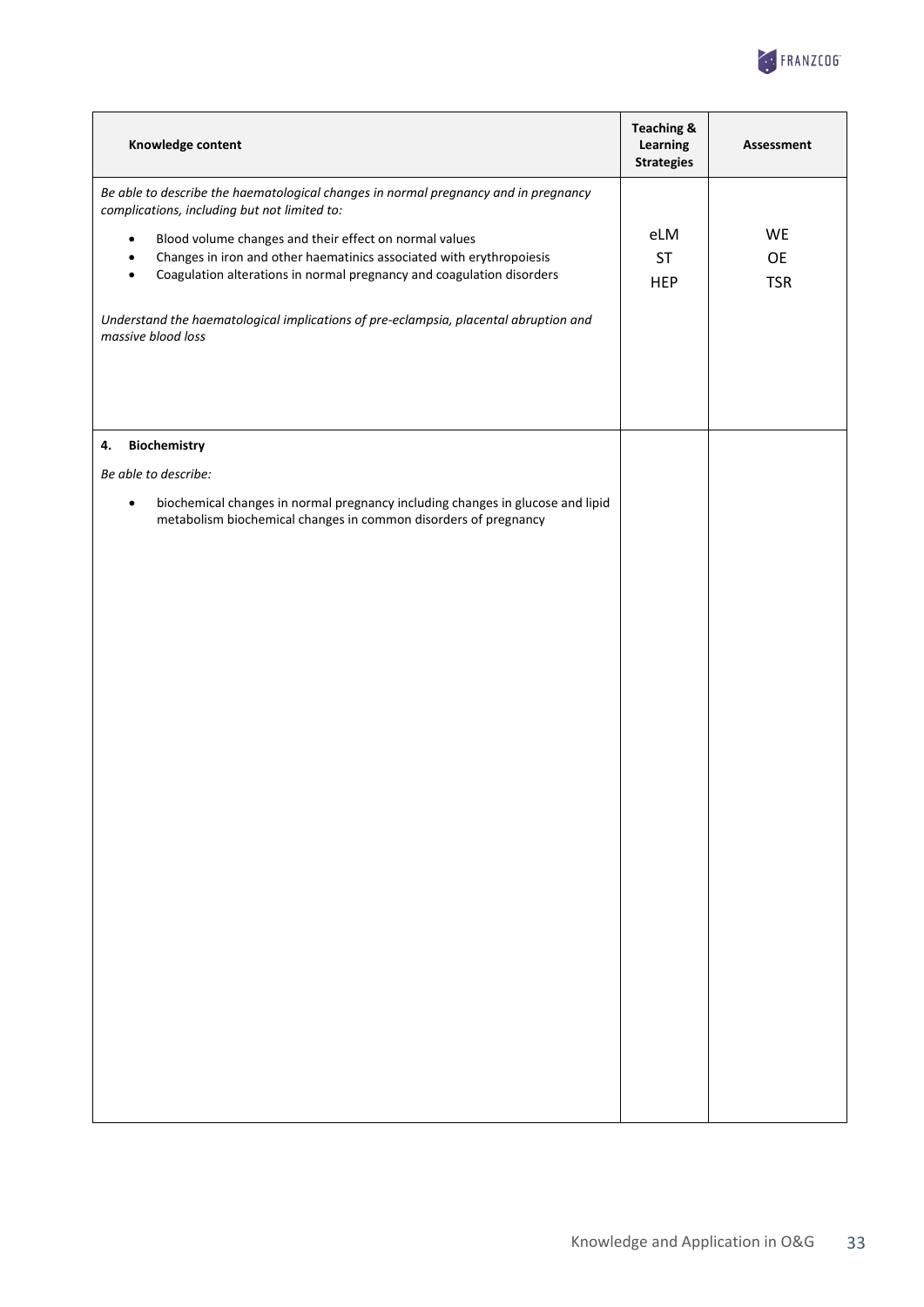

|                                                                                                                                                                                                                                                                                                                                                                                                                                                                                                     | Learning<br><b>Strategies</b>  | <b>Assessment</b>             |
|-----------------------------------------------------------------------------------------------------------------------------------------------------------------------------------------------------------------------------------------------------------------------------------------------------------------------------------------------------------------------------------------------------------------------------------------------------------------------------------------------------|--------------------------------|-------------------------------|
| Be able to describe the haematological changes in normal pregnancy and in pregnancy<br>complications, including but not limited to:<br>Blood volume changes and their effect on normal values<br>$\bullet$<br>Changes in iron and other haematinics associated with erythropoiesis<br>$\bullet$<br>Coagulation alterations in normal pregnancy and coagulation disorders<br>$\bullet$<br>Understand the haematological implications of pre-eclampsia, placental abruption and<br>massive blood loss | eLM<br><b>ST</b><br><b>HEP</b> | WE<br><b>OE</b><br><b>TSR</b> |
| Biochemistry<br>4.<br>Be able to describe:<br>biochemical changes in normal pregnancy including changes in glucose and lipid<br>$\bullet$<br>metabolism biochemical changes in common disorders of pregnancy                                                                                                                                                                                                                                                                                        |                                |                               |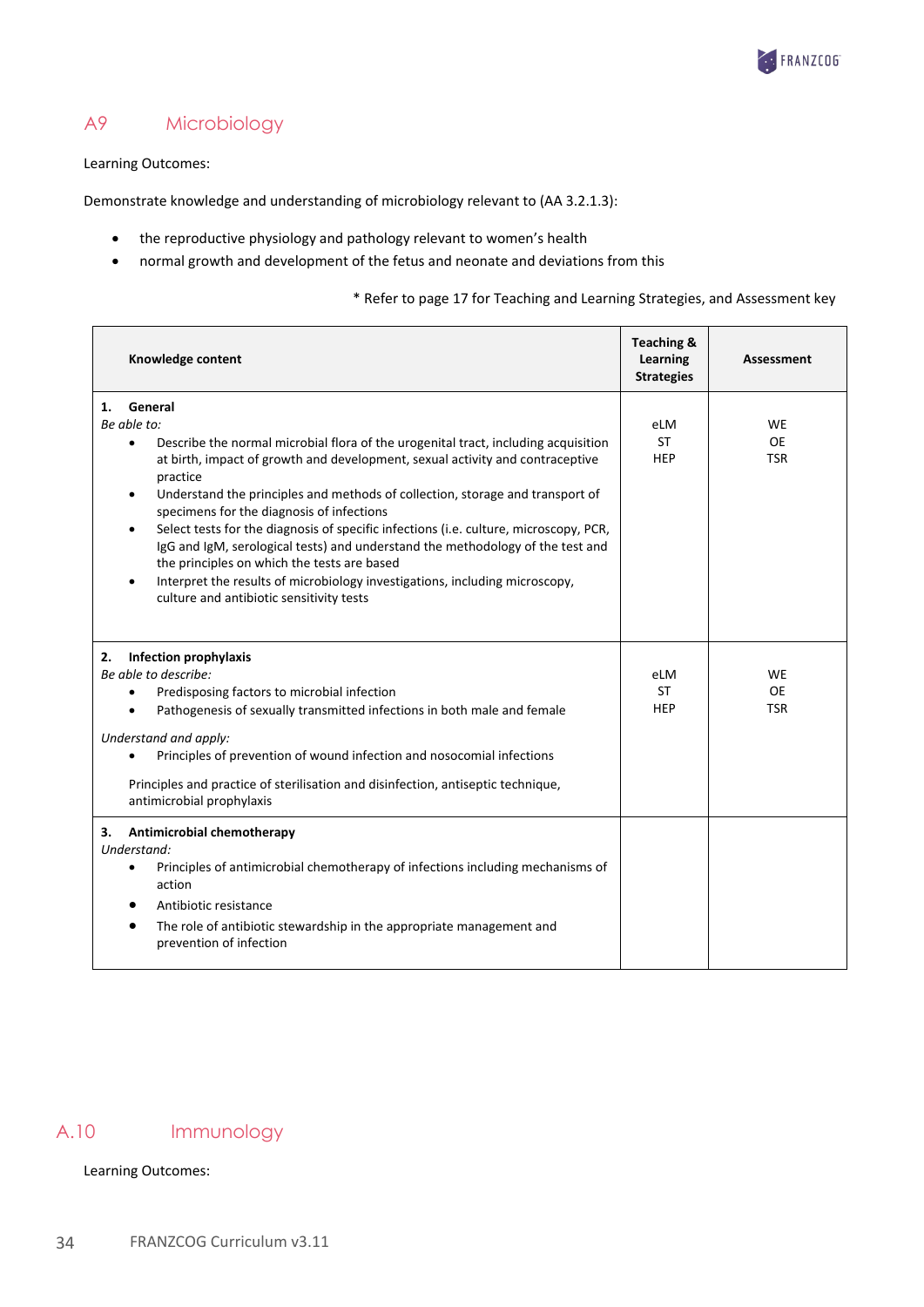

### A9 Microbiology

Learning Outcomes:

Demonstrate knowledge and understanding of microbiology relevant to (AA 3.2.1.3):

- the reproductive physiology and pathology relevant to women's health
- normal growth and development of the fetus and neonate and deviations from this

#### \* Refer to page 17 for Teaching and Learning Strategies, and Assessment key

| Knowledge content                                                                                                                                                                                                                                                                                                                                                                                                                                                                                                                                                                                                                                                                                                                         | <b>Teaching &amp;</b><br>Learning<br><b>Strategies</b> | Assessment                           |
|-------------------------------------------------------------------------------------------------------------------------------------------------------------------------------------------------------------------------------------------------------------------------------------------------------------------------------------------------------------------------------------------------------------------------------------------------------------------------------------------------------------------------------------------------------------------------------------------------------------------------------------------------------------------------------------------------------------------------------------------|--------------------------------------------------------|--------------------------------------|
| General<br>1.<br>Be able to:<br>Describe the normal microbial flora of the urogenital tract, including acquisition<br>$\bullet$<br>at birth, impact of growth and development, sexual activity and contraceptive<br>practice<br>Understand the principles and methods of collection, storage and transport of<br>$\bullet$<br>specimens for the diagnosis of infections<br>Select tests for the diagnosis of specific infections (i.e. culture, microscopy, PCR,<br>$\bullet$<br>IgG and IgM, serological tests) and understand the methodology of the test and<br>the principles on which the tests are based<br>Interpret the results of microbiology investigations, including microscopy,<br>culture and antibiotic sensitivity tests | eLM<br><b>ST</b><br><b>HEP</b>                         | <b>WE</b><br><b>OE</b><br><b>TSR</b> |
| <b>Infection prophylaxis</b><br>2.<br>Be able to describe:<br>Predisposing factors to microbial infection<br>$\bullet$<br>Pathogenesis of sexually transmitted infections in both male and female<br>$\bullet$<br>Understand and apply:<br>Principles of prevention of wound infection and nosocomial infections<br>Principles and practice of sterilisation and disinfection, antiseptic technique,<br>antimicrobial prophylaxis                                                                                                                                                                                                                                                                                                         | eLM<br>ST<br><b>HEP</b>                                | WE.<br><b>OE</b><br><b>TSR</b>       |
| Antimicrobial chemotherapy<br>З.<br>Understand:<br>Principles of antimicrobial chemotherapy of infections including mechanisms of<br>$\bullet$<br>action<br>Antibiotic resistance<br>The role of antibiotic stewardship in the appropriate management and<br>prevention of infection                                                                                                                                                                                                                                                                                                                                                                                                                                                      |                                                        |                                      |

### A.10 Immunology

Learning Outcomes: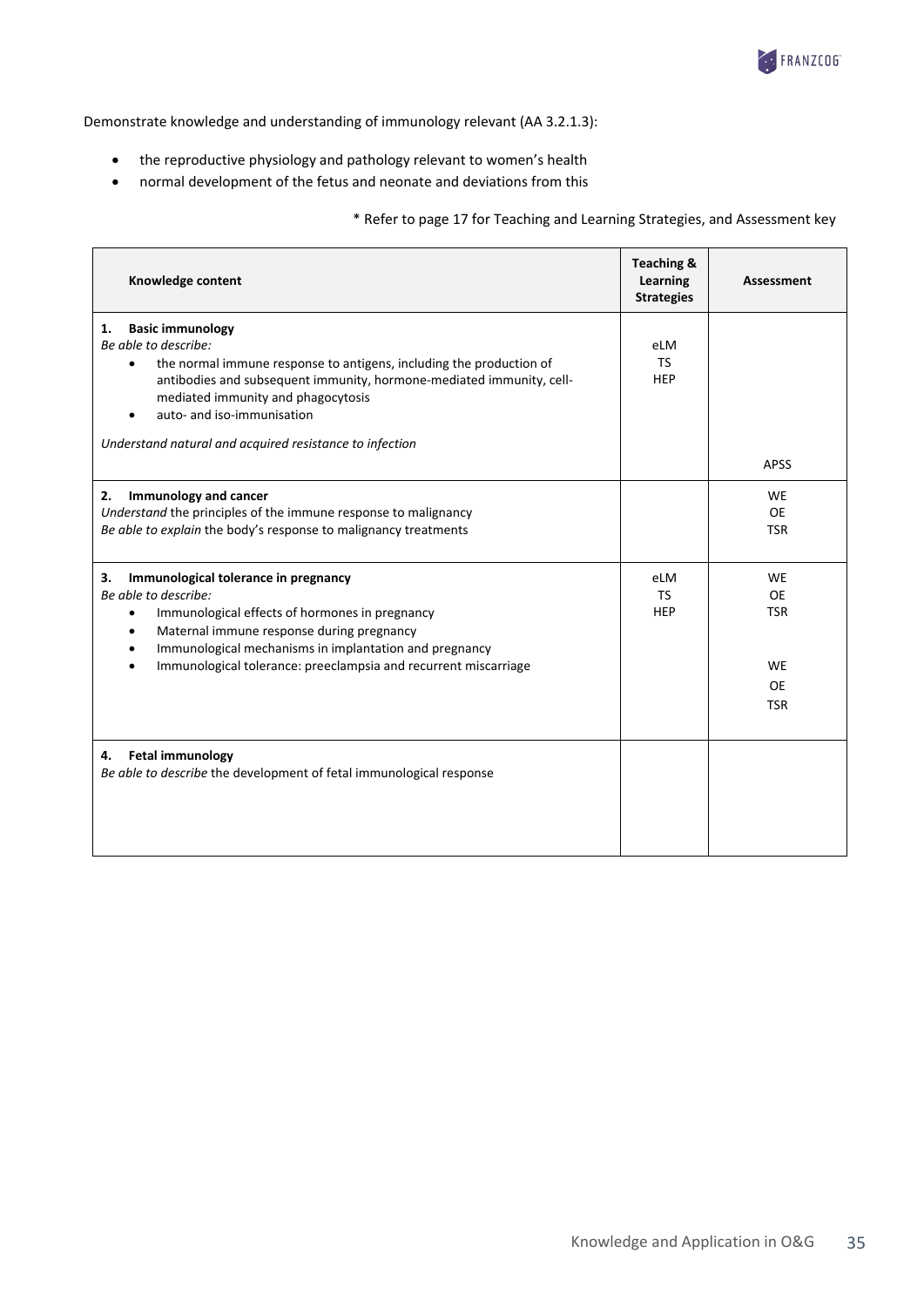

Demonstrate knowledge and understanding of immunology relevant (AA 3.2.1.3):

- the reproductive physiology and pathology relevant to women's health
- normal development of the fetus and neonate and deviations from this

| Knowledge content                                                                                                                                                                                                                                                                                                                                | <b>Teaching &amp;</b><br>Learning<br><b>Strategies</b> | <b>Assessment</b>                                                            |
|--------------------------------------------------------------------------------------------------------------------------------------------------------------------------------------------------------------------------------------------------------------------------------------------------------------------------------------------------|--------------------------------------------------------|------------------------------------------------------------------------------|
| <b>Basic immunology</b><br>1.<br>Be able to describe:<br>the normal immune response to antigens, including the production of<br>$\bullet$<br>antibodies and subsequent immunity, hormone-mediated immunity, cell-<br>mediated immunity and phagocytosis<br>auto- and iso-immunisation<br>Understand natural and acquired resistance to infection | eLM<br><b>TS</b><br><b>HEP</b>                         |                                                                              |
|                                                                                                                                                                                                                                                                                                                                                  |                                                        | APSS                                                                         |
| Immunology and cancer<br>2.<br>Understand the principles of the immune response to malignancy<br>Be able to explain the body's response to malignancy treatments                                                                                                                                                                                 |                                                        | <b>WE</b><br><b>OE</b><br><b>TSR</b>                                         |
| Immunological tolerance in pregnancy<br>3.<br>Be able to describe:<br>Immunological effects of hormones in pregnancy<br>$\bullet$<br>Maternal immune response during pregnancy<br>Immunological mechanisms in implantation and pregnancy<br>Immunological tolerance: preeclampsia and recurrent miscarriage                                      | eLM<br><b>TS</b><br><b>HEP</b>                         | <b>WE</b><br><b>OE</b><br><b>TSR</b><br><b>WE</b><br><b>OE</b><br><b>TSR</b> |
| <b>Fetal immunology</b><br>4.<br>Be able to describe the development of fetal immunological response                                                                                                                                                                                                                                             |                                                        |                                                                              |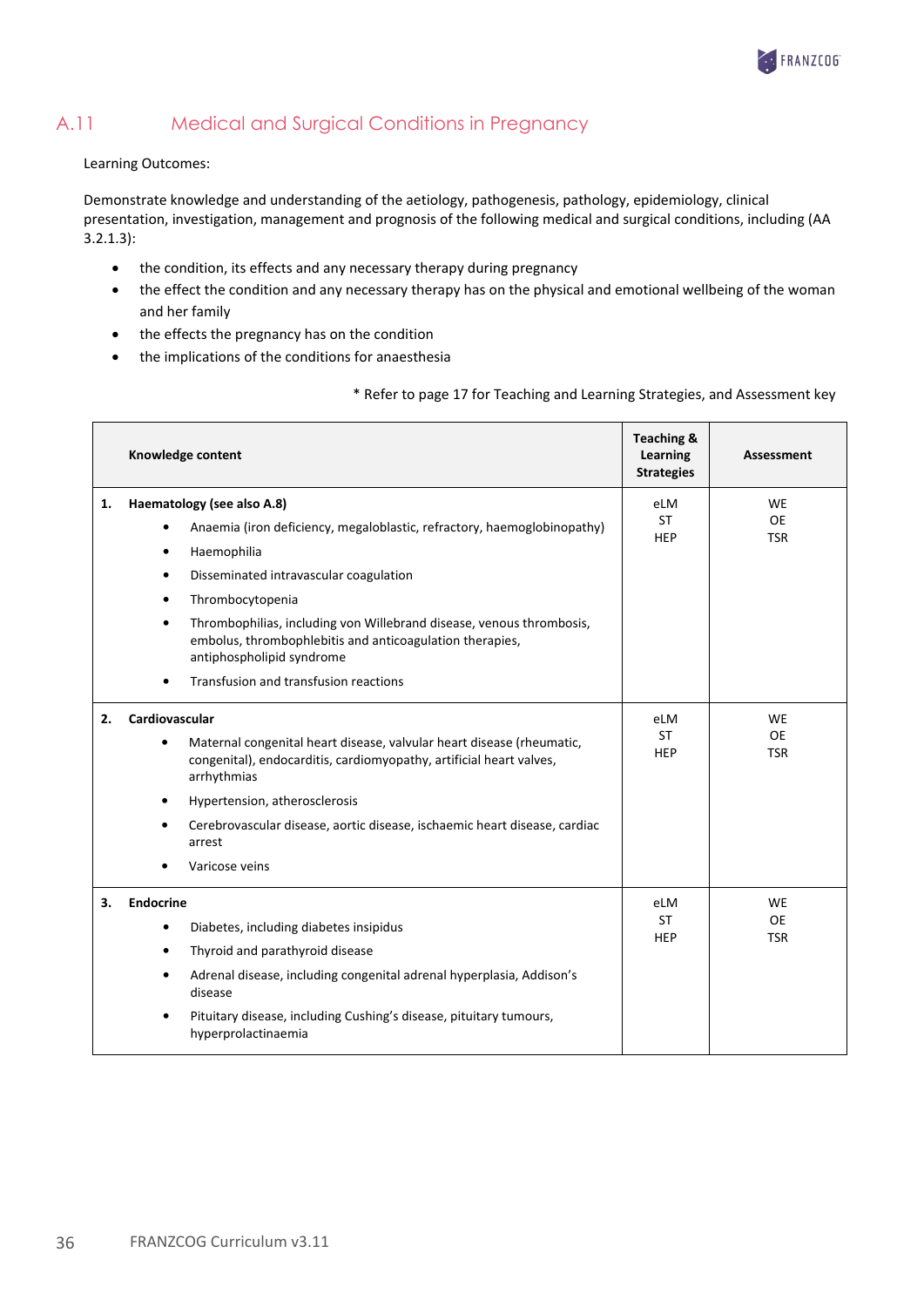

# A.11 Medical and Surgical Conditions in Pregnancy

#### Learning Outcomes:

Demonstrate knowledge and understanding of the aetiology, pathogenesis, pathology, epidemiology, clinical presentation, investigation, management and prognosis of the following medical and surgical conditions, including (AA 3.2.1.3):

- the condition, its effects and any necessary therapy during pregnancy
- the effect the condition and any necessary therapy has on the physical and emotional wellbeing of the woman and her family
- the effects the pregnancy has on the condition
- the implications of the conditions for anaesthesia

|    | Knowledge content                                                                                                                                                                                                                                                                                                                                                                                                                                          | <b>Teaching &amp;</b><br>Learning<br><b>Strategies</b> | Assessment                           |
|----|------------------------------------------------------------------------------------------------------------------------------------------------------------------------------------------------------------------------------------------------------------------------------------------------------------------------------------------------------------------------------------------------------------------------------------------------------------|--------------------------------------------------------|--------------------------------------|
| 1. | Haematology (see also A.8)<br>Anaemia (iron deficiency, megaloblastic, refractory, haemoglobinopathy)<br>$\bullet$<br>Haemophilia<br>٠<br>Disseminated intravascular coagulation<br>$\bullet$<br>Thrombocytopenia<br>$\bullet$<br>Thrombophilias, including von Willebrand disease, venous thrombosis,<br>٠<br>embolus, thrombophlebitis and anticoagulation therapies,<br>antiphospholipid syndrome<br>Transfusion and transfusion reactions<br>$\bullet$ | eLM<br><b>ST</b><br><b>HEP</b>                         | WE<br><b>OE</b><br><b>TSR</b>        |
| 2. | Cardiovascular<br>Maternal congenital heart disease, valvular heart disease (rheumatic,<br>٠<br>congenital), endocarditis, cardiomyopathy, artificial heart valves,<br>arrhythmias<br>Hypertension, atherosclerosis<br>$\bullet$<br>Cerebrovascular disease, aortic disease, ischaemic heart disease, cardiac<br>$\bullet$<br>arrest<br>Varicose veins                                                                                                     | eLM<br><b>ST</b><br><b>HEP</b>                         | <b>WE</b><br><b>OE</b><br><b>TSR</b> |
| 3. | <b>Endocrine</b><br>Diabetes, including diabetes insipidus<br>٠<br>Thyroid and parathyroid disease<br>٠<br>Adrenal disease, including congenital adrenal hyperplasia, Addison's<br>٠<br>disease<br>Pituitary disease, including Cushing's disease, pituitary tumours,<br>$\bullet$<br>hyperprolactinaemia                                                                                                                                                  | eLM<br><b>ST</b><br><b>HEP</b>                         | <b>WE</b><br><b>OE</b><br><b>TSR</b> |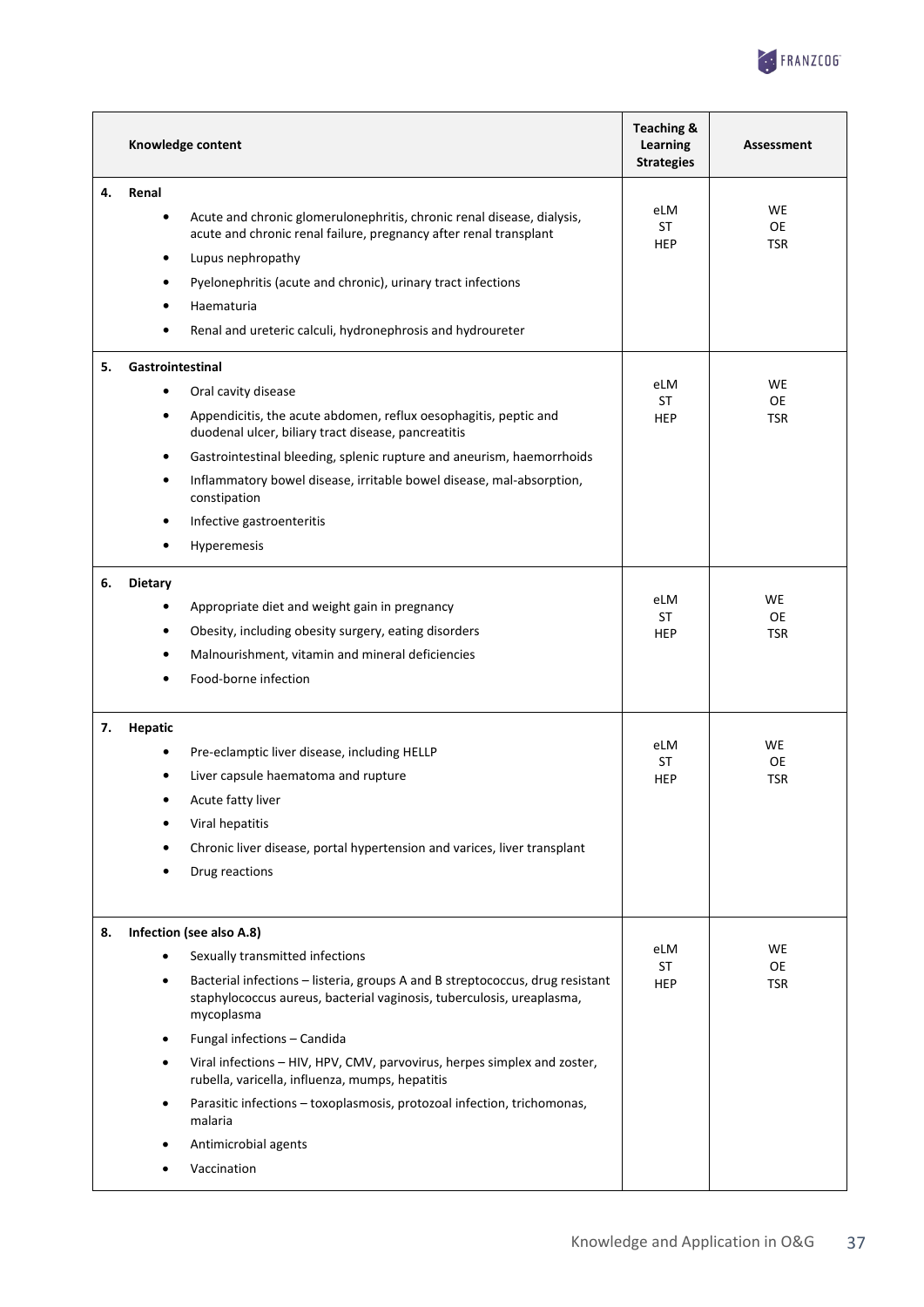

|    | Knowledge content                                                                                                                                                                                                                                                                                                                                                                                                                                                                                                                                                                  | <b>Teaching &amp;</b><br>Learning<br><b>Strategies</b> | Assessment                    |
|----|------------------------------------------------------------------------------------------------------------------------------------------------------------------------------------------------------------------------------------------------------------------------------------------------------------------------------------------------------------------------------------------------------------------------------------------------------------------------------------------------------------------------------------------------------------------------------------|--------------------------------------------------------|-------------------------------|
| 4. | Renal<br>Acute and chronic glomerulonephritis, chronic renal disease, dialysis,<br>٠<br>acute and chronic renal failure, pregnancy after renal transplant<br>Lupus nephropathy<br>$\bullet$<br>Pyelonephritis (acute and chronic), urinary tract infections<br>٠<br>Haematuria<br>Renal and ureteric calculi, hydronephrosis and hydroureter                                                                                                                                                                                                                                       | eLM<br>ST<br><b>HEP</b>                                | WE<br><b>OE</b><br><b>TSR</b> |
| 5. | Gastrointestinal<br>Oral cavity disease<br>Appendicitis, the acute abdomen, reflux oesophagitis, peptic and<br>$\bullet$<br>duodenal ulcer, biliary tract disease, pancreatitis<br>Gastrointestinal bleeding, splenic rupture and aneurism, haemorrhoids<br>٠<br>Inflammatory bowel disease, irritable bowel disease, mal-absorption,<br>$\bullet$<br>constipation<br>Infective gastroenteritis<br>٠<br>Hyperemesis                                                                                                                                                                | eLM<br><b>ST</b><br><b>HEP</b>                         | WE<br><b>OE</b><br><b>TSR</b> |
| 6. | <b>Dietary</b><br>Appropriate diet and weight gain in pregnancy<br>Obesity, including obesity surgery, eating disorders<br>٠<br>Malnourishment, vitamin and mineral deficiencies<br>Food-borne infection<br>٠                                                                                                                                                                                                                                                                                                                                                                      | eLM<br>ST<br><b>HEP</b>                                | WE<br><b>OE</b><br><b>TSR</b> |
| 7. | <b>Hepatic</b><br>Pre-eclamptic liver disease, including HELLP<br>Liver capsule haematoma and rupture<br>Acute fatty liver<br>Viral hepatitis<br>Chronic liver disease, portal hypertension and varices, liver transplant<br>Drug reactions                                                                                                                                                                                                                                                                                                                                        | eLM<br><b>ST</b><br>HEP                                | WE<br><b>OE</b><br><b>TSR</b> |
| 8. | Infection (see also A.8)<br>Sexually transmitted infections<br>Bacterial infections - listeria, groups A and B streptococcus, drug resistant<br>$\bullet$<br>staphylococcus aureus, bacterial vaginosis, tuberculosis, ureaplasma,<br>mycoplasma<br>Fungal infections - Candida<br>$\bullet$<br>Viral infections - HIV, HPV, CMV, parvovirus, herpes simplex and zoster,<br>$\bullet$<br>rubella, varicella, influenza, mumps, hepatitis<br>Parasitic infections - toxoplasmosis, protozoal infection, trichomonas,<br>$\bullet$<br>malaria<br>Antimicrobial agents<br>Vaccination | eLM<br><b>ST</b><br><b>HEP</b>                         | WE<br>OE<br>TSR               |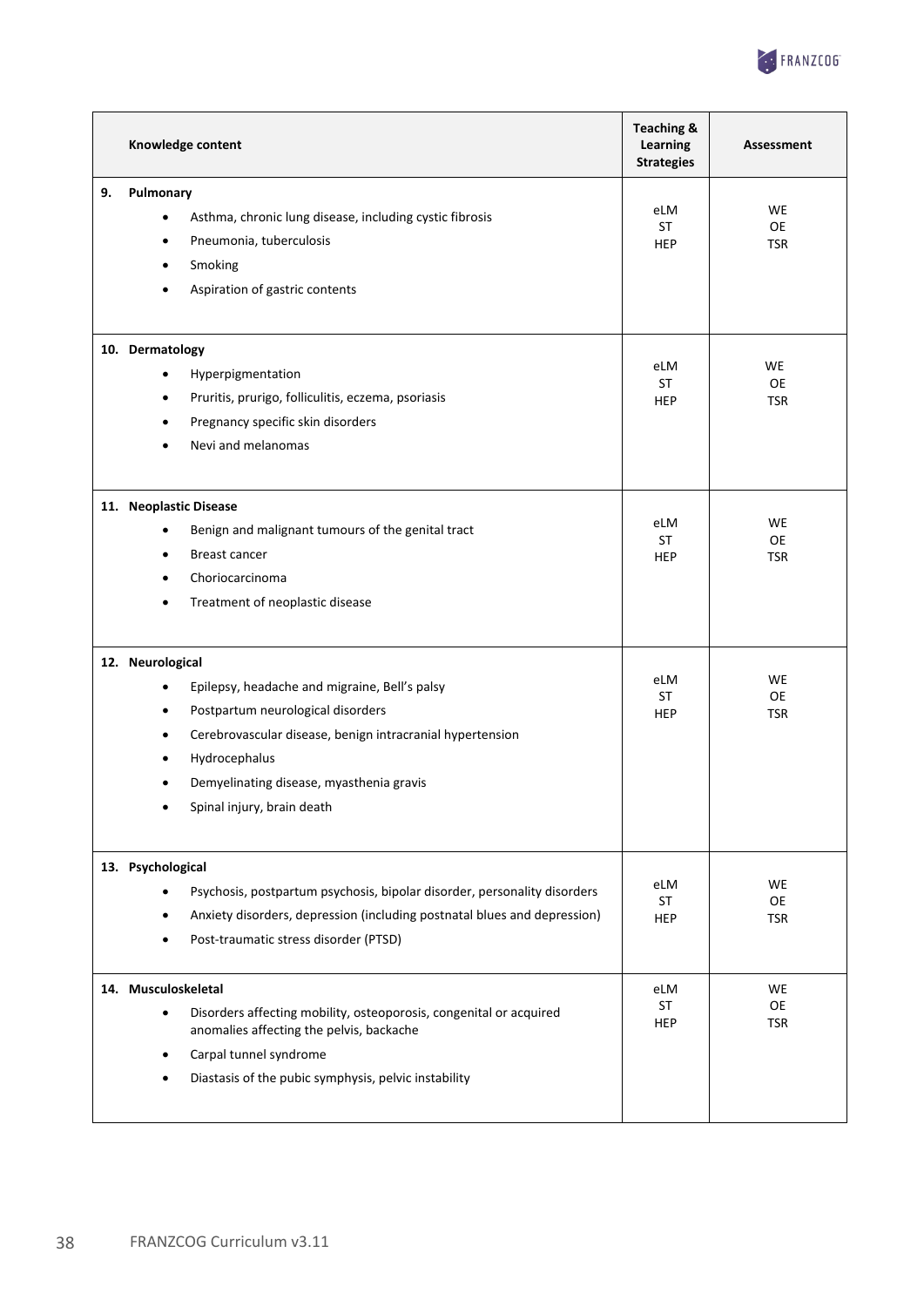

|    | Knowledge content                                                                                                                                                                                                                                                   | <b>Teaching &amp;</b><br>Learning<br><b>Strategies</b> | Assessment                           |
|----|---------------------------------------------------------------------------------------------------------------------------------------------------------------------------------------------------------------------------------------------------------------------|--------------------------------------------------------|--------------------------------------|
| 9. | Pulmonary<br>Asthma, chronic lung disease, including cystic fibrosis<br>Pneumonia, tuberculosis<br>Smoking<br>Aspiration of gastric contents                                                                                                                        | eLM<br>ST<br>HEP                                       | <b>WE</b><br><b>OE</b><br><b>TSR</b> |
|    | 10. Dermatology<br>Hyperpigmentation<br>Pruritis, prurigo, folliculitis, eczema, psoriasis<br>$\bullet$<br>Pregnancy specific skin disorders<br>Nevi and melanomas                                                                                                  | eLM<br><b>ST</b><br>HEP                                | WE<br><b>OE</b><br><b>TSR</b>        |
|    | 11. Neoplastic Disease<br>Benign and malignant tumours of the genital tract<br>Breast cancer<br>Choriocarcinoma<br>Treatment of neoplastic disease<br>$\bullet$                                                                                                     | eLM<br><b>ST</b><br>HEP                                | WE<br><b>OE</b><br><b>TSR</b>        |
|    | 12. Neurological<br>Epilepsy, headache and migraine, Bell's palsy<br>Postpartum neurological disorders<br>Cerebrovascular disease, benign intracranial hypertension<br>٠<br>Hydrocephalus<br>Demyelinating disease, myasthenia gravis<br>Spinal injury, brain death | eLM<br>ST<br><b>HEP</b>                                | WE<br><b>OE</b><br><b>TSR</b>        |
|    | 13. Psychological<br>Psychosis, postpartum psychosis, bipolar disorder, personality disorders<br>Anxiety disorders, depression (including postnatal blues and depression)<br>Post-traumatic stress disorder (PTSD)                                                  | eLM<br><b>ST</b><br><b>HEP</b>                         | WE<br><b>OE</b><br><b>TSR</b>        |
|    | 14. Musculoskeletal<br>Disorders affecting mobility, osteoporosis, congenital or acquired<br>٠<br>anomalies affecting the pelvis, backache<br>Carpal tunnel syndrome<br>Diastasis of the pubic symphysis, pelvic instability<br>٠                                   | eLM<br><b>ST</b><br><b>HEP</b>                         | WE<br><b>OE</b><br><b>TSR</b>        |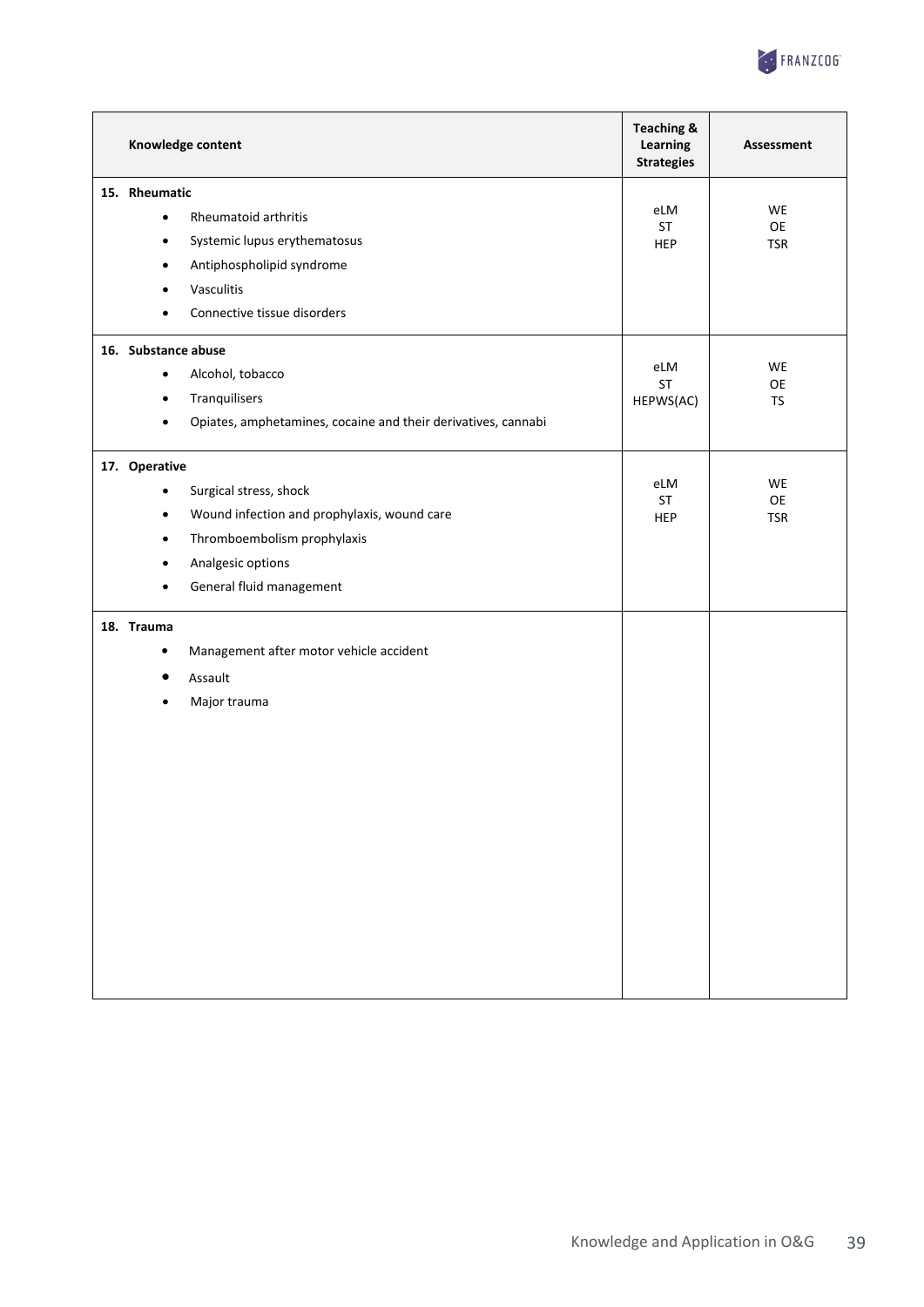

| Knowledge content                                                                                                                                                                                                                       | <b>Teaching &amp;</b><br>Learning<br><b>Strategies</b> | Assessment                    |
|-----------------------------------------------------------------------------------------------------------------------------------------------------------------------------------------------------------------------------------------|--------------------------------------------------------|-------------------------------|
| 15. Rheumatic<br><b>Rheumatoid arthritis</b><br>$\bullet$<br>Systemic lupus erythematosus<br>$\bullet$<br>Antiphospholipid syndrome<br>$\bullet$<br>Vasculitis<br>$\bullet$<br>Connective tissue disorders<br>$\bullet$                 | eLM<br><b>ST</b><br><b>HEP</b>                         | WE<br><b>OE</b><br><b>TSR</b> |
| 16. Substance abuse<br>Alcohol, tobacco<br>$\bullet$<br>Tranquilisers<br>$\bullet$<br>Opiates, amphetamines, cocaine and their derivatives, cannabi<br>$\bullet$                                                                        | eLM<br>ST<br>HEPWS(AC)                                 | WE<br><b>OE</b><br><b>TS</b>  |
| 17. Operative<br>Surgical stress, shock<br>$\bullet$<br>Wound infection and prophylaxis, wound care<br>$\bullet$<br>Thromboembolism prophylaxis<br>$\bullet$<br>Analgesic options<br>$\bullet$<br>General fluid management<br>$\bullet$ | eLM<br>ST<br><b>HEP</b>                                | WE<br><b>OE</b><br><b>TSR</b> |
| 18. Trauma<br>Management after motor vehicle accident<br>٠<br>Assault<br>٠<br>Major trauma<br>$\bullet$                                                                                                                                 |                                                        |                               |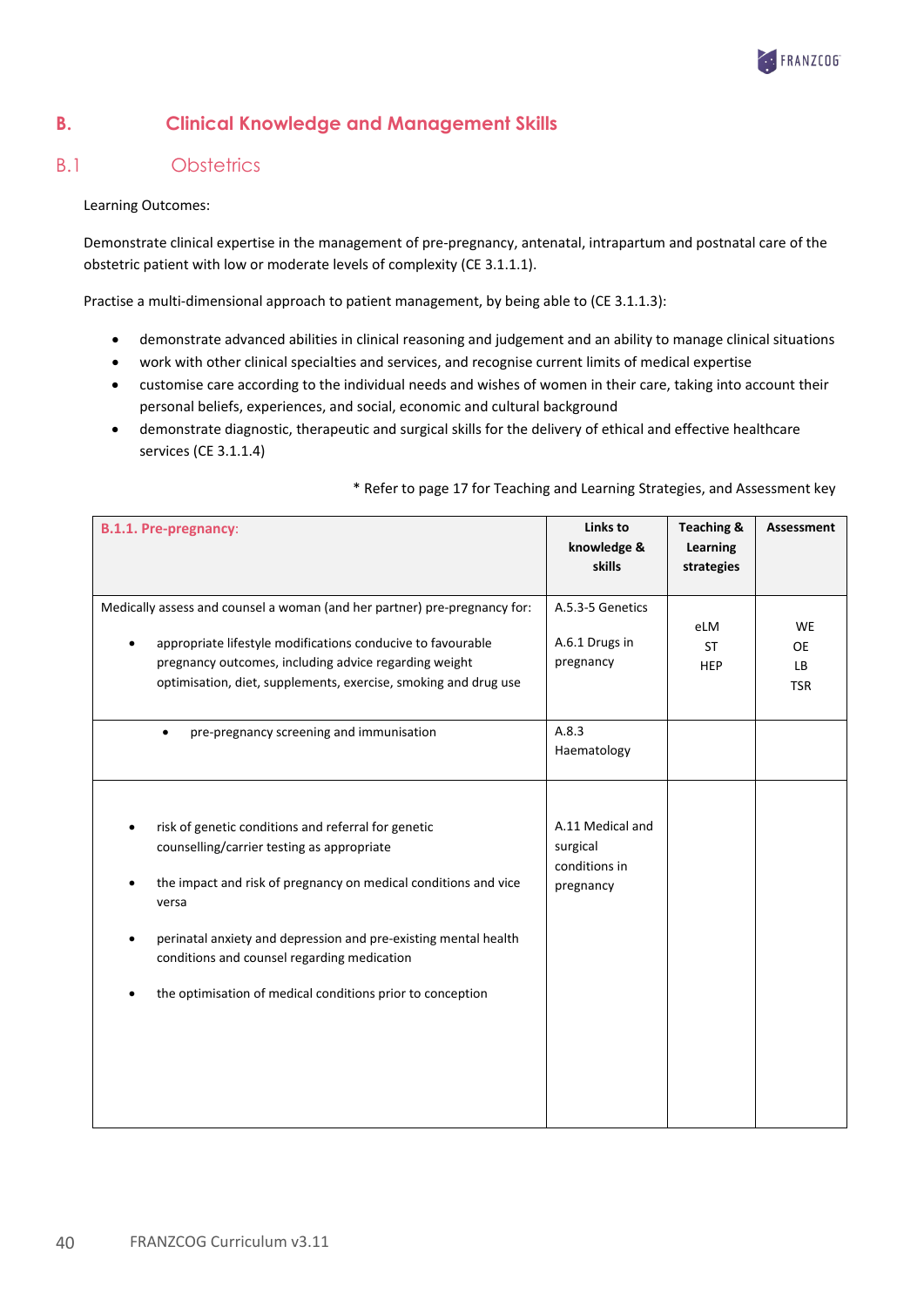

# **B. Clinical Knowledge and Management Skills**

### B.1 Obstetrics

Learning Outcomes:

Demonstrate clinical expertise in the management of pre-pregnancy, antenatal, intrapartum and postnatal care of the obstetric patient with low or moderate levels of complexity (CE 3.1.1.1).

Practise a multi-dimensional approach to patient management, by being able to (CE 3.1.1.3):

- demonstrate advanced abilities in clinical reasoning and judgement and an ability to manage clinical situations
- work with other clinical specialties and services, and recognise current limits of medical expertise
- customise care according to the individual needs and wishes of women in their care, taking into account their personal beliefs, experiences, and social, economic and cultural background
- demonstrate diagnostic, therapeutic and surgical skills for the delivery of ethical and effective healthcare services (CE 3.1.1.4)

| <b>B.1.1. Pre-pregnancy:</b>                                                                                                                                                                                                                                                                                                                                  | Links to<br>knowledge &<br>skills                          | <b>Teaching &amp;</b><br>Learning<br>strategies | Assessment                                 |
|---------------------------------------------------------------------------------------------------------------------------------------------------------------------------------------------------------------------------------------------------------------------------------------------------------------------------------------------------------------|------------------------------------------------------------|-------------------------------------------------|--------------------------------------------|
| Medically assess and counsel a woman (and her partner) pre-pregnancy for:<br>appropriate lifestyle modifications conducive to favourable<br>pregnancy outcomes, including advice regarding weight<br>optimisation, diet, supplements, exercise, smoking and drug use                                                                                          | A.5.3-5 Genetics<br>A.6.1 Drugs in<br>pregnancy            | eLM<br><b>ST</b><br><b>HEP</b>                  | <b>WE</b><br><b>OE</b><br>LB<br><b>TSR</b> |
| pre-pregnancy screening and immunisation<br>$\bullet$                                                                                                                                                                                                                                                                                                         | A.8.3<br>Haematology                                       |                                                 |                                            |
| risk of genetic conditions and referral for genetic<br>counselling/carrier testing as appropriate<br>the impact and risk of pregnancy on medical conditions and vice<br>versa<br>perinatal anxiety and depression and pre-existing mental health<br>conditions and counsel regarding medication<br>the optimisation of medical conditions prior to conception | A.11 Medical and<br>surgical<br>conditions in<br>pregnancy |                                                 |                                            |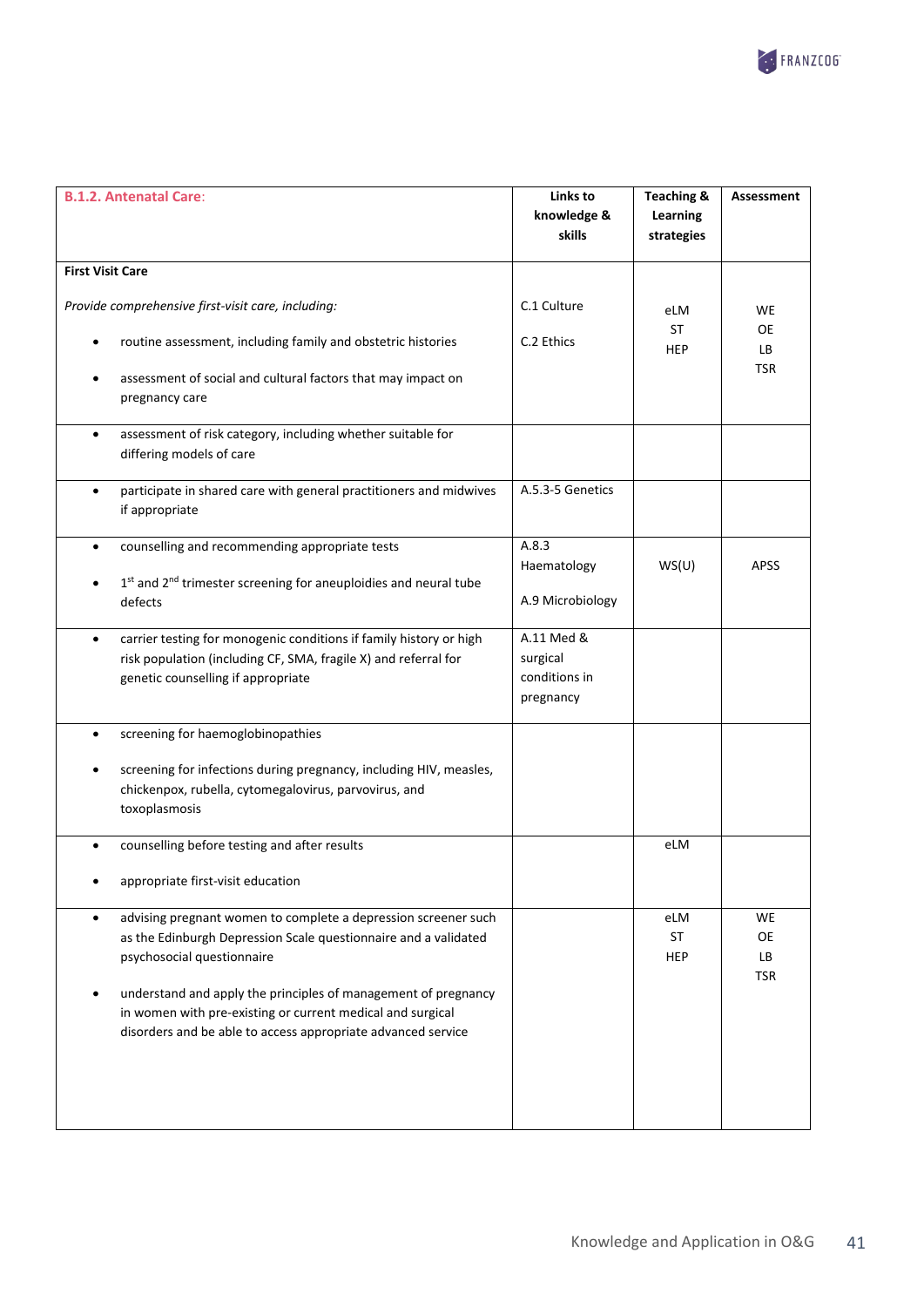

|                         | <b>B.1.2. Antenatal Care:</b>                                                                                                                                                                | Links to                                             | <b>Teaching &amp;</b>   | Assessment                   |
|-------------------------|----------------------------------------------------------------------------------------------------------------------------------------------------------------------------------------------|------------------------------------------------------|-------------------------|------------------------------|
|                         |                                                                                                                                                                                              | knowledge &                                          | Learning                |                              |
|                         |                                                                                                                                                                                              | skills                                               | strategies              |                              |
| <b>First Visit Care</b> |                                                                                                                                                                                              |                                                      |                         |                              |
|                         | Provide comprehensive first-visit care, including:                                                                                                                                           | C.1 Culture                                          | eLM                     | WE                           |
| ٠                       | routine assessment, including family and obstetric histories                                                                                                                                 | C.2 Ethics                                           | <b>ST</b><br>HEP        | OE<br>LB                     |
|                         | assessment of social and cultural factors that may impact on<br>pregnancy care                                                                                                               |                                                      |                         | <b>TSR</b>                   |
| $\bullet$               | assessment of risk category, including whether suitable for<br>differing models of care                                                                                                      |                                                      |                         |                              |
| $\bullet$               | participate in shared care with general practitioners and midwives<br>if appropriate                                                                                                         | A.5.3-5 Genetics                                     |                         |                              |
| $\bullet$               | counselling and recommending appropriate tests                                                                                                                                               | A.8.3<br>Haematology                                 | WS(U)                   | APSS                         |
|                         | 1st and 2 <sup>nd</sup> trimester screening for aneuploidies and neural tube<br>defects                                                                                                      | A.9 Microbiology                                     |                         |                              |
| $\bullet$               | carrier testing for monogenic conditions if family history or high<br>risk population (including CF, SMA, fragile X) and referral for<br>genetic counselling if appropriate                  | A.11 Med &<br>surgical<br>conditions in<br>pregnancy |                         |                              |
| $\bullet$               | screening for haemoglobinopathies                                                                                                                                                            |                                                      |                         |                              |
|                         | screening for infections during pregnancy, including HIV, measles,<br>chickenpox, rubella, cytomegalovirus, parvovirus, and<br>toxoplasmosis                                                 |                                                      |                         |                              |
| $\bullet$               | counselling before testing and after results                                                                                                                                                 |                                                      | eLM                     |                              |
|                         | appropriate first-visit education                                                                                                                                                            |                                                      |                         |                              |
| $\bullet$               | advising pregnant women to complete a depression screener such<br>as the Edinburgh Depression Scale questionnaire and a validated<br>psychosocial questionnaire                              |                                                      | eLM<br>ST<br><b>HEP</b> | WE<br>OE<br>LB<br><b>TSR</b> |
|                         | understand and apply the principles of management of pregnancy<br>in women with pre-existing or current medical and surgical<br>disorders and be able to access appropriate advanced service |                                                      |                         |                              |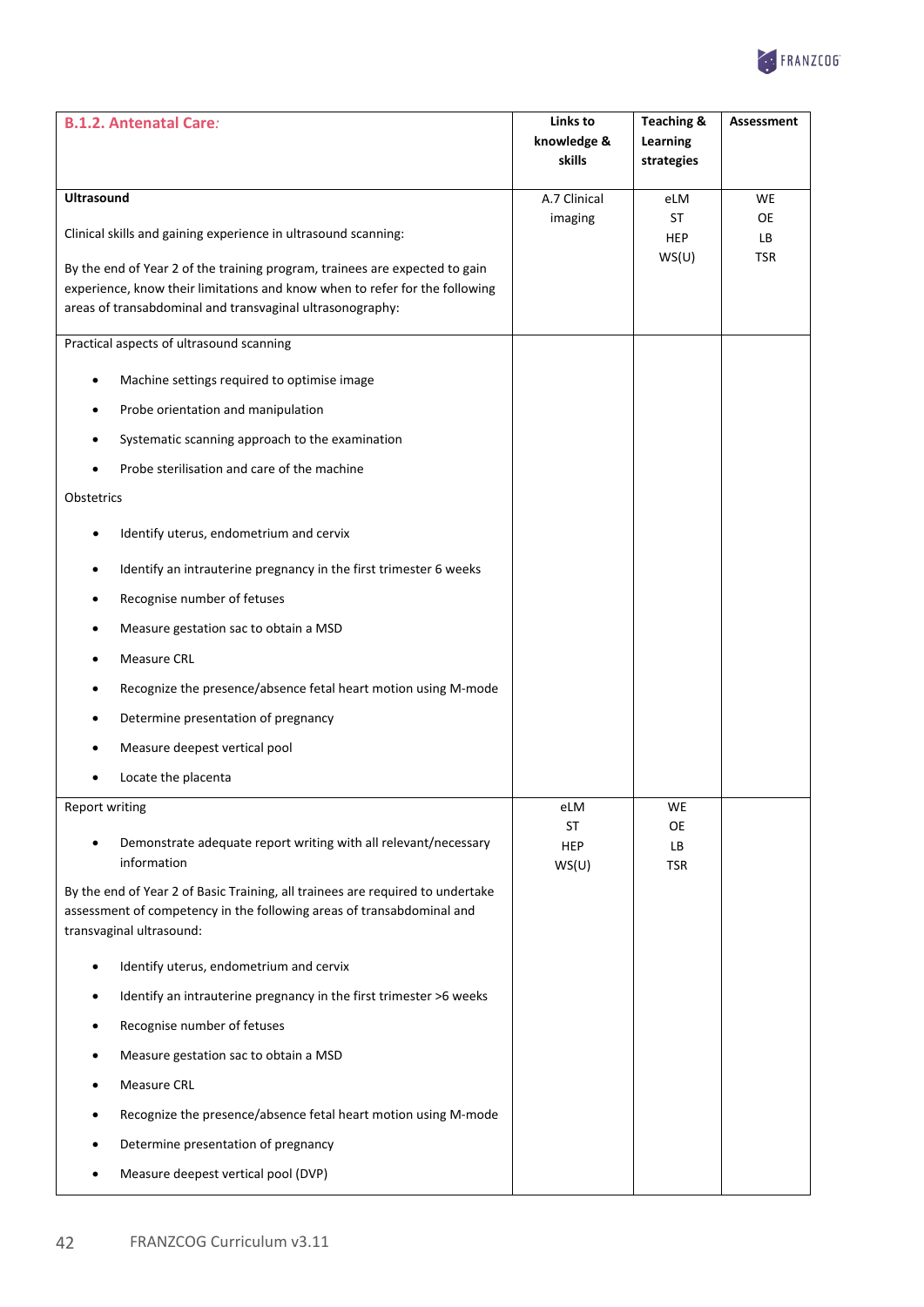

| <b>B.1.2. Antenatal Care:</b>                                                                                                                                                       | Links to                | <b>Teaching &amp;</b>  | Assessment       |
|-------------------------------------------------------------------------------------------------------------------------------------------------------------------------------------|-------------------------|------------------------|------------------|
|                                                                                                                                                                                     | knowledge &<br>skills   | Learning<br>strategies |                  |
|                                                                                                                                                                                     |                         |                        |                  |
| <b>Ultrasound</b>                                                                                                                                                                   | A.7 Clinical<br>imaging | eLM<br>ST              | WE<br>OE         |
| Clinical skills and gaining experience in ultrasound scanning:                                                                                                                      |                         | <b>HEP</b><br>WS(U)    | LB<br><b>TSR</b> |
| By the end of Year 2 of the training program, trainees are expected to gain                                                                                                         |                         |                        |                  |
| experience, know their limitations and know when to refer for the following<br>areas of transabdominal and transvaginal ultrasonography:                                            |                         |                        |                  |
|                                                                                                                                                                                     |                         |                        |                  |
| Practical aspects of ultrasound scanning                                                                                                                                            |                         |                        |                  |
| Machine settings required to optimise image                                                                                                                                         |                         |                        |                  |
| Probe orientation and manipulation                                                                                                                                                  |                         |                        |                  |
| Systematic scanning approach to the examination                                                                                                                                     |                         |                        |                  |
| Probe sterilisation and care of the machine                                                                                                                                         |                         |                        |                  |
| Obstetrics                                                                                                                                                                          |                         |                        |                  |
| Identify uterus, endometrium and cervix                                                                                                                                             |                         |                        |                  |
| Identify an intrauterine pregnancy in the first trimester 6 weeks                                                                                                                   |                         |                        |                  |
| Recognise number of fetuses                                                                                                                                                         |                         |                        |                  |
| Measure gestation sac to obtain a MSD                                                                                                                                               |                         |                        |                  |
| <b>Measure CRL</b>                                                                                                                                                                  |                         |                        |                  |
| Recognize the presence/absence fetal heart motion using M-mode                                                                                                                      |                         |                        |                  |
| Determine presentation of pregnancy                                                                                                                                                 |                         |                        |                  |
| Measure deepest vertical pool                                                                                                                                                       |                         |                        |                  |
| Locate the placenta                                                                                                                                                                 |                         |                        |                  |
| Report writing                                                                                                                                                                      | $e{\sf LM}$             | WE                     |                  |
| Demonstrate adequate report writing with all relevant/necessary                                                                                                                     | ST<br><b>HEP</b>        | OE<br>LВ               |                  |
| information                                                                                                                                                                         | WS(U)                   | <b>TSR</b>             |                  |
| By the end of Year 2 of Basic Training, all trainees are required to undertake<br>assessment of competency in the following areas of transabdominal and<br>transvaginal ultrasound: |                         |                        |                  |
| Identify uterus, endometrium and cervix<br>$\bullet$                                                                                                                                |                         |                        |                  |
| Identify an intrauterine pregnancy in the first trimester >6 weeks<br>٠                                                                                                             |                         |                        |                  |
| Recognise number of fetuses                                                                                                                                                         |                         |                        |                  |
| Measure gestation sac to obtain a MSD<br>٠                                                                                                                                          |                         |                        |                  |
| <b>Measure CRL</b>                                                                                                                                                                  |                         |                        |                  |
| Recognize the presence/absence fetal heart motion using M-mode                                                                                                                      |                         |                        |                  |
| Determine presentation of pregnancy                                                                                                                                                 |                         |                        |                  |
| Measure deepest vertical pool (DVP)                                                                                                                                                 |                         |                        |                  |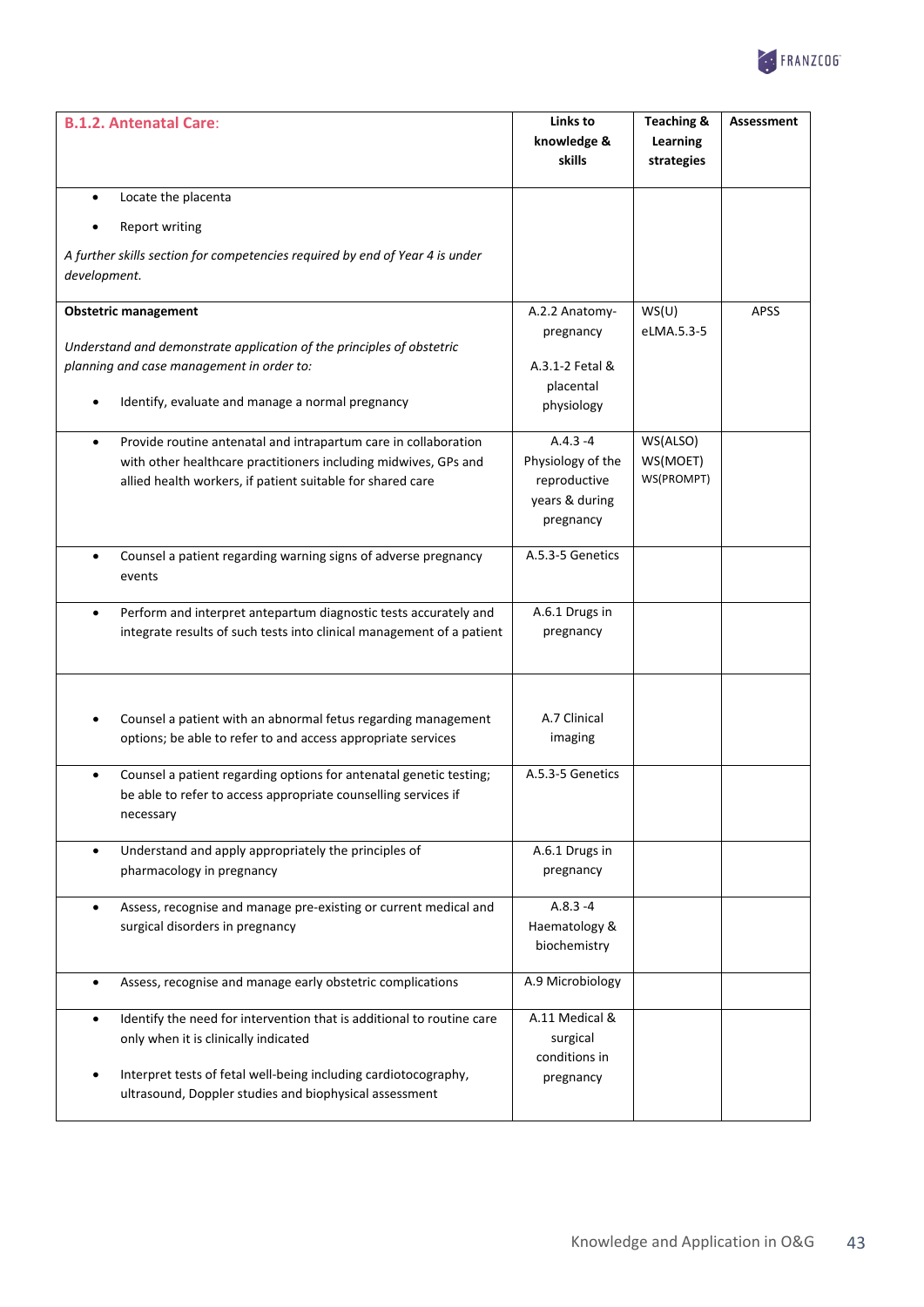

| <b>B.1.2. Antenatal Care:</b>                                                                                                 | <b>Links to</b>             | <b>Teaching &amp;</b> | Assessment |
|-------------------------------------------------------------------------------------------------------------------------------|-----------------------------|-----------------------|------------|
|                                                                                                                               | knowledge &                 | Learning              |            |
|                                                                                                                               | skills                      | strategies            |            |
|                                                                                                                               |                             |                       |            |
| Locate the placenta                                                                                                           |                             |                       |            |
| Report writing                                                                                                                |                             |                       |            |
| A further skills section for competencies required by end of Year 4 is under                                                  |                             |                       |            |
| development.                                                                                                                  |                             |                       |            |
|                                                                                                                               |                             |                       |            |
| <b>Obstetric management</b>                                                                                                   | A.2.2 Anatomy-              | WS(U)                 | APSS       |
| Understand and demonstrate application of the principles of obstetric                                                         | pregnancy                   | eLMA.5.3-5            |            |
| planning and case management in order to:                                                                                     | A.3.1-2 Fetal &             |                       |            |
|                                                                                                                               | placental                   |                       |            |
| Identify, evaluate and manage a normal pregnancy                                                                              | physiology                  |                       |            |
|                                                                                                                               |                             |                       |            |
| Provide routine antenatal and intrapartum care in collaboration<br>$\bullet$                                                  | $A.4.3 -4$                  | WS(ALSO)              |            |
| with other healthcare practitioners including midwives, GPs and                                                               | Physiology of the           | WS(MOET)              |            |
| allied health workers, if patient suitable for shared care                                                                    | reproductive                | WS(PROMPT)            |            |
|                                                                                                                               | years & during              |                       |            |
|                                                                                                                               | pregnancy                   |                       |            |
|                                                                                                                               |                             |                       |            |
| Counsel a patient regarding warning signs of adverse pregnancy                                                                | A.5.3-5 Genetics            |                       |            |
| events                                                                                                                        |                             |                       |            |
| Perform and interpret antepartum diagnostic tests accurately and                                                              | A.6.1 Drugs in              |                       |            |
| integrate results of such tests into clinical management of a patient                                                         | pregnancy                   |                       |            |
|                                                                                                                               |                             |                       |            |
|                                                                                                                               |                             |                       |            |
|                                                                                                                               |                             |                       |            |
|                                                                                                                               | A.7 Clinical                |                       |            |
| Counsel a patient with an abnormal fetus regarding management<br>options; be able to refer to and access appropriate services | imaging                     |                       |            |
|                                                                                                                               |                             |                       |            |
| Counsel a patient regarding options for antenatal genetic testing;                                                            | A.5.3-5 Genetics            |                       |            |
| be able to refer to access appropriate counselling services if                                                                |                             |                       |            |
| necessary                                                                                                                     |                             |                       |            |
|                                                                                                                               |                             |                       |            |
| Understand and apply appropriately the principles of                                                                          | A.6.1 Drugs in              |                       |            |
| pharmacology in pregnancy                                                                                                     | pregnancy                   |                       |            |
|                                                                                                                               |                             |                       |            |
| Assess, recognise and manage pre-existing or current medical and<br>$\bullet$                                                 | $A.8.3 -4$<br>Haematology & |                       |            |
| surgical disorders in pregnancy                                                                                               | biochemistry                |                       |            |
|                                                                                                                               |                             |                       |            |
| Assess, recognise and manage early obstetric complications<br>$\bullet$                                                       | A.9 Microbiology            |                       |            |
|                                                                                                                               |                             |                       |            |
| Identify the need for intervention that is additional to routine care<br>$\bullet$                                            | A.11 Medical &              |                       |            |
| only when it is clinically indicated                                                                                          | surgical                    |                       |            |
|                                                                                                                               | conditions in               |                       |            |
| Interpret tests of fetal well-being including cardiotocography,                                                               | pregnancy                   |                       |            |
| ultrasound, Doppler studies and biophysical assessment                                                                        |                             |                       |            |
|                                                                                                                               |                             |                       |            |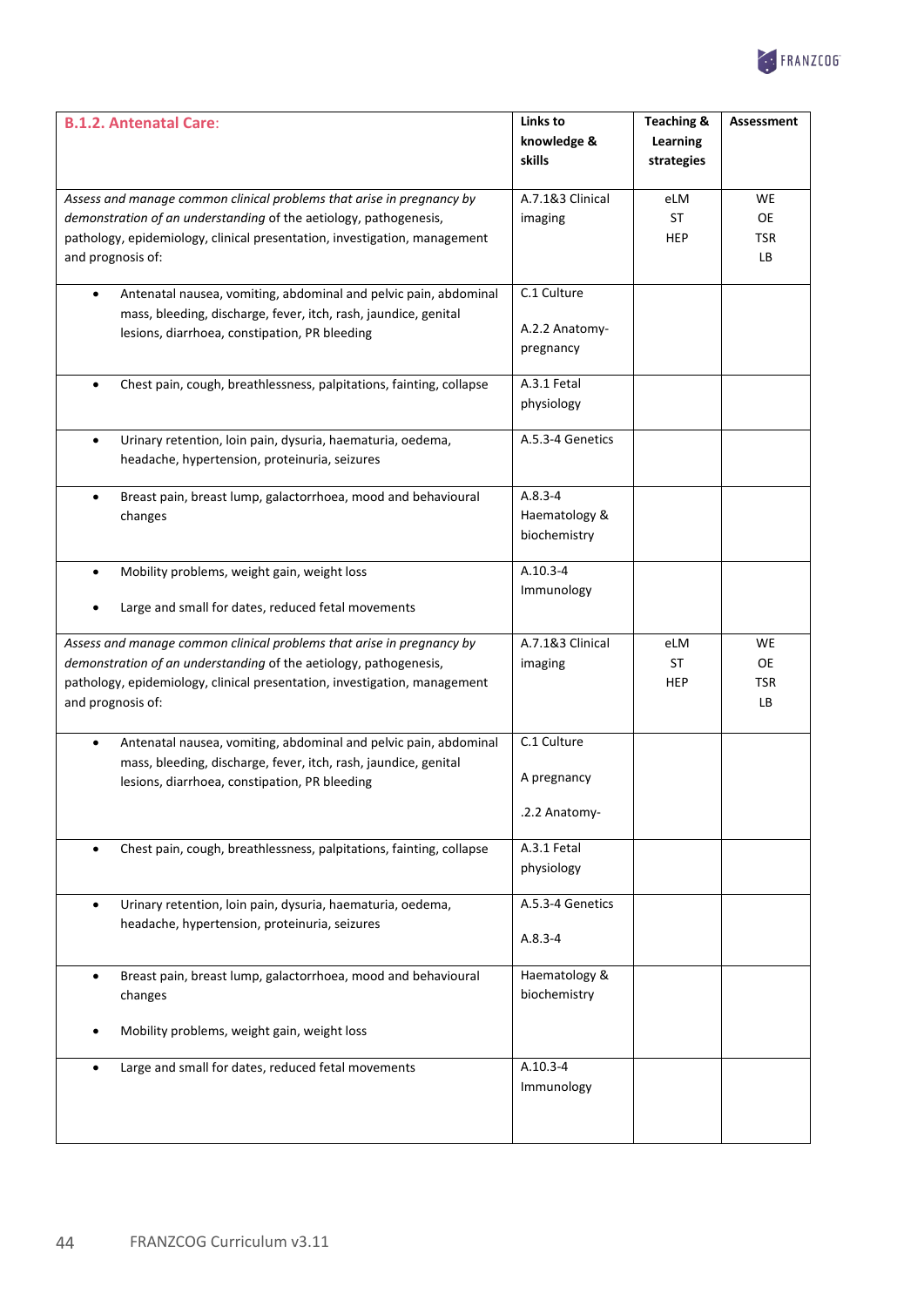

| <b>B.1.2. Antenatal Care:</b>                                                                                                                    | Links to         | <b>Teaching &amp;</b> | Assessment |
|--------------------------------------------------------------------------------------------------------------------------------------------------|------------------|-----------------------|------------|
|                                                                                                                                                  | knowledge &      | Learning              |            |
|                                                                                                                                                  | skills           | strategies            |            |
| Assess and manage common clinical problems that arise in pregnancy by                                                                            | A.7.1&3 Clinical | eLM                   | WE         |
| demonstration of an understanding of the aetiology, pathogenesis,                                                                                | imaging          | <b>ST</b>             | <b>OE</b>  |
| pathology, epidemiology, clinical presentation, investigation, management                                                                        |                  | <b>HEP</b>            | <b>TSR</b> |
| and prognosis of:                                                                                                                                |                  |                       | LB         |
|                                                                                                                                                  | C.1 Culture      |                       |            |
| Antenatal nausea, vomiting, abdominal and pelvic pain, abdominal<br>$\bullet$<br>mass, bleeding, discharge, fever, itch, rash, jaundice, genital |                  |                       |            |
| lesions, diarrhoea, constipation, PR bleeding                                                                                                    | A.2.2 Anatomy-   |                       |            |
|                                                                                                                                                  | pregnancy        |                       |            |
|                                                                                                                                                  |                  |                       |            |
| Chest pain, cough, breathlessness, palpitations, fainting, collapse                                                                              | A.3.1 Fetal      |                       |            |
|                                                                                                                                                  | physiology       |                       |            |
| Urinary retention, loin pain, dysuria, haematuria, oedema,<br>$\bullet$                                                                          | A.5.3-4 Genetics |                       |            |
| headache, hypertension, proteinuria, seizures                                                                                                    |                  |                       |            |
|                                                                                                                                                  |                  |                       |            |
| Breast pain, breast lump, galactorrhoea, mood and behavioural                                                                                    | $A.8.3 - 4$      |                       |            |
| changes                                                                                                                                          | Haematology &    |                       |            |
|                                                                                                                                                  | biochemistry     |                       |            |
|                                                                                                                                                  |                  |                       |            |
| Mobility problems, weight gain, weight loss                                                                                                      | $A.10.3 - 4$     |                       |            |
| Large and small for dates, reduced fetal movements                                                                                               | Immunology       |                       |            |
|                                                                                                                                                  |                  |                       |            |
| Assess and manage common clinical problems that arise in pregnancy by                                                                            | A.7.1&3 Clinical | eLM                   | WE         |
| demonstration of an understanding of the aetiology, pathogenesis,                                                                                | imaging          | ST                    | OE         |
| pathology, epidemiology, clinical presentation, investigation, management                                                                        |                  | HEP                   | <b>TSR</b> |
| and prognosis of:                                                                                                                                |                  |                       | LB         |
|                                                                                                                                                  |                  |                       |            |
| Antenatal nausea, vomiting, abdominal and pelvic pain, abdominal                                                                                 | C.1 Culture      |                       |            |
| mass, bleeding, discharge, fever, itch, rash, jaundice, genital<br>lesions, diarrhoea, constipation, PR bleeding                                 | A pregnancy      |                       |            |
|                                                                                                                                                  |                  |                       |            |
|                                                                                                                                                  | .2.2 Anatomy-    |                       |            |
|                                                                                                                                                  |                  |                       |            |
| Chest pain, cough, breathlessness, palpitations, fainting, collapse                                                                              | A.3.1 Fetal      |                       |            |
|                                                                                                                                                  | physiology       |                       |            |
| Urinary retention, loin pain, dysuria, haematuria, oedema,                                                                                       | A.5.3-4 Genetics |                       |            |
| headache, hypertension, proteinuria, seizures                                                                                                    |                  |                       |            |
|                                                                                                                                                  | $A.8.3 - 4$      |                       |            |
|                                                                                                                                                  | Haematology &    |                       |            |
| Breast pain, breast lump, galactorrhoea, mood and behavioural                                                                                    | biochemistry     |                       |            |
| changes                                                                                                                                          |                  |                       |            |
| Mobility problems, weight gain, weight loss                                                                                                      |                  |                       |            |
|                                                                                                                                                  |                  |                       |            |
| Large and small for dates, reduced fetal movements                                                                                               | $A.10.3 - 4$     |                       |            |
|                                                                                                                                                  | Immunology       |                       |            |
|                                                                                                                                                  |                  |                       |            |
|                                                                                                                                                  |                  |                       |            |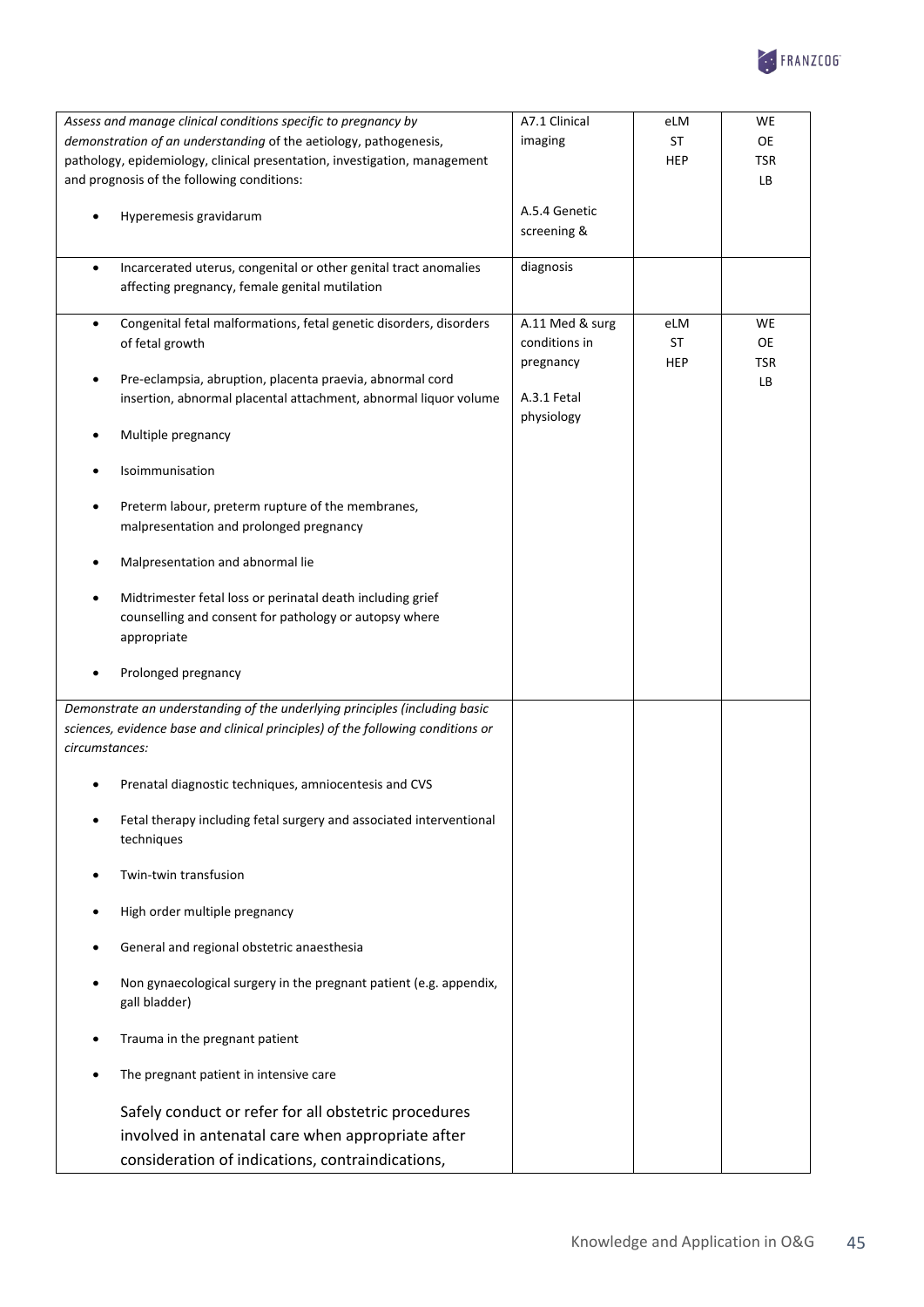

|                | Assess and manage clinical conditions specific to pregnancy by                  | A7.1 Clinical   | eLM | WE         |
|----------------|---------------------------------------------------------------------------------|-----------------|-----|------------|
|                | demonstration of an understanding of the aetiology, pathogenesis,               | imaging         | ST  | <b>OE</b>  |
|                | pathology, epidemiology, clinical presentation, investigation, management       |                 | HEP | <b>TSR</b> |
|                | and prognosis of the following conditions:                                      |                 |     | LB         |
|                |                                                                                 |                 |     |            |
|                | Hyperemesis gravidarum                                                          | A.5.4 Genetic   |     |            |
|                |                                                                                 | screening &     |     |            |
|                |                                                                                 |                 |     |            |
| $\bullet$      | Incarcerated uterus, congenital or other genital tract anomalies                | diagnosis       |     |            |
|                | affecting pregnancy, female genital mutilation                                  |                 |     |            |
|                |                                                                                 |                 |     |            |
| $\bullet$      | Congenital fetal malformations, fetal genetic disorders, disorders              | A.11 Med & surg | eLM | WE         |
|                | of fetal growth                                                                 | conditions in   | ST  | <b>OE</b>  |
|                |                                                                                 | pregnancy       | HEP | <b>TSR</b> |
|                | Pre-eclampsia, abruption, placenta praevia, abnormal cord                       |                 |     | <b>LB</b>  |
|                | insertion, abnormal placental attachment, abnormal liquor volume                | A.3.1 Fetal     |     |            |
|                |                                                                                 | physiology      |     |            |
|                | Multiple pregnancy                                                              |                 |     |            |
|                |                                                                                 |                 |     |            |
|                | Isoimmunisation                                                                 |                 |     |            |
|                |                                                                                 |                 |     |            |
|                | Preterm labour, preterm rupture of the membranes,                               |                 |     |            |
|                | malpresentation and prolonged pregnancy                                         |                 |     |            |
|                |                                                                                 |                 |     |            |
|                | Malpresentation and abnormal lie                                                |                 |     |            |
|                |                                                                                 |                 |     |            |
| $\bullet$      | Midtrimester fetal loss or perinatal death including grief                      |                 |     |            |
|                | counselling and consent for pathology or autopsy where                          |                 |     |            |
|                | appropriate                                                                     |                 |     |            |
|                |                                                                                 |                 |     |            |
|                | Prolonged pregnancy                                                             |                 |     |            |
|                |                                                                                 |                 |     |            |
|                | Demonstrate an understanding of the underlying principles (including basic      |                 |     |            |
|                | sciences, evidence base and clinical principles) of the following conditions or |                 |     |            |
| circumstances: |                                                                                 |                 |     |            |
|                |                                                                                 |                 |     |            |
|                | Prenatal diagnostic techniques, amniocentesis and CVS                           |                 |     |            |
|                |                                                                                 |                 |     |            |
|                | Fetal therapy including fetal surgery and associated interventional             |                 |     |            |
|                | techniques                                                                      |                 |     |            |
|                |                                                                                 |                 |     |            |
|                | Twin-twin transfusion                                                           |                 |     |            |
|                |                                                                                 |                 |     |            |
|                | High order multiple pregnancy                                                   |                 |     |            |
|                | General and regional obstetric anaesthesia                                      |                 |     |            |
|                |                                                                                 |                 |     |            |
|                | Non gynaecological surgery in the pregnant patient (e.g. appendix,              |                 |     |            |
|                | gall bladder)                                                                   |                 |     |            |
|                |                                                                                 |                 |     |            |
|                | Trauma in the pregnant patient                                                  |                 |     |            |
|                |                                                                                 |                 |     |            |
|                | The pregnant patient in intensive care                                          |                 |     |            |
|                |                                                                                 |                 |     |            |
|                | Safely conduct or refer for all obstetric procedures                            |                 |     |            |
|                |                                                                                 |                 |     |            |
|                | involved in antenatal care when appropriate after                               |                 |     |            |
|                | consideration of indications, contraindications,                                |                 |     |            |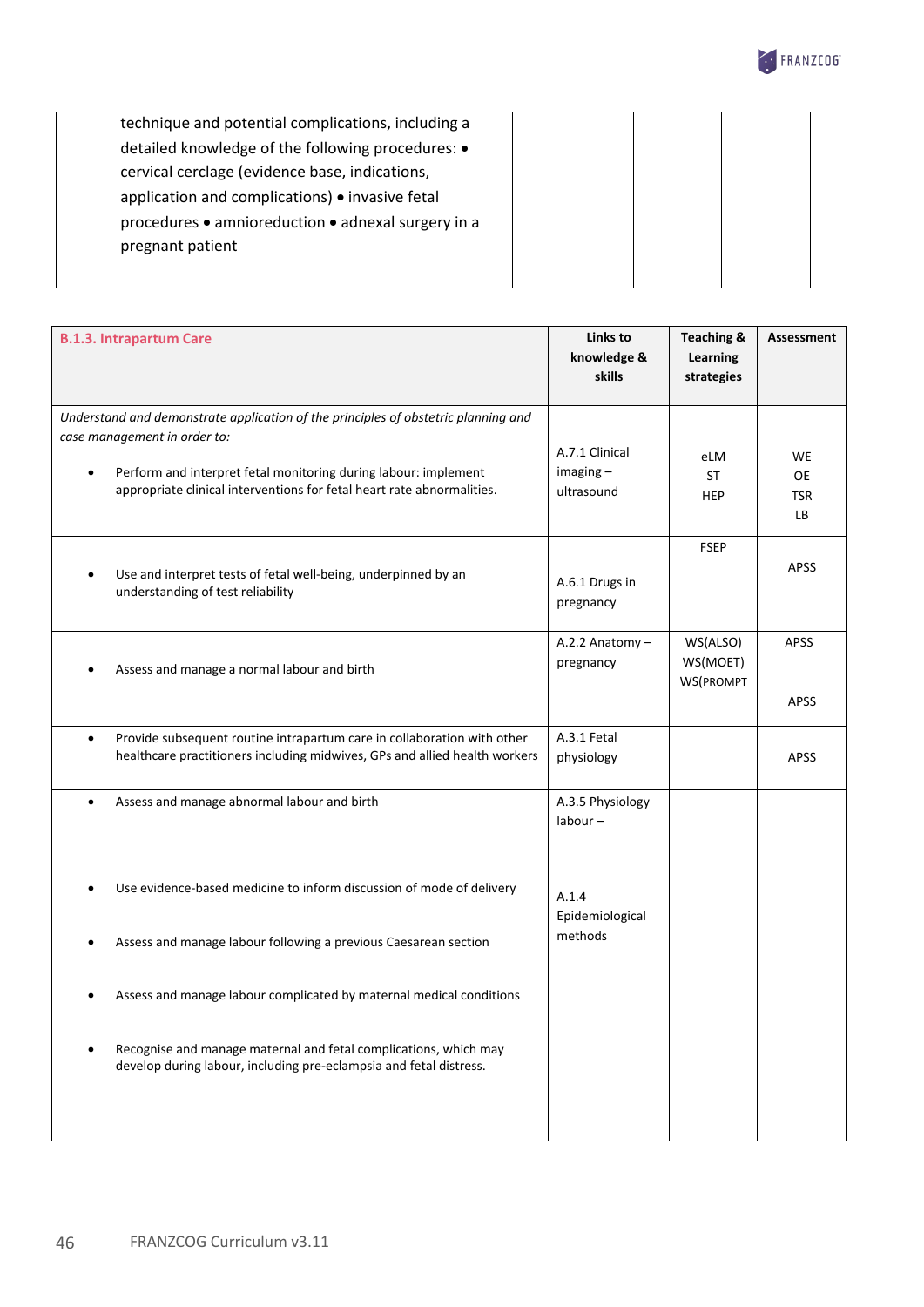

| technique and potential complications, including a |  |  |
|----------------------------------------------------|--|--|
| detailed knowledge of the following procedures: •  |  |  |
| cervical cerclage (evidence base, indications,     |  |  |
| application and complications) • invasive fetal    |  |  |
| procedures • amnioreduction • adnexal surgery in a |  |  |
| pregnant patient                                   |  |  |
|                                                    |  |  |
|                                                    |  |  |

| <b>B.1.3. Intrapartum Care</b>                                                                                                                                                                                                                                  | <b>Links to</b><br>knowledge &<br>skills | <b>Teaching &amp;</b><br>Learning<br>strategies | <b>Assessment</b>                          |
|-----------------------------------------------------------------------------------------------------------------------------------------------------------------------------------------------------------------------------------------------------------------|------------------------------------------|-------------------------------------------------|--------------------------------------------|
| Understand and demonstrate application of the principles of obstetric planning and<br>case management in order to:<br>Perform and interpret fetal monitoring during labour: implement<br>appropriate clinical interventions for fetal heart rate abnormalities. | A.7.1 Clinical<br>imaging-<br>ultrasound | eLM<br><b>ST</b><br><b>HEP</b>                  | <b>WE</b><br><b>OE</b><br><b>TSR</b><br>LB |
| Use and interpret tests of fetal well-being, underpinned by an<br>understanding of test reliability                                                                                                                                                             | A.6.1 Drugs in<br>pregnancy              | <b>FSEP</b>                                     | <b>APSS</b>                                |
| Assess and manage a normal labour and birth                                                                                                                                                                                                                     | A.2.2 Anatomy-<br>pregnancy              | WS(ALSO)<br>WS(MOET)<br><b>WS(PROMPT</b>        | <b>APSS</b><br><b>APSS</b>                 |
| Provide subsequent routine intrapartum care in collaboration with other<br>$\bullet$<br>healthcare practitioners including midwives, GPs and allied health workers                                                                                              | A.3.1 Fetal<br>physiology                |                                                 | <b>APSS</b>                                |
| Assess and manage abnormal labour and birth                                                                                                                                                                                                                     | A.3.5 Physiology<br>$labour -$           |                                                 |                                            |
| Use evidence-based medicine to inform discussion of mode of delivery<br>Assess and manage labour following a previous Caesarean section                                                                                                                         | A.1.4<br>Epidemiological<br>methods      |                                                 |                                            |
| Assess and manage labour complicated by maternal medical conditions                                                                                                                                                                                             |                                          |                                                 |                                            |
| Recognise and manage maternal and fetal complications, which may<br>develop during labour, including pre-eclampsia and fetal distress.                                                                                                                          |                                          |                                                 |                                            |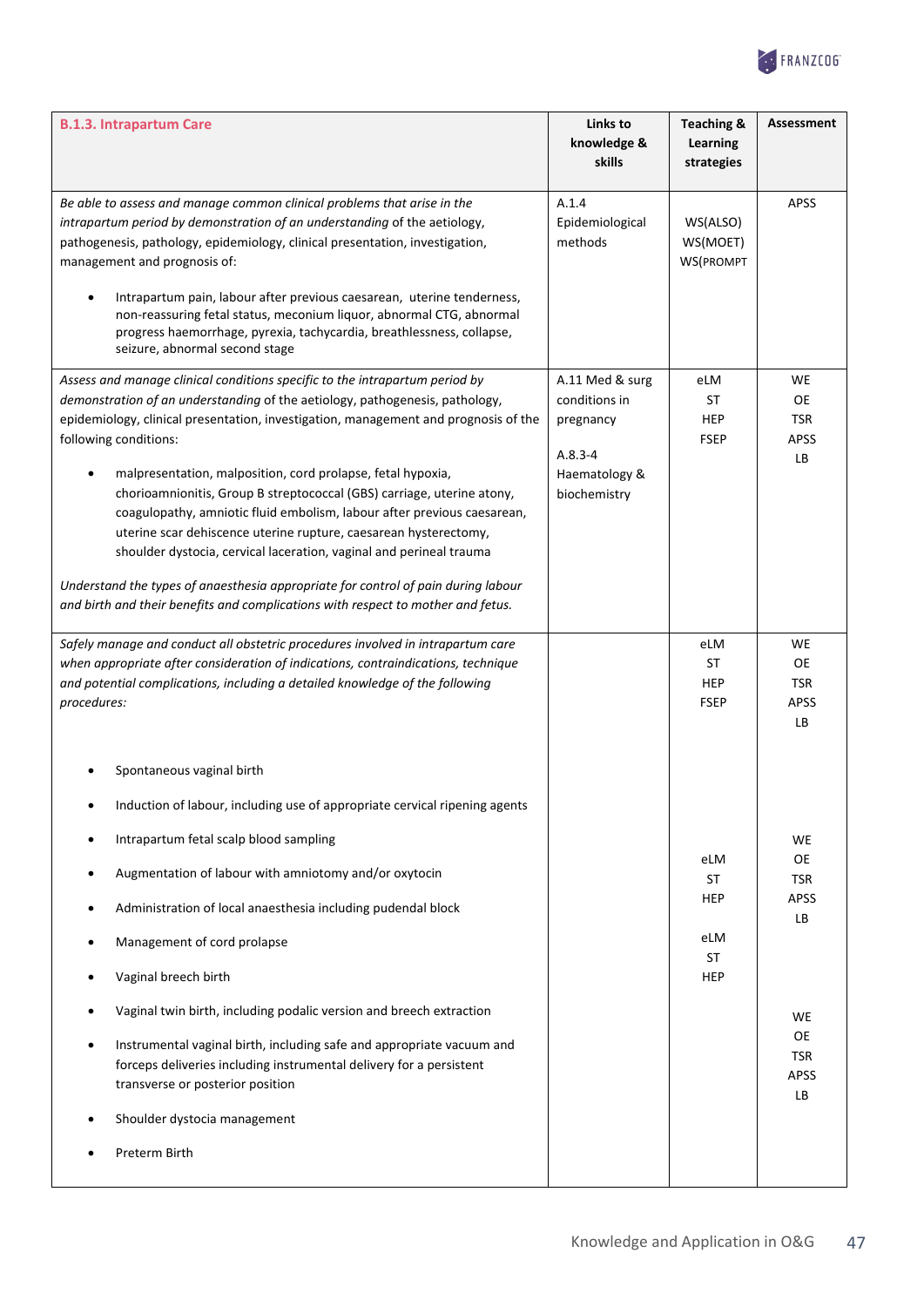

| <b>B.1.3. Intrapartum Care</b>                                                                                                                                                                                                                            | Links to                   | <b>Teaching &amp;</b>         | Assessment                            |
|-----------------------------------------------------------------------------------------------------------------------------------------------------------------------------------------------------------------------------------------------------------|----------------------------|-------------------------------|---------------------------------------|
|                                                                                                                                                                                                                                                           | knowledge &<br>skills      | <b>Learning</b><br>strategies |                                       |
|                                                                                                                                                                                                                                                           |                            |                               |                                       |
| Be able to assess and manage common clinical problems that arise in the                                                                                                                                                                                   | A.1.4                      |                               | <b>APSS</b>                           |
| intrapartum period by demonstration of an understanding of the aetiology,<br>pathogenesis, pathology, epidemiology, clinical presentation, investigation,                                                                                                 | Epidemiological<br>methods | WS(ALSO)<br>WS(MOET)          |                                       |
| management and prognosis of:                                                                                                                                                                                                                              |                            | <b>WS(PROMPT</b>              |                                       |
| Intrapartum pain, labour after previous caesarean, uterine tenderness,<br>non-reassuring fetal status, meconium liquor, abnormal CTG, abnormal<br>progress haemorrhage, pyrexia, tachycardia, breathlessness, collapse,<br>seizure, abnormal second stage |                            |                               |                                       |
| Assess and manage clinical conditions specific to the intrapartum period by                                                                                                                                                                               | A.11 Med & surg            | eLM                           | WE                                    |
| demonstration of an understanding of the aetiology, pathogenesis, pathology,                                                                                                                                                                              | conditions in              | ST                            | OE                                    |
| epidemiology, clinical presentation, investigation, management and prognosis of the<br>following conditions:                                                                                                                                              | pregnancy                  | <b>HEP</b><br><b>FSEP</b>     | <b>TSR</b><br><b>APSS</b>             |
|                                                                                                                                                                                                                                                           | $A.8.3 - 4$                |                               | LВ                                    |
| malpresentation, malposition, cord prolapse, fetal hypoxia,<br>$\bullet$                                                                                                                                                                                  | Haematology &              |                               |                                       |
| chorioamnionitis, Group B streptococcal (GBS) carriage, uterine atony,<br>coagulopathy, amniotic fluid embolism, labour after previous caesarean,                                                                                                         | biochemistry               |                               |                                       |
| uterine scar dehiscence uterine rupture, caesarean hysterectomy,                                                                                                                                                                                          |                            |                               |                                       |
| shoulder dystocia, cervical laceration, vaginal and perineal trauma                                                                                                                                                                                       |                            |                               |                                       |
| Understand the types of anaesthesia appropriate for control of pain during labour                                                                                                                                                                         |                            |                               |                                       |
| and birth and their benefits and complications with respect to mother and fetus.                                                                                                                                                                          |                            |                               |                                       |
| Safely manage and conduct all obstetric procedures involved in intrapartum care                                                                                                                                                                           |                            | eLM                           | WE                                    |
| when appropriate after consideration of indications, contraindications, technique                                                                                                                                                                         |                            | ST                            | OE                                    |
| and potential complications, including a detailed knowledge of the following                                                                                                                                                                              |                            | <b>HEP</b>                    | TSR                                   |
| procedures:                                                                                                                                                                                                                                               |                            | <b>FSEP</b>                   | <b>APSS</b>                           |
|                                                                                                                                                                                                                                                           |                            |                               | <b>LB</b>                             |
| Spontaneous vaginal birth                                                                                                                                                                                                                                 |                            |                               |                                       |
| Induction of labour, including use of appropriate cervical ripening agents                                                                                                                                                                                |                            |                               |                                       |
| Intrapartum fetal scalp blood sampling                                                                                                                                                                                                                    |                            |                               | WE<br><b>OE</b>                       |
| Augmentation of labour with amniotomy and/or oxytocin<br>٠                                                                                                                                                                                                |                            | eLM<br><b>ST</b>              | <b>TSR</b>                            |
| Administration of local anaesthesia including pudendal block<br>٠                                                                                                                                                                                         |                            | <b>HEP</b>                    | <b>APSS</b><br><b>LB</b>              |
| Management of cord prolapse                                                                                                                                                                                                                               |                            | eLM<br><b>ST</b>              |                                       |
| Vaginal breech birth                                                                                                                                                                                                                                      |                            | <b>HEP</b>                    |                                       |
| Vaginal twin birth, including podalic version and breech extraction                                                                                                                                                                                       |                            |                               | WE                                    |
| Instrumental vaginal birth, including safe and appropriate vacuum and<br>$\bullet$<br>forceps deliveries including instrumental delivery for a persistent<br>transverse or posterior position                                                             |                            |                               | <b>OE</b><br><b>TSR</b><br>APSS<br>LB |
| Shoulder dystocia management<br>٠                                                                                                                                                                                                                         |                            |                               |                                       |
| Preterm Birth                                                                                                                                                                                                                                             |                            |                               |                                       |
|                                                                                                                                                                                                                                                           |                            |                               |                                       |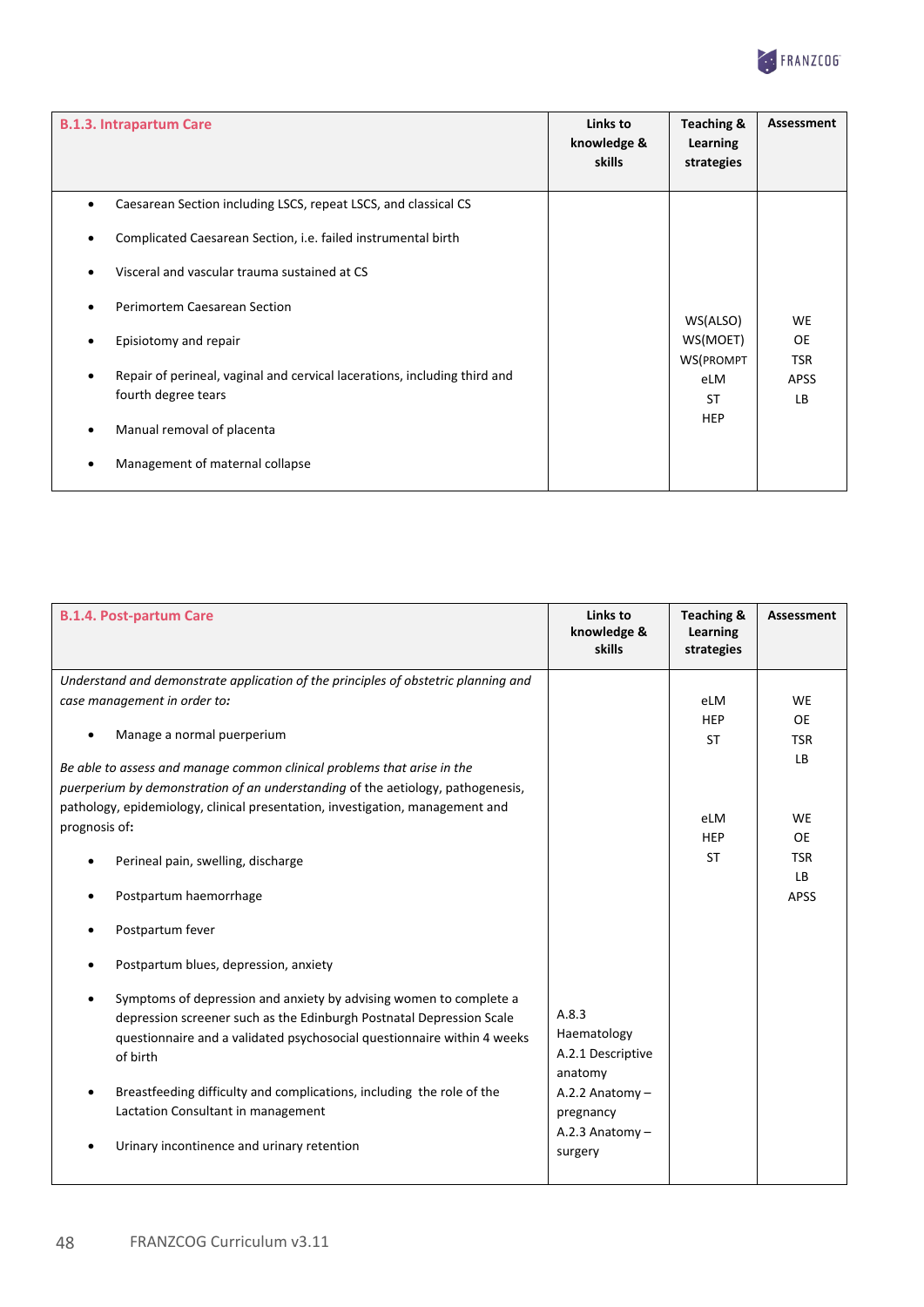

| <b>B.1.3. Intrapartum Care</b>                                                                        | Links to<br>knowledge &<br>skills | Teaching &<br>Learning<br>strategies | Assessment                      |
|-------------------------------------------------------------------------------------------------------|-----------------------------------|--------------------------------------|---------------------------------|
| Caesarean Section including LSCS, repeat LSCS, and classical CS<br>٠                                  |                                   |                                      |                                 |
| Complicated Caesarean Section, i.e. failed instrumental birth                                         |                                   |                                      |                                 |
| Visceral and vascular trauma sustained at CS                                                          |                                   |                                      |                                 |
| Perimortem Caesarean Section                                                                          |                                   | WS(ALSO)                             | <b>WE</b>                       |
| Episiotomy and repair<br>٠                                                                            |                                   | WS(MOET)                             | <b>OE</b>                       |
| Repair of perineal, vaginal and cervical lacerations, including third and<br>٠<br>fourth degree tears |                                   | <b>WS(PROMPT</b><br>eLM<br><b>ST</b> | <b>TSR</b><br><b>APSS</b><br>LB |
| Manual removal of placenta<br>٠                                                                       |                                   | <b>HEP</b>                           |                                 |
| Management of maternal collapse                                                                       |                                   |                                      |                                 |

| <b>B.1.4. Post-partum Care</b>                                                     | Links to<br>knowledge &<br>skills | <b>Teaching &amp;</b><br>Learning<br>strategies | Assessment  |
|------------------------------------------------------------------------------------|-----------------------------------|-------------------------------------------------|-------------|
| Understand and demonstrate application of the principles of obstetric planning and |                                   |                                                 |             |
| case management in order to:                                                       |                                   | eLM                                             | <b>WE</b>   |
|                                                                                    |                                   | <b>HEP</b>                                      | <b>OE</b>   |
| Manage a normal puerperium                                                         |                                   | <b>ST</b>                                       | <b>TSR</b>  |
| Be able to assess and manage common clinical problems that arise in the            |                                   |                                                 | LB          |
| puerperium by demonstration of an understanding of the aetiology, pathogenesis,    |                                   |                                                 |             |
| pathology, epidemiology, clinical presentation, investigation, management and      |                                   |                                                 |             |
| prognosis of:                                                                      |                                   | eLM                                             | <b>WE</b>   |
|                                                                                    |                                   | <b>HEP</b>                                      | <b>OE</b>   |
| Perineal pain, swelling, discharge                                                 |                                   | <b>ST</b>                                       | <b>TSR</b>  |
|                                                                                    |                                   |                                                 | LB.         |
| Postpartum haemorrhage                                                             |                                   |                                                 | <b>APSS</b> |
| Postpartum fever                                                                   |                                   |                                                 |             |
| Postpartum blues, depression, anxiety                                              |                                   |                                                 |             |
| Symptoms of depression and anxiety by advising women to complete a                 |                                   |                                                 |             |
| depression screener such as the Edinburgh Postnatal Depression Scale               | A.8.3                             |                                                 |             |
| questionnaire and a validated psychosocial questionnaire within 4 weeks            | Haematology                       |                                                 |             |
| of birth                                                                           | A.2.1 Descriptive                 |                                                 |             |
|                                                                                    | anatomy                           |                                                 |             |
| Breastfeeding difficulty and complications, including the role of the              | A.2.2 Anatomy $-$                 |                                                 |             |
| Lactation Consultant in management                                                 | pregnancy                         |                                                 |             |
| Urinary incontinence and urinary retention                                         | A.2.3 Anatomy $-$<br>surgery      |                                                 |             |
|                                                                                    |                                   |                                                 |             |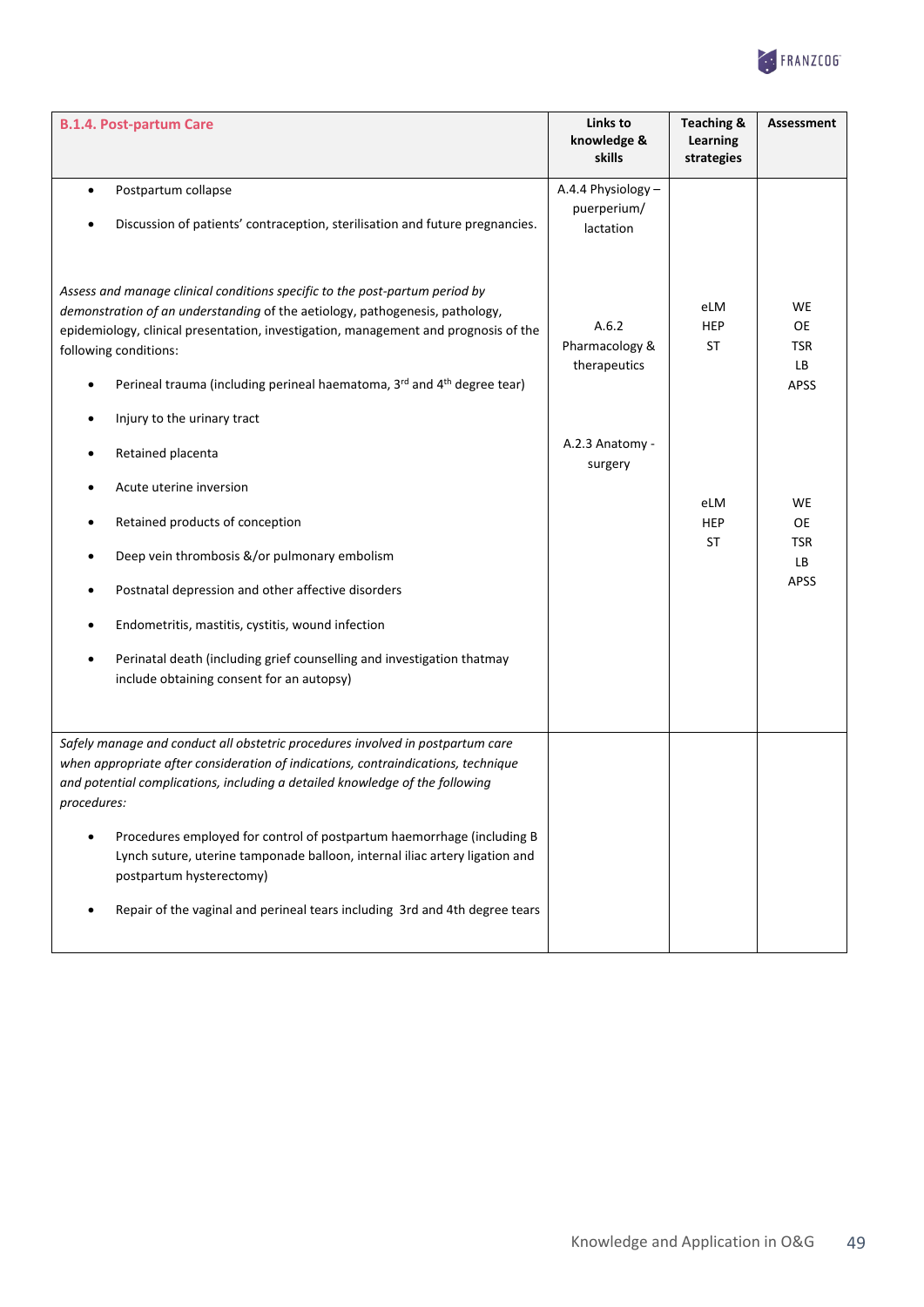

| <b>B.1.4. Post-partum Care</b>                                                                                                                                                                                                                                                                                                                                                  | <b>Links to</b><br>knowledge &<br>skills       | <b>Teaching &amp;</b><br>Learning<br>strategies | Assessment                                         |
|---------------------------------------------------------------------------------------------------------------------------------------------------------------------------------------------------------------------------------------------------------------------------------------------------------------------------------------------------------------------------------|------------------------------------------------|-------------------------------------------------|----------------------------------------------------|
| Postpartum collapse<br>$\bullet$<br>Discussion of patients' contraception, sterilisation and future pregnancies.                                                                                                                                                                                                                                                                | A.4.4 Physiology -<br>puerperium/<br>lactation |                                                 |                                                    |
| Assess and manage clinical conditions specific to the post-partum period by<br>demonstration of an understanding of the aetiology, pathogenesis, pathology,<br>epidemiology, clinical presentation, investigation, management and prognosis of the<br>following conditions:<br>Perineal trauma (including perineal haematoma, 3rd and 4 <sup>th</sup> degree tear)<br>$\bullet$ | A.6.2<br>Pharmacology &<br>therapeutics        | eLM<br><b>HEP</b><br>ST                         | <b>WE</b><br><b>OE</b><br>TSR<br>LB<br><b>APSS</b> |
| Injury to the urinary tract<br>$\bullet$<br>Retained placenta                                                                                                                                                                                                                                                                                                                   | A.2.3 Anatomy -<br>surgery                     |                                                 |                                                    |
| Acute uterine inversion<br>Retained products of conception<br>Deep vein thrombosis &/or pulmonary embolism<br>$\bullet$<br>Postnatal depression and other affective disorders<br>٠<br>Endometritis, mastitis, cystitis, wound infection<br>٠<br>Perinatal death (including grief counselling and investigation thatmay<br>$\bullet$                                             |                                                | eLM<br><b>HEP</b><br>ST                         | <b>WE</b><br><b>OE</b><br><b>TSR</b><br>LВ<br>APSS |
| include obtaining consent for an autopsy)                                                                                                                                                                                                                                                                                                                                       |                                                |                                                 |                                                    |
| Safely manage and conduct all obstetric procedures involved in postpartum care<br>when appropriate after consideration of indications, contraindications, technique<br>and potential complications, including a detailed knowledge of the following<br>procedures:                                                                                                              |                                                |                                                 |                                                    |
| Procedures employed for control of postpartum haemorrhage (including B<br>Lynch suture, uterine tamponade balloon, internal iliac artery ligation and<br>postpartum hysterectomy)                                                                                                                                                                                               |                                                |                                                 |                                                    |
| Repair of the vaginal and perineal tears including 3rd and 4th degree tears                                                                                                                                                                                                                                                                                                     |                                                |                                                 |                                                    |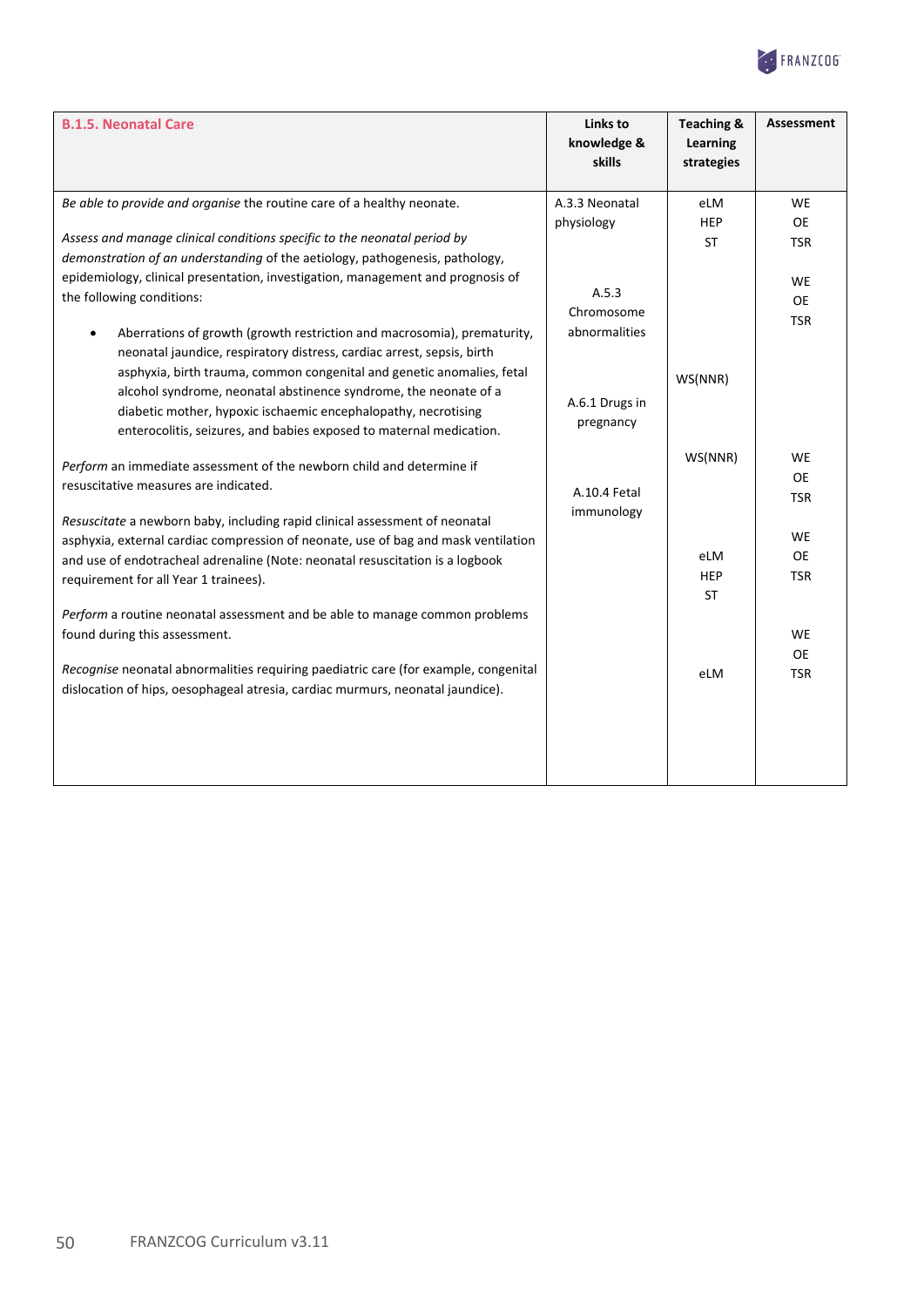

| <b>B.1.5. Neonatal Care</b>                                                                                                                                                                                                                                                                                                                                                                                                                                                                                                                                                                                                                                                                                                                                                                                                                                                                                                                                                                                                                                                                                                                                                                                                                                                                                                                                                                                                                                                                                           | <b>Links to</b><br>knowledge &<br>skills                                                                                          | <b>Teaching &amp;</b><br>Learning<br>strategies                                               | <b>Assessment</b>                                                                                                                                                                      |
|-----------------------------------------------------------------------------------------------------------------------------------------------------------------------------------------------------------------------------------------------------------------------------------------------------------------------------------------------------------------------------------------------------------------------------------------------------------------------------------------------------------------------------------------------------------------------------------------------------------------------------------------------------------------------------------------------------------------------------------------------------------------------------------------------------------------------------------------------------------------------------------------------------------------------------------------------------------------------------------------------------------------------------------------------------------------------------------------------------------------------------------------------------------------------------------------------------------------------------------------------------------------------------------------------------------------------------------------------------------------------------------------------------------------------------------------------------------------------------------------------------------------------|-----------------------------------------------------------------------------------------------------------------------------------|-----------------------------------------------------------------------------------------------|----------------------------------------------------------------------------------------------------------------------------------------------------------------------------------------|
| Be able to provide and organise the routine care of a healthy neonate.<br>Assess and manage clinical conditions specific to the neonatal period by<br>demonstration of an understanding of the aetiology, pathogenesis, pathology,<br>epidemiology, clinical presentation, investigation, management and prognosis of<br>the following conditions:<br>Aberrations of growth (growth restriction and macrosomia), prematurity,<br>$\bullet$<br>neonatal jaundice, respiratory distress, cardiac arrest, sepsis, birth<br>asphyxia, birth trauma, common congenital and genetic anomalies, fetal<br>alcohol syndrome, neonatal abstinence syndrome, the neonate of a<br>diabetic mother, hypoxic ischaemic encephalopathy, necrotising<br>enterocolitis, seizures, and babies exposed to maternal medication.<br>Perform an immediate assessment of the newborn child and determine if<br>resuscitative measures are indicated.<br>Resuscitate a newborn baby, including rapid clinical assessment of neonatal<br>asphyxia, external cardiac compression of neonate, use of bag and mask ventilation<br>and use of endotracheal adrenaline (Note: neonatal resuscitation is a logbook<br>requirement for all Year 1 trainees).<br>Perform a routine neonatal assessment and be able to manage common problems<br>found during this assessment.<br>Recognise neonatal abnormalities requiring paediatric care (for example, congenital<br>dislocation of hips, oesophageal atresia, cardiac murmurs, neonatal jaundice). | A.3.3 Neonatal<br>physiology<br>A.5.3<br>Chromosome<br>abnormalities<br>A.6.1 Drugs in<br>pregnancy<br>A.10.4 Fetal<br>immunology | eLM<br><b>HEP</b><br><b>ST</b><br>WS(NNR)<br>WS(NNR)<br>eLM<br><b>HEP</b><br><b>ST</b><br>eLM | WE<br>OE<br><b>TSR</b><br><b>WE</b><br><b>OE</b><br><b>TSR</b><br><b>WE</b><br><b>OE</b><br><b>TSR</b><br><b>WE</b><br><b>OE</b><br><b>TSR</b><br><b>WE</b><br><b>OE</b><br><b>TSR</b> |
|                                                                                                                                                                                                                                                                                                                                                                                                                                                                                                                                                                                                                                                                                                                                                                                                                                                                                                                                                                                                                                                                                                                                                                                                                                                                                                                                                                                                                                                                                                                       |                                                                                                                                   |                                                                                               |                                                                                                                                                                                        |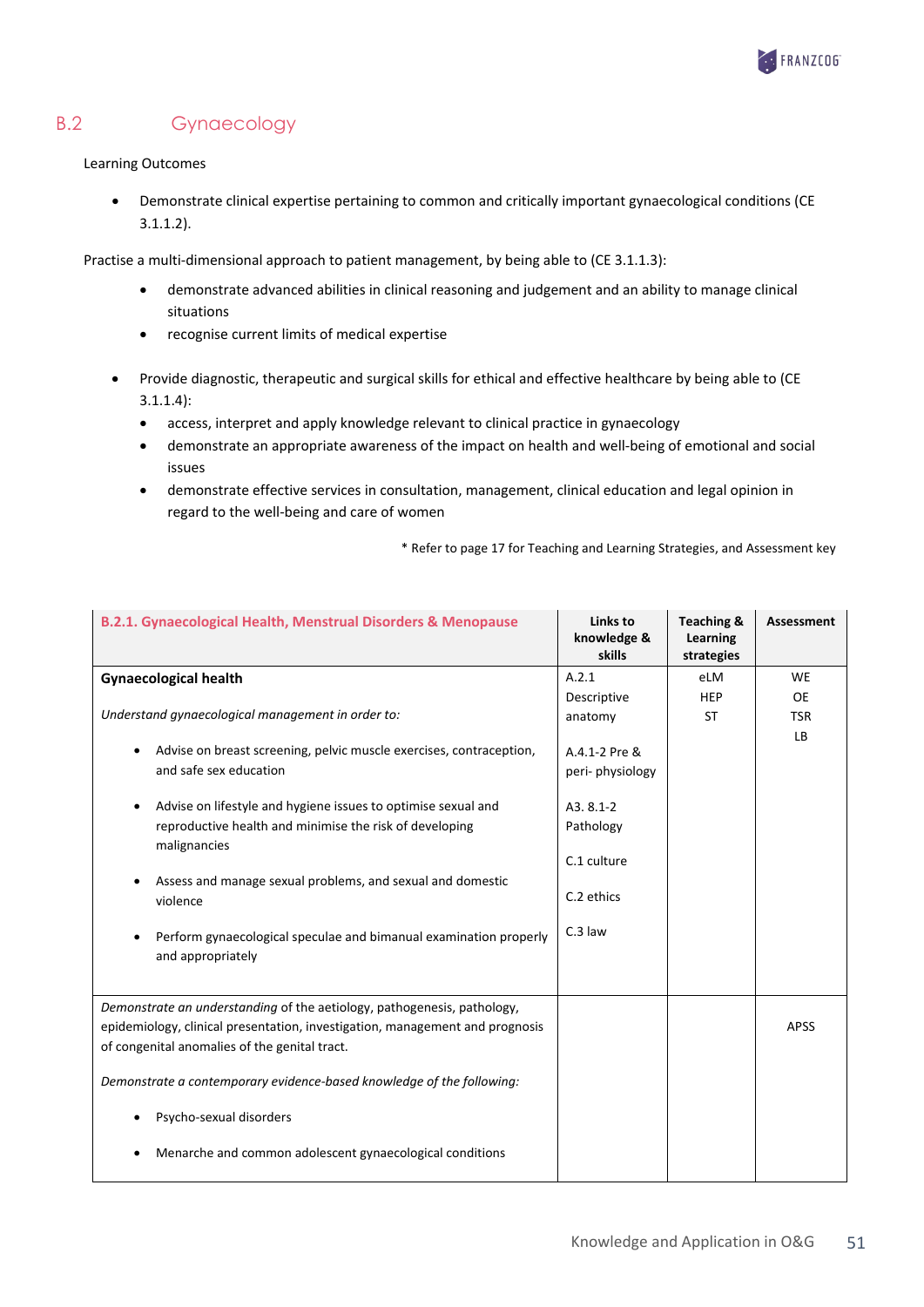

### B.2 Gynaecology

Learning Outcomes

• Demonstrate clinical expertise pertaining to common and critically important gynaecological conditions (CE 3.1.1.2).

Practise a multi-dimensional approach to patient management, by being able to (CE 3.1.1.3):

- demonstrate advanced abilities in clinical reasoning and judgement and an ability to manage clinical situations
- recognise current limits of medical expertise
- Provide diagnostic, therapeutic and surgical skills for ethical and effective healthcare by being able to (CE 3.1.1.4):
	- access, interpret and apply knowledge relevant to clinical practice in gynaecology
	- demonstrate an appropriate awareness of the impact on health and well-being of emotional and social issues
	- demonstrate effective services in consultation, management, clinical education and legal opinion in regard to the well-being and care of women

| <b>B.2.1. Gynaecological Health, Menstrual Disorders &amp; Menopause</b>                                                                                                                                                                                                                                                                                                                                                                     | Links to<br>knowledge &<br>skills                                                                  | <b>Teaching &amp;</b><br>Learning<br>strategies | <b>Assessment</b> |
|----------------------------------------------------------------------------------------------------------------------------------------------------------------------------------------------------------------------------------------------------------------------------------------------------------------------------------------------------------------------------------------------------------------------------------------------|----------------------------------------------------------------------------------------------------|-------------------------------------------------|-------------------|
| <b>Gynaecological health</b>                                                                                                                                                                                                                                                                                                                                                                                                                 | A.2.1                                                                                              | eLM                                             | <b>WE</b>         |
|                                                                                                                                                                                                                                                                                                                                                                                                                                              | Descriptive                                                                                        | <b>HEP</b>                                      | <b>OE</b>         |
| Understand gynaecological management in order to:                                                                                                                                                                                                                                                                                                                                                                                            | anatomy                                                                                            | <b>ST</b>                                       | <b>TSR</b>        |
| Advise on breast screening, pelvic muscle exercises, contraception,<br>$\bullet$<br>and safe sex education<br>Advise on lifestyle and hygiene issues to optimise sexual and<br>٠<br>reproductive health and minimise the risk of developing<br>malignancies<br>Assess and manage sexual problems, and sexual and domestic<br>violence<br>Perform gynaecological speculae and bimanual examination properly<br>$\bullet$<br>and appropriately | A.4.1-2 Pre &<br>peri-physiology<br>A3. 8.1-2<br>Pathology<br>C.1 culture<br>C.2 ethics<br>C.3 law |                                                 | LB                |
| Demonstrate an understanding of the aetiology, pathogenesis, pathology,<br>epidemiology, clinical presentation, investigation, management and prognosis<br>of congenital anomalies of the genital tract.<br>Demonstrate a contemporary evidence-based knowledge of the following:<br>Psycho-sexual disorders                                                                                                                                 |                                                                                                    |                                                 | APSS              |
| Menarche and common adolescent gynaecological conditions                                                                                                                                                                                                                                                                                                                                                                                     |                                                                                                    |                                                 |                   |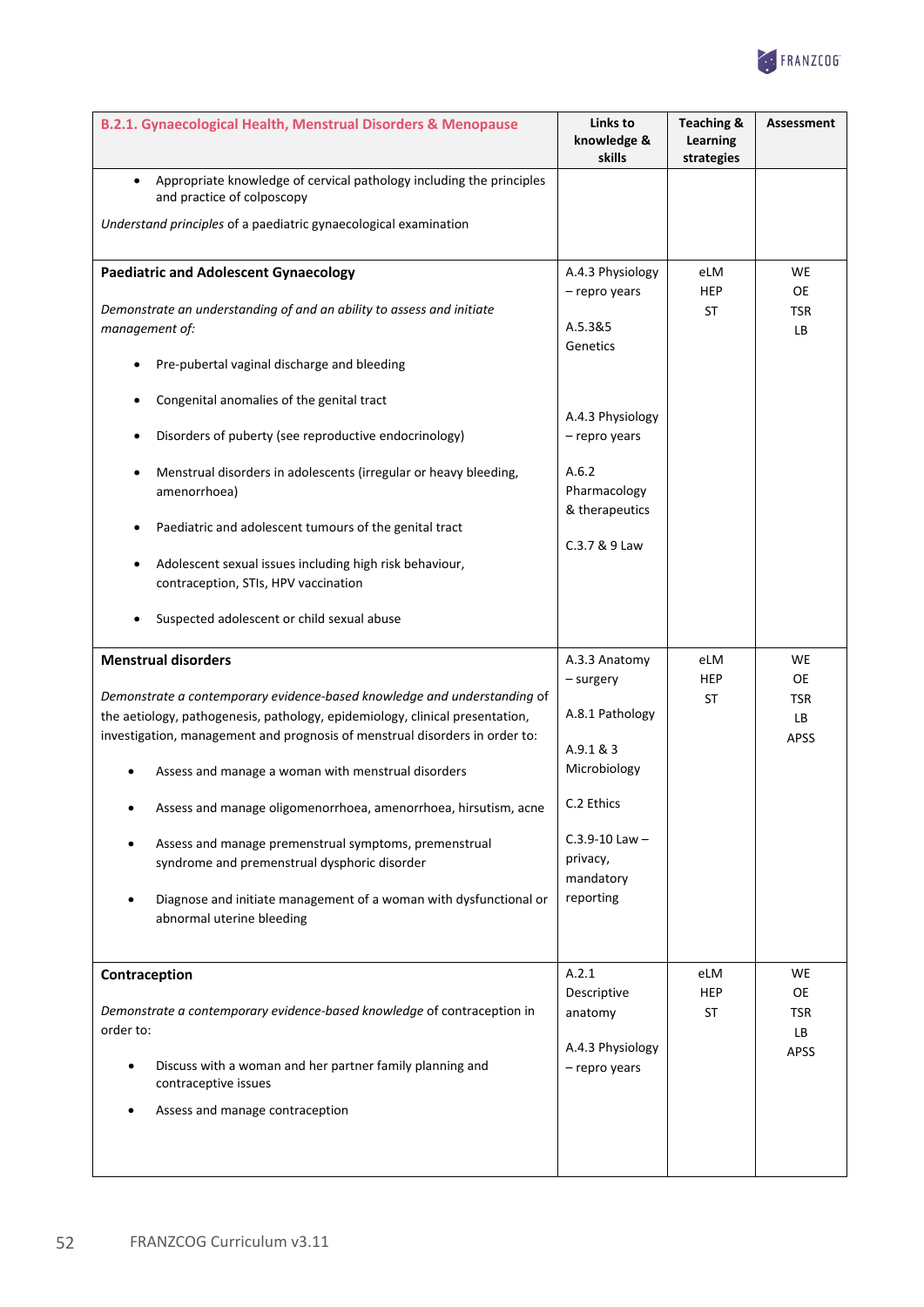

| <b>B.2.1. Gynaecological Health, Menstrual Disorders &amp; Menopause</b>                                                                                                                                                                | <b>Links to</b><br>knowledge &<br>skills    | <b>Teaching &amp;</b><br>Learning<br>strategies | <b>Assessment</b>               |
|-----------------------------------------------------------------------------------------------------------------------------------------------------------------------------------------------------------------------------------------|---------------------------------------------|-------------------------------------------------|---------------------------------|
| Appropriate knowledge of cervical pathology including the principles<br>$\bullet$<br>and practice of colposcopy                                                                                                                         |                                             |                                                 |                                 |
| Understand principles of a paediatric gynaecological examination                                                                                                                                                                        |                                             |                                                 |                                 |
| <b>Paediatric and Adolescent Gynaecology</b>                                                                                                                                                                                            | A.4.3 Physiology                            | eLM                                             | WE                              |
| Demonstrate an understanding of and an ability to assess and initiate<br>management of:                                                                                                                                                 | - repro years<br>A.5.3&5<br>Genetics        | <b>HEP</b><br><b>ST</b>                         | OE<br><b>TSR</b><br><b>LB</b>   |
| Pre-pubertal vaginal discharge and bleeding                                                                                                                                                                                             |                                             |                                                 |                                 |
| Congenital anomalies of the genital tract                                                                                                                                                                                               | A.4.3 Physiology                            |                                                 |                                 |
| Disorders of puberty (see reproductive endocrinology)                                                                                                                                                                                   | - repro years                               |                                                 |                                 |
| Menstrual disorders in adolescents (irregular or heavy bleeding,<br>amenorrhoea)                                                                                                                                                        | A.6.2<br>Pharmacology<br>& therapeutics     |                                                 |                                 |
| Paediatric and adolescent tumours of the genital tract                                                                                                                                                                                  | $C.3.7 & 9$ Law                             |                                                 |                                 |
| Adolescent sexual issues including high risk behaviour,<br>contraception, STIs, HPV vaccination                                                                                                                                         |                                             |                                                 |                                 |
| Suspected adolescent or child sexual abuse                                                                                                                                                                                              |                                             |                                                 |                                 |
| <b>Menstrual disorders</b>                                                                                                                                                                                                              | A.3.3 Anatomy<br>- surgery                  | eLM<br>HEP                                      | WE<br>OE                        |
| Demonstrate a contemporary evidence-based knowledge and understanding of<br>the aetiology, pathogenesis, pathology, epidemiology, clinical presentation,<br>investigation, management and prognosis of menstrual disorders in order to: | A.8.1 Pathology                             | <b>ST</b>                                       | <b>TSR</b><br><b>LB</b><br>APSS |
| Assess and manage a woman with menstrual disorders                                                                                                                                                                                      | A.9.1 & 3<br>Microbiology                   |                                                 |                                 |
| Assess and manage oligomenorrhoea, amenorrhoea, hirsutism, acne                                                                                                                                                                         | C.2 Ethics                                  |                                                 |                                 |
| Assess and manage premenstrual symptoms, premenstrual<br>syndrome and premenstrual dysphoric disorder                                                                                                                                   | $C.3.9-10$ Law $-$<br>privacy,<br>mandatory |                                                 |                                 |
| Diagnose and initiate management of a woman with dysfunctional or<br>abnormal uterine bleeding                                                                                                                                          | reporting                                   |                                                 |                                 |
| Contraception                                                                                                                                                                                                                           | A.2.1                                       | eLM                                             | <b>WE</b>                       |
| Demonstrate a contemporary evidence-based knowledge of contraception in<br>order to:                                                                                                                                                    | Descriptive<br>anatomy                      | <b>HEP</b><br>ST                                | OE<br><b>TSR</b><br>LB          |
| Discuss with a woman and her partner family planning and<br>٠<br>contraceptive issues                                                                                                                                                   | A.4.3 Physiology<br>- repro years           |                                                 | APSS                            |
| Assess and manage contraception                                                                                                                                                                                                         |                                             |                                                 |                                 |
|                                                                                                                                                                                                                                         |                                             |                                                 |                                 |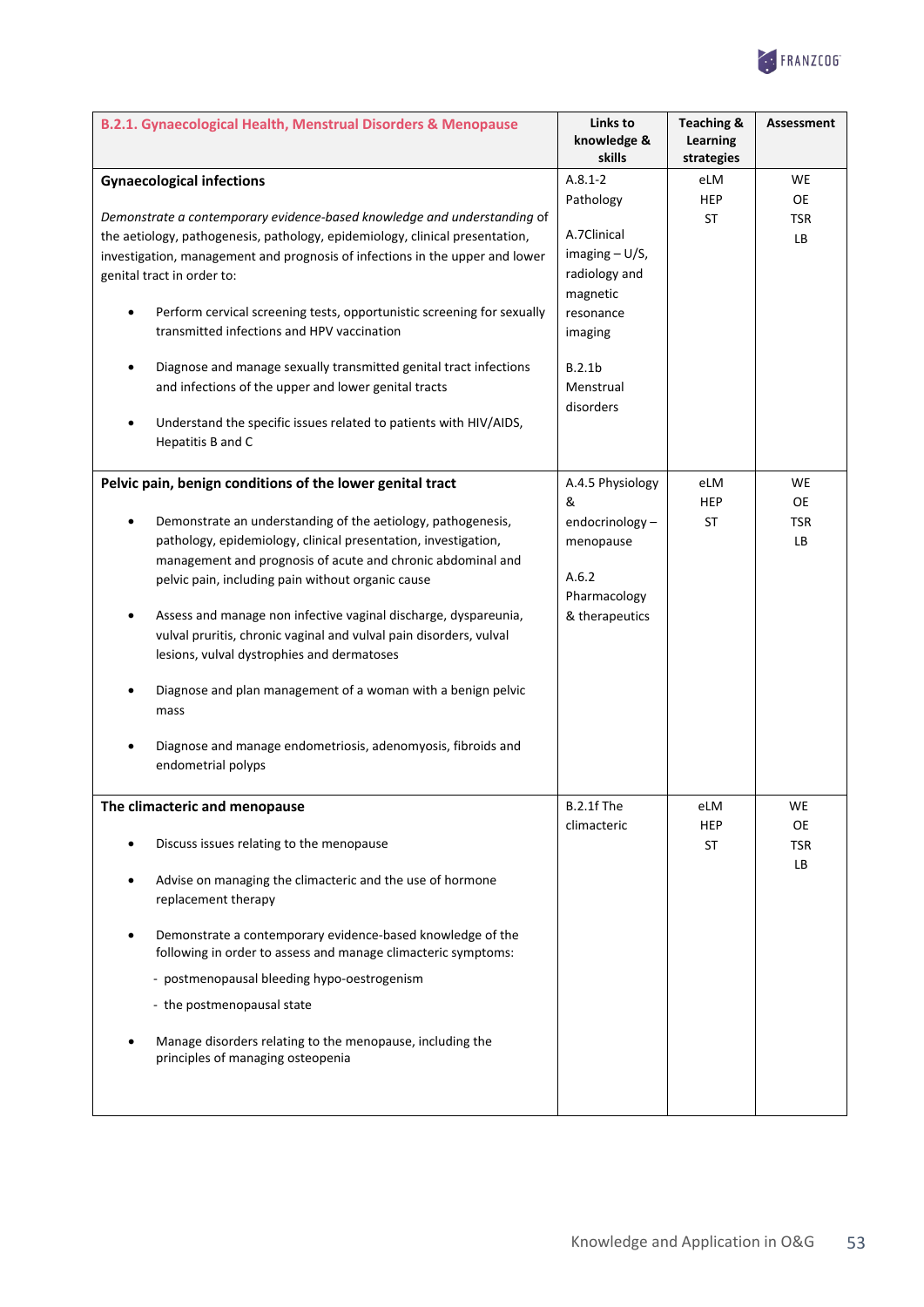

| <b>B.2.1. Gynaecological Health, Menstrual Disorders &amp; Menopause</b>                                                                                                                                                                                                                                                                                                                                                                                                                                                                                                                                                                                             | Links to<br>knowledge &<br>skills                                                                                                                     | <b>Teaching &amp;</b><br>Learning<br>strategies | <b>Assessment</b>            |
|----------------------------------------------------------------------------------------------------------------------------------------------------------------------------------------------------------------------------------------------------------------------------------------------------------------------------------------------------------------------------------------------------------------------------------------------------------------------------------------------------------------------------------------------------------------------------------------------------------------------------------------------------------------------|-------------------------------------------------------------------------------------------------------------------------------------------------------|-------------------------------------------------|------------------------------|
| <b>Gynaecological infections</b><br>Demonstrate a contemporary evidence-based knowledge and understanding of<br>the aetiology, pathogenesis, pathology, epidemiology, clinical presentation,<br>investigation, management and prognosis of infections in the upper and lower<br>genital tract in order to:<br>Perform cervical screening tests, opportunistic screening for sexually<br>transmitted infections and HPV vaccination<br>Diagnose and manage sexually transmitted genital tract infections<br>and infections of the upper and lower genital tracts<br>Understand the specific issues related to patients with HIV/AIDS,<br>Hepatitis B and C            | $A.8.1 - 2$<br>Pathology<br>A.7Clinical<br>imaging $- U/S$ ,<br>radiology and<br>magnetic<br>resonance<br>imaging<br>B.2.1b<br>Menstrual<br>disorders | eLM<br>HEP<br><b>ST</b>                         | WE<br>OE<br>TSR<br>LB        |
| Pelvic pain, benign conditions of the lower genital tract<br>Demonstrate an understanding of the aetiology, pathogenesis,<br>pathology, epidemiology, clinical presentation, investigation,<br>management and prognosis of acute and chronic abdominal and<br>pelvic pain, including pain without organic cause<br>Assess and manage non infective vaginal discharge, dyspareunia,<br>vulval pruritis, chronic vaginal and vulval pain disorders, vulval<br>lesions, vulval dystrophies and dermatoses<br>Diagnose and plan management of a woman with a benign pelvic<br>mass<br>Diagnose and manage endometriosis, adenomyosis, fibroids and<br>endometrial polyps | A.4.5 Physiology<br>&<br>endocrinology-<br>menopause<br>A.6.2<br>Pharmacology<br>& therapeutics                                                       | eLM<br>HEP<br>ST                                | WE<br>OE<br><b>TSR</b><br>LB |
| The climacteric and menopause<br>Discuss issues relating to the menopause<br>Advise on managing the climacteric and the use of hormone<br>replacement therapy<br>Demonstrate a contemporary evidence-based knowledge of the<br>following in order to assess and manage climacteric symptoms:<br>- postmenopausal bleeding hypo-oestrogenism<br>- the postmenopausal state<br>Manage disorders relating to the menopause, including the<br>principles of managing osteopenia                                                                                                                                                                                          | <b>B.2.1f The</b><br>climacteric                                                                                                                      | eLM<br>HEP<br>ST                                | WF<br>OE<br>TSR<br>LВ        |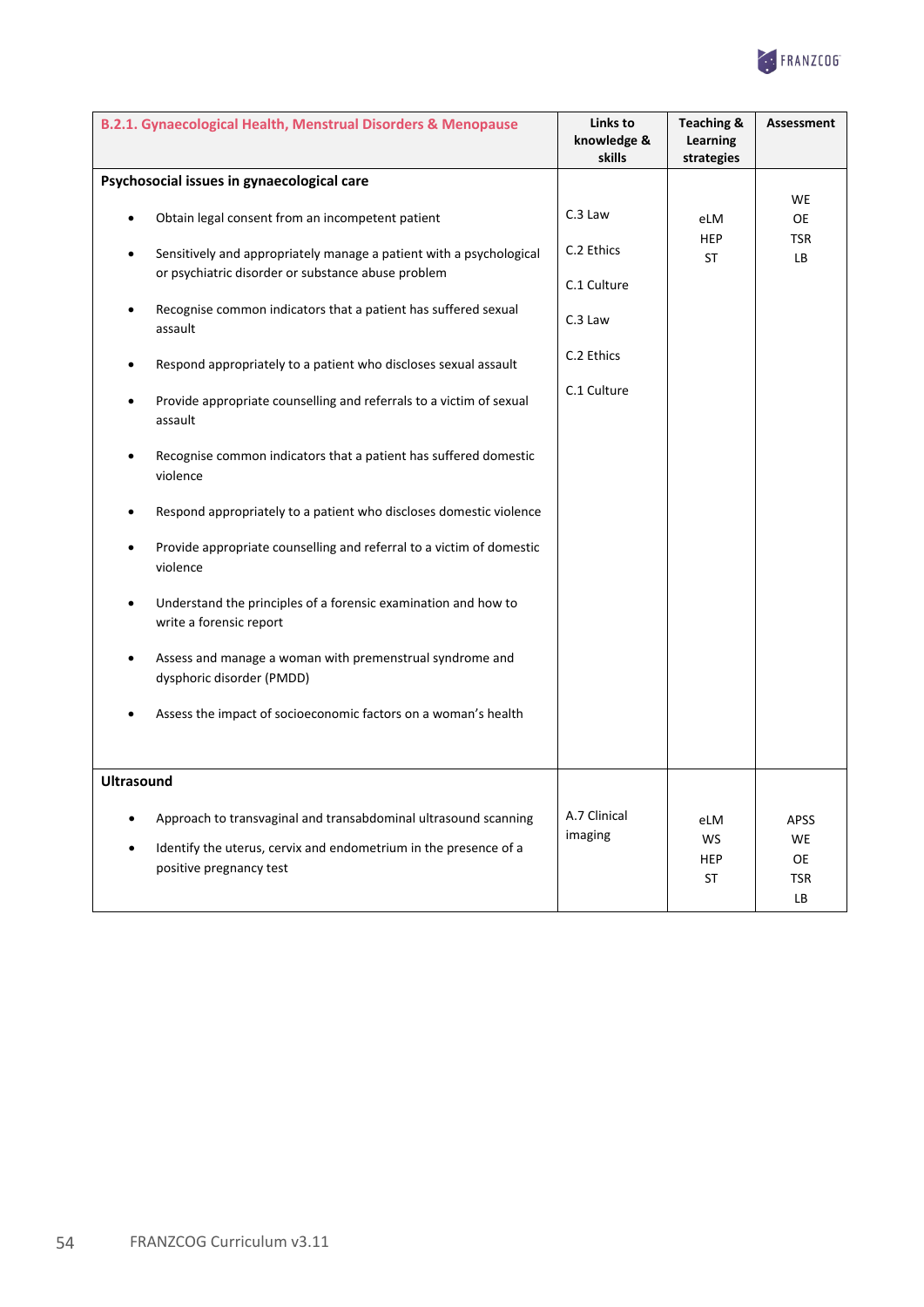

| B.2.1. Gynaecological Health, Menstrual Disorders & Menopause                                                           | Links to<br>knowledge &<br>skills | <b>Teaching &amp;</b><br>Learning<br>strategies | <b>Assessment</b>                   |
|-------------------------------------------------------------------------------------------------------------------------|-----------------------------------|-------------------------------------------------|-------------------------------------|
| Psychosocial issues in gynaecological care                                                                              |                                   |                                                 |                                     |
| Obtain legal consent from an incompetent patient<br>Sensitively and appropriately manage a patient with a psychological | C.3 Law<br>C.2 Ethics             | eLM<br><b>HEP</b><br><b>ST</b>                  | <b>WE</b><br>OE<br><b>TSR</b><br>LB |
| or psychiatric disorder or substance abuse problem                                                                      | C.1 Culture                       |                                                 |                                     |
| Recognise common indicators that a patient has suffered sexual<br>assault                                               | C.3 Law                           |                                                 |                                     |
| Respond appropriately to a patient who discloses sexual assault                                                         | C.2 Ethics                        |                                                 |                                     |
| Provide appropriate counselling and referrals to a victim of sexual<br>assault                                          | C.1 Culture                       |                                                 |                                     |
| Recognise common indicators that a patient has suffered domestic<br>violence                                            |                                   |                                                 |                                     |
| Respond appropriately to a patient who discloses domestic violence                                                      |                                   |                                                 |                                     |
| Provide appropriate counselling and referral to a victim of domestic<br>violence                                        |                                   |                                                 |                                     |
| Understand the principles of a forensic examination and how to<br>write a forensic report                               |                                   |                                                 |                                     |
| Assess and manage a woman with premenstrual syndrome and<br>dysphoric disorder (PMDD)                                   |                                   |                                                 |                                     |
| Assess the impact of socioeconomic factors on a woman's health                                                          |                                   |                                                 |                                     |
|                                                                                                                         |                                   |                                                 |                                     |
| <b>Ultrasound</b>                                                                                                       |                                   |                                                 |                                     |
| Approach to transvaginal and transabdominal ultrasound scanning                                                         | A.7 Clinical<br>imaging           | eLM                                             | <b>APSS</b>                         |
| Identify the uterus, cervix and endometrium in the presence of a<br>positive pregnancy test                             |                                   | WS<br><b>HEP</b><br>ST                          | <b>WE</b><br><b>OE</b><br>TSR<br>LB |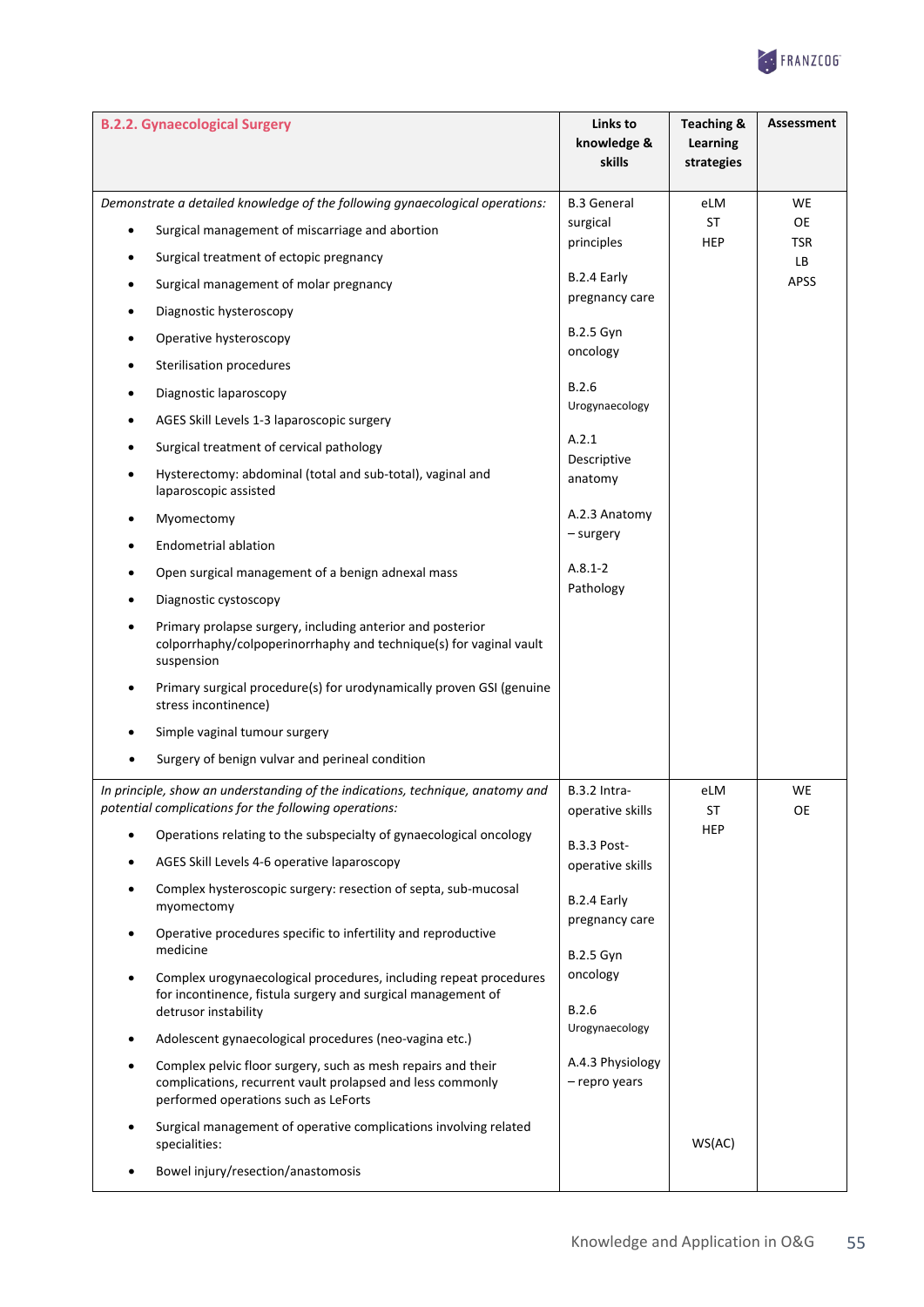

| <b>B.2.2. Gynaecological Surgery</b>                                                                                                                                   | Links to<br>knowledge &<br>skills       | <b>Teaching &amp;</b><br>Learning<br>strategies | Assessment       |
|------------------------------------------------------------------------------------------------------------------------------------------------------------------------|-----------------------------------------|-------------------------------------------------|------------------|
|                                                                                                                                                                        |                                         |                                                 |                  |
| Demonstrate a detailed knowledge of the following gynaecological operations:                                                                                           | <b>B.3 General</b>                      | eLM                                             | <b>WE</b>        |
| Surgical management of miscarriage and abortion<br>$\bullet$                                                                                                           | surgical<br>principles                  | ST<br><b>HEP</b>                                | OE<br><b>TSR</b> |
| Surgical treatment of ectopic pregnancy                                                                                                                                |                                         |                                                 | LB               |
| Surgical management of molar pregnancy                                                                                                                                 | B.2.4 Early                             |                                                 | APSS             |
| Diagnostic hysteroscopy                                                                                                                                                | pregnancy care                          |                                                 |                  |
| Operative hysteroscopy                                                                                                                                                 | <b>B.2.5 Gyn</b>                        |                                                 |                  |
| Sterilisation procedures                                                                                                                                               | oncology                                |                                                 |                  |
| Diagnostic laparoscopy                                                                                                                                                 | B.2.6                                   |                                                 |                  |
| AGES Skill Levels 1-3 laparoscopic surgery<br>$\bullet$                                                                                                                | Urogynaecology                          |                                                 |                  |
| Surgical treatment of cervical pathology<br>٠                                                                                                                          | A.2.1<br>Descriptive                    |                                                 |                  |
| Hysterectomy: abdominal (total and sub-total), vaginal and<br>٠<br>laparoscopic assisted                                                                               | anatomy                                 |                                                 |                  |
| Myomectomy                                                                                                                                                             | A.2.3 Anatomy                           |                                                 |                  |
| <b>Endometrial ablation</b>                                                                                                                                            | - surgery                               |                                                 |                  |
| Open surgical management of a benign adnexal mass                                                                                                                      | $A.8.1 - 2$                             |                                                 |                  |
| Diagnostic cystoscopy                                                                                                                                                  | Pathology                               |                                                 |                  |
| Primary prolapse surgery, including anterior and posterior<br>colporrhaphy/colpoperinorrhaphy and technique(s) for vaginal vault<br>suspension                         |                                         |                                                 |                  |
| Primary surgical procedure(s) for urodynamically proven GSI (genuine<br>$\bullet$<br>stress incontinence)                                                              |                                         |                                                 |                  |
| Simple vaginal tumour surgery                                                                                                                                          |                                         |                                                 |                  |
| Surgery of benign vulvar and perineal condition                                                                                                                        |                                         |                                                 |                  |
| In principle, show an understanding of the indications, technique, anatomy and<br>potential complications for the following operations:                                | <b>B.3.2 Intra-</b><br>operative skills | eLM<br>ST                                       | WE<br><b>OE</b>  |
| Operations relating to the subspecialty of gynaecological oncology                                                                                                     | <b>B.3.3 Post-</b>                      | <b>HEP</b>                                      |                  |
| AGES Skill Levels 4-6 operative laparoscopy                                                                                                                            | operative skills                        |                                                 |                  |
| Complex hysteroscopic surgery: resection of septa, sub-mucosal<br>$\bullet$<br>myomectomy                                                                              | B.2.4 Early                             |                                                 |                  |
| Operative procedures specific to infertility and reproductive<br>medicine                                                                                              | pregnancy care<br><b>B.2.5 Gyn</b>      |                                                 |                  |
| Complex urogynaecological procedures, including repeat procedures<br>$\bullet$<br>for incontinence, fistula surgery and surgical management of<br>detrusor instability | oncology<br>B.2.6                       |                                                 |                  |
| Adolescent gynaecological procedures (neo-vagina etc.)                                                                                                                 | Urogynaecology                          |                                                 |                  |
| Complex pelvic floor surgery, such as mesh repairs and their<br>complications, recurrent vault prolapsed and less commonly<br>performed operations such as LeForts     | A.4.3 Physiology<br>- repro years       |                                                 |                  |
| Surgical management of operative complications involving related<br>specialities:                                                                                      |                                         | WS(AC)                                          |                  |
| Bowel injury/resection/anastomosis                                                                                                                                     |                                         |                                                 |                  |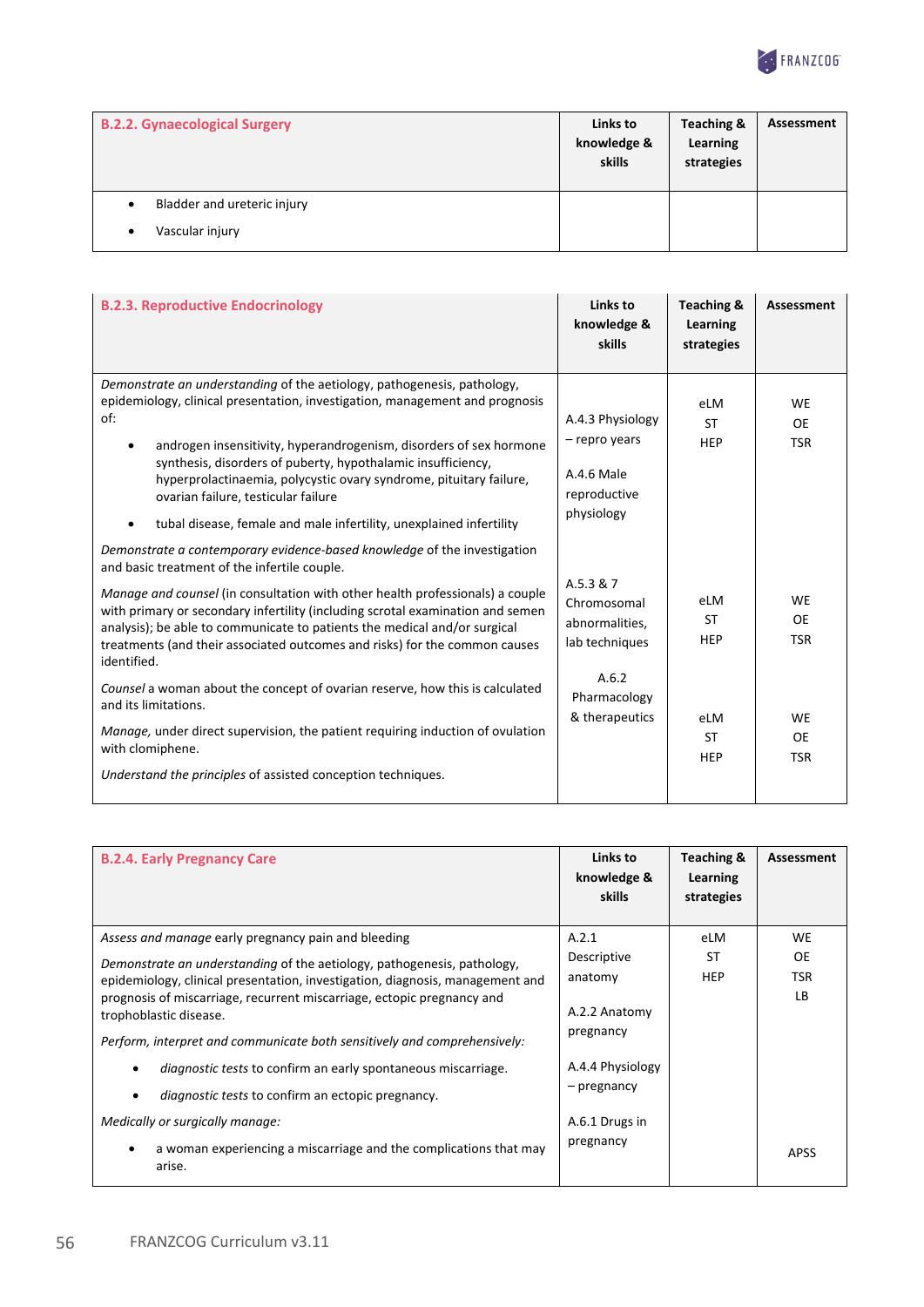

| <b>B.2.2. Gynaecological Surgery</b>                | Links to<br>knowledge &<br>skills | Teaching &<br>Learning<br>strategies | Assessment |
|-----------------------------------------------------|-----------------------------------|--------------------------------------|------------|
| Bladder and ureteric injury<br>٠<br>Vascular injury |                                   |                                      |            |
|                                                     |                                   |                                      |            |

| <b>B.2.3. Reproductive Endocrinology</b>                                                                                                                                                                                                                                                                                                                                                                                                                                                                                                                                                                                                                                                                                                                                                                                                                                                                                                                                                                                                                                                                                                                                                                                                        | Links to<br>knowledge &<br>skills                                                                                                                                                        | <b>Teaching &amp;</b><br>Learning<br>strategies                                | Assessment                                                                                                    |
|-------------------------------------------------------------------------------------------------------------------------------------------------------------------------------------------------------------------------------------------------------------------------------------------------------------------------------------------------------------------------------------------------------------------------------------------------------------------------------------------------------------------------------------------------------------------------------------------------------------------------------------------------------------------------------------------------------------------------------------------------------------------------------------------------------------------------------------------------------------------------------------------------------------------------------------------------------------------------------------------------------------------------------------------------------------------------------------------------------------------------------------------------------------------------------------------------------------------------------------------------|------------------------------------------------------------------------------------------------------------------------------------------------------------------------------------------|--------------------------------------------------------------------------------|---------------------------------------------------------------------------------------------------------------|
| Demonstrate an understanding of the aetiology, pathogenesis, pathology,<br>epidemiology, clinical presentation, investigation, management and prognosis<br>of:<br>androgen insensitivity, hyperandrogenism, disorders of sex hormone<br>synthesis, disorders of puberty, hypothalamic insufficiency,<br>hyperprolactinaemia, polycystic ovary syndrome, pituitary failure,<br>ovarian failure, testicular failure<br>tubal disease, female and male infertility, unexplained infertility<br>Demonstrate a contemporary evidence-based knowledge of the investigation<br>and basic treatment of the infertile couple.<br>Manage and counsel (in consultation with other health professionals) a couple<br>with primary or secondary infertility (including scrotal examination and semen<br>analysis); be able to communicate to patients the medical and/or surgical<br>treatments (and their associated outcomes and risks) for the common causes<br>identified.<br>Counsel a woman about the concept of ovarian reserve, how this is calculated<br>and its limitations.<br>Manage, under direct supervision, the patient requiring induction of ovulation<br>with clomiphene.<br>Understand the principles of assisted conception techniques. | A.4.3 Physiology<br>- repro years<br>A.4.6 Male<br>reproductive<br>physiology<br>A.5.3 & 7<br>Chromosomal<br>abnormalities,<br>lab techniques<br>A.6.2<br>Pharmacology<br>& therapeutics | eLM<br>ST<br><b>HEP</b><br>eLM<br>ST.<br><b>HEP</b><br>eLM<br>ST<br><b>HEP</b> | <b>WE</b><br><b>OE</b><br><b>TSR</b><br>WE<br><b>OE</b><br><b>TSR</b><br><b>WE</b><br><b>OE</b><br><b>TSR</b> |

| <b>B.2.4. Early Pregnancy Care</b>                                                                                                                                           | Links to<br>knowledge &<br>skills | Teaching &<br>Learning<br>strategies | Assessment  |
|------------------------------------------------------------------------------------------------------------------------------------------------------------------------------|-----------------------------------|--------------------------------------|-------------|
| Assess and manage early pregnancy pain and bleeding                                                                                                                          | A.2.1                             | eLM                                  | <b>WE</b>   |
| Demonstrate an understanding of the aetiology, pathogenesis, pathology,                                                                                                      | Descriptive                       | ST                                   | <b>OE</b>   |
| epidemiology, clinical presentation, investigation, diagnosis, management and                                                                                                | anatomy                           | <b>HEP</b>                           | <b>TSR</b>  |
| prognosis of miscarriage, recurrent miscarriage, ectopic pregnancy and<br>trophoblastic disease.<br>Perform, interpret and communicate both sensitively and comprehensively: | A.2.2 Anatomy<br>pregnancy        |                                      | LВ          |
| <i>diagnostic tests to confirm an early spontaneous miscarriage.</i>                                                                                                         | A.4.4 Physiology                  |                                      |             |
| <i>diagnostic tests</i> to confirm an ectopic pregnancy.                                                                                                                     | – pregnancy                       |                                      |             |
| Medically or surgically manage:                                                                                                                                              | A.6.1 Drugs in                    |                                      |             |
| a woman experiencing a miscarriage and the complications that may<br>arise.                                                                                                  | pregnancy                         |                                      | <b>APSS</b> |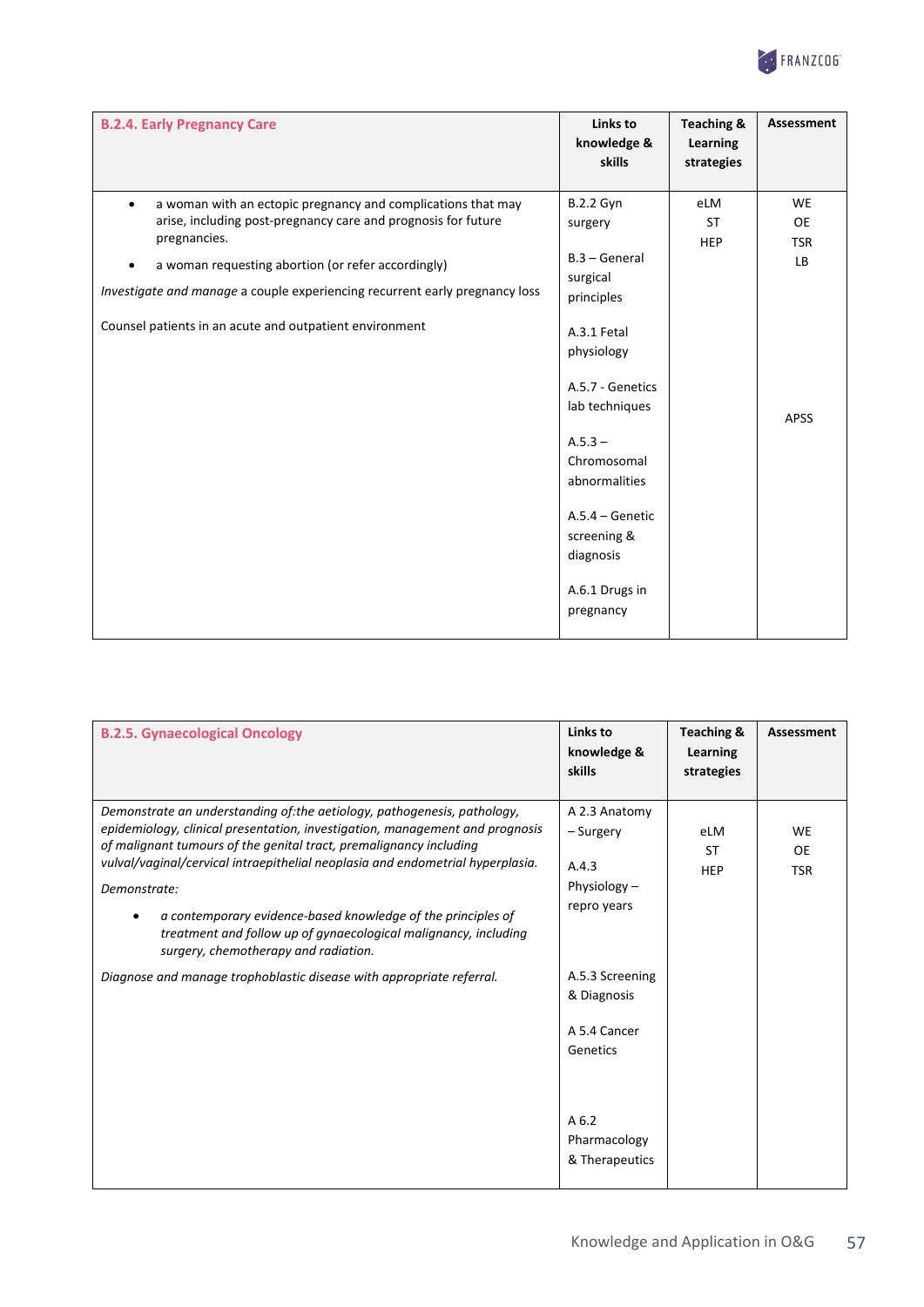

| <b>B.2.4. Early Pregnancy Care</b>                                                                                                                                                                                                                                                                                                                         | knowledge &<br>skills                                                                                                                                                                                                                                                    | <b>Teaching &amp;</b><br>Learning<br>strategies | <b>Assessment</b>                                         |
|------------------------------------------------------------------------------------------------------------------------------------------------------------------------------------------------------------------------------------------------------------------------------------------------------------------------------------------------------------|--------------------------------------------------------------------------------------------------------------------------------------------------------------------------------------------------------------------------------------------------------------------------|-------------------------------------------------|-----------------------------------------------------------|
| a woman with an ectopic pregnancy and complications that may<br>$\bullet$<br>arise, including post-pregnancy care and prognosis for future<br>pregnancies.<br>a woman requesting abortion (or refer accordingly)<br>Investigate and manage a couple experiencing recurrent early pregnancy loss<br>Counsel patients in an acute and outpatient environment | <b>B.2.2 Gyn</b><br>surgery<br>$B.3 - General$<br>surgical<br>principles<br>A.3.1 Fetal<br>physiology<br>A.5.7 - Genetics<br>lab techniques<br>$A.5.3 -$<br>Chromosomal<br>abnormalities<br>$A.5.4 - Genetic$<br>screening &<br>diagnosis<br>A.6.1 Drugs in<br>pregnancy | eLM<br><b>ST</b><br><b>HEP</b>                  | <b>WE</b><br><b>OE</b><br><b>TSR</b><br><b>LB</b><br>APSS |

| <b>B.2.5. Gynaecological Oncology</b>                                                                                                                                                                                                                                                                                                                                                                                                                                                                                                                                                   | Links to<br>knowledge &<br>skills                                                                                                  | <b>Teaching &amp;</b><br>Learning<br>strategies | Assessment                           |
|-----------------------------------------------------------------------------------------------------------------------------------------------------------------------------------------------------------------------------------------------------------------------------------------------------------------------------------------------------------------------------------------------------------------------------------------------------------------------------------------------------------------------------------------------------------------------------------------|------------------------------------------------------------------------------------------------------------------------------------|-------------------------------------------------|--------------------------------------|
| Demonstrate an understanding of:the aetiology, pathogenesis, pathology,<br>epidemiology, clinical presentation, investigation, management and prognosis<br>of malignant tumours of the genital tract, premalignancy including<br>vulval/vaginal/cervical intraepithelial neoplasia and endometrial hyperplasia.<br>Demonstrate:<br>a contemporary evidence-based knowledge of the principles of<br>٠<br>treatment and follow up of gynaecological malignancy, including<br>surgery, chemotherapy and radiation.<br>Diagnose and manage trophoblastic disease with appropriate referral. | A 2.3 Anatomy<br>– Surgery<br>A.4.3<br>Physiology $-$<br>repro years<br>A.5.3 Screening<br>& Diagnosis<br>A 5.4 Cancer<br>Genetics | eLM<br>ST<br><b>HEP</b>                         | <b>WE</b><br><b>OE</b><br><b>TSR</b> |
|                                                                                                                                                                                                                                                                                                                                                                                                                                                                                                                                                                                         | A 6.2<br>Pharmacology<br>& Therapeutics                                                                                            |                                                 |                                      |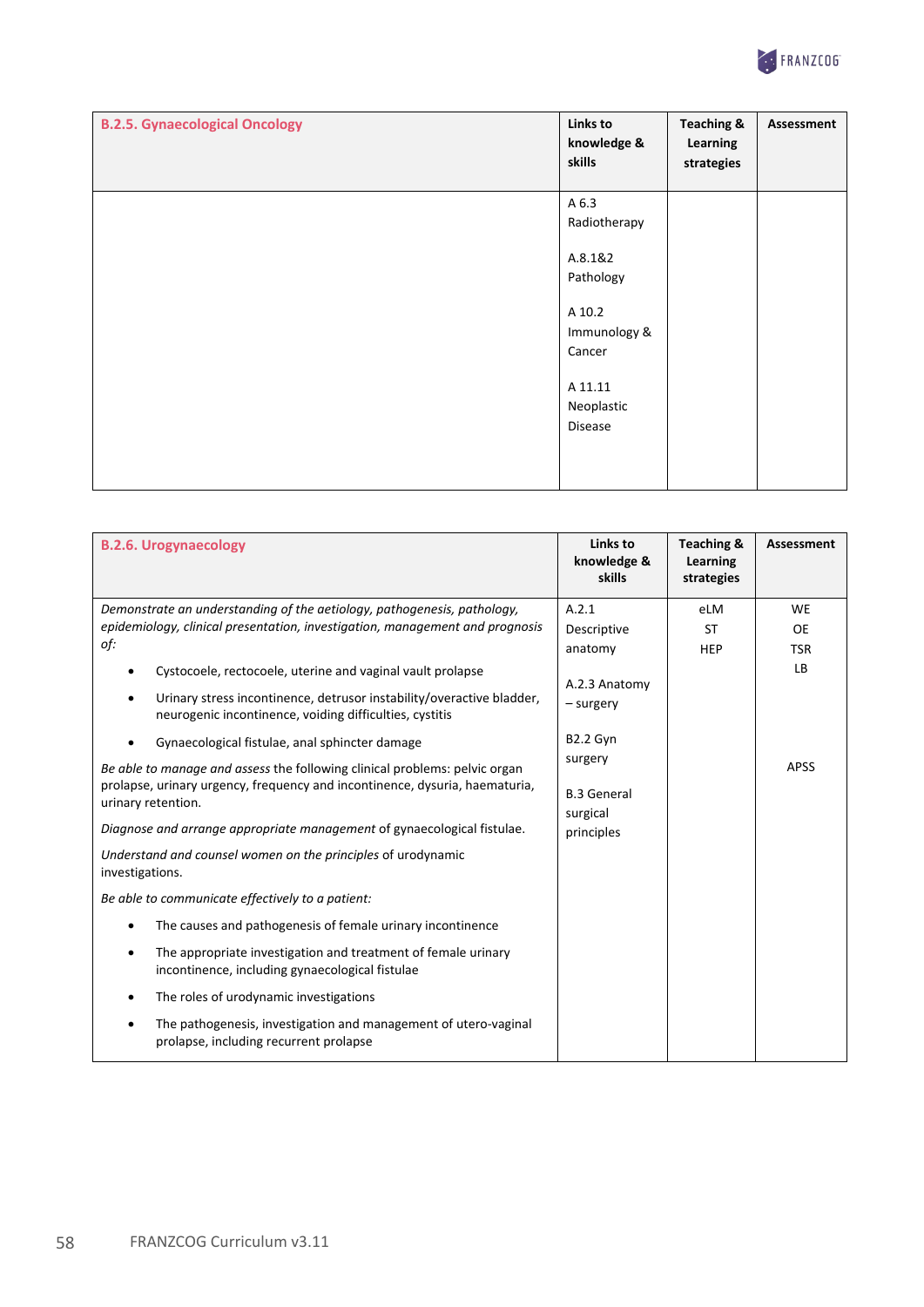

| <b>B.2.5. Gynaecological Oncology</b> | <b>Links to</b><br>knowledge &<br>skills | <b>Teaching &amp;</b><br>Learning<br>strategies | Assessment |
|---------------------------------------|------------------------------------------|-------------------------------------------------|------------|
|                                       | A 6.3                                    |                                                 |            |
|                                       | Radiotherapy                             |                                                 |            |
|                                       | A.8.1&2                                  |                                                 |            |
|                                       | Pathology                                |                                                 |            |
|                                       | A 10.2<br>Immunology &<br>Cancer         |                                                 |            |
|                                       | A 11.11<br>Neoplastic<br>Disease         |                                                 |            |
|                                       |                                          |                                                 |            |

| <b>B.2.6. Urogynaecology</b>                                                                                                                                                                                                                                                                                                                                                                                                                                                                                                                                                                                                                                                                                                                                                                                                                                                                                                                                                                                                                                                                                                                                     | Links to<br>knowledge &<br>skills                                                                                                           | <b>Teaching &amp;</b><br>Learning<br>strategies | Assessment                                                |
|------------------------------------------------------------------------------------------------------------------------------------------------------------------------------------------------------------------------------------------------------------------------------------------------------------------------------------------------------------------------------------------------------------------------------------------------------------------------------------------------------------------------------------------------------------------------------------------------------------------------------------------------------------------------------------------------------------------------------------------------------------------------------------------------------------------------------------------------------------------------------------------------------------------------------------------------------------------------------------------------------------------------------------------------------------------------------------------------------------------------------------------------------------------|---------------------------------------------------------------------------------------------------------------------------------------------|-------------------------------------------------|-----------------------------------------------------------|
| Demonstrate an understanding of the aetiology, pathogenesis, pathology,<br>epidemiology, clinical presentation, investigation, management and prognosis<br>of:<br>Cystocoele, rectocoele, uterine and vaginal vault prolapse<br>Urinary stress incontinence, detrusor instability/overactive bladder,<br>neurogenic incontinence, voiding difficulties, cystitis<br>Gynaecological fistulae, anal sphincter damage<br>Be able to manage and assess the following clinical problems: pelvic organ<br>prolapse, urinary urgency, frequency and incontinence, dysuria, haematuria,<br>urinary retention.<br>Diagnose and arrange appropriate management of gynaecological fistulae.<br>Understand and counsel women on the principles of urodynamic<br>investigations.<br>Be able to communicate effectively to a patient:<br>The causes and pathogenesis of female urinary incontinence<br>The appropriate investigation and treatment of female urinary<br>incontinence, including gynaecological fistulae<br>The roles of urodynamic investigations<br>The pathogenesis, investigation and management of utero-vaginal<br>prolapse, including recurrent prolapse | A.2.1<br>Descriptive<br>anatomy<br>A.2.3 Anatomy<br>- surgery<br><b>B2.2 Gyn</b><br>surgery<br><b>B.3 General</b><br>surgical<br>principles | eLM<br><b>ST</b><br><b>HEP</b>                  | <b>WE</b><br><b>OE</b><br><b>TSR</b><br>LB<br><b>APSS</b> |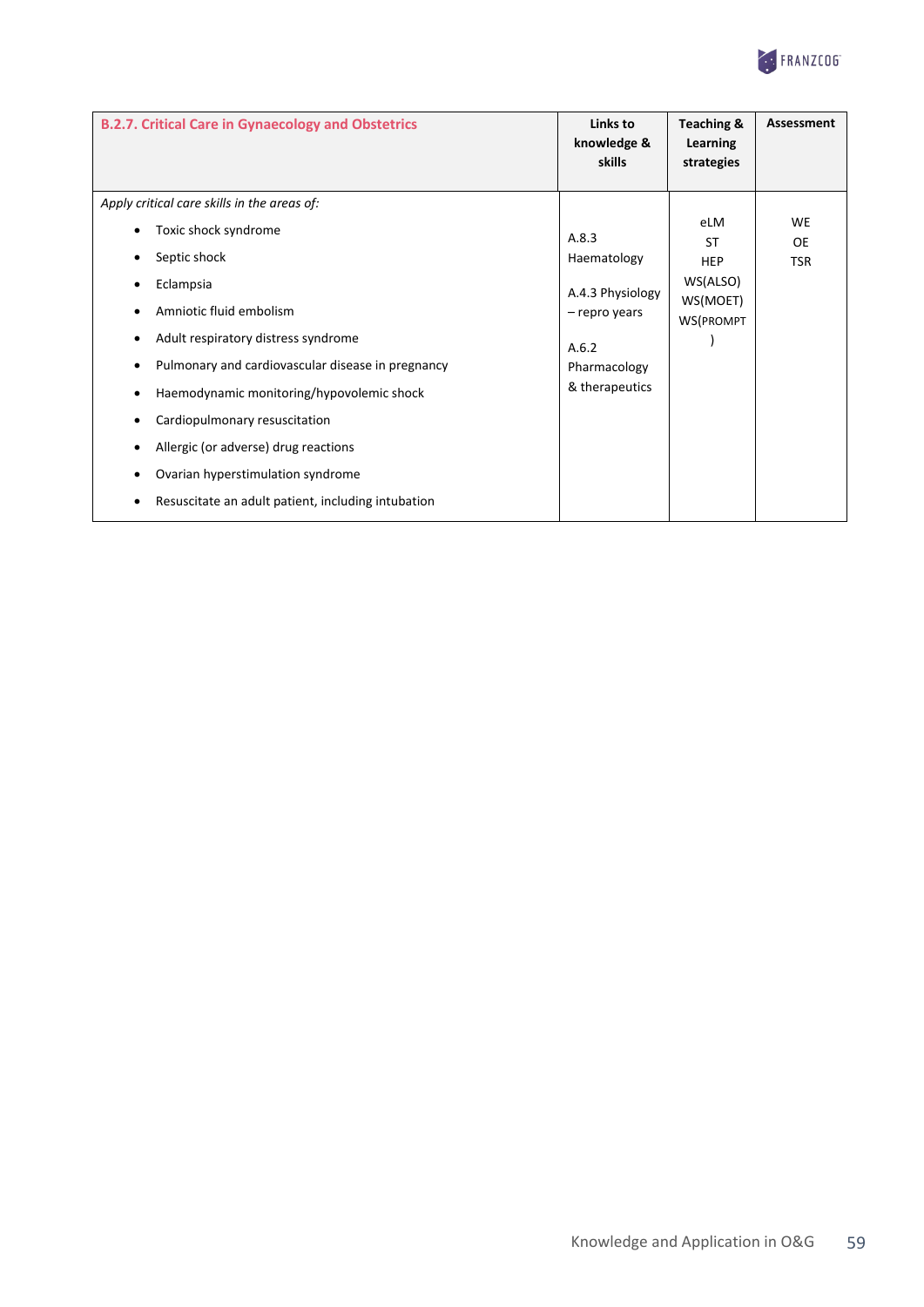

| <b>B.2.7. Critical Care in Gynaecology and Obstetrics</b>                                                                                                                                                                                                               | Links to<br>knowledge &<br>skills                                  | Teaching &<br>Learning<br>strategies                                | Assessment                           |
|-------------------------------------------------------------------------------------------------------------------------------------------------------------------------------------------------------------------------------------------------------------------------|--------------------------------------------------------------------|---------------------------------------------------------------------|--------------------------------------|
| Apply critical care skills in the areas of:                                                                                                                                                                                                                             |                                                                    |                                                                     |                                      |
| Toxic shock syndrome<br>٠<br>Septic shock<br>٠<br>Eclampsia<br>Amniotic fluid embolism<br>Adult respiratory distress syndrome                                                                                                                                           | A.8.3<br>Haematology<br>A.4.3 Physiology<br>- repro years<br>A.6.2 | eLM<br>ST<br><b>HEP</b><br>WS(ALSO)<br>WS(MOET)<br><b>WS(PROMPT</b> | <b>WE</b><br><b>OE</b><br><b>TSR</b> |
| Pulmonary and cardiovascular disease in pregnancy<br>٠<br>Haemodynamic monitoring/hypovolemic shock<br>Cardiopulmonary resuscitation<br>Allergic (or adverse) drug reactions<br>Ovarian hyperstimulation syndrome<br>Resuscitate an adult patient, including intubation | Pharmacology<br>& therapeutics                                     |                                                                     |                                      |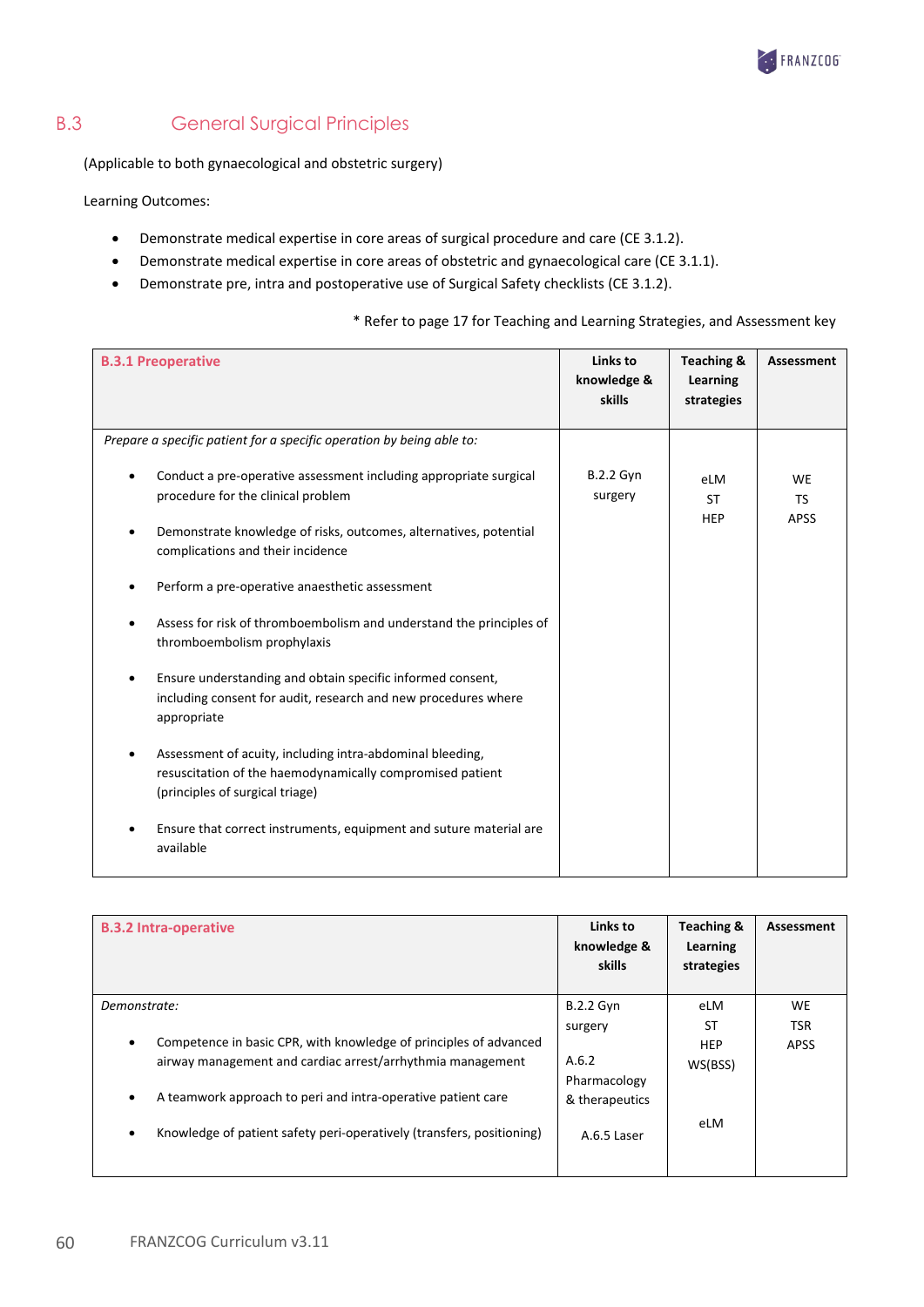

## B.3 General Surgical Principles

(Applicable to both gynaecological and obstetric surgery)

Learning Outcomes:

- Demonstrate medical expertise in core areas of surgical procedure and care (CE 3.1.2).
- Demonstrate medical expertise in core areas of obstetric and gynaecological care (CE 3.1.1).
- Demonstrate pre, intra and postoperative use of Surgical Safety checklists (CE 3.1.2).

| <b>B.3.1 Preoperative</b>                                                                                                                                                         | Links to<br>knowledge &<br>skills | <b>Teaching &amp;</b><br>Learning<br>strategies | Assessment                     |
|-----------------------------------------------------------------------------------------------------------------------------------------------------------------------------------|-----------------------------------|-------------------------------------------------|--------------------------------|
| Prepare a specific patient for a specific operation by being able to:                                                                                                             |                                   |                                                 |                                |
| Conduct a pre-operative assessment including appropriate surgical<br>procedure for the clinical problem<br>Demonstrate knowledge of risks, outcomes, alternatives, potential<br>٠ | <b>B.2.2 Gyn</b><br>surgery       | eLM<br><b>ST</b><br><b>HEP</b>                  | WE<br><b>TS</b><br><b>APSS</b> |
| complications and their incidence<br>Perform a pre-operative anaesthetic assessment                                                                                               |                                   |                                                 |                                |
| Assess for risk of thromboembolism and understand the principles of<br>thromboembolism prophylaxis                                                                                |                                   |                                                 |                                |
| Ensure understanding and obtain specific informed consent,<br>including consent for audit, research and new procedures where<br>appropriate                                       |                                   |                                                 |                                |
| Assessment of acuity, including intra-abdominal bleeding,<br>resuscitation of the haemodynamically compromised patient<br>(principles of surgical triage)                         |                                   |                                                 |                                |
| Ensure that correct instruments, equipment and suture material are<br>available                                                                                                   |                                   |                                                 |                                |

| <b>B.3.2 Intra-operative</b>                                           | Links to<br>knowledge &<br>skills | Teaching &<br>Learning<br>strategies | Assessment  |
|------------------------------------------------------------------------|-----------------------------------|--------------------------------------|-------------|
| Demonstrate:                                                           | <b>B.2.2 Gyn</b>                  | eLM                                  | <b>WE</b>   |
|                                                                        | surgery                           | ST                                   | <b>TSR</b>  |
| Competence in basic CPR, with knowledge of principles of advanced<br>٠ |                                   | <b>HEP</b>                           | <b>APSS</b> |
| airway management and cardiac arrest/arrhythmia management             | A.6.2                             | WS(BSS)                              |             |
|                                                                        | Pharmacology                      |                                      |             |
| A teamwork approach to peri and intra-operative patient care<br>٠      | & therapeutics                    |                                      |             |
| Knowledge of patient safety peri-operatively (transfers, positioning)  | A.6.5 Laser                       | eLM                                  |             |
|                                                                        |                                   |                                      |             |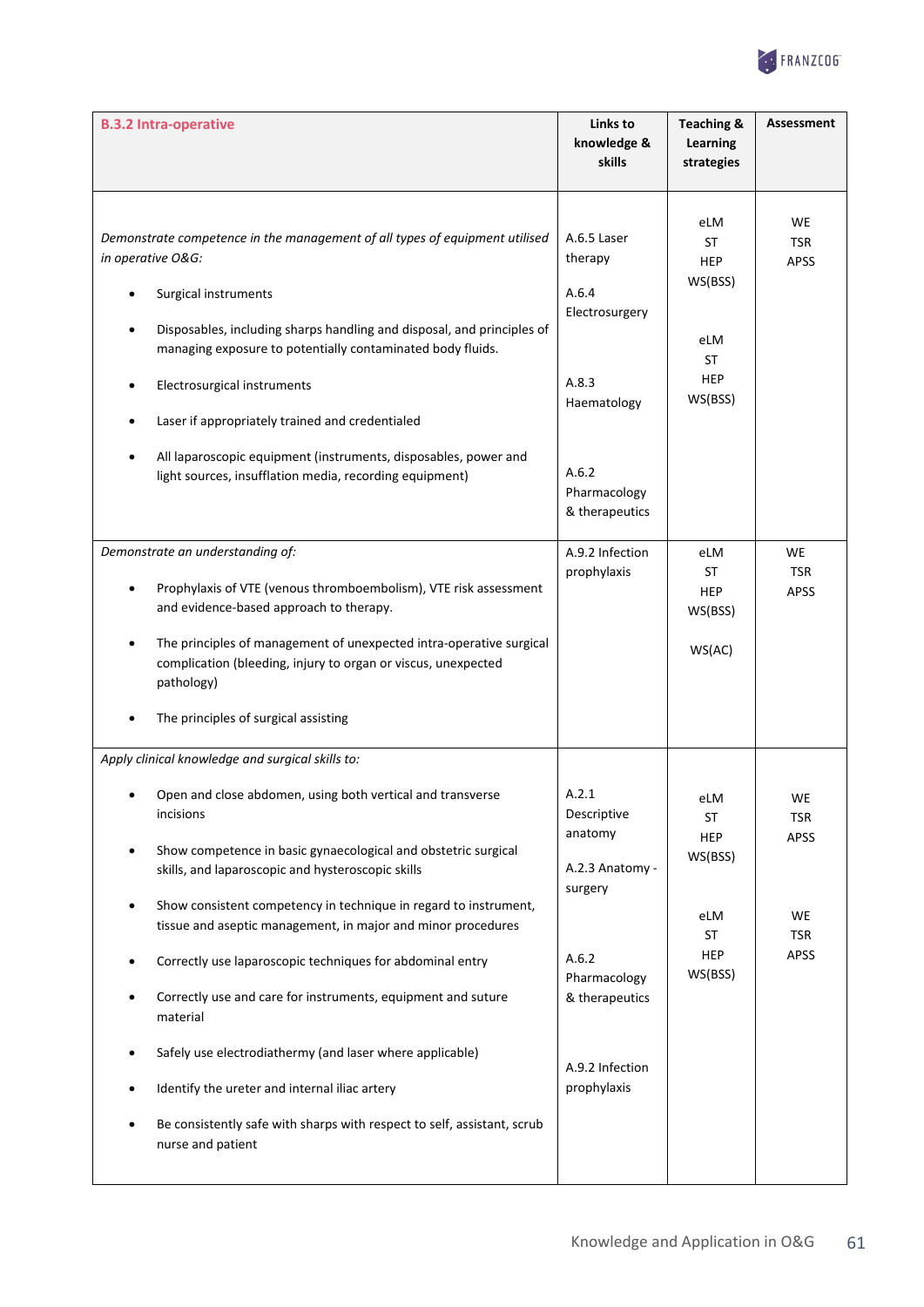

| <b>B.3.2 Intra-operative</b>                                                                                                                                                                                                                                                                                                                                                                                                                                                                                                                                                                                                                                                                                                                 | Links to<br>knowledge &<br>skills                                                                                                          | <b>Teaching &amp;</b><br>Learning<br>strategies                                        | Assessment                                           |
|----------------------------------------------------------------------------------------------------------------------------------------------------------------------------------------------------------------------------------------------------------------------------------------------------------------------------------------------------------------------------------------------------------------------------------------------------------------------------------------------------------------------------------------------------------------------------------------------------------------------------------------------------------------------------------------------------------------------------------------------|--------------------------------------------------------------------------------------------------------------------------------------------|----------------------------------------------------------------------------------------|------------------------------------------------------|
| Demonstrate competence in the management of all types of equipment utilised<br>in operative O&G:<br>Surgical instruments<br>Disposables, including sharps handling and disposal, and principles of<br>managing exposure to potentially contaminated body fluids.<br>Electrosurgical instruments<br>Laser if appropriately trained and credentialed                                                                                                                                                                                                                                                                                                                                                                                           | A.6.5 Laser<br>therapy<br>A.6.4<br>Electrosurgery<br>A.8.3<br>Haematology                                                                  | eLM<br><b>ST</b><br><b>HEP</b><br>WS(BSS)<br>eLM<br><b>ST</b><br><b>HEP</b><br>WS(BSS) | WE<br><b>TSR</b><br>APSS                             |
| All laparoscopic equipment (instruments, disposables, power and<br>light sources, insufflation media, recording equipment)                                                                                                                                                                                                                                                                                                                                                                                                                                                                                                                                                                                                                   | A.6.2<br>Pharmacology<br>& therapeutics                                                                                                    |                                                                                        |                                                      |
| Demonstrate an understanding of:<br>Prophylaxis of VTE (venous thromboembolism), VTE risk assessment<br>and evidence-based approach to therapy.<br>The principles of management of unexpected intra-operative surgical<br>complication (bleeding, injury to organ or viscus, unexpected<br>pathology)<br>The principles of surgical assisting                                                                                                                                                                                                                                                                                                                                                                                                | A.9.2 Infection<br>prophylaxis                                                                                                             | eLM<br>ST<br><b>HEP</b><br>WS(BSS)<br>WS(AC)                                           | WE<br><b>TSR</b><br>APSS                             |
| Apply clinical knowledge and surgical skills to:<br>Open and close abdomen, using both vertical and transverse<br>incisions<br>Show competence in basic gynaecological and obstetric surgical<br>skills, and laparoscopic and hysteroscopic skills<br>Show consistent competency in technique in regard to instrument,<br>tissue and aseptic management, in major and minor procedures<br>Correctly use laparoscopic techniques for abdominal entry<br>Correctly use and care for instruments, equipment and suture<br>material<br>Safely use electrodiathermy (and laser where applicable)<br>Identify the ureter and internal iliac artery<br>Be consistently safe with sharps with respect to self, assistant, scrub<br>nurse and patient | A.2.1<br>Descriptive<br>anatomy<br>A.2.3 Anatomy -<br>surgery<br>A.6.2<br>Pharmacology<br>& therapeutics<br>A.9.2 Infection<br>prophylaxis | eLM<br>ST<br><b>HEP</b><br>WS(BSS)<br>eLM<br>ST<br><b>HEP</b><br>WS(BSS)               | WE<br><b>TSR</b><br>APSS<br>WE<br>TSR<br><b>APSS</b> |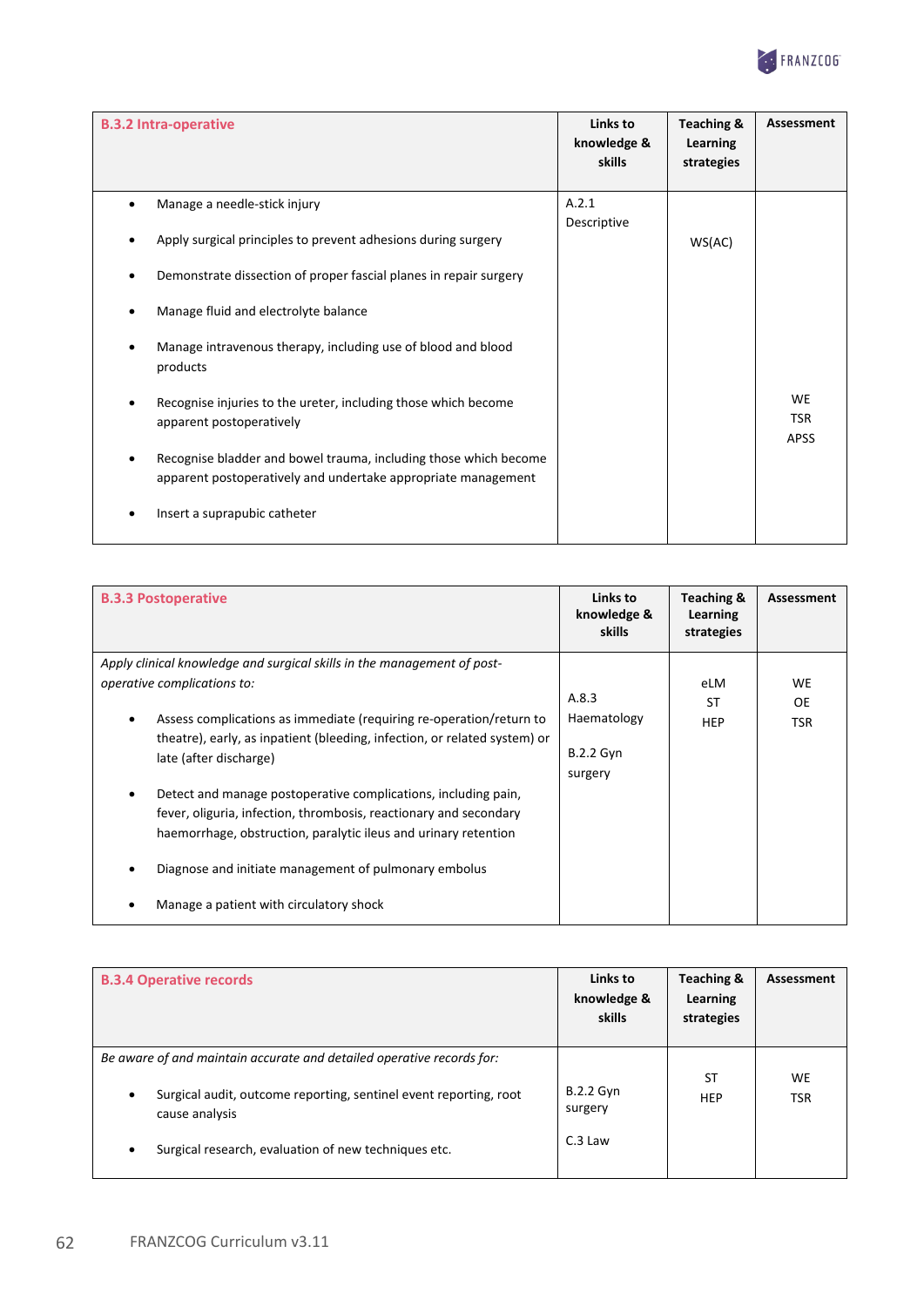

| <b>B.3.2 Intra-operative</b>                                                                                                      | Links to<br>knowledge &<br>skills | Teaching &<br>Learning<br>strategies | Assessment                             |
|-----------------------------------------------------------------------------------------------------------------------------------|-----------------------------------|--------------------------------------|----------------------------------------|
| Manage a needle-stick injury                                                                                                      | A.2.1                             |                                      |                                        |
| Apply surgical principles to prevent adhesions during surgery                                                                     | Descriptive                       | WS(AC)                               |                                        |
| Demonstrate dissection of proper fascial planes in repair surgery                                                                 |                                   |                                      |                                        |
| Manage fluid and electrolyte balance                                                                                              |                                   |                                      |                                        |
| Manage intravenous therapy, including use of blood and blood<br>products                                                          |                                   |                                      |                                        |
| Recognise injuries to the ureter, including those which become<br>apparent postoperatively                                        |                                   |                                      | <b>WE</b><br><b>TSR</b><br><b>APSS</b> |
| Recognise bladder and bowel trauma, including those which become<br>apparent postoperatively and undertake appropriate management |                                   |                                      |                                        |
| Insert a suprapubic catheter                                                                                                      |                                   |                                      |                                        |

| <b>B.3.3 Postoperative</b>                                                                                                                                                                                                                                                                                                                                                                                                                                                                                                                                                                         | Links to<br>knowledge &<br>skills                   | Teaching &<br>Learning<br>strategies | Assessment              |
|----------------------------------------------------------------------------------------------------------------------------------------------------------------------------------------------------------------------------------------------------------------------------------------------------------------------------------------------------------------------------------------------------------------------------------------------------------------------------------------------------------------------------------------------------------------------------------------------------|-----------------------------------------------------|--------------------------------------|-------------------------|
| Apply clinical knowledge and surgical skills in the management of post-<br>operative complications to:<br>Assess complications as immediate (requiring re-operation/return to<br>theatre), early, as inpatient (bleeding, infection, or related system) or<br>late (after discharge)<br>Detect and manage postoperative complications, including pain,<br>fever, oliguria, infection, thrombosis, reactionary and secondary<br>haemorrhage, obstruction, paralytic ileus and urinary retention<br>Diagnose and initiate management of pulmonary embolus<br>Manage a patient with circulatory shock | A.8.3<br>Haematology<br><b>B.2.2 Gyn</b><br>surgery | eLM<br><b>ST</b><br><b>HEP</b>       | WE.<br><b>OE</b><br>TSR |

| <b>B.3.4 Operative records</b>                                                                   | Links to<br>knowledge &<br>skills | Teaching &<br>Learning<br>strategies | Assessment       |
|--------------------------------------------------------------------------------------------------|-----------------------------------|--------------------------------------|------------------|
| Be aware of and maintain accurate and detailed operative records for:                            |                                   |                                      |                  |
| Surgical audit, outcome reporting, sentinel event reporting, root<br>$\bullet$<br>cause analysis | <b>B.2.2 Gyn</b><br>surgery       | ST<br><b>HEP</b>                     | WE<br><b>TSR</b> |
| Surgical research, evaluation of new techniques etc.<br>٠                                        | C.3 Law                           |                                      |                  |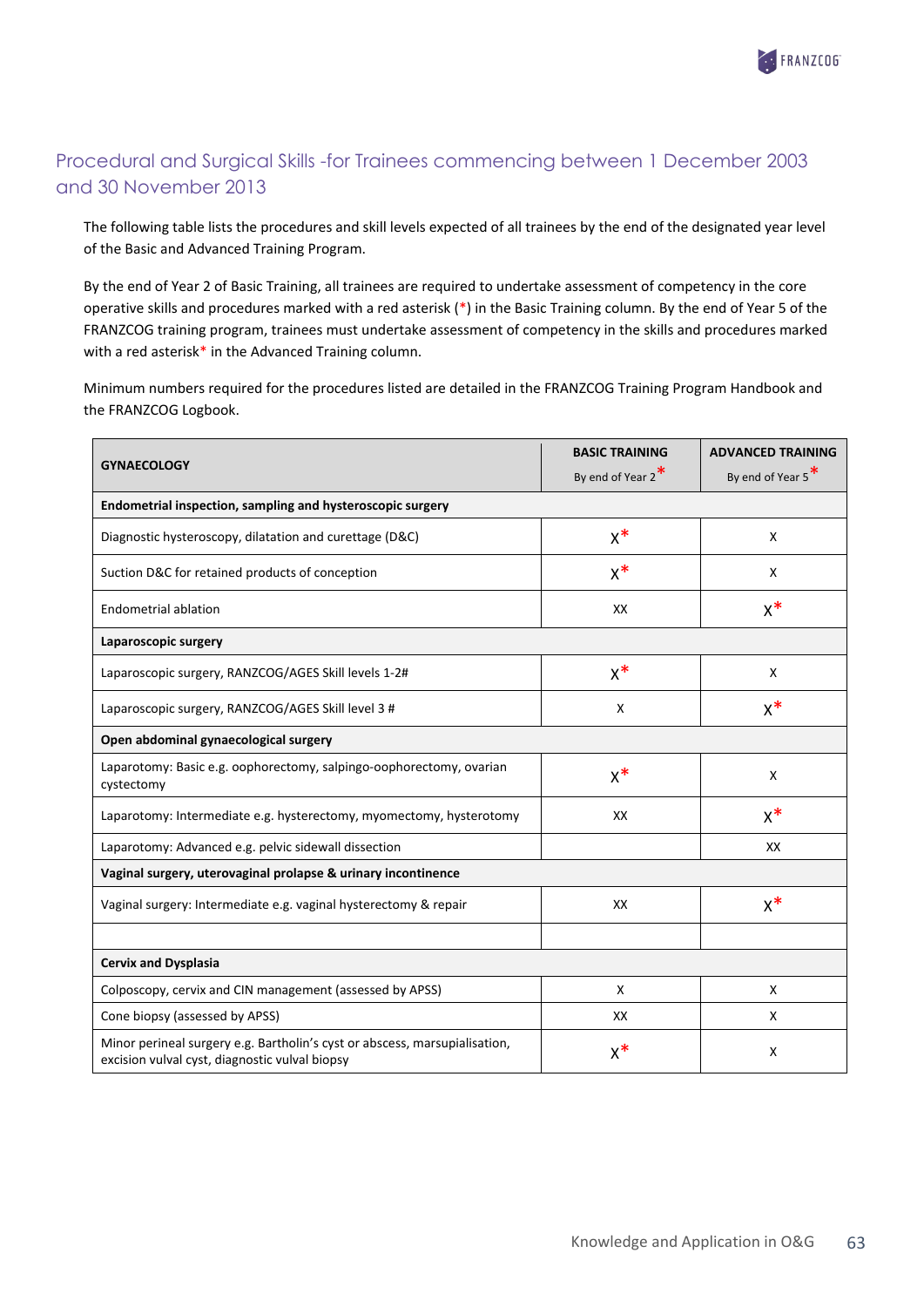

# Procedural and Surgical Skills -for Trainees commencing between 1 December 2003 and 30 November 2013

The following table lists the procedures and skill levels expected of all trainees by the end of the designated year level of the Basic and Advanced Training Program.

By the end of Year 2 of Basic Training, all trainees are required to undertake assessment of competency in the core operative skills and procedures marked with a red asterisk (\*) in the Basic Training column. By the end of Year 5 of the FRANZCOG training program, trainees must undertake assessment of competency in the skills and procedures marked with a red asterisk\* in the Advanced Training column.

Minimum numbers required for the procedures listed are detailed in the FRANZCOG Training Program Handbook and the FRANZCOG Logbook.

| <b>GYNAECOLOGY</b>                                                                                                           | <b>BASIC TRAINING</b><br>By end of Year $2^*$ | <b>ADVANCED TRAINING</b><br>By end of Year $5^*$ |
|------------------------------------------------------------------------------------------------------------------------------|-----------------------------------------------|--------------------------------------------------|
| Endometrial inspection, sampling and hysteroscopic surgery                                                                   |                                               |                                                  |
| Diagnostic hysteroscopy, dilatation and curettage (D&C)                                                                      | $x^*$                                         | X                                                |
| Suction D&C for retained products of conception                                                                              | $x^*$                                         | X                                                |
| <b>Endometrial ablation</b>                                                                                                  | XX                                            | $x^*$                                            |
| Laparoscopic surgery                                                                                                         |                                               |                                                  |
| Laparoscopic surgery, RANZCOG/AGES Skill levels 1-2#                                                                         | $x^*$                                         | X                                                |
| Laparoscopic surgery, RANZCOG/AGES Skill level 3 #                                                                           | X                                             | $x^*$                                            |
| Open abdominal gynaecological surgery                                                                                        |                                               |                                                  |
| Laparotomy: Basic e.g. oophorectomy, salpingo-oophorectomy, ovarian<br>cystectomy                                            | $x^*$                                         | X                                                |
| Laparotomy: Intermediate e.g. hysterectomy, myomectomy, hysterotomy                                                          | XX                                            | $x^*$                                            |
| Laparotomy: Advanced e.g. pelvic sidewall dissection                                                                         |                                               | XX                                               |
| Vaginal surgery, uterovaginal prolapse & urinary incontinence                                                                |                                               |                                                  |
| Vaginal surgery: Intermediate e.g. vaginal hysterectomy & repair                                                             | XX                                            | $x^*$                                            |
|                                                                                                                              |                                               |                                                  |
| <b>Cervix and Dysplasia</b>                                                                                                  |                                               |                                                  |
| Colposcopy, cervix and CIN management (assessed by APSS)                                                                     | X                                             | X                                                |
| Cone biopsy (assessed by APSS)                                                                                               | XX                                            | X                                                |
| Minor perineal surgery e.g. Bartholin's cyst or abscess, marsupialisation,<br>excision vulval cyst, diagnostic vulval biopsy | x*                                            | X                                                |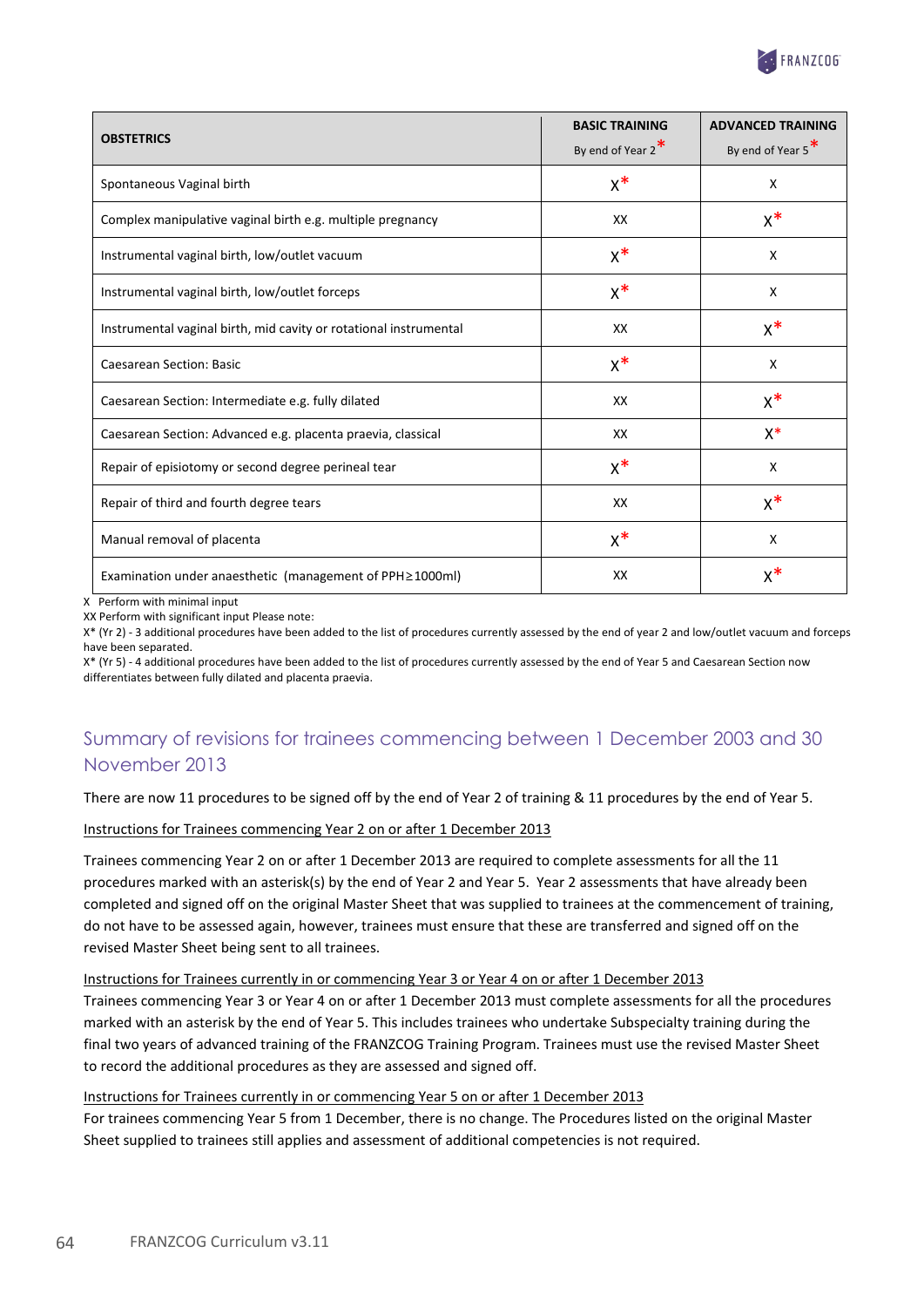

| <b>OBSTETRICS</b>                                                 | <b>BASIC TRAINING</b><br>By end of Year $2^*$ | <b>ADVANCED TRAINING</b><br>By end of Year 5 <sup>*</sup> |
|-------------------------------------------------------------------|-----------------------------------------------|-----------------------------------------------------------|
| Spontaneous Vaginal birth                                         | $x^*$                                         | X                                                         |
| Complex manipulative vaginal birth e.g. multiple pregnancy        | XX                                            | $x^*$                                                     |
| Instrumental vaginal birth, low/outlet vacuum                     | $x^*$                                         | X                                                         |
| Instrumental vaginal birth, low/outlet forceps                    | $x^*$                                         | X                                                         |
| Instrumental vaginal birth, mid cavity or rotational instrumental | XX                                            | $x^*$                                                     |
| <b>Caesarean Section: Basic</b>                                   | $x^*$                                         | X                                                         |
| Caesarean Section: Intermediate e.g. fully dilated                | XX                                            | $x^*$                                                     |
| Caesarean Section: Advanced e.g. placenta praevia, classical      | XX                                            | $X^*$                                                     |
| Repair of episiotomy or second degree perineal tear               | $x^*$                                         | X                                                         |
| Repair of third and fourth degree tears                           | XX                                            | $x^*$                                                     |
| Manual removal of placenta                                        | $x^*$                                         | X                                                         |
| Examination under anaesthetic (management of $PPH \geq 1000$ ml)  | XX                                            | x*                                                        |

X Perform with minimal input

XX Perform with significant input Please note:

X\* (Yr 2) - 3 additional procedures have been added to the list of procedures currently assessed by the end of year 2 and low/outlet vacuum and forceps have been separated.

X\* (Yr 5) - 4 additional procedures have been added to the list of procedures currently assessed by the end of Year 5 and Caesarean Section now differentiates between fully dilated and placenta praevia.

# Summary of revisions for trainees commencing between 1 December 2003 and 30 November 2013

There are now 11 procedures to be signed off by the end of Year 2 of training & 11 procedures by the end of Year 5.

Instructions for Trainees commencing Year 2 on or after 1 December 2013

Trainees commencing Year 2 on or after 1 December 2013 are required to complete assessments for all the 11 procedures marked with an asterisk(s) by the end of Year 2 and Year 5. Year 2 assessments that have already been completed and signed off on the original Master Sheet that was supplied to trainees at the commencement of training, do not have to be assessed again, however, trainees must ensure that these are transferred and signed off on the revised Master Sheet being sent to all trainees.

#### Instructions for Trainees currently in or commencing Year 3 or Year 4 on or after 1 December 2013

Trainees commencing Year 3 or Year 4 on or after 1 December 2013 must complete assessments for all the procedures marked with an asterisk by the end of Year 5. This includes trainees who undertake Subspecialty training during the final two years of advanced training of the FRANZCOG Training Program. Trainees must use the revised Master Sheet to record the additional procedures as they are assessed and signed off.

#### Instructions for Trainees currently in or commencing Year 5 on or after 1 December 2013

For trainees commencing Year 5 from 1 December, there is no change. The Procedures listed on the original Master Sheet supplied to trainees still applies and assessment of additional competencies is not required.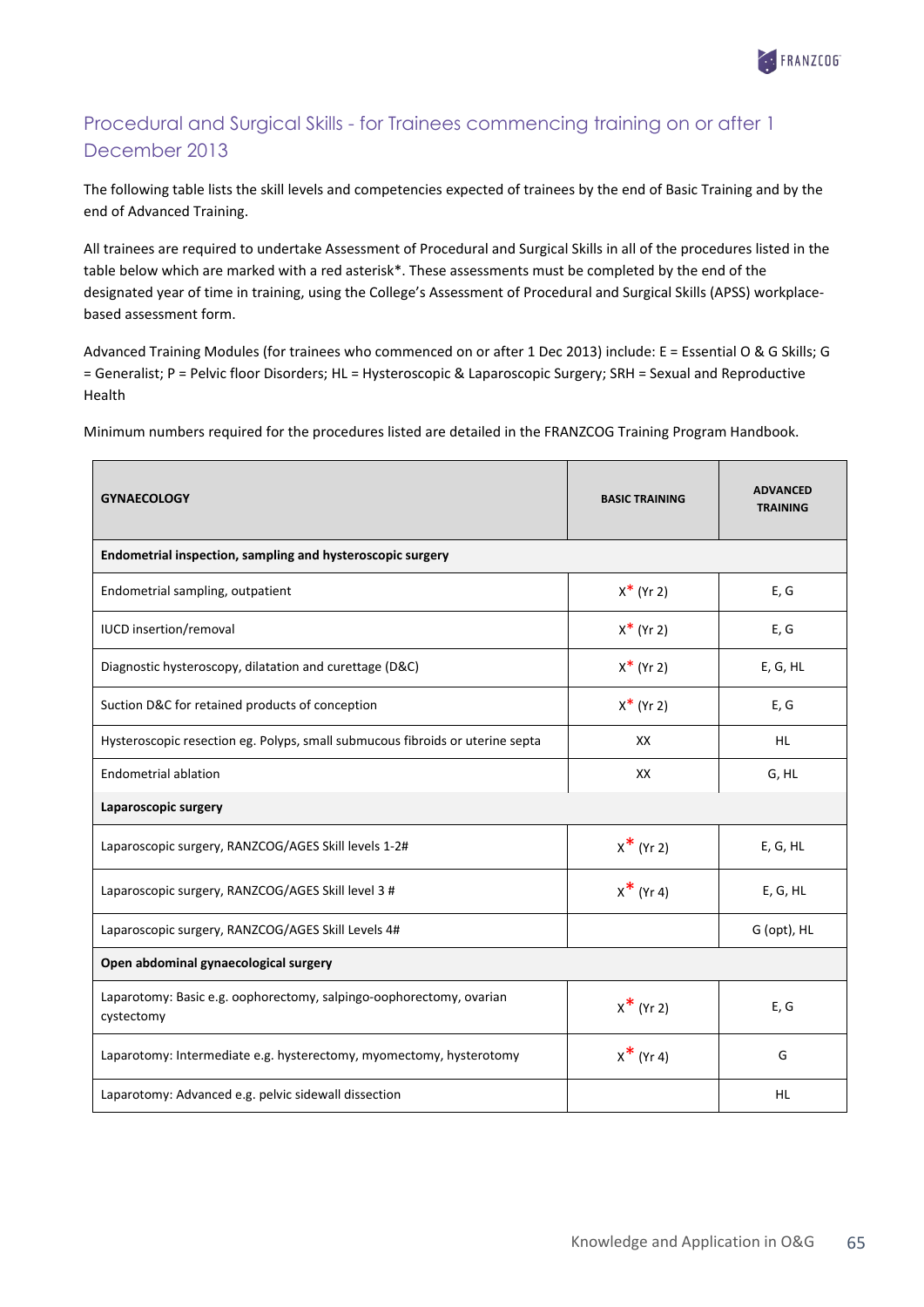

# Procedural and Surgical Skills - for Trainees commencing training on or after 1 December 2013

The following table lists the skill levels and competencies expected of trainees by the end of Basic Training and by the end of Advanced Training.

All trainees are required to undertake Assessment of Procedural and Surgical Skills in all of the procedures listed in the table below which are marked with a red asterisk\*. These assessments must be completed by the end of the designated year of time in training, using the College's Assessment of Procedural and Surgical Skills (APSS) workplacebased assessment form.

Advanced Training Modules (for trainees who commenced on or after 1 Dec 2013) include: E = Essential O & G Skills; G = Generalist; P = Pelvic floor Disorders; HL = Hysteroscopic & Laparoscopic Surgery; SRH = Sexual and Reproductive Health

Minimum numbers required for the procedures listed are detailed in the FRANZCOG Training Program Handbook.

| <b>GYNAECOLOGY</b>                                                                | <b>BASIC TRAINING</b> | <b>ADVANCED</b><br><b>TRAINING</b> |
|-----------------------------------------------------------------------------------|-----------------------|------------------------------------|
| Endometrial inspection, sampling and hysteroscopic surgery                        |                       |                                    |
| Endometrial sampling, outpatient                                                  | $X^*$ (Yr 2)          | E, G                               |
| <b>IUCD</b> insertion/removal                                                     | $X^*$ (Yr 2)          | E, G                               |
| Diagnostic hysteroscopy, dilatation and curettage (D&C)                           | $X^*$ (Yr 2)          | E, G, HL                           |
| Suction D&C for retained products of conception                                   | $X^*$ (Yr 2)          | E, G                               |
| Hysteroscopic resection eg. Polyps, small submucous fibroids or uterine septa     | XX                    | <b>HL</b>                          |
| <b>Endometrial ablation</b>                                                       | XX                    | G, HL                              |
| Laparoscopic surgery                                                              |                       |                                    |
| Laparoscopic surgery, RANZCOG/AGES Skill levels 1-2#                              | $x^*$ (Yr 2)          | E, G, HL                           |
| Laparoscopic surgery, RANZCOG/AGES Skill level 3 #                                | $x^*$ (Yr 4)          | E, G, HL                           |
| Laparoscopic surgery, RANZCOG/AGES Skill Levels 4#                                |                       | G (opt), HL                        |
| Open abdominal gynaecological surgery                                             |                       |                                    |
| Laparotomy: Basic e.g. oophorectomy, salpingo-oophorectomy, ovarian<br>cystectomy | $x^*$ (Yr 2)          | E, G                               |
| Laparotomy: Intermediate e.g. hysterectomy, myomectomy, hysterotomy               | $x^*$ (Yr 4)          | G                                  |
| Laparotomy: Advanced e.g. pelvic sidewall dissection                              |                       | <b>HL</b>                          |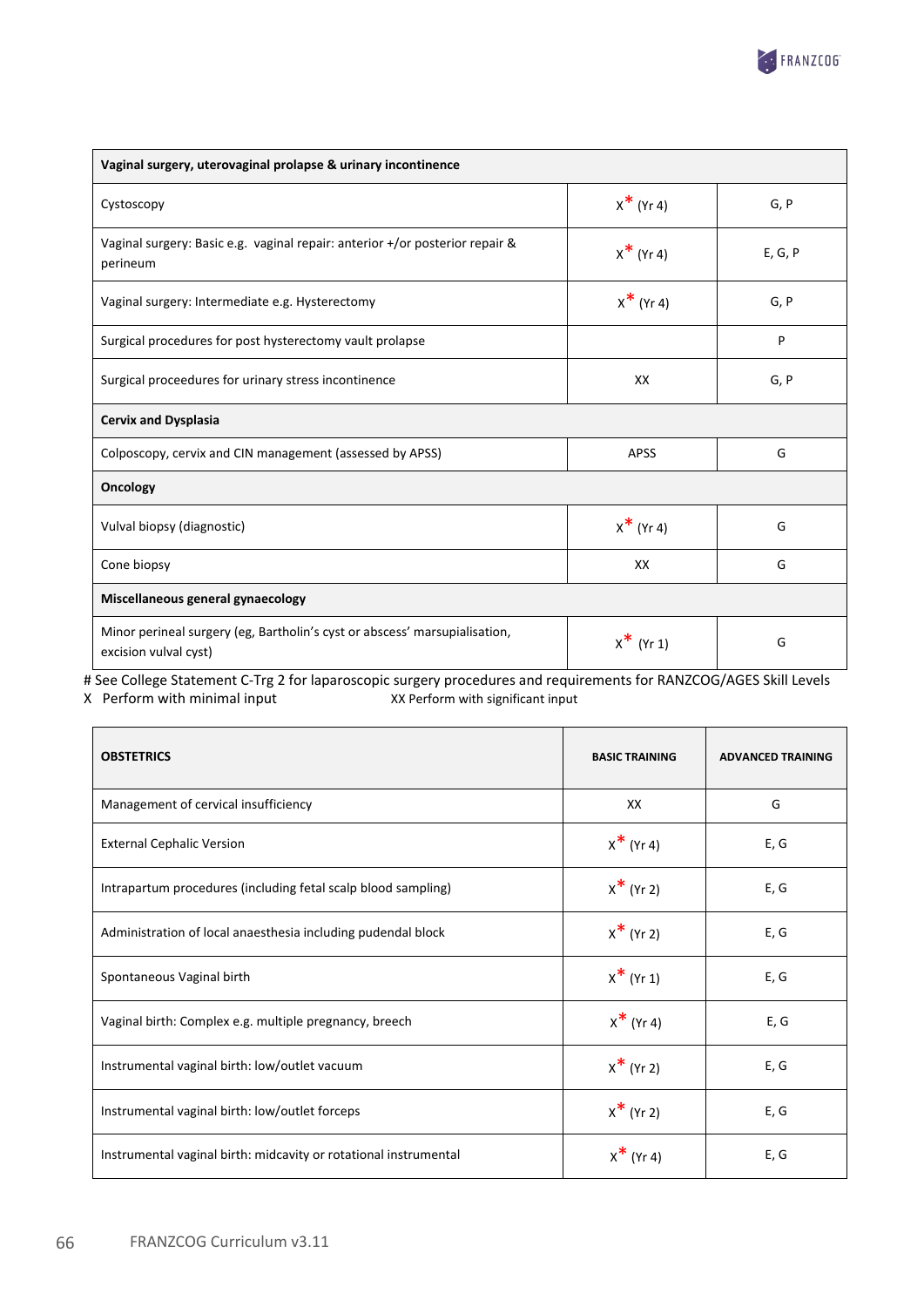

| Vaginal surgery, uterovaginal prolapse & urinary incontinence                                       |              |         |
|-----------------------------------------------------------------------------------------------------|--------------|---------|
| Cystoscopy                                                                                          | $X^*$ (Yr 4) | G, P    |
| Vaginal surgery: Basic e.g. vaginal repair: anterior +/or posterior repair &<br>perineum            | $x^*$ (Yr 4) | E, G, P |
| Vaginal surgery: Intermediate e.g. Hysterectomy                                                     | $x^*$ (Yr 4) | G, P    |
| Surgical procedures for post hysterectomy vault prolapse                                            |              | P       |
| Surgical proceedures for urinary stress incontinence                                                | XX           | G, P    |
| <b>Cervix and Dysplasia</b>                                                                         |              |         |
| Colposcopy, cervix and CIN management (assessed by APSS)                                            | <b>APSS</b>  | G       |
| <b>Oncology</b>                                                                                     |              |         |
| Vulval biopsy (diagnostic)                                                                          | $x^*$ (Yr 4) | G       |
| Cone biopsy                                                                                         | XX           | G       |
| Miscellaneous general gynaecology                                                                   |              |         |
| Minor perineal surgery (eg, Bartholin's cyst or abscess' marsupialisation,<br>excision vulval cyst) | $x^*$ (Yr 1) | G       |

# See College Statement C-Trg 2 for laparoscopic surgery procedures and requirements for RANZCOG/AGES Skill Levels

X Perform with minimal input XX Perform with significant input

| <b>OBSTETRICS</b>                                                | <b>BASIC TRAINING</b> | <b>ADVANCED TRAINING</b> |
|------------------------------------------------------------------|-----------------------|--------------------------|
| Management of cervical insufficiency                             | XX                    | G                        |
| <b>External Cephalic Version</b>                                 | $X^*$ (Yr 4)          | E, G                     |
| Intrapartum procedures (including fetal scalp blood sampling)    | $x^*$ (Yr 2)          | E, G                     |
| Administration of local anaesthesia including pudendal block     | $x^*$ (Yr 2)          | E, G                     |
| Spontaneous Vaginal birth                                        | $X^*$ (Yr 1)          | E, G                     |
| Vaginal birth: Complex e.g. multiple pregnancy, breech           | $x^*$ (Yr 4)          | E, G                     |
| Instrumental vaginal birth: low/outlet vacuum                    | $x^*$ (Yr 2)          | E, G                     |
| Instrumental vaginal birth: low/outlet forceps                   | $x^*$ (Yr 2)          | E, G                     |
| Instrumental vaginal birth: midcavity or rotational instrumental | $x^*$ (Yr 4)          | E, G                     |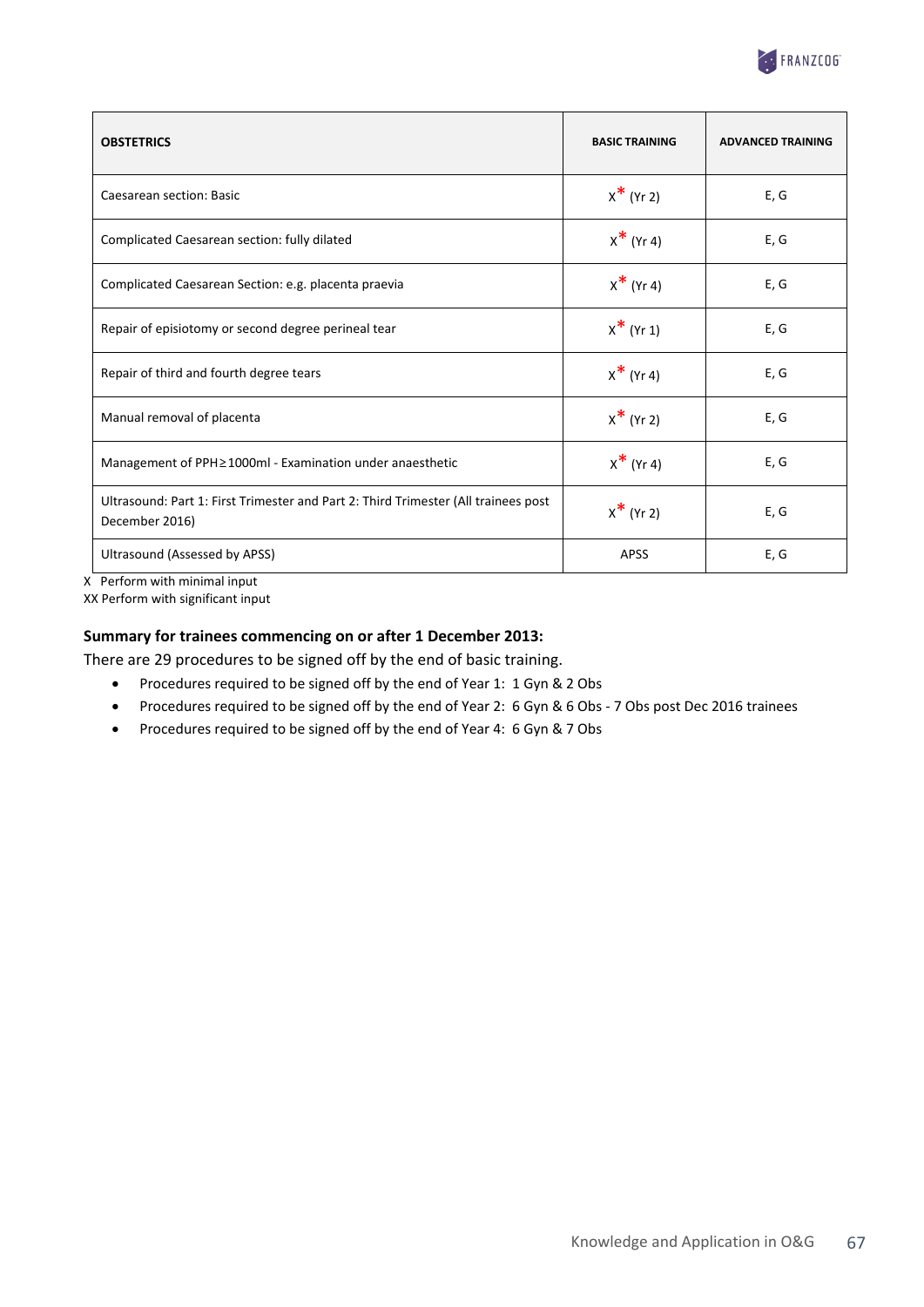

| <b>OBSTETRICS</b>                                                                                    | <b>BASIC TRAINING</b> | <b>ADVANCED TRAINING</b> |
|------------------------------------------------------------------------------------------------------|-----------------------|--------------------------|
| Caesarean section: Basic                                                                             | $x^*$ (Yr 2)          | E, G                     |
| Complicated Caesarean section: fully dilated                                                         | $x^*$ (Yr 4)          | E, G                     |
| Complicated Caesarean Section: e.g. placenta praevia                                                 | $x^*$ (Yr 4)          | E, G                     |
| Repair of episiotomy or second degree perineal tear                                                  | $X^*$ (Yr 1)          | E, G                     |
| Repair of third and fourth degree tears                                                              | $X^*$ (Yr 4)          | E, G                     |
| Manual removal of placenta                                                                           | $x^*$ (Yr 2)          | E, G                     |
| Management of PPH≥1000ml - Examination under anaesthetic                                             | $x^*$ (Yr 4)          | E, G                     |
| Ultrasound: Part 1: First Trimester and Part 2: Third Trimester (All trainees post<br>December 2016) | $x^*$ (Yr 2)          | E, G                     |
| Ultrasound (Assessed by APSS)                                                                        | <b>APSS</b>           | E, G                     |

X Perform with minimal input

XX Perform with significant input

#### **Summary for trainees commencing on or after 1 December 2013:**

There are 29 procedures to be signed off by the end of basic training.

- Procedures required to be signed off by the end of Year 1: 1 Gyn & 2 Obs
- Procedures required to be signed off by the end of Year 2: 6 Gyn & 6 Obs 7 Obs post Dec 2016 trainees
- Procedures required to be signed off by the end of Year 4: 6 Gyn & 7 Obs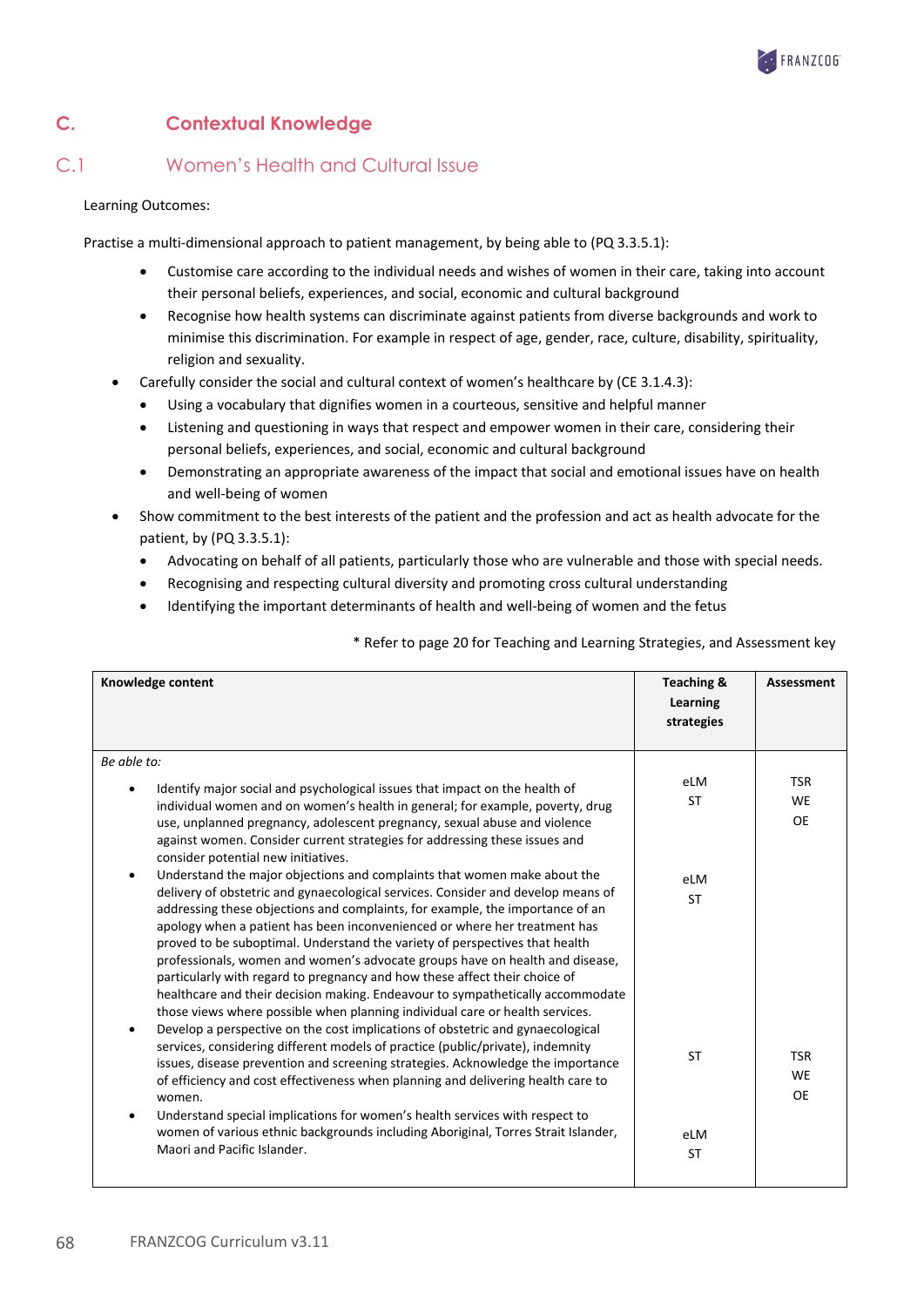

## **C. Contextual Knowledge**

### C.1 Women's Health and Cultural Issue

#### Learning Outcomes:

Practise a multi-dimensional approach to patient management, by being able to (PQ 3.3.5.1):

- Customise care according to the individual needs and wishes of women in their care, taking into account their personal beliefs, experiences, and social, economic and cultural background
- Recognise how health systems can discriminate against patients from diverse backgrounds and work to minimise this discrimination. For example in respect of age, gender, race, culture, disability, spirituality, religion and sexuality.
- Carefully consider the social and cultural context of women's healthcare by (CE 3.1.4.3):
	- Using a vocabulary that dignifies women in a courteous, sensitive and helpful manner
	- Listening and questioning in ways that respect and empower women in their care, considering their personal beliefs, experiences, and social, economic and cultural background
	- Demonstrating an appropriate awareness of the impact that social and emotional issues have on health and well-being of women
- Show commitment to the best interests of the patient and the profession and act as health advocate for the patient, by (PQ 3.3.5.1):
	- Advocating on behalf of all patients, particularly those who are vulnerable and those with special needs.
	- Recognising and respecting cultural diversity and promoting cross cultural understanding
	- Identifying the important determinants of health and well-being of women and the fetus

| Knowledge content                                                                                                                                                                                                                                                                                                                                                                                                                                                                                                                                                                                                                                                                                                      | <b>Teaching &amp;</b><br>Learning<br>strategies | Assessment                           |
|------------------------------------------------------------------------------------------------------------------------------------------------------------------------------------------------------------------------------------------------------------------------------------------------------------------------------------------------------------------------------------------------------------------------------------------------------------------------------------------------------------------------------------------------------------------------------------------------------------------------------------------------------------------------------------------------------------------------|-------------------------------------------------|--------------------------------------|
| Be able to:<br>Identify major social and psychological issues that impact on the health of<br>individual women and on women's health in general; for example, poverty, drug<br>use, unplanned pregnancy, adolescent pregnancy, sexual abuse and violence<br>against women. Consider current strategies for addressing these issues and                                                                                                                                                                                                                                                                                                                                                                                 | eLM<br><b>ST</b>                                | <b>TSR</b><br><b>WE</b><br><b>OE</b> |
| consider potential new initiatives.<br>Understand the major objections and complaints that women make about the<br>delivery of obstetric and gynaecological services. Consider and develop means of<br>addressing these objections and complaints, for example, the importance of an<br>apology when a patient has been inconvenienced or where her treatment has<br>proved to be suboptimal. Understand the variety of perspectives that health<br>professionals, women and women's advocate groups have on health and disease,<br>particularly with regard to pregnancy and how these affect their choice of                                                                                                         | eLM<br><b>ST</b>                                |                                      |
| healthcare and their decision making. Endeavour to sympathetically accommodate<br>those views where possible when planning individual care or health services.<br>Develop a perspective on the cost implications of obstetric and gynaecological<br>services, considering different models of practice (public/private), indemnity<br>issues, disease prevention and screening strategies. Acknowledge the importance<br>of efficiency and cost effectiveness when planning and delivering health care to<br>women.<br>Understand special implications for women's health services with respect to<br>women of various ethnic backgrounds including Aboriginal, Torres Strait Islander,<br>Maori and Pacific Islander. | <b>ST</b><br>eLM<br><b>ST</b>                   | <b>TSR</b><br><b>WE</b><br><b>OE</b> |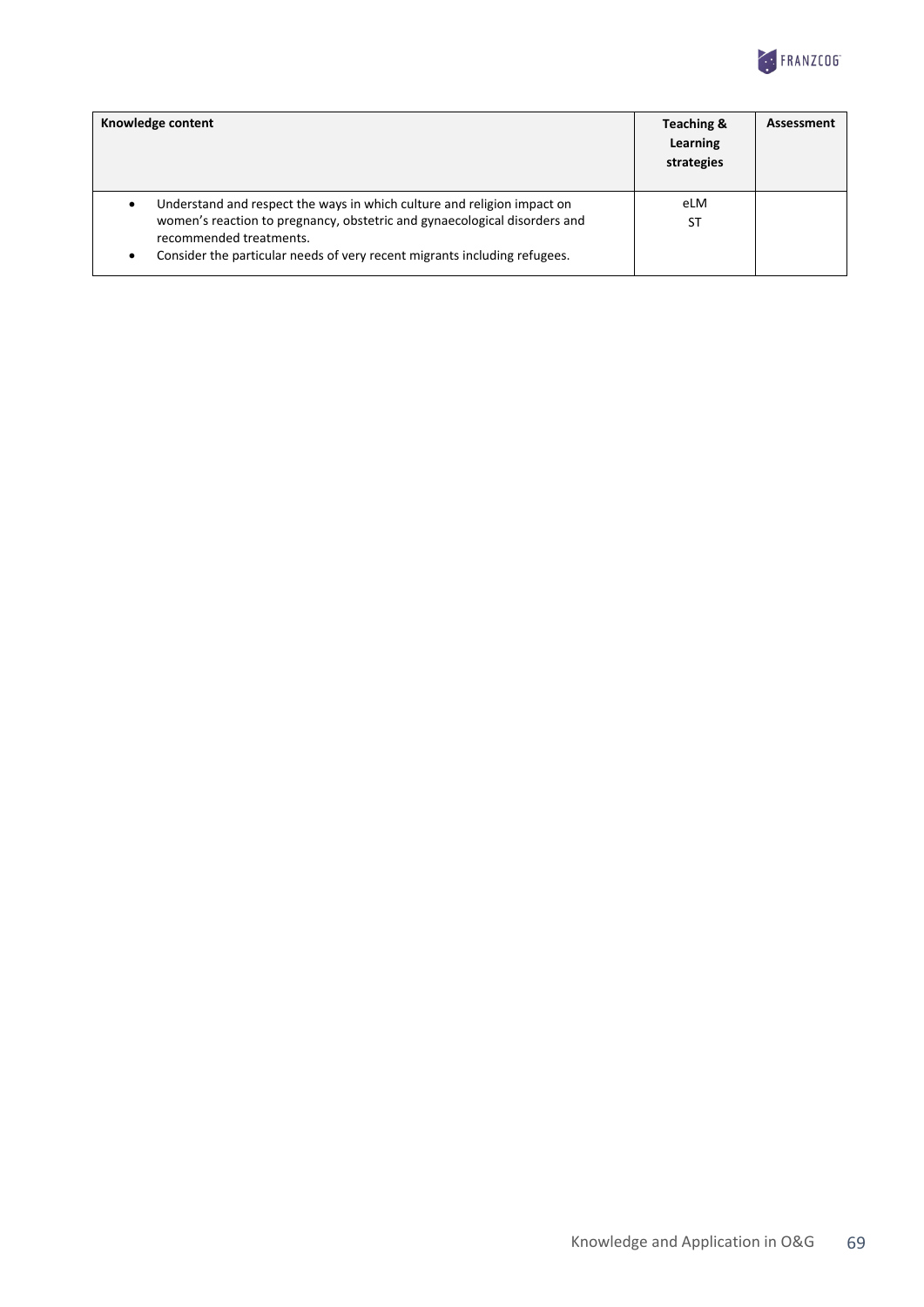

| Knowledge content                                                                                                                                                                                                                                                         | Teaching &<br>Learning<br>strategies | Assessment |
|---------------------------------------------------------------------------------------------------------------------------------------------------------------------------------------------------------------------------------------------------------------------------|--------------------------------------|------------|
| Understand and respect the ways in which culture and religion impact on<br>$\bullet$<br>women's reaction to pregnancy, obstetric and gynaecological disorders and<br>recommended treatments.<br>Consider the particular needs of very recent migrants including refugees. | eLM<br>ST                            |            |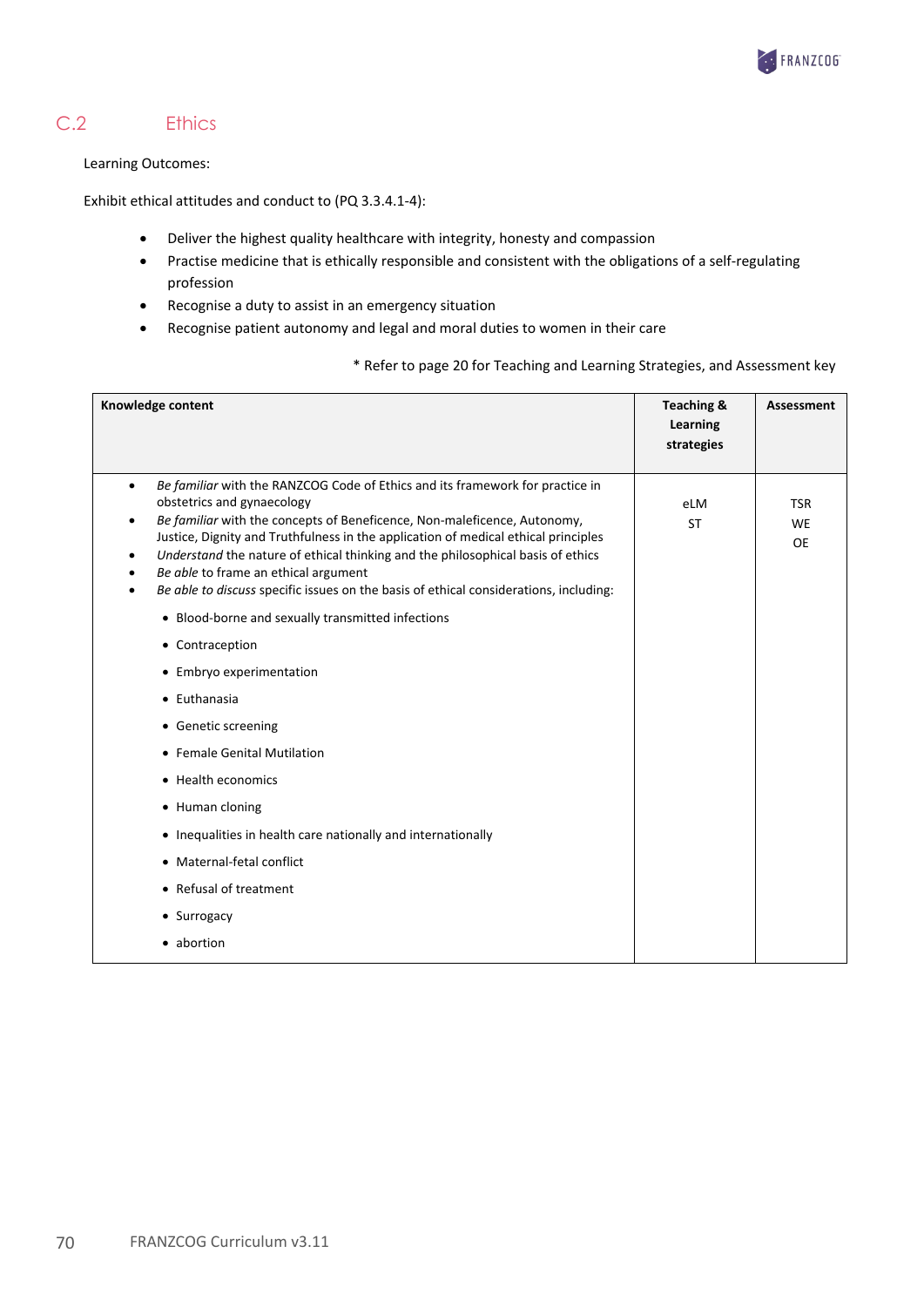

## C.2 Ethics

Learning Outcomes:

Exhibit ethical attitudes and conduct to (PQ 3.3.4.1-4):

- Deliver the highest quality healthcare with integrity, honesty and compassion
- Practise medicine that is ethically responsible and consistent with the obligations of a self-regulating profession
- Recognise a duty to assist in an emergency situation
- Recognise patient autonomy and legal and moral duties to women in their care

#### \* Refer to page 20 for Teaching and Learning Strategies, and Assessment key

| Knowledge content                                                                                                                                                                                                                                                                                                                                                                                                                                                                                                             | <b>Teaching &amp;</b><br>Learning<br>strategies | Assessment                    |
|-------------------------------------------------------------------------------------------------------------------------------------------------------------------------------------------------------------------------------------------------------------------------------------------------------------------------------------------------------------------------------------------------------------------------------------------------------------------------------------------------------------------------------|-------------------------------------------------|-------------------------------|
| Be familiar with the RANZCOG Code of Ethics and its framework for practice in<br>$\bullet$<br>obstetrics and gynaecology<br>Be familiar with the concepts of Beneficence, Non-maleficence, Autonomy,<br>٠<br>Justice, Dignity and Truthfulness in the application of medical ethical principles<br>Understand the nature of ethical thinking and the philosophical basis of ethics<br>٠<br>Be able to frame an ethical argument<br>٠<br>Be able to discuss specific issues on the basis of ethical considerations, including: | eLM<br><b>ST</b>                                | <b>TSR</b><br><b>WE</b><br>OE |
| • Blood-borne and sexually transmitted infections<br>• Contraception<br>• Embryo experimentation<br>• Euthanasia<br>• Genetic screening<br>• Female Genital Mutilation<br>• Health economics<br>• Human cloning<br>• Inequalities in health care nationally and internationally<br>• Maternal-fetal conflict<br>• Refusal of treatment<br>• Surrogacy                                                                                                                                                                         |                                                 |                               |
| • abortion                                                                                                                                                                                                                                                                                                                                                                                                                                                                                                                    |                                                 |                               |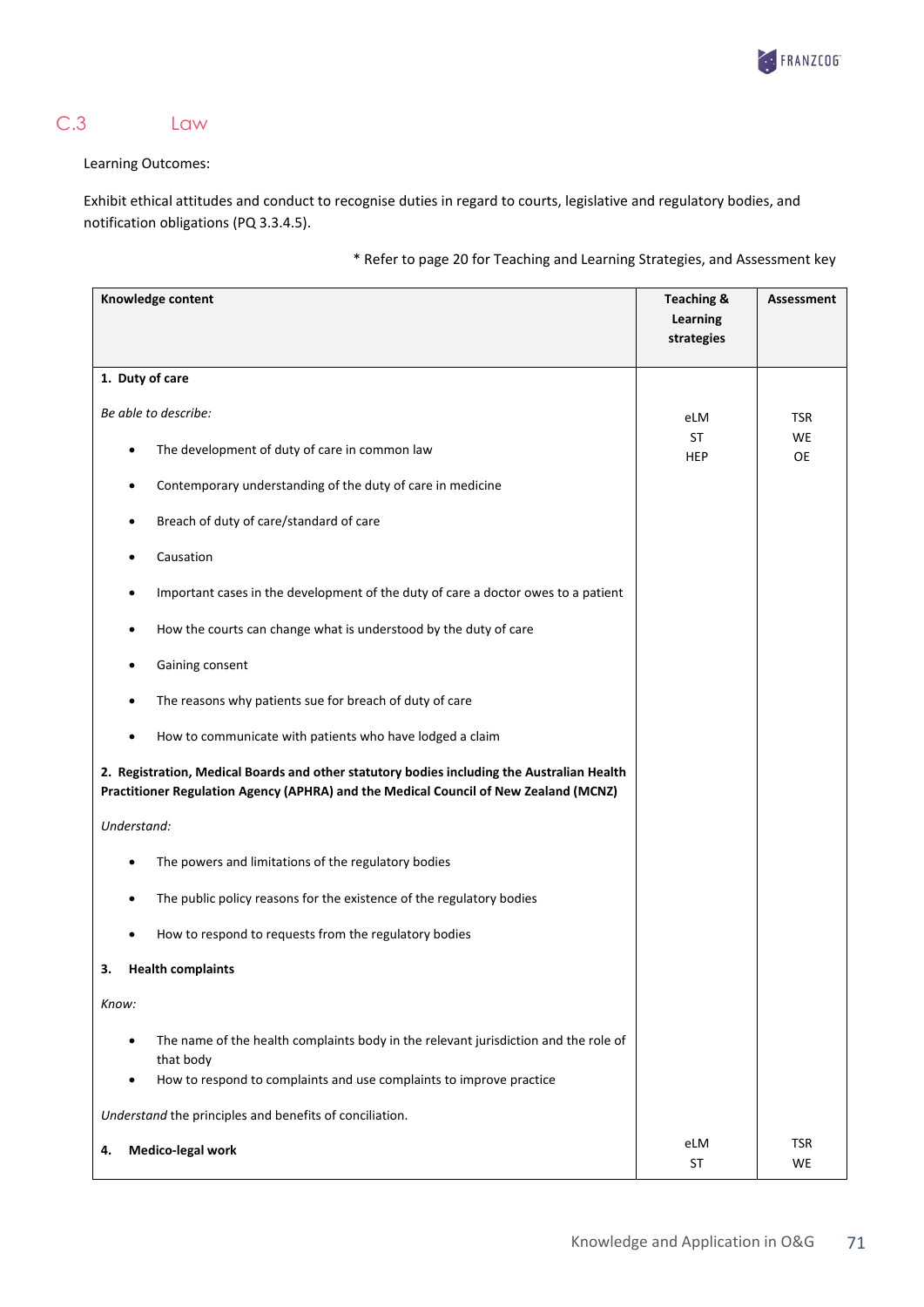

## C.3 Law

#### Learning Outcomes:

Exhibit ethical attitudes and conduct to recognise duties in regard to courts, legislative and regulatory bodies, and notification obligations (PQ 3.3.4.5).

#### \* Refer to page 20 for Teaching and Learning Strategies, and Assessment key

| Knowledge content                                                                                                                                                                  | <b>Teaching &amp;</b><br>Learning<br>strategies | <b>Assessment</b> |
|------------------------------------------------------------------------------------------------------------------------------------------------------------------------------------|-------------------------------------------------|-------------------|
| 1. Duty of care                                                                                                                                                                    |                                                 |                   |
| Be able to describe:                                                                                                                                                               | eLM                                             | TSR               |
| The development of duty of care in common law                                                                                                                                      | ST<br><b>HEP</b>                                | WE<br><b>OE</b>   |
| Contemporary understanding of the duty of care in medicine                                                                                                                         |                                                 |                   |
| Breach of duty of care/standard of care                                                                                                                                            |                                                 |                   |
| Causation                                                                                                                                                                          |                                                 |                   |
| Important cases in the development of the duty of care a doctor owes to a patient                                                                                                  |                                                 |                   |
| How the courts can change what is understood by the duty of care                                                                                                                   |                                                 |                   |
| Gaining consent                                                                                                                                                                    |                                                 |                   |
| The reasons why patients sue for breach of duty of care<br>٠                                                                                                                       |                                                 |                   |
| How to communicate with patients who have lodged a claim<br>٠                                                                                                                      |                                                 |                   |
| 2. Registration, Medical Boards and other statutory bodies including the Australian Health<br>Practitioner Regulation Agency (APHRA) and the Medical Council of New Zealand (MCNZ) |                                                 |                   |
| Understand:                                                                                                                                                                        |                                                 |                   |
| The powers and limitations of the regulatory bodies                                                                                                                                |                                                 |                   |
| The public policy reasons for the existence of the regulatory bodies<br>٠                                                                                                          |                                                 |                   |
| How to respond to requests from the regulatory bodies                                                                                                                              |                                                 |                   |
| 3.<br><b>Health complaints</b>                                                                                                                                                     |                                                 |                   |
| Know:                                                                                                                                                                              |                                                 |                   |
| The name of the health complaints body in the relevant jurisdiction and the role of<br>$\bullet$<br>that body                                                                      |                                                 |                   |
| How to respond to complaints and use complaints to improve practice<br>٠                                                                                                           |                                                 |                   |
| Understand the principles and benefits of conciliation.                                                                                                                            |                                                 |                   |
| Medico-legal work<br>4.                                                                                                                                                            | eLM<br>ST                                       | TSR<br>WE         |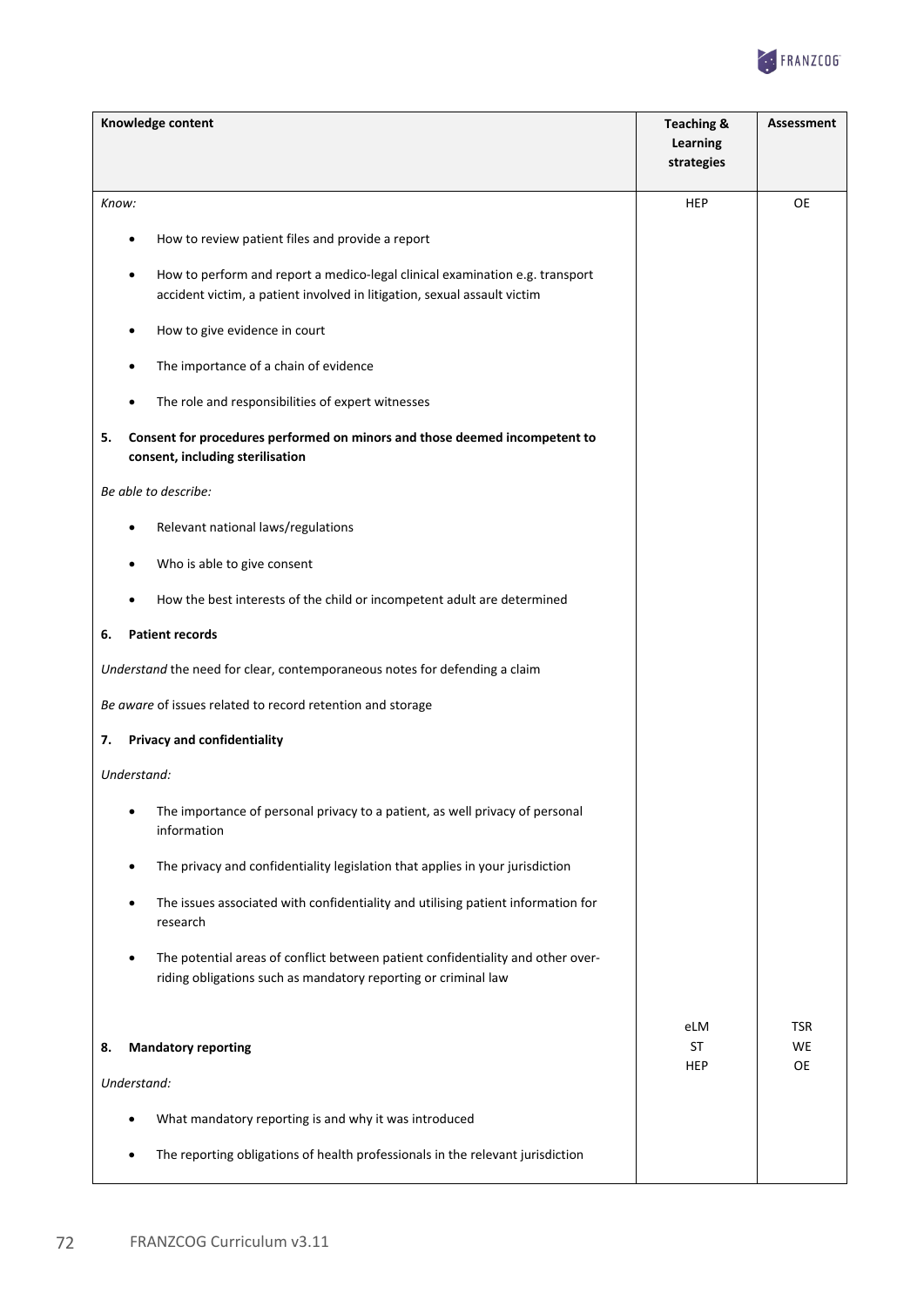

| Knowledge content                                                                                                                                             | <b>Teaching &amp;</b><br>Learning<br>strategies | Assessment             |
|---------------------------------------------------------------------------------------------------------------------------------------------------------------|-------------------------------------------------|------------------------|
| Know:                                                                                                                                                         | <b>HEP</b>                                      | <b>OE</b>              |
| How to review patient files and provide a report                                                                                                              |                                                 |                        |
| How to perform and report a medico-legal clinical examination e.g. transport<br>٠<br>accident victim, a patient involved in litigation, sexual assault victim |                                                 |                        |
| How to give evidence in court                                                                                                                                 |                                                 |                        |
| The importance of a chain of evidence                                                                                                                         |                                                 |                        |
| The role and responsibilities of expert witnesses                                                                                                             |                                                 |                        |
| Consent for procedures performed on minors and those deemed incompetent to<br>5.<br>consent, including sterilisation                                          |                                                 |                        |
| Be able to describe:                                                                                                                                          |                                                 |                        |
| Relevant national laws/regulations                                                                                                                            |                                                 |                        |
| Who is able to give consent                                                                                                                                   |                                                 |                        |
| How the best interests of the child or incompetent adult are determined                                                                                       |                                                 |                        |
| <b>Patient records</b><br>6.                                                                                                                                  |                                                 |                        |
| Understand the need for clear, contemporaneous notes for defending a claim                                                                                    |                                                 |                        |
| Be aware of issues related to record retention and storage                                                                                                    |                                                 |                        |
| <b>Privacy and confidentiality</b><br>7.                                                                                                                      |                                                 |                        |
| Understand:                                                                                                                                                   |                                                 |                        |
| The importance of personal privacy to a patient, as well privacy of personal<br>٠<br>information                                                              |                                                 |                        |
| The privacy and confidentiality legislation that applies in your jurisdiction<br>$\bullet$                                                                    |                                                 |                        |
| The issues associated with confidentiality and utilising patient information for<br>$\bullet$<br>research                                                     |                                                 |                        |
| The potential areas of conflict between patient confidentiality and other over-<br>riding obligations such as mandatory reporting or criminal law             |                                                 |                        |
| <b>Mandatory reporting</b><br>8.                                                                                                                              | eLM<br>ST<br><b>HEP</b>                         | <b>TSR</b><br>WE<br>OE |
| Understand:                                                                                                                                                   |                                                 |                        |
| What mandatory reporting is and why it was introduced                                                                                                         |                                                 |                        |
| The reporting obligations of health professionals in the relevant jurisdiction                                                                                |                                                 |                        |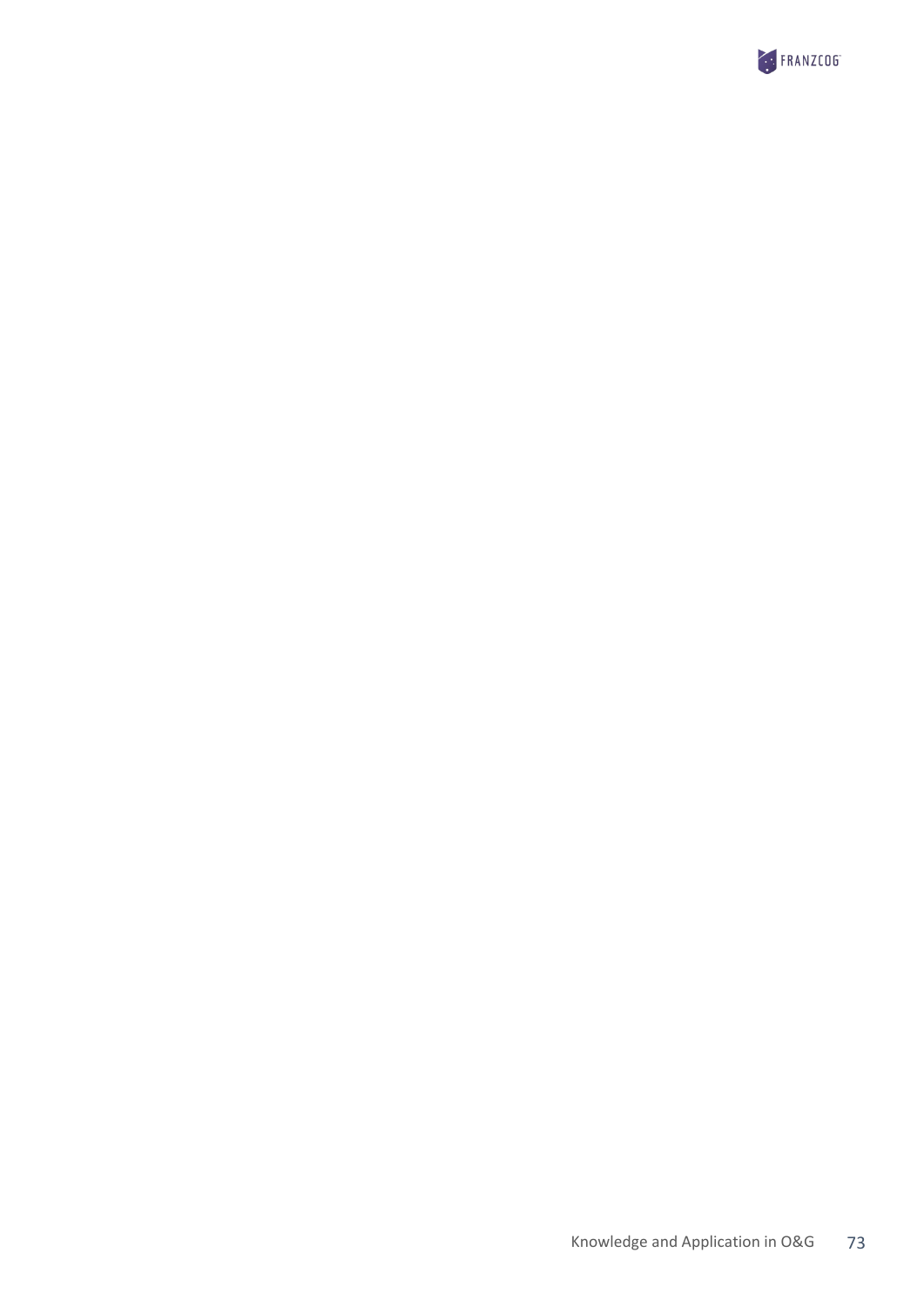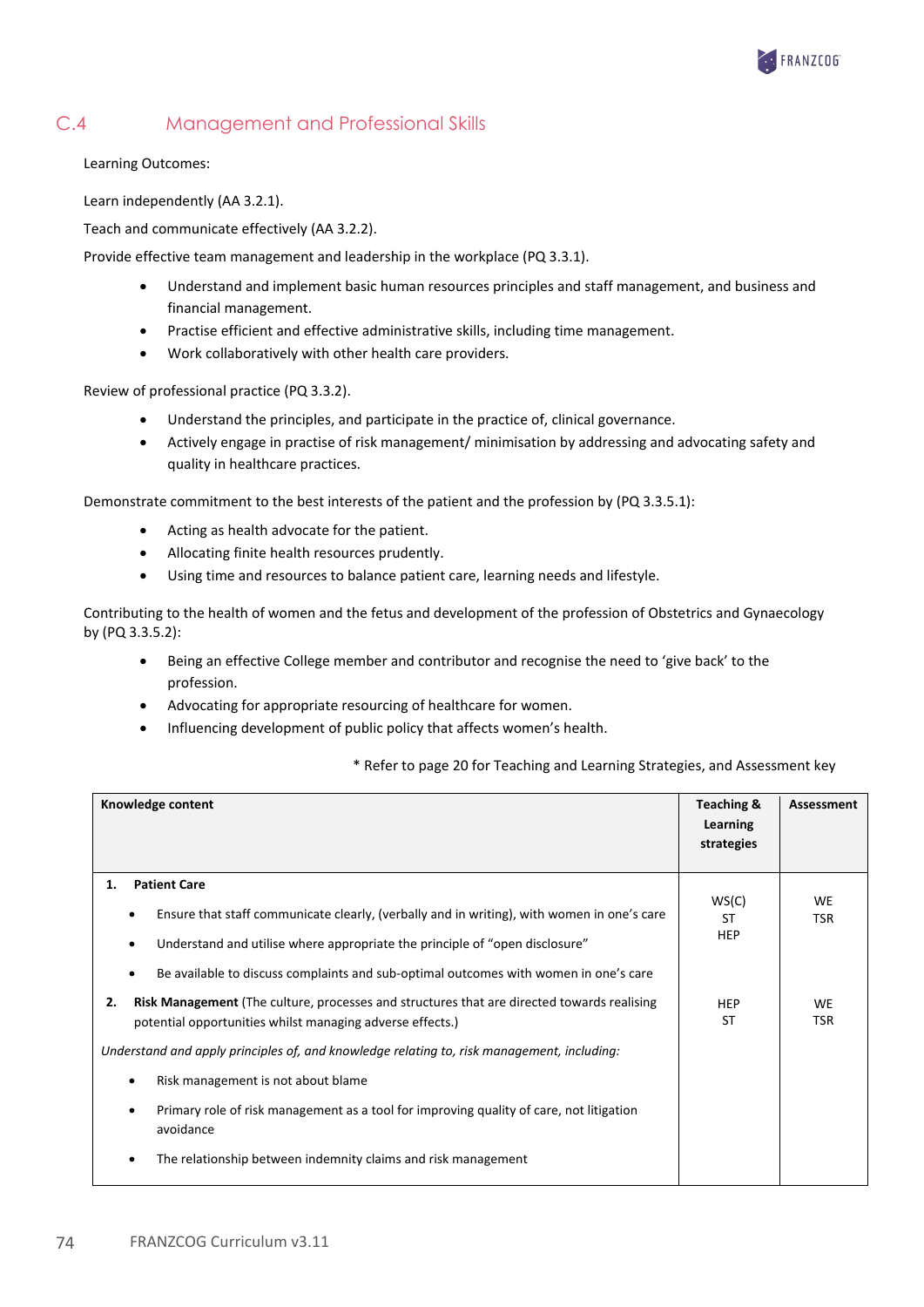

## C.4 Management and Professional Skills

Learning Outcomes:

Learn independently (AA 3.2.1).

Teach and communicate effectively (AA 3.2.2).

Provide effective team management and leadership in the workplace (PQ 3.3.1).

- Understand and implement basic human resources principles and staff management, and business and financial management.
- Practise efficient and effective administrative skills, including time management.
- Work collaboratively with other health care providers.

Review of professional practice (PQ 3.3.2).

- Understand the principles, and participate in the practice of, clinical governance.
- Actively engage in practise of risk management/ minimisation by addressing and advocating safety and quality in healthcare practices.

Demonstrate commitment to the best interests of the patient and the profession by (PQ 3.3.5.1):

- Acting as health advocate for the patient.
- Allocating finite health resources prudently.
- Using time and resources to balance patient care, learning needs and lifestyle.

Contributing to the health of women and the fetus and development of the profession of Obstetrics and Gynaecology by (PQ 3.3.5.2):

- Being an effective College member and contributor and recognise the need to 'give back' to the profession.
- Advocating for appropriate resourcing of healthcare for women.
- Influencing development of public policy that affects women's health.

\* Refer to page 20 for Teaching and Learning Strategies, and Assessment key

| Knowledge content                                                                                                                                                                                                                                                                              | Teaching &<br>Learning<br>strategies | Assessment              |
|------------------------------------------------------------------------------------------------------------------------------------------------------------------------------------------------------------------------------------------------------------------------------------------------|--------------------------------------|-------------------------|
| <b>Patient Care</b><br>1.<br>Ensure that staff communicate clearly, (verbally and in writing), with women in one's care<br>Understand and utilise where appropriate the principle of "open disclosure"<br>Be available to discuss complaints and sub-optimal outcomes with women in one's care | WS(C)<br><b>ST</b><br><b>HEP</b>     | WE<br><b>TSR</b>        |
| <b>Risk Management</b> (The culture, processes and structures that are directed towards realising<br>2.<br>potential opportunities whilst managing adverse effects.)<br>Understand and apply principles of, and knowledge relating to, risk management, including:                             | <b>HFP</b><br>ST                     | <b>WE</b><br><b>TSR</b> |
| Risk management is not about blame<br>Primary role of risk management as a tool for improving quality of care, not litigation<br>avoidance<br>The relationship between indemnity claims and risk management                                                                                    |                                      |                         |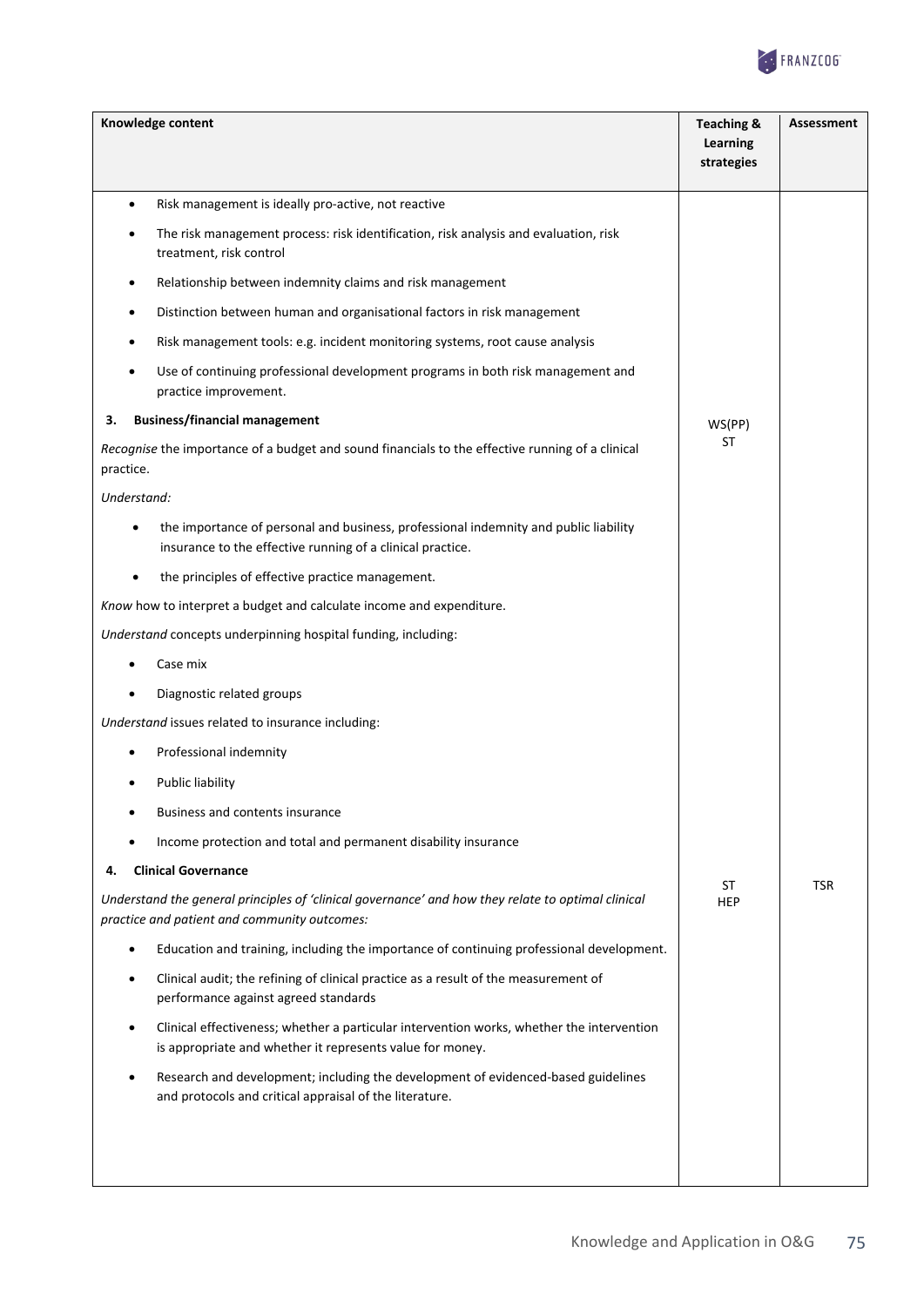

| Knowledge content                                                                                                                                               | <b>Teaching &amp;</b><br>Learning<br>strategies | <b>Assessment</b> |
|-----------------------------------------------------------------------------------------------------------------------------------------------------------------|-------------------------------------------------|-------------------|
| Risk management is ideally pro-active, not reactive<br>$\bullet$                                                                                                |                                                 |                   |
| The risk management process: risk identification, risk analysis and evaluation, risk<br>treatment, risk control                                                 |                                                 |                   |
| Relationship between indemnity claims and risk management                                                                                                       |                                                 |                   |
| Distinction between human and organisational factors in risk management                                                                                         |                                                 |                   |
| Risk management tools: e.g. incident monitoring systems, root cause analysis                                                                                    |                                                 |                   |
| Use of continuing professional development programs in both risk management and<br>practice improvement.                                                        |                                                 |                   |
| <b>Business/financial management</b><br>з.                                                                                                                      | WS(PP)                                          |                   |
| Recognise the importance of a budget and sound financials to the effective running of a clinical<br>practice.                                                   | ST                                              |                   |
| Understand:                                                                                                                                                     |                                                 |                   |
| the importance of personal and business, professional indemnity and public liability<br>$\bullet$<br>insurance to the effective running of a clinical practice. |                                                 |                   |
| the principles of effective practice management.                                                                                                                |                                                 |                   |
| Know how to interpret a budget and calculate income and expenditure.                                                                                            |                                                 |                   |
| Understand concepts underpinning hospital funding, including:                                                                                                   |                                                 |                   |
| Case mix                                                                                                                                                        |                                                 |                   |
| Diagnostic related groups                                                                                                                                       |                                                 |                   |
| Understand issues related to insurance including:                                                                                                               |                                                 |                   |
| Professional indemnity                                                                                                                                          |                                                 |                   |
| Public liability                                                                                                                                                |                                                 |                   |
| Business and contents insurance                                                                                                                                 |                                                 |                   |
| Income protection and total and permanent disability insurance                                                                                                  |                                                 |                   |
| <b>Clinical Governance</b><br>4.                                                                                                                                |                                                 | <b>TSR</b>        |
| Understand the general principles of 'clinical governance' and how they relate to optimal clinical<br>practice and patient and community outcomes:              | ST<br><b>HEP</b>                                |                   |
| Education and training, including the importance of continuing professional development.                                                                        |                                                 |                   |
| Clinical audit; the refining of clinical practice as a result of the measurement of<br>performance against agreed standards                                     |                                                 |                   |
| Clinical effectiveness; whether a particular intervention works, whether the intervention<br>٠<br>is appropriate and whether it represents value for money.     |                                                 |                   |
| Research and development; including the development of evidenced-based guidelines<br>and protocols and critical appraisal of the literature.                    |                                                 |                   |
|                                                                                                                                                                 |                                                 |                   |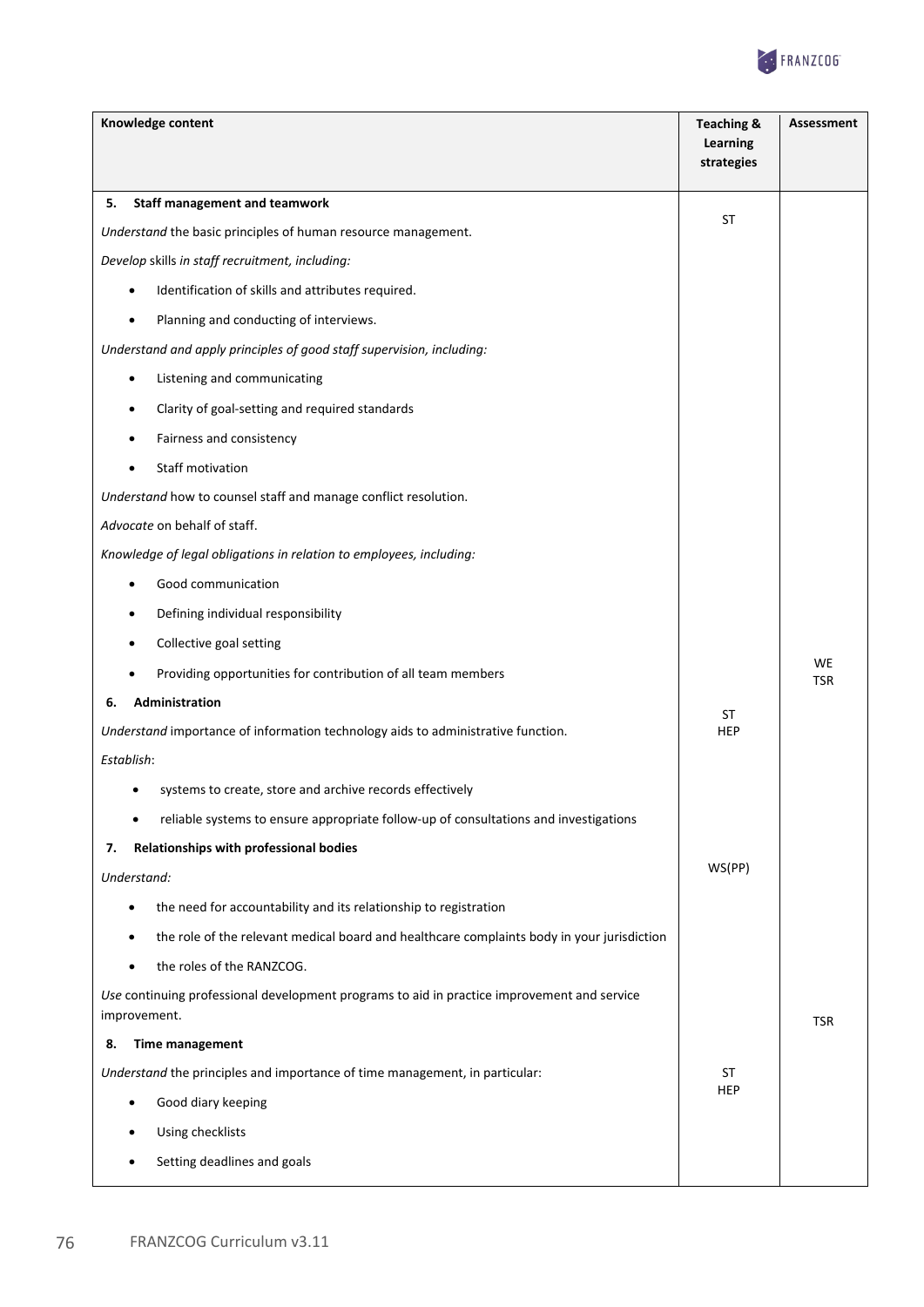

| Knowledge content                                                                                           | <b>Teaching &amp;</b><br>Learning<br>strategies | <b>Assessment</b> |
|-------------------------------------------------------------------------------------------------------------|-------------------------------------------------|-------------------|
| <b>Staff management and teamwork</b><br>5.                                                                  |                                                 |                   |
| Understand the basic principles of human resource management.                                               | <b>ST</b>                                       |                   |
| Develop skills in staff recruitment, including:                                                             |                                                 |                   |
| Identification of skills and attributes required.                                                           |                                                 |                   |
| Planning and conducting of interviews.                                                                      |                                                 |                   |
| Understand and apply principles of good staff supervision, including:                                       |                                                 |                   |
| Listening and communicating                                                                                 |                                                 |                   |
| Clarity of goal-setting and required standards<br>٠                                                         |                                                 |                   |
| Fairness and consistency                                                                                    |                                                 |                   |
| Staff motivation                                                                                            |                                                 |                   |
| Understand how to counsel staff and manage conflict resolution.                                             |                                                 |                   |
| Advocate on behalf of staff.                                                                                |                                                 |                   |
| Knowledge of legal obligations in relation to employees, including:                                         |                                                 |                   |
| Good communication                                                                                          |                                                 |                   |
| Defining individual responsibility                                                                          |                                                 |                   |
| Collective goal setting                                                                                     |                                                 |                   |
| Providing opportunities for contribution of all team members                                                |                                                 | WE<br><b>TSR</b>  |
| Administration<br>6.                                                                                        | <b>ST</b>                                       |                   |
| Understand importance of information technology aids to administrative function.                            | <b>HEP</b>                                      |                   |
| Establish:                                                                                                  |                                                 |                   |
| systems to create, store and archive records effectively<br>٠                                               |                                                 |                   |
| reliable systems to ensure appropriate follow-up of consultations and investigations                        |                                                 |                   |
| Relationships with professional bodies<br>7.                                                                |                                                 |                   |
| Understand:                                                                                                 | WS(PP)                                          |                   |
| the need for accountability and its relationship to registration                                            |                                                 |                   |
| the role of the relevant medical board and healthcare complaints body in your jurisdiction                  |                                                 |                   |
| the roles of the RANZCOG.<br>$\bullet$                                                                      |                                                 |                   |
| Use continuing professional development programs to aid in practice improvement and service<br>improvement. |                                                 | <b>TSR</b>        |
| Time management<br>8.                                                                                       |                                                 |                   |
| Understand the principles and importance of time management, in particular:                                 | ST                                              |                   |
| Good diary keeping                                                                                          | <b>HEP</b>                                      |                   |
| Using checklists                                                                                            |                                                 |                   |
| Setting deadlines and goals                                                                                 |                                                 |                   |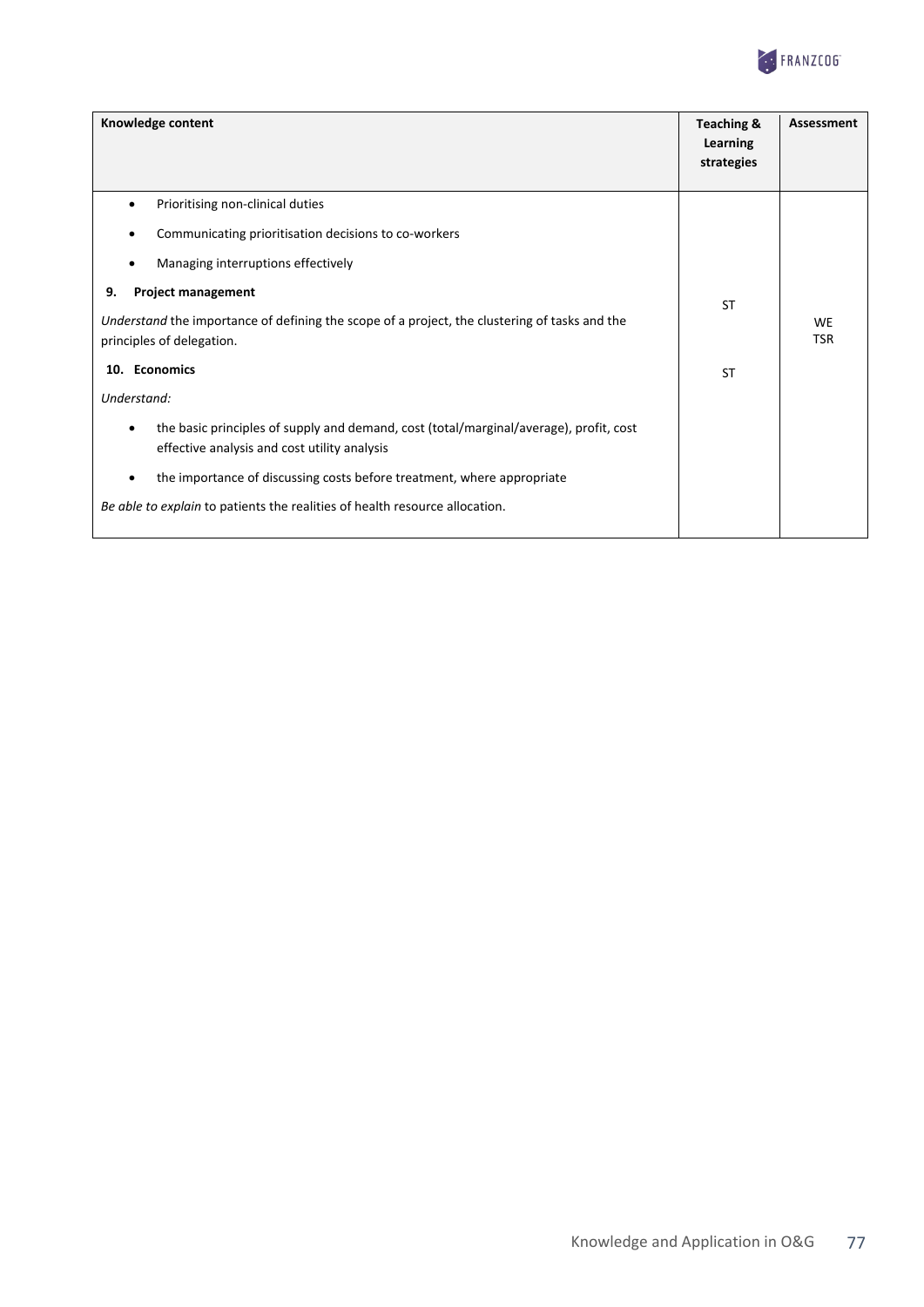

| Knowledge content                                                                                                                      | <b>Teaching &amp;</b><br>Learning<br>strategies | Assessment              |
|----------------------------------------------------------------------------------------------------------------------------------------|-------------------------------------------------|-------------------------|
| Prioritising non-clinical duties<br>$\bullet$                                                                                          |                                                 |                         |
| Communicating prioritisation decisions to co-workers                                                                                   |                                                 |                         |
| Managing interruptions effectively                                                                                                     |                                                 |                         |
| <b>Project management</b><br>9.                                                                                                        | <b>ST</b>                                       |                         |
| Understand the importance of defining the scope of a project, the clustering of tasks and the<br>principles of delegation.             |                                                 | <b>WE</b><br><b>TSR</b> |
| 10. Economics                                                                                                                          |                                                 |                         |
| Understand:                                                                                                                            |                                                 |                         |
| the basic principles of supply and demand, cost (total/marginal/average), profit, cost<br>effective analysis and cost utility analysis |                                                 |                         |
| the importance of discussing costs before treatment, where appropriate<br>$\bullet$                                                    |                                                 |                         |
| Be able to explain to patients the realities of health resource allocation.                                                            |                                                 |                         |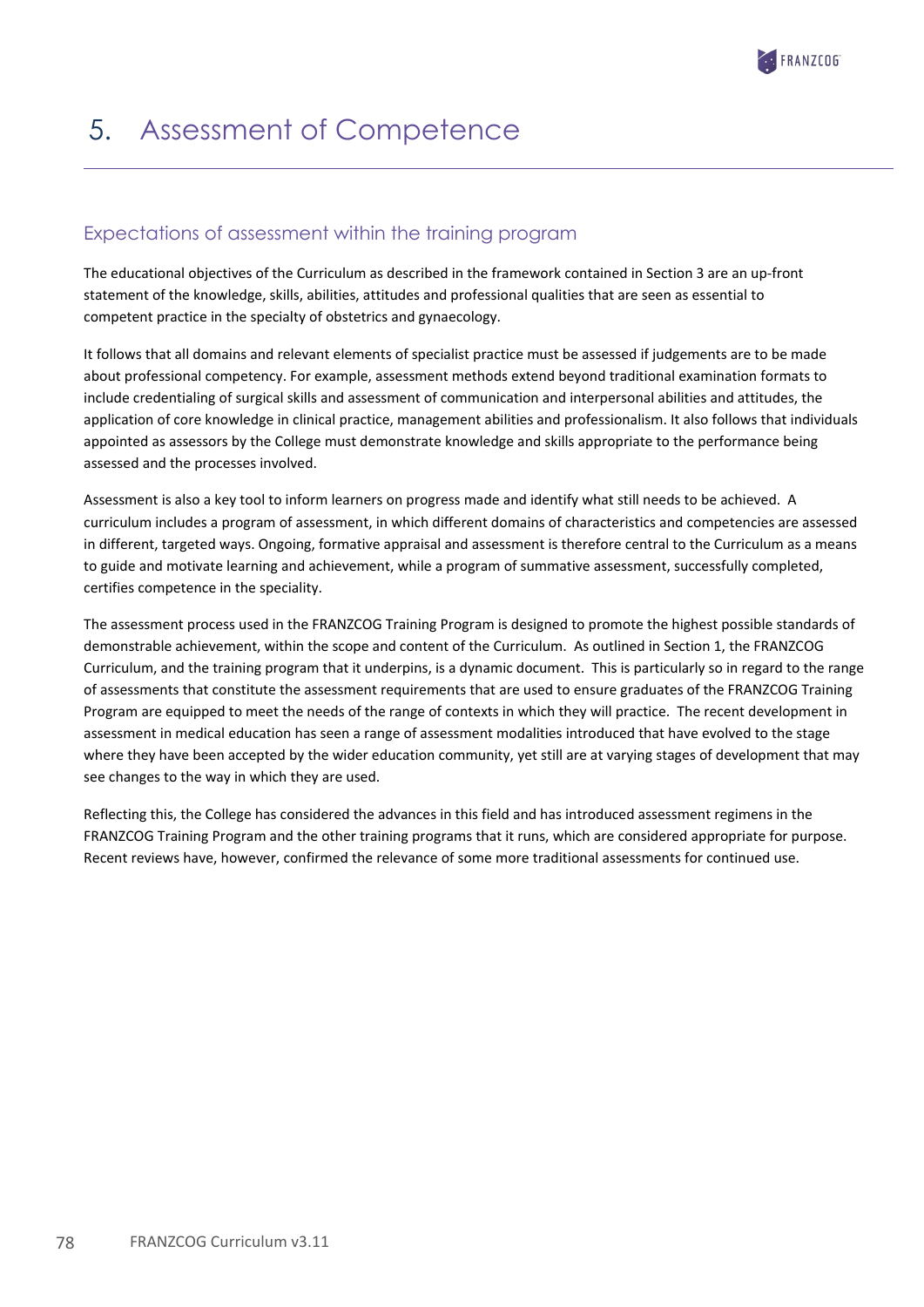## Expectations of assessment within the training program

The educational objectives of the Curriculum as described in the framework contained in Section 3 are an up-front statement of the knowledge, skills, abilities, attitudes and professional qualities that are seen as essential to competent practice in the specialty of obstetrics and gynaecology.

It follows that all domains and relevant elements of specialist practice must be assessed if judgements are to be made about professional competency. For example, assessment methods extend beyond traditional examination formats to include credentialing of surgical skills and assessment of communication and interpersonal abilities and attitudes, the application of core knowledge in clinical practice, management abilities and professionalism. It also follows that individuals appointed as assessors by the College must demonstrate knowledge and skills appropriate to the performance being assessed and the processes involved.

Assessment is also a key tool to inform learners on progress made and identify what still needs to be achieved. A curriculum includes a program of assessment, in which different domains of characteristics and competencies are assessed in different, targeted ways. Ongoing, formative appraisal and assessment is therefore central to the Curriculum as a means to guide and motivate learning and achievement, while a program of summative assessment, successfully completed, certifies competence in the speciality.

The assessment process used in the FRANZCOG Training Program is designed to promote the highest possible standards of demonstrable achievement, within the scope and content of the Curriculum. As outlined in Section 1, the FRANZCOG Curriculum, and the training program that it underpins, is a dynamic document. This is particularly so in regard to the range of assessments that constitute the assessment requirements that are used to ensure graduates of the FRANZCOG Training Program are equipped to meet the needs of the range of contexts in which they will practice. The recent development in assessment in medical education has seen a range of assessment modalities introduced that have evolved to the stage where they have been accepted by the wider education community, yet still are at varying stages of development that may see changes to the way in which they are used.

Reflecting this, the College has considered the advances in this field and has introduced assessment regimens in the FRANZCOG Training Program and the other training programs that it runs, which are considered appropriate for purpose. Recent reviews have, however, confirmed the relevance of some more traditional assessments for continued use.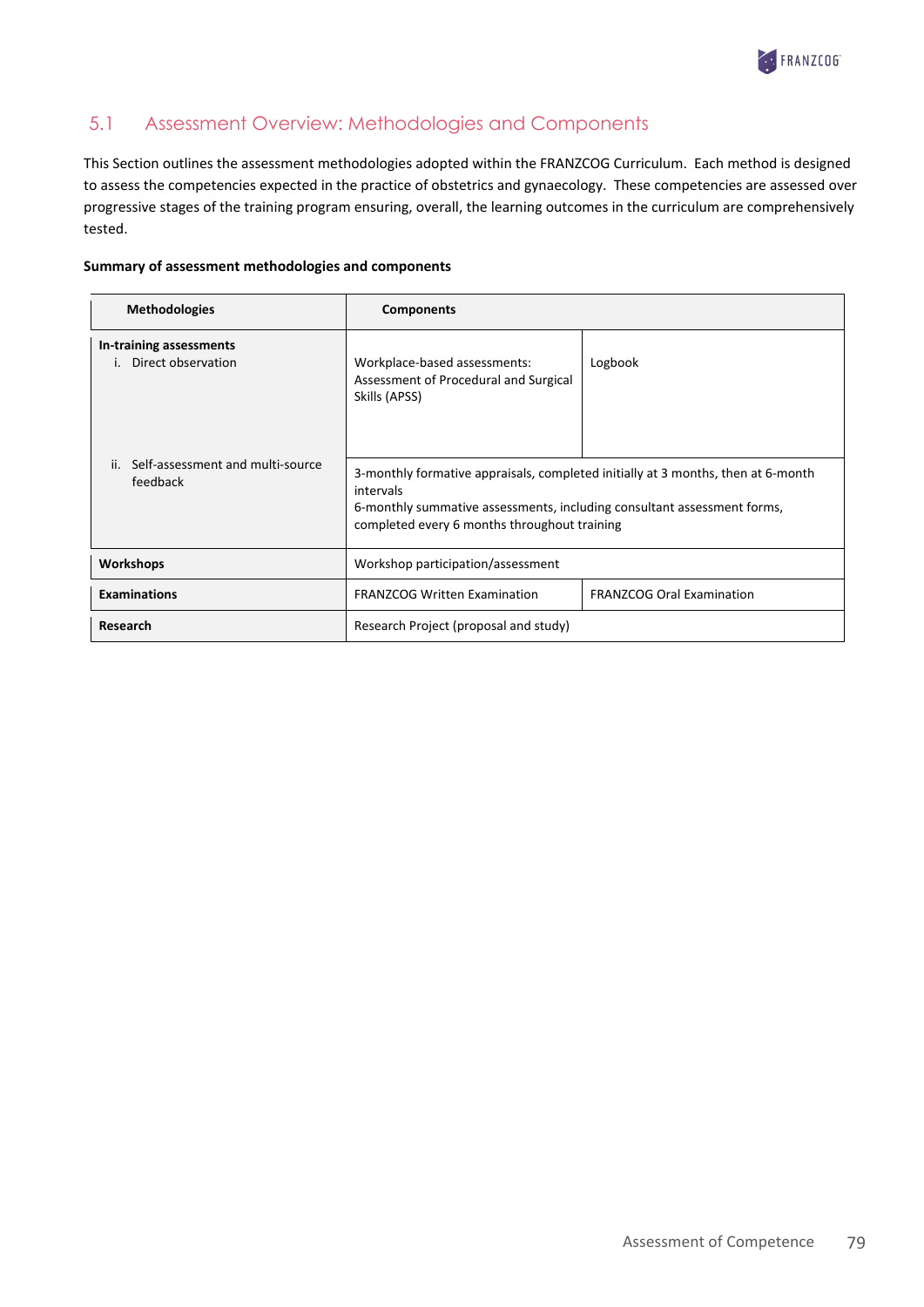

## 5.1 Assessment Overview: Methodologies and Components

This Section outlines the assessment methodologies adopted within the FRANZCOG Curriculum. Each method is designed to assess the competencies expected in the practice of obstetrics and gynaecology. These competencies are assessed over progressive stages of the training program ensuring, overall, the learning outcomes in the curriculum are comprehensively tested.

#### **Summary of assessment methodologies and components**

| <b>Methodologies</b>                                | <b>Components</b>                                                                                                                                                                                                        |         |
|-----------------------------------------------------|--------------------------------------------------------------------------------------------------------------------------------------------------------------------------------------------------------------------------|---------|
| In-training assessments<br>i. Direct observation    | Workplace-based assessments:<br>Assessment of Procedural and Surgical<br>Skills (APSS)                                                                                                                                   | Logbook |
| Self-assessment and multi-source<br>ii.<br>feedback | 3-monthly formative appraisals, completed initially at 3 months, then at 6-month<br>intervals<br>6-monthly summative assessments, including consultant assessment forms,<br>completed every 6 months throughout training |         |
| Workshops                                           | Workshop participation/assessment                                                                                                                                                                                        |         |
| <b>Examinations</b>                                 | <b>FRANZCOG Oral Examination</b><br><b>FRANZCOG Written Examination</b>                                                                                                                                                  |         |
| Research                                            | Research Project (proposal and study)                                                                                                                                                                                    |         |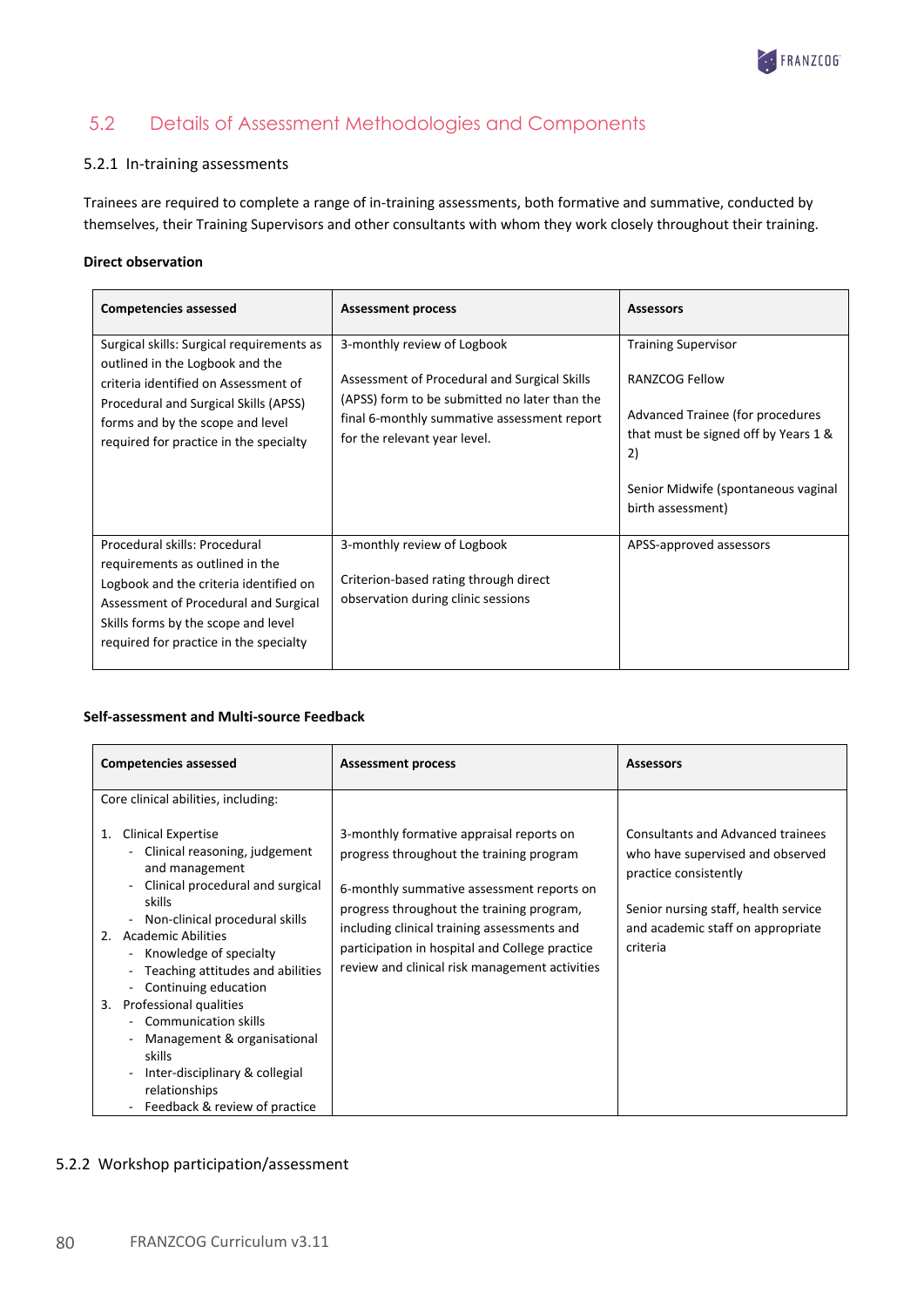

## 5.2 Details of Assessment Methodologies and Components

#### 5.2.1 In-training assessments

Trainees are required to complete a range of in-training assessments, both formative and summative, conducted by themselves, their Training Supervisors and other consultants with whom they work closely throughout their training.

#### **Direct observation**

| Competencies assessed                                                                                                                                                                                                                       | <b>Assessment process</b>                                                                                                                                                                                   | <b>Assessors</b>                                                                                                                                                                           |
|---------------------------------------------------------------------------------------------------------------------------------------------------------------------------------------------------------------------------------------------|-------------------------------------------------------------------------------------------------------------------------------------------------------------------------------------------------------------|--------------------------------------------------------------------------------------------------------------------------------------------------------------------------------------------|
| Surgical skills: Surgical requirements as<br>outlined in the Logbook and the<br>criteria identified on Assessment of<br>Procedural and Surgical Skills (APSS)<br>forms and by the scope and level<br>required for practice in the specialty | 3-monthly review of Logbook<br>Assessment of Procedural and Surgical Skills<br>(APSS) form to be submitted no later than the<br>final 6-monthly summative assessment report<br>for the relevant year level. | <b>Training Supervisor</b><br>RANZCOG Fellow<br>Advanced Trainee (for procedures<br>that must be signed off by Years 1 &<br>2)<br>Senior Midwife (spontaneous vaginal<br>birth assessment) |
| Procedural skills: Procedural<br>requirements as outlined in the<br>Logbook and the criteria identified on<br>Assessment of Procedural and Surgical<br>Skills forms by the scope and level<br>required for practice in the specialty        | 3-monthly review of Logbook<br>Criterion-based rating through direct<br>observation during clinic sessions                                                                                                  | APSS-approved assessors                                                                                                                                                                    |

#### **Self-assessment and Multi-source Feedback**

#### 5.2.2 Workshop participation/assessment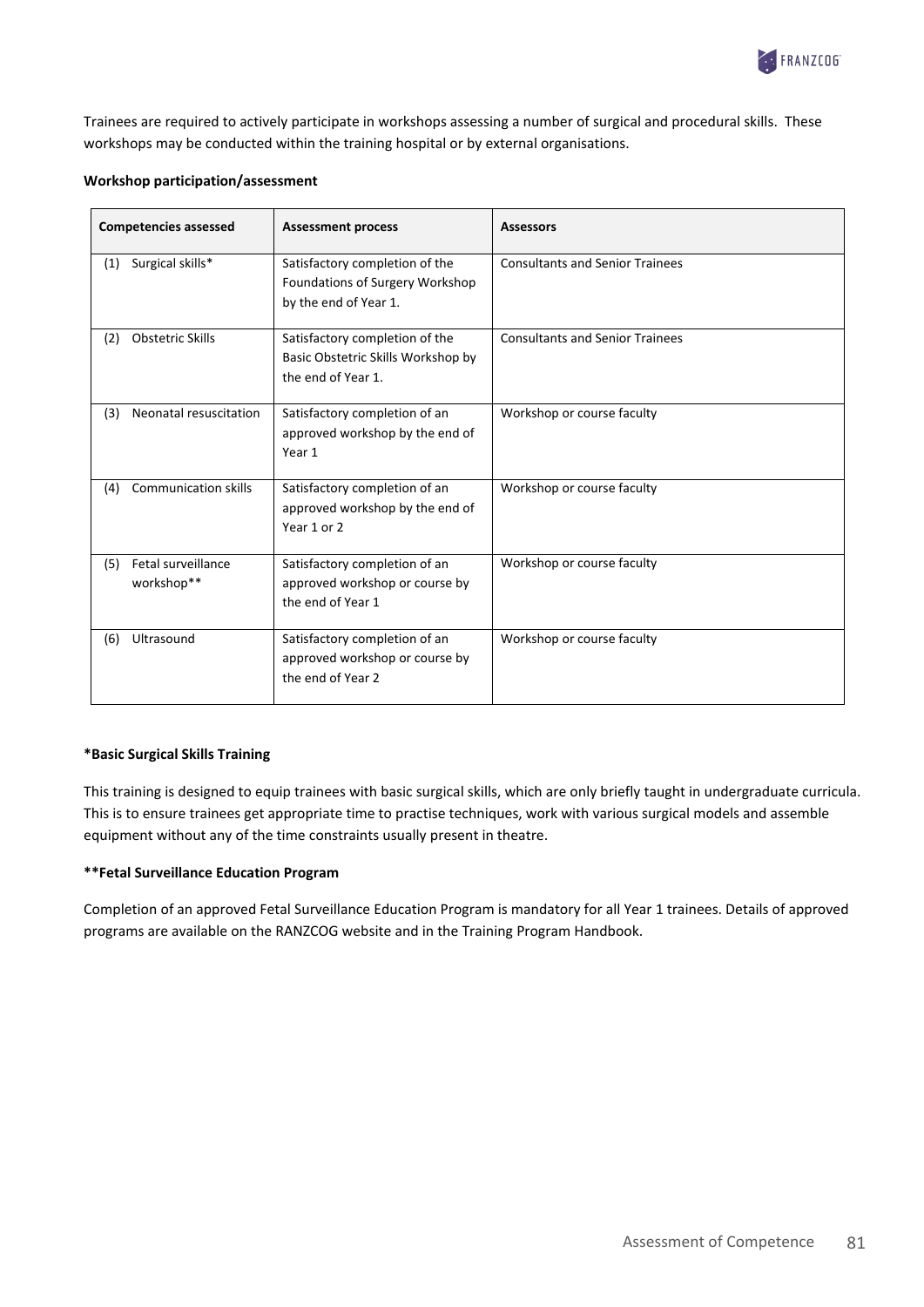

Trainees are required to actively participate in workshops assessing a number of surgical and procedural skills. These workshops may be conducted within the training hospital or by external organisations.

#### **Workshop participation/assessment**

|     | <b>Competencies assessed</b>     | <b>Assessment process</b>                                                                  | <b>Assessors</b>                       |
|-----|----------------------------------|--------------------------------------------------------------------------------------------|----------------------------------------|
| (1) | Surgical skills*                 | Satisfactory completion of the<br>Foundations of Surgery Workshop<br>by the end of Year 1. | <b>Consultants and Senior Trainees</b> |
| (2) | <b>Obstetric Skills</b>          | Satisfactory completion of the<br>Basic Obstetric Skills Workshop by<br>the end of Year 1. | <b>Consultants and Senior Trainees</b> |
| (3) | Neonatal resuscitation           | Satisfactory completion of an<br>approved workshop by the end of<br>Year 1                 | Workshop or course faculty             |
| (4) | <b>Communication skills</b>      | Satisfactory completion of an<br>approved workshop by the end of<br>Year 1 or 2            | Workshop or course faculty             |
| (5) | Fetal surveillance<br>workshop** | Satisfactory completion of an<br>approved workshop or course by<br>the end of Year 1       | Workshop or course faculty             |
| (6) | Ultrasound                       | Satisfactory completion of an<br>approved workshop or course by<br>the end of Year 2       | Workshop or course faculty             |

#### **\*Basic Surgical Skills Training**

This training is designed to equip trainees with basic surgical skills, which are only briefly taught in undergraduate curricula. This is to ensure trainees get appropriate time to practise techniques, work with various surgical models and assemble equipment without any of the time constraints usually present in theatre.

#### **\*\*Fetal Surveillance Education Program**

Completion of an approved Fetal Surveillance Education Program is mandatory for all Year 1 trainees. Details of approved programs are available on the RANZCOG website and in the Training Program Handbook.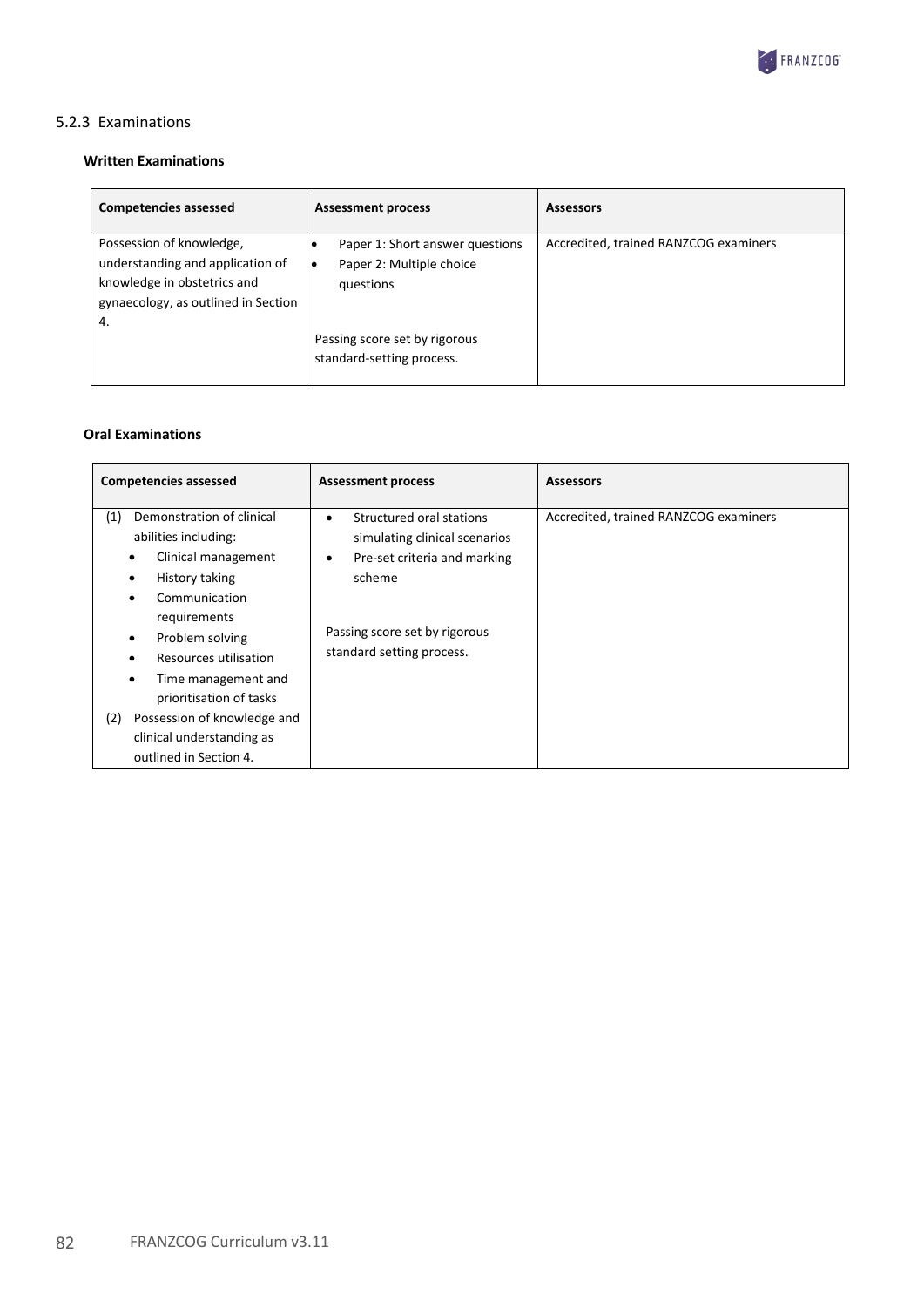

#### 5.2.3 Examinations

#### **Written Examinations**

| <b>Competencies assessed</b>                                                                                                             | <b>Assessment process</b>                                                                                                              | <b>Assessors</b>                      |
|------------------------------------------------------------------------------------------------------------------------------------------|----------------------------------------------------------------------------------------------------------------------------------------|---------------------------------------|
| Possession of knowledge,<br>understanding and application of<br>knowledge in obstetrics and<br>gynaecology, as outlined in Section<br>4. | Paper 1: Short answer questions<br>Paper 2: Multiple choice<br>questions<br>Passing score set by rigorous<br>standard-setting process. | Accredited, trained RANZCOG examiners |

#### **Oral Examinations**

| <b>Competencies assessed</b>                                                                                                                                                                                                                                                                                                       | <b>Assessment process</b>                                                                                                                                                   | <b>Assessors</b>                      |  |  |  |  |  |
|------------------------------------------------------------------------------------------------------------------------------------------------------------------------------------------------------------------------------------------------------------------------------------------------------------------------------------|-----------------------------------------------------------------------------------------------------------------------------------------------------------------------------|---------------------------------------|--|--|--|--|--|
| (1)<br>Demonstration of clinical<br>abilities including:<br>Clinical management<br>History taking<br>Communication<br>requirements<br>Problem solving<br>٠<br>Resources utilisation<br>Time management and<br>prioritisation of tasks<br>Possession of knowledge and<br>(2)<br>clinical understanding as<br>outlined in Section 4. | Structured oral stations<br>٠<br>simulating clinical scenarios<br>Pre-set criteria and marking<br>٠<br>scheme<br>Passing score set by rigorous<br>standard setting process. | Accredited, trained RANZCOG examiners |  |  |  |  |  |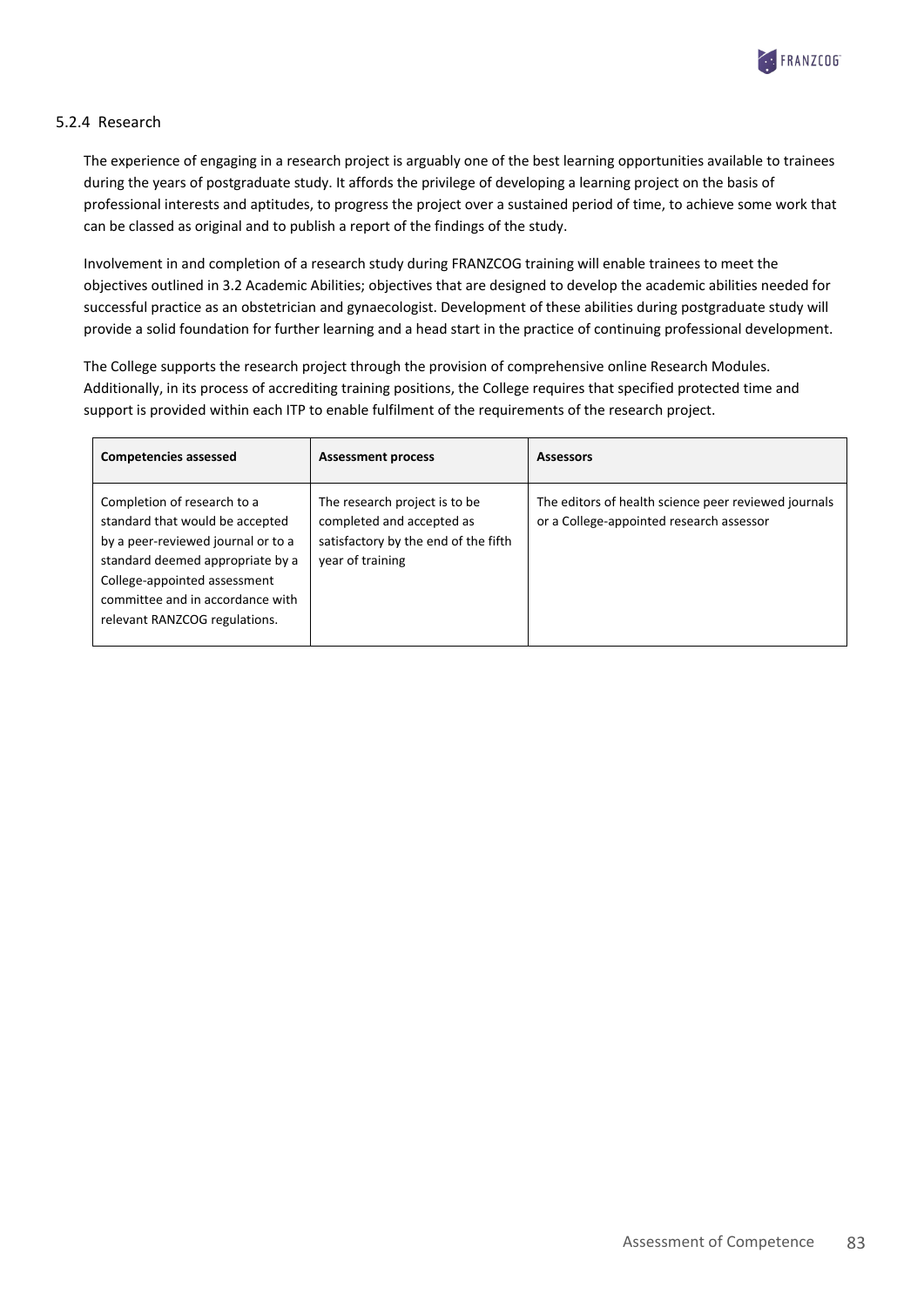

#### 5.2.4 Research

The experience of engaging in a research project is arguably one of the best learning opportunities available to trainees during the years of postgraduate study. It affords the privilege of developing a learning project on the basis of professional interests and aptitudes, to progress the project over a sustained period of time, to achieve some work that can be classed as original and to publish a report of the findings of the study.

Involvement in and completion of a research study during FRANZCOG training will enable trainees to meet the objectives outlined in 3.2 Academic Abilities; objectives that are designed to develop the academic abilities needed for successful practice as an obstetrician and gynaecologist. Development of these abilities during postgraduate study will provide a solid foundation for further learning and a head start in the practice of continuing professional development.

The College supports the research project through the provision of comprehensive online Research Modules. Additionally, in its process of accrediting training positions, the College requires that specified protected time and support is provided within each ITP to enable fulfilment of the requirements of the research project.

| <b>Competencies assessed</b>                                                                                                                                                                                                                  | <b>Assessment process</b>                                                                                              | <b>Assessors</b>                                                                                 |
|-----------------------------------------------------------------------------------------------------------------------------------------------------------------------------------------------------------------------------------------------|------------------------------------------------------------------------------------------------------------------------|--------------------------------------------------------------------------------------------------|
| Completion of research to a<br>standard that would be accepted<br>by a peer-reviewed journal or to a<br>standard deemed appropriate by a<br>College-appointed assessment<br>committee and in accordance with<br>relevant RANZCOG regulations. | The research project is to be<br>completed and accepted as<br>satisfactory by the end of the fifth<br>year of training | The editors of health science peer reviewed journals<br>or a College-appointed research assessor |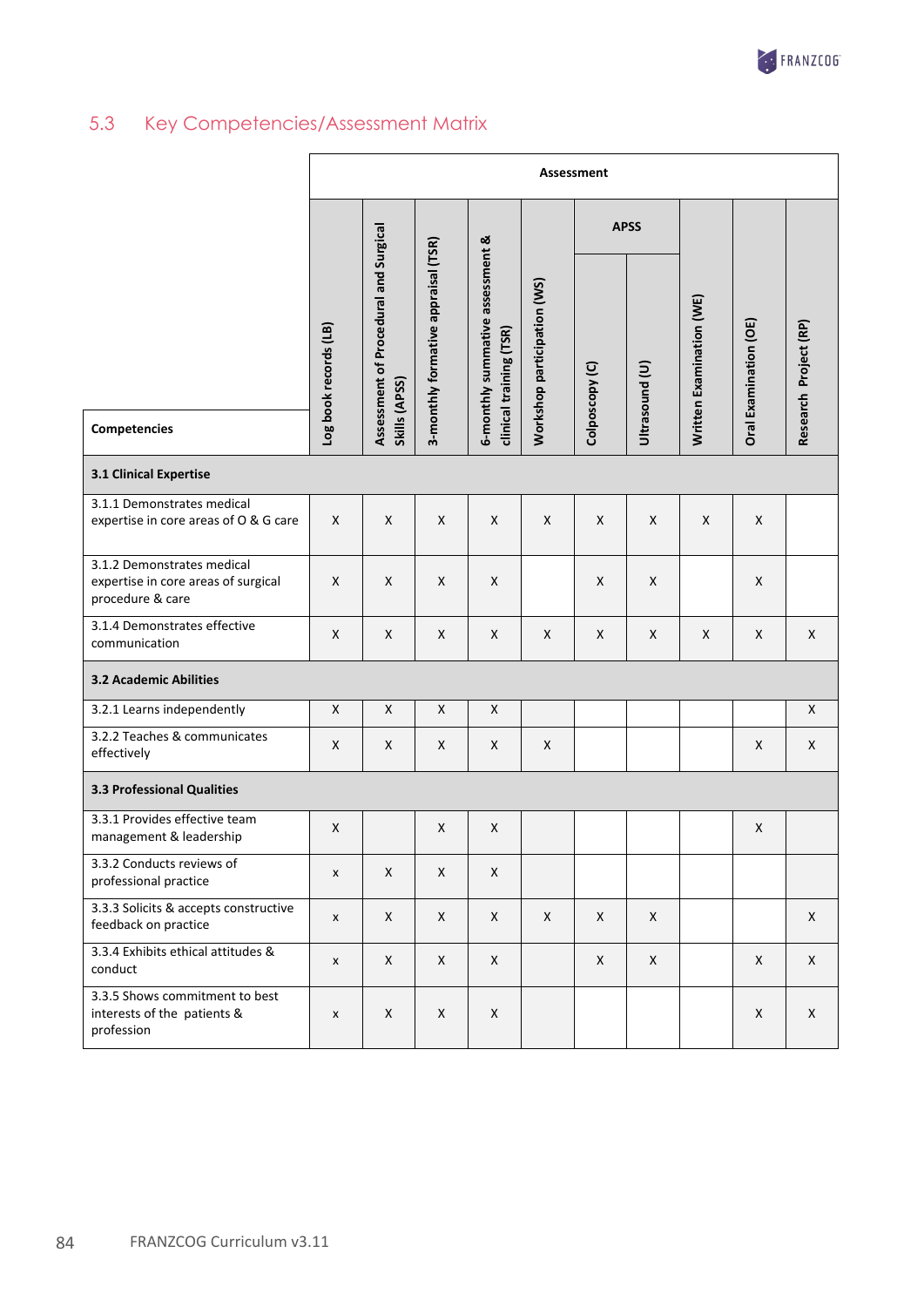

# 5.3 Key Competencies/Assessment Matrix

|                                                                                       | Assessment            |                                                        |                                     |                                                             |                             |                |                |                          |                       |                       |
|---------------------------------------------------------------------------------------|-----------------------|--------------------------------------------------------|-------------------------------------|-------------------------------------------------------------|-----------------------------|----------------|----------------|--------------------------|-----------------------|-----------------------|
|                                                                                       |                       |                                                        | 3-monthly formative appraisal (TSR) | 6-monthly summative assessment &<br>clinical training (TSR) | Workshop participation (WS) | <b>APSS</b>    |                |                          |                       |                       |
|                                                                                       | Log book records (LB) | Assessment of Procedural and Surgical<br>Skills (APSS) |                                     |                                                             |                             | Colposcopy (C) | Ultrasound (U) | Written Examination (WE) | Oral Examination (OE) | Research Project (RP) |
| Competencies                                                                          |                       |                                                        |                                     |                                                             |                             |                |                |                          |                       |                       |
| 3.1 Clinical Expertise                                                                |                       |                                                        |                                     |                                                             |                             |                |                |                          |                       |                       |
| 3.1.1 Demonstrates medical<br>expertise in core areas of O & G care                   | X                     | X                                                      | X                                   | X                                                           | X                           | X              | X              | X                        | Χ                     |                       |
| 3.1.2 Demonstrates medical<br>expertise in core areas of surgical<br>procedure & care | X                     | X                                                      | X                                   | X                                                           |                             | X              | X              |                          | Χ                     |                       |
| 3.1.4 Demonstrates effective<br>communication                                         | X                     | X                                                      | X                                   | X                                                           | X                           | X              | X              | X                        | X                     | X                     |
| <b>3.2 Academic Abilities</b>                                                         |                       |                                                        |                                     |                                                             |                             |                |                |                          |                       |                       |
| 3.2.1 Learns independently                                                            | $\mathsf X$           | $\pmb{\mathsf{X}}$                                     | X                                   | X                                                           |                             |                |                |                          |                       | $\pmb{\times}$        |
| 3.2.2 Teaches & communicates<br>effectively                                           | Χ                     | X                                                      | X                                   | X                                                           | X                           |                |                |                          | Χ                     | X                     |
| 3.3 Professional Qualities                                                            |                       |                                                        |                                     |                                                             |                             |                |                |                          |                       |                       |
| 3.3.1 Provides effective team<br>management & leadership                              | Χ                     |                                                        | X                                   | X                                                           |                             |                |                |                          | X                     |                       |
| 3.3.2 Conducts reviews of<br>professional practice                                    | X                     | X                                                      | X                                   | X                                                           |                             |                |                |                          |                       |                       |
| 3.3.3 Solicits & accepts constructive<br>feedback on practice                         | X                     | X                                                      | X                                   | X                                                           | X                           | X              | X              |                          |                       | X                     |
| 3.3.4 Exhibits ethical attitudes &<br>conduct                                         | X                     | X                                                      | X                                   | X                                                           |                             | X              | X              |                          | X                     | X                     |
| 3.3.5 Shows commitment to best<br>interests of the patients &<br>profession           | X                     | X                                                      | X                                   | X                                                           |                             |                |                |                          | X                     | X                     |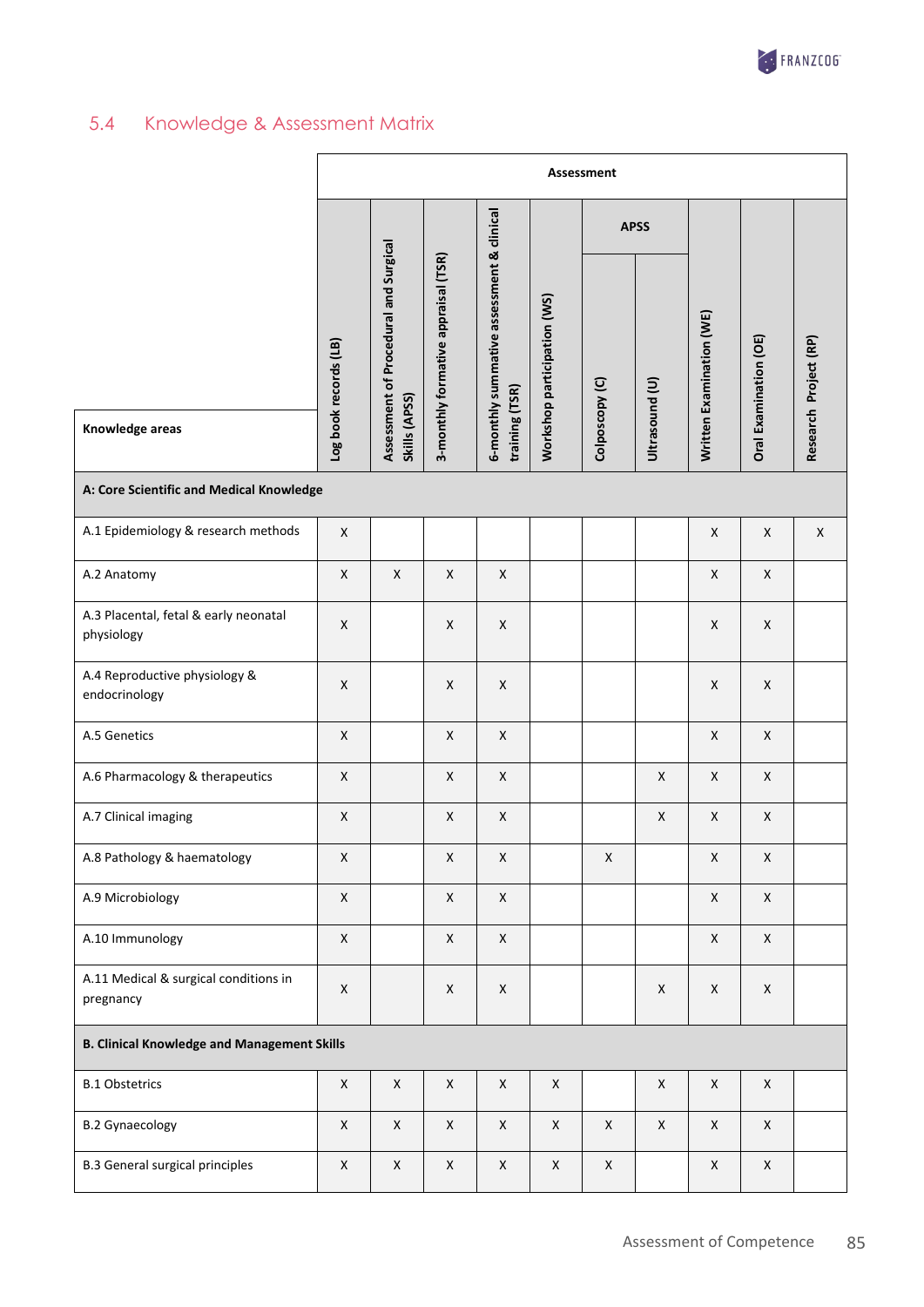

## 5.4 Knowledge & Assessment Matrix

|                                                     | Assessment            |                                                        |                                     |                                                             |                             |                    |                |                          |                       |                       |  |
|-----------------------------------------------------|-----------------------|--------------------------------------------------------|-------------------------------------|-------------------------------------------------------------|-----------------------------|--------------------|----------------|--------------------------|-----------------------|-----------------------|--|
|                                                     |                       |                                                        |                                     |                                                             |                             | <b>APSS</b>        |                |                          |                       |                       |  |
| Knowledge areas                                     | Log book records (LB) | Assessment of Procedural and Surgical<br>Skills (APSS) | 3-monthly formative appraisal (TSR) | 6-monthly summative assessment & clinical<br>training (TSR) | Workshop participation (WS) | Colposcopy (C)     | Ultrasound (U) | Written Examination (WE) | Oral Examination (OE) | Research Project (RP) |  |
| A: Core Scientific and Medical Knowledge            |                       |                                                        |                                     |                                                             |                             |                    |                |                          |                       |                       |  |
| A.1 Epidemiology & research methods                 | X                     |                                                        |                                     |                                                             |                             |                    |                | X                        | X                     | X                     |  |
| A.2 Anatomy                                         | Χ                     | $\pmb{\mathsf{X}}$                                     | X                                   | X                                                           |                             |                    |                | X                        | X                     |                       |  |
| A.3 Placental, fetal & early neonatal<br>physiology | X                     |                                                        | X                                   | X                                                           |                             |                    |                | X                        | X                     |                       |  |
| A.4 Reproductive physiology &<br>endocrinology      | X                     |                                                        | X                                   | X                                                           |                             |                    |                | X                        | X                     |                       |  |
| A.5 Genetics                                        | X                     |                                                        | X                                   | X                                                           |                             |                    |                | X                        | X                     |                       |  |
| A.6 Pharmacology & therapeutics                     | X                     |                                                        | X                                   | X                                                           |                             |                    | X              | X                        | $\pmb{\mathsf{X}}$    |                       |  |
| A.7 Clinical imaging                                | X                     |                                                        | X                                   | X                                                           |                             |                    | X              | X                        | X                     |                       |  |
| A.8 Pathology & haematology                         | $\pmb{\mathsf{X}}$    |                                                        | $\pmb{\mathsf{X}}$                  | $\pmb{\mathsf{X}}$                                          |                             | $\pmb{\mathsf{X}}$ |                | $\mathsf X$              | $\pmb{\mathsf{X}}$    |                       |  |
| A.9 Microbiology                                    | $\mathsf X$           |                                                        | $\mathsf X$                         | $\mathsf X$                                                 |                             |                    |                | $\mathsf X$              | $\mathsf X$           |                       |  |
| A.10 Immunology                                     | $\mathsf X$           |                                                        | $\mathsf X$                         | $\mathsf X$                                                 |                             |                    |                | $\mathsf X$              | $\mathsf X$           |                       |  |
| A.11 Medical & surgical conditions in<br>pregnancy  | $\mathsf X$           |                                                        | $\mathsf X$                         | $\pmb{\mathsf{X}}$                                          |                             |                    | X              | X                        | X                     |                       |  |
| <b>B. Clinical Knowledge and Management Skills</b>  |                       |                                                        |                                     |                                                             |                             |                    |                |                          |                       |                       |  |
| <b>B.1 Obstetrics</b>                               | $\mathsf X$           | $\pmb{\mathsf{X}}$                                     | $\mathsf X$                         | $\pmb{\mathsf{X}}$                                          | X                           |                    | $\mathsf X$    | $\mathsf X$              | $\mathsf X$           |                       |  |
| <b>B.2 Gynaecology</b>                              | X                     | X                                                      | X                                   | X                                                           | X                           | X                  | X              | X                        | X                     |                       |  |
| <b>B.3 General surgical principles</b>              | X                     | $\mathsf X$                                            | X                                   | $\mathsf X$                                                 | $\mathsf X$                 | $\mathsf X$        |                | X                        | X                     |                       |  |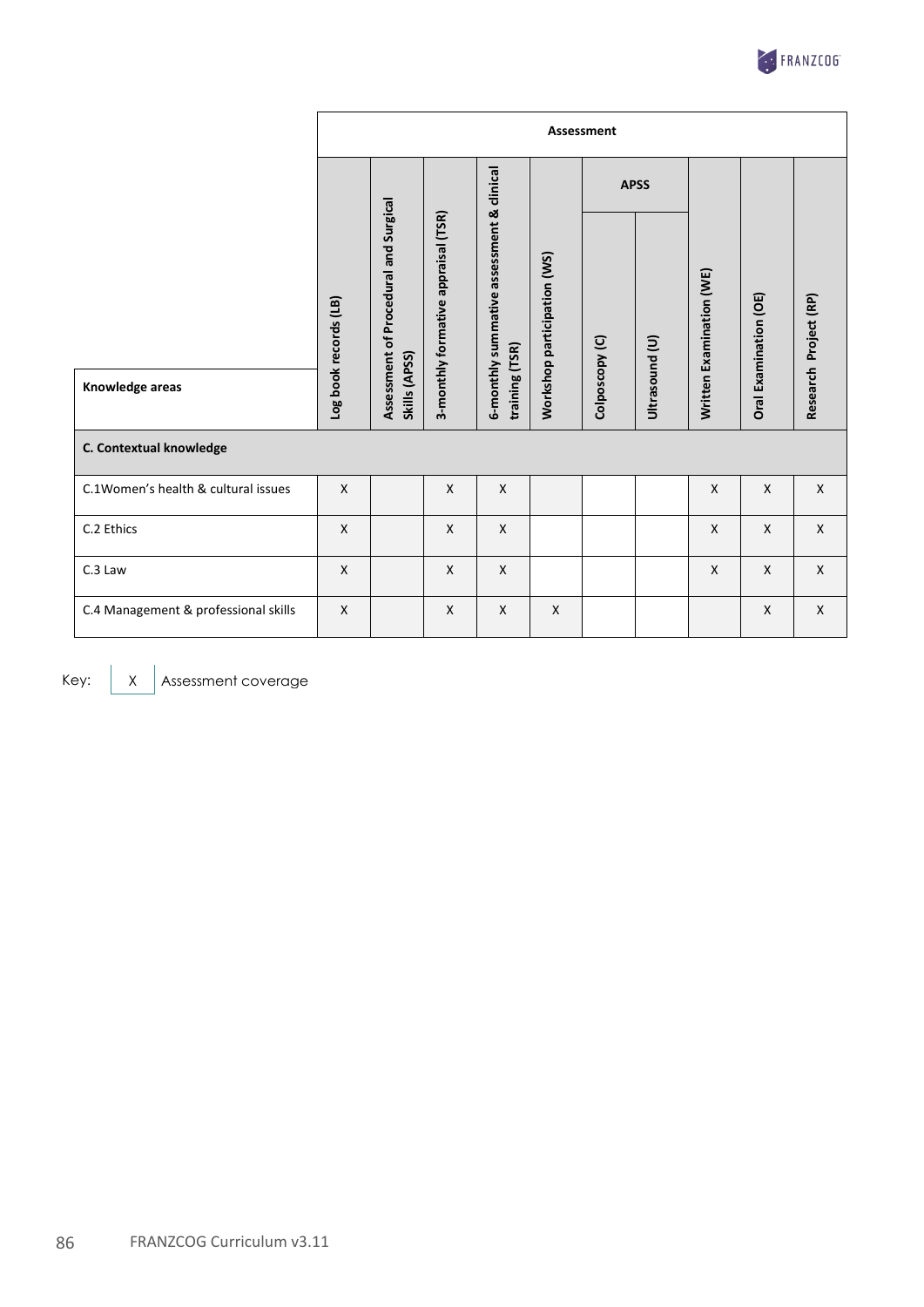

|                                      | <b>Assessment</b>     |                                                        |                                     |                                                             |                             |                |                |                          |                       |                       |
|--------------------------------------|-----------------------|--------------------------------------------------------|-------------------------------------|-------------------------------------------------------------|-----------------------------|----------------|----------------|--------------------------|-----------------------|-----------------------|
|                                      |                       |                                                        |                                     |                                                             |                             | <b>APSS</b>    |                |                          |                       |                       |
| Knowledge areas                      | Log book records (LB) | Assessment of Procedural and Surgical<br>Skills (APSS) | 3-monthly formative appraisal (TSR) | 6-monthly summative assessment & clinical<br>training (TSR) | Workshop participation (WS) | Colposcopy (C) | Ultrasound (U) | Written Examination (WE) | Oral Examination (OE) | Research Project (RP) |
| C. Contextual knowledge              |                       |                                                        |                                     |                                                             |                             |                |                |                          |                       |                       |
| C.1Women's health & cultural issues  | X                     |                                                        | X                                   | X                                                           |                             |                |                | X                        | X                     | X                     |
| C.2 Ethics                           | X                     |                                                        | X                                   | X                                                           |                             |                |                | X                        | X                     | X                     |
| C.3 Law                              | X                     |                                                        | X                                   | X                                                           |                             |                |                | X                        | X                     | X                     |
| C.4 Management & professional skills | X                     |                                                        | X                                   | X                                                           | X                           |                |                |                          | X                     | X                     |

 $Key: \quad \boxed{\begin{array}{|c|} \hline \begin{array}{|c|} \hline \begin{array}{|c|} \hline \begin{array}{|c|} \hline \begin{array}{|c|} \hline \begin{array}{|c|} \hline \begin{array}{|c|} \hline \begin{array}{|c|} \hline \begin{array}{|c|} \hline \begin{array}{|c|} \hline \begin{array}{|c|} \hline \begin{array}{|c|} \hline \begin{array}{|c|} \hline \begin{array}{|c|} \hline \begin{array}{|c|} \hline \begin{array}{|c|} \hline \begin{array}{|c|} \hline \begin{array}{|c|} \$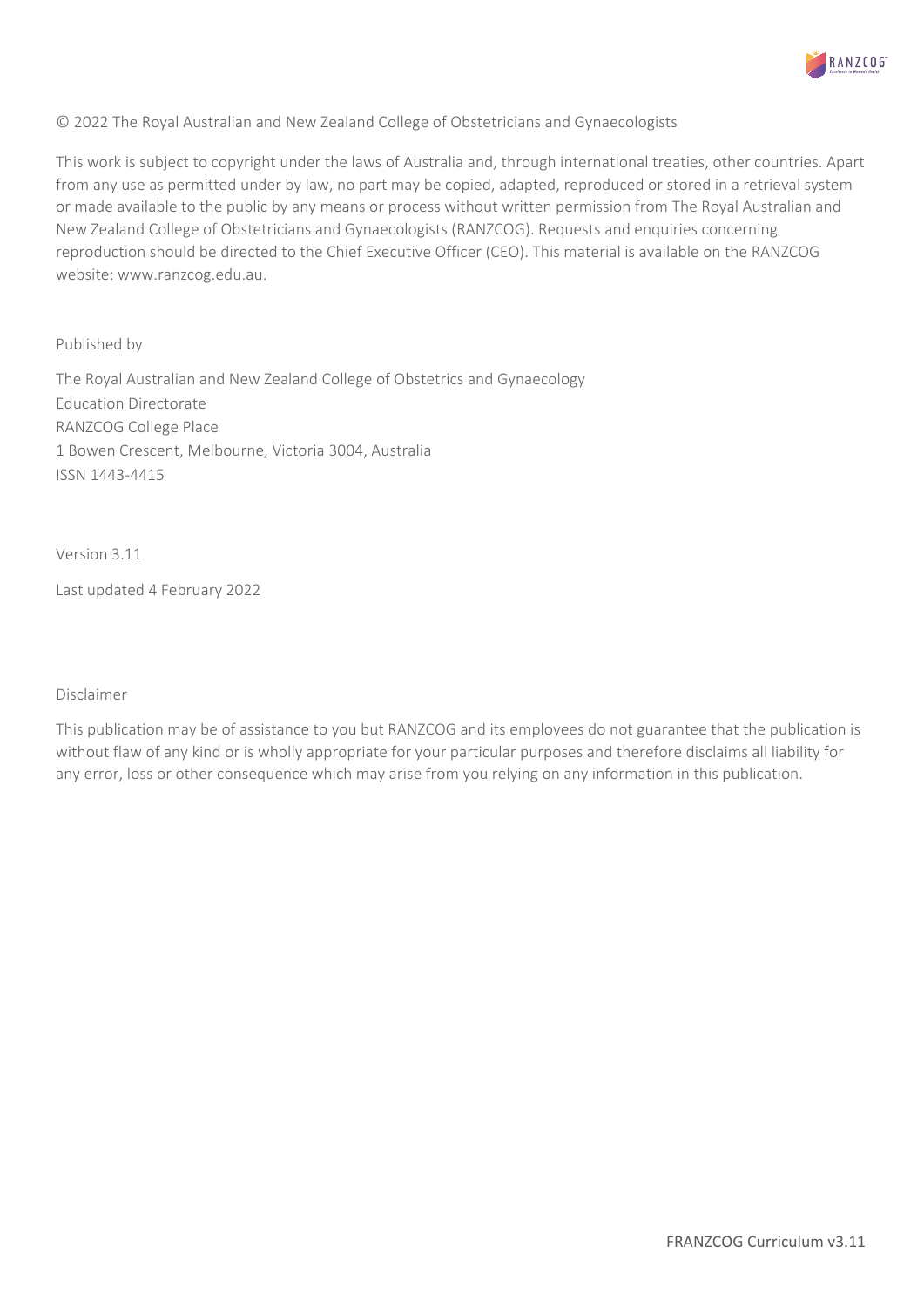

© 2022 The Royal Australian and New Zealand College of Obstetricians and Gynaecologists

This work is subject to copyright under the laws of Australia and, through international treaties, other countries. Apart from any use as permitted under by law, no part may be copied, adapted, reproduced or stored in a retrieval system or made available to the public by any means or process without written permission from The Royal Australian and New Zealand College of Obstetricians and Gynaecologists (RANZCOG). Requests and enquiries concerning reproduction should be directed to the Chief Executive Officer (CEO). This material is available on the RANZCOG website: [www.ranzcog.edu.au.](http://www.ranzcog.edu.au/)

#### Published by

The Royal Australian and New Zealand College of Obstetrics and Gynaecology Education Directorate RANZCOG College Place 1 Bowen Crescent, Melbourne, Victoria 3004, Australia ISSN 1443-4415

Version 3.11

Last updated 4 February 2022

#### Disclaimer

This publication may be of assistance to you but RANZCOG and its employees do not guarantee that the publication is without flaw of any kind or is wholly appropriate for your particular purposes and therefore disclaims all liability for any error, loss or other consequence which may arise from you relying on any information in this publication.